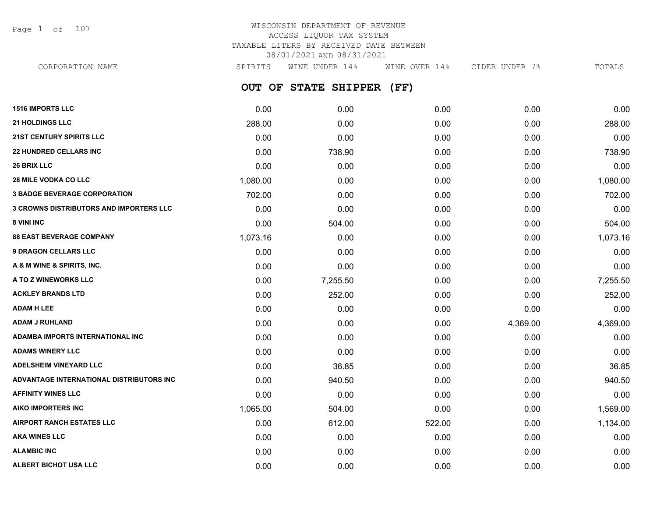Page 1 of 107

# WISCONSIN DEPARTMENT OF REVENUE ACCESS LIQUOR TAX SYSTEM TAXABLE LITERS BY RECEIVED DATE BETWEEN 08/01/2021 AND 08/31/2021

**OUT OF STATE SHIPPER (FF) 1516 IMPORTS LLC** 0.00 0.00 0.00 0.00 0.00 **21 HOLDINGS LLC** 288.00 0.00 0.00 0.00 288.00 **21ST CENTURY SPIRITS LLC 1.000** 0.000 0.000 0.000 0.000 0.000 0.000 0.000 0.000 0.00 CORPORATION NAME SPIRITS WINE UNDER 14% WINE OVER 14% CIDER UNDER 7% TOTALS

|                                                |          |          |        |          | <b></b>  |
|------------------------------------------------|----------|----------|--------|----------|----------|
| <b>22 HUNDRED CELLARS INC</b>                  | 0.00     | 738.90   | 0.00   | 0.00     | 738.90   |
| 26 BRIX LLC                                    | 0.00     | 0.00     | 0.00   | 0.00     | 0.00     |
| <b>28 MILE VODKA CO LLC</b>                    | 1,080.00 | 0.00     | 0.00   | 0.00     | 1,080.00 |
| <b>3 BADGE BEVERAGE CORPORATION</b>            | 702.00   | 0.00     | 0.00   | 0.00     | 702.00   |
| <b>3 CROWNS DISTRIBUTORS AND IMPORTERS LLC</b> | 0.00     | 0.00     | 0.00   | 0.00     | 0.00     |
| 8 VINI INC                                     | 0.00     | 504.00   | 0.00   | 0.00     | 504.00   |
| <b>88 EAST BEVERAGE COMPANY</b>                | 1,073.16 | 0.00     | 0.00   | 0.00     | 1,073.16 |
| <b>9 DRAGON CELLARS LLC</b>                    | 0.00     | 0.00     | 0.00   | 0.00     | 0.00     |
| A & M WINE & SPIRITS, INC.                     | 0.00     | 0.00     | 0.00   | 0.00     | 0.00     |
| A TO Z WINEWORKS LLC                           | 0.00     | 7,255.50 | 0.00   | 0.00     | 7,255.50 |
| <b>ACKLEY BRANDS LTD</b>                       | 0.00     | 252.00   | 0.00   | 0.00     | 252.00   |
| <b>ADAM H LEE</b>                              | 0.00     | 0.00     | 0.00   | 0.00     | 0.00     |
| <b>ADAM J RUHLAND</b>                          | 0.00     | 0.00     | 0.00   | 4,369.00 | 4,369.00 |
| ADAMBA IMPORTS INTERNATIONAL INC               | 0.00     | 0.00     | 0.00   | 0.00     | 0.00     |
| <b>ADAMS WINERY LLC</b>                        | 0.00     | 0.00     | 0.00   | 0.00     | 0.00     |
| <b>ADELSHEIM VINEYARD LLC</b>                  | 0.00     | 36.85    | 0.00   | 0.00     | 36.85    |
| ADVANTAGE INTERNATIONAL DISTRIBUTORS INC       | 0.00     | 940.50   | 0.00   | 0.00     | 940.50   |
| <b>AFFINITY WINES LLC</b>                      | 0.00     | 0.00     | 0.00   | 0.00     | 0.00     |
| <b>AIKO IMPORTERS INC</b>                      | 1,065.00 | 504.00   | 0.00   | 0.00     | 1,569.00 |
| <b>AIRPORT RANCH ESTATES LLC</b>               | 0.00     | 612.00   | 522.00 | 0.00     | 1,134.00 |
| <b>AKA WINES LLC</b>                           | 0.00     | 0.00     | 0.00   | 0.00     | 0.00     |
| <b>ALAMBIC INC</b>                             | 0.00     | 0.00     | 0.00   | 0.00     | 0.00     |
| ALBERT BICHOT USA LLC                          | 0.00     | 0.00     | 0.00   | 0.00     | 0.00     |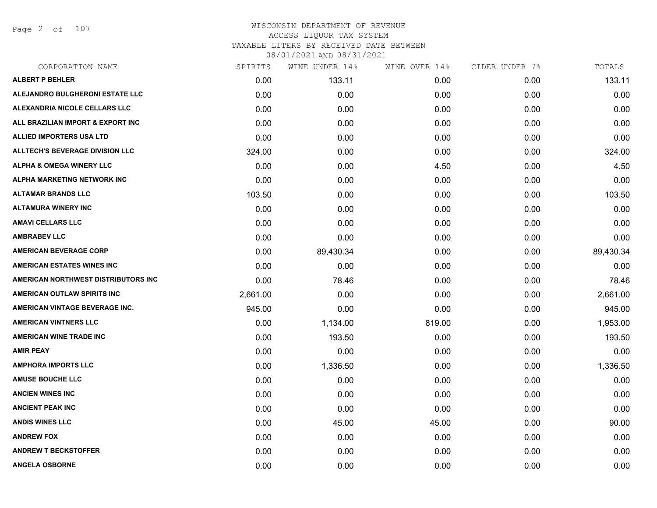Page 2 of 107

| CORPORATION NAME                       | SPIRITS  | WINE UNDER 14% | WINE OVER 14% | CIDER UNDER 7% | TOTALS    |
|----------------------------------------|----------|----------------|---------------|----------------|-----------|
| <b>ALBERT P BEHLER</b>                 | 0.00     | 133.11         | 0.00          | 0.00           | 133.11    |
| ALEJANDRO BULGHERONI ESTATE LLC        | 0.00     | 0.00           | 0.00          | 0.00           | 0.00      |
| ALEXANDRIA NICOLE CELLARS LLC          | 0.00     | 0.00           | 0.00          | 0.00           | 0.00      |
| ALL BRAZILIAN IMPORT & EXPORT INC      | 0.00     | 0.00           | 0.00          | 0.00           | 0.00      |
| <b>ALLIED IMPORTERS USA LTD</b>        | 0.00     | 0.00           | 0.00          | 0.00           | 0.00      |
| <b>ALLTECH'S BEVERAGE DIVISION LLC</b> | 324.00   | 0.00           | 0.00          | 0.00           | 324.00    |
| <b>ALPHA &amp; OMEGA WINERY LLC</b>    | 0.00     | 0.00           | 4.50          | 0.00           | 4.50      |
| ALPHA MARKETING NETWORK INC            | 0.00     | 0.00           | 0.00          | 0.00           | 0.00      |
| <b>ALTAMAR BRANDS LLC</b>              | 103.50   | 0.00           | 0.00          | 0.00           | 103.50    |
| <b>ALTAMURA WINERY INC</b>             | 0.00     | 0.00           | 0.00          | 0.00           | 0.00      |
| <b>AMAVI CELLARS LLC</b>               | 0.00     | 0.00           | 0.00          | 0.00           | 0.00      |
| <b>AMBRABEV LLC</b>                    | 0.00     | 0.00           | 0.00          | 0.00           | 0.00      |
| <b>AMERICAN BEVERAGE CORP</b>          | 0.00     | 89,430.34      | 0.00          | 0.00           | 89,430.34 |
| <b>AMERICAN ESTATES WINES INC</b>      | 0.00     | 0.00           | 0.00          | 0.00           | 0.00      |
| AMERICAN NORTHWEST DISTRIBUTORS INC    | 0.00     | 78.46          | 0.00          | 0.00           | 78.46     |
| AMERICAN OUTLAW SPIRITS INC            | 2,661.00 | 0.00           | 0.00          | 0.00           | 2,661.00  |
| AMERICAN VINTAGE BEVERAGE INC.         | 945.00   | 0.00           | 0.00          | 0.00           | 945.00    |
| <b>AMERICAN VINTNERS LLC</b>           | 0.00     | 1,134.00       | 819.00        | 0.00           | 1,953.00  |
| <b>AMERICAN WINE TRADE INC</b>         | 0.00     | 193.50         | 0.00          | 0.00           | 193.50    |
| <b>AMIR PEAY</b>                       | 0.00     | 0.00           | 0.00          | 0.00           | 0.00      |
| <b>AMPHORA IMPORTS LLC</b>             | 0.00     | 1,336.50       | 0.00          | 0.00           | 1,336.50  |
| <b>AMUSE BOUCHE LLC</b>                | 0.00     | 0.00           | 0.00          | 0.00           | 0.00      |
| <b>ANCIEN WINES INC</b>                | 0.00     | 0.00           | 0.00          | 0.00           | 0.00      |
| <b>ANCIENT PEAK INC</b>                | 0.00     | 0.00           | 0.00          | 0.00           | 0.00      |
| <b>ANDIS WINES LLC</b>                 | 0.00     | 45.00          | 45.00         | 0.00           | 90.00     |
| <b>ANDREW FOX</b>                      | 0.00     | 0.00           | 0.00          | 0.00           | 0.00      |
| <b>ANDREW T BECKSTOFFER</b>            | 0.00     | 0.00           | 0.00          | 0.00           | 0.00      |
| <b>ANGELA OSBORNE</b>                  | 0.00     | 0.00           | 0.00          | 0.00           | 0.00      |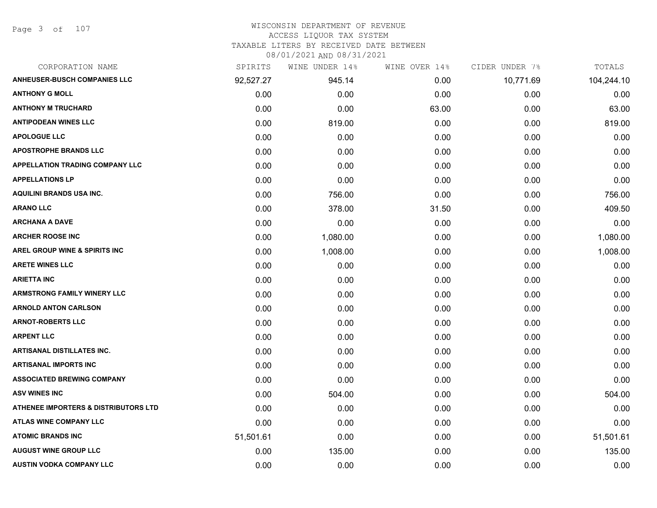#### WISCONSIN DEPARTMENT OF REVENUE ACCESS LIQUOR TAX SYSTEM

TAXABLE LITERS BY RECEIVED DATE BETWEEN

| CORPORATION NAME                                | SPIRITS   | WINE UNDER 14% | WINE OVER 14% | CIDER UNDER 7% | TOTALS     |
|-------------------------------------------------|-----------|----------------|---------------|----------------|------------|
| <b>ANHEUSER-BUSCH COMPANIES LLC</b>             | 92,527.27 | 945.14         | 0.00          | 10,771.69      | 104,244.10 |
| <b>ANTHONY G MOLL</b>                           | 0.00      | 0.00           | 0.00          | 0.00           | 0.00       |
| <b>ANTHONY M TRUCHARD</b>                       | 0.00      | 0.00           | 63.00         | 0.00           | 63.00      |
| <b>ANTIPODEAN WINES LLC</b>                     | 0.00      | 819.00         | 0.00          | 0.00           | 819.00     |
| <b>APOLOGUE LLC</b>                             | 0.00      | 0.00           | 0.00          | 0.00           | 0.00       |
| <b>APOSTROPHE BRANDS LLC</b>                    | 0.00      | 0.00           | 0.00          | 0.00           | 0.00       |
| APPELLATION TRADING COMPANY LLC                 | 0.00      | 0.00           | 0.00          | 0.00           | 0.00       |
| <b>APPELLATIONS LP</b>                          | 0.00      | 0.00           | 0.00          | 0.00           | 0.00       |
| AQUILINI BRANDS USA INC.                        | 0.00      | 756.00         | 0.00          | 0.00           | 756.00     |
| <b>ARANO LLC</b>                                | 0.00      | 378.00         | 31.50         | 0.00           | 409.50     |
| <b>ARCHANA A DAVE</b>                           | 0.00      | 0.00           | 0.00          | 0.00           | 0.00       |
| <b>ARCHER ROOSE INC</b>                         | 0.00      | 1,080.00       | 0.00          | 0.00           | 1,080.00   |
| <b>AREL GROUP WINE &amp; SPIRITS INC</b>        | 0.00      | 1,008.00       | 0.00          | 0.00           | 1,008.00   |
| <b>ARETE WINES LLC</b>                          | 0.00      | 0.00           | 0.00          | 0.00           | 0.00       |
| <b>ARIETTA INC</b>                              | 0.00      | 0.00           | 0.00          | 0.00           | 0.00       |
| <b>ARMSTRONG FAMILY WINERY LLC</b>              | 0.00      | 0.00           | 0.00          | 0.00           | 0.00       |
| <b>ARNOLD ANTON CARLSON</b>                     | 0.00      | 0.00           | 0.00          | 0.00           | 0.00       |
| <b>ARNOT-ROBERTS LLC</b>                        | 0.00      | 0.00           | 0.00          | 0.00           | 0.00       |
| <b>ARPENT LLC</b>                               | 0.00      | 0.00           | 0.00          | 0.00           | 0.00       |
| <b>ARTISANAL DISTILLATES INC.</b>               | 0.00      | 0.00           | 0.00          | 0.00           | 0.00       |
| <b>ARTISANAL IMPORTS INC</b>                    | 0.00      | 0.00           | 0.00          | 0.00           | 0.00       |
| <b>ASSOCIATED BREWING COMPANY</b>               | 0.00      | 0.00           | 0.00          | 0.00           | 0.00       |
| <b>ASV WINES INC</b>                            | 0.00      | 504.00         | 0.00          | 0.00           | 504.00     |
| <b>ATHENEE IMPORTERS &amp; DISTRIBUTORS LTD</b> | 0.00      | 0.00           | 0.00          | 0.00           | 0.00       |
| ATLAS WINE COMPANY LLC                          | 0.00      | 0.00           | 0.00          | 0.00           | 0.00       |
| <b>ATOMIC BRANDS INC</b>                        | 51,501.61 | 0.00           | 0.00          | 0.00           | 51,501.61  |
| <b>AUGUST WINE GROUP LLC</b>                    | 0.00      | 135.00         | 0.00          | 0.00           | 135.00     |
| AUSTIN VODKA COMPANY LLC                        | 0.00      | 0.00           | 0.00          | 0.00           | 0.00       |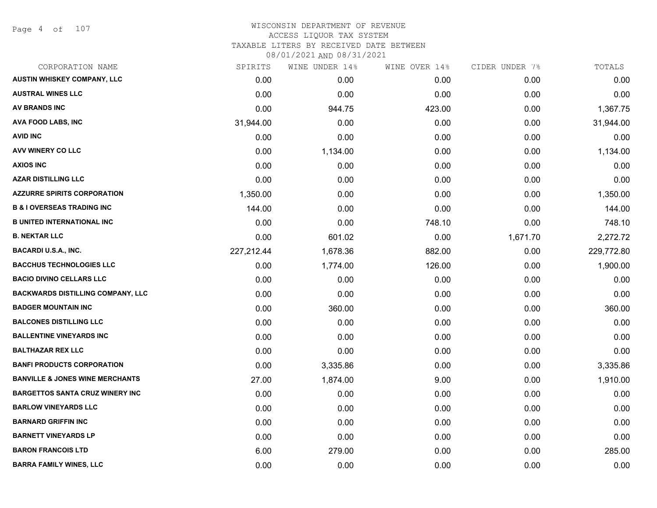Page 4 of 107

#### WISCONSIN DEPARTMENT OF REVENUE ACCESS LIQUOR TAX SYSTEM

TAXABLE LITERS BY RECEIVED DATE BETWEEN

| CORPORATION NAME                           | SPIRITS    | WINE UNDER 14% | WINE OVER 14% | CIDER UNDER 7% | TOTALS     |
|--------------------------------------------|------------|----------------|---------------|----------------|------------|
| AUSTIN WHISKEY COMPANY, LLC                | 0.00       | 0.00           | 0.00          | 0.00           | 0.00       |
| <b>AUSTRAL WINES LLC</b>                   | 0.00       | 0.00           | 0.00          | 0.00           | 0.00       |
| <b>AV BRANDS INC</b>                       | 0.00       | 944.75         | 423.00        | 0.00           | 1,367.75   |
| AVA FOOD LABS, INC                         | 31,944.00  | 0.00           | 0.00          | 0.00           | 31,944.00  |
| <b>AVID INC</b>                            | 0.00       | 0.00           | 0.00          | 0.00           | 0.00       |
| AVV WINERY CO LLC                          | 0.00       | 1,134.00       | 0.00          | 0.00           | 1,134.00   |
| <b>AXIOS INC</b>                           | 0.00       | 0.00           | 0.00          | 0.00           | 0.00       |
| <b>AZAR DISTILLING LLC</b>                 | 0.00       | 0.00           | 0.00          | 0.00           | 0.00       |
| <b>AZZURRE SPIRITS CORPORATION</b>         | 1,350.00   | 0.00           | 0.00          | 0.00           | 1,350.00   |
| <b>B &amp; I OVERSEAS TRADING INC</b>      | 144.00     | 0.00           | 0.00          | 0.00           | 144.00     |
| <b>B UNITED INTERNATIONAL INC</b>          | 0.00       | 0.00           | 748.10        | 0.00           | 748.10     |
| <b>B. NEKTAR LLC</b>                       | 0.00       | 601.02         | 0.00          | 1,671.70       | 2,272.72   |
| <b>BACARDI U.S.A., INC.</b>                | 227,212.44 | 1,678.36       | 882.00        | 0.00           | 229,772.80 |
| <b>BACCHUS TECHNOLOGIES LLC</b>            | 0.00       | 1,774.00       | 126.00        | 0.00           | 1,900.00   |
| <b>BACIO DIVINO CELLARS LLC</b>            | 0.00       | 0.00           | 0.00          | 0.00           | 0.00       |
| <b>BACKWARDS DISTILLING COMPANY, LLC</b>   | 0.00       | 0.00           | 0.00          | 0.00           | 0.00       |
| <b>BADGER MOUNTAIN INC</b>                 | 0.00       | 360.00         | 0.00          | 0.00           | 360.00     |
| <b>BALCONES DISTILLING LLC</b>             | 0.00       | 0.00           | 0.00          | 0.00           | 0.00       |
| <b>BALLENTINE VINEYARDS INC</b>            | 0.00       | 0.00           | 0.00          | 0.00           | 0.00       |
| <b>BALTHAZAR REX LLC</b>                   | 0.00       | 0.00           | 0.00          | 0.00           | 0.00       |
| <b>BANFI PRODUCTS CORPORATION</b>          | 0.00       | 3,335.86       | 0.00          | 0.00           | 3,335.86   |
| <b>BANVILLE &amp; JONES WINE MERCHANTS</b> | 27.00      | 1,874.00       | 9.00          | 0.00           | 1,910.00   |
| <b>BARGETTOS SANTA CRUZ WINERY INC</b>     | 0.00       | 0.00           | 0.00          | 0.00           | 0.00       |
| <b>BARLOW VINEYARDS LLC</b>                | 0.00       | 0.00           | 0.00          | 0.00           | 0.00       |
| <b>BARNARD GRIFFIN INC</b>                 | 0.00       | 0.00           | 0.00          | 0.00           | 0.00       |
| <b>BARNETT VINEYARDS LP</b>                | 0.00       | 0.00           | 0.00          | 0.00           | 0.00       |
| <b>BARON FRANCOIS LTD</b>                  | 6.00       | 279.00         | 0.00          | 0.00           | 285.00     |
| <b>BARRA FAMILY WINES, LLC</b>             | 0.00       | 0.00           | 0.00          | 0.00           | 0.00       |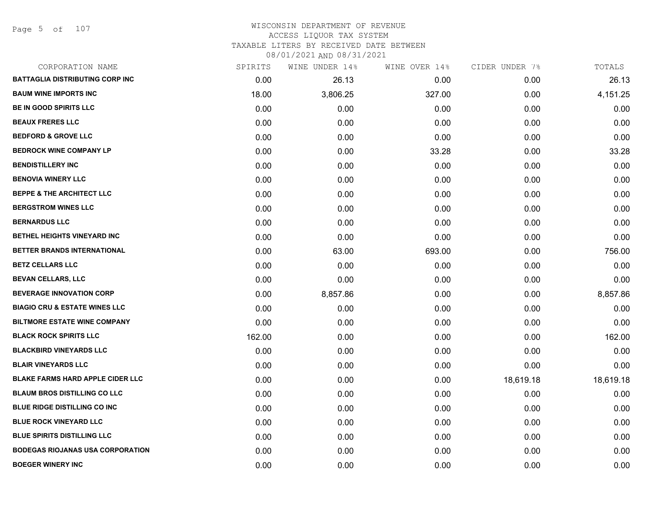Page 5 of 107

#### WISCONSIN DEPARTMENT OF REVENUE ACCESS LIQUOR TAX SYSTEM TAXABLE LITERS BY RECEIVED DATE BETWEEN

| CORPORATION NAME                         | SPIRITS | WINE UNDER 14% | WINE OVER 14% | CIDER UNDER 7% | TOTALS    |
|------------------------------------------|---------|----------------|---------------|----------------|-----------|
| <b>BATTAGLIA DISTRIBUTING CORP INC</b>   | 0.00    | 26.13          | 0.00          | 0.00           | 26.13     |
| <b>BAUM WINE IMPORTS INC</b>             | 18.00   | 3,806.25       | 327.00        | 0.00           | 4,151.25  |
| <b>BE IN GOOD SPIRITS LLC</b>            | 0.00    | 0.00           | 0.00          | 0.00           | 0.00      |
| <b>BEAUX FRERES LLC</b>                  | 0.00    | 0.00           | 0.00          | 0.00           | 0.00      |
| <b>BEDFORD &amp; GROVE LLC</b>           | 0.00    | 0.00           | 0.00          | 0.00           | 0.00      |
| <b>BEDROCK WINE COMPANY LP</b>           | 0.00    | 0.00           | 33.28         | 0.00           | 33.28     |
| <b>BENDISTILLERY INC</b>                 | 0.00    | 0.00           | 0.00          | 0.00           | 0.00      |
| <b>BENOVIA WINERY LLC</b>                | 0.00    | 0.00           | 0.00          | 0.00           | 0.00      |
| <b>BEPPE &amp; THE ARCHITECT LLC</b>     | 0.00    | 0.00           | 0.00          | 0.00           | 0.00      |
| <b>BERGSTROM WINES LLC</b>               | 0.00    | 0.00           | 0.00          | 0.00           | 0.00      |
| <b>BERNARDUS LLC</b>                     | 0.00    | 0.00           | 0.00          | 0.00           | 0.00      |
| BETHEL HEIGHTS VINEYARD INC              | 0.00    | 0.00           | 0.00          | 0.00           | 0.00      |
| BETTER BRANDS INTERNATIONAL              | 0.00    | 63.00          | 693.00        | 0.00           | 756.00    |
| <b>BETZ CELLARS LLC</b>                  | 0.00    | 0.00           | 0.00          | 0.00           | 0.00      |
| <b>BEVAN CELLARS, LLC</b>                | 0.00    | 0.00           | 0.00          | 0.00           | 0.00      |
| <b>BEVERAGE INNOVATION CORP</b>          | 0.00    | 8,857.86       | 0.00          | 0.00           | 8,857.86  |
| <b>BIAGIO CRU &amp; ESTATE WINES LLC</b> | 0.00    | 0.00           | 0.00          | 0.00           | 0.00      |
| <b>BILTMORE ESTATE WINE COMPANY</b>      | 0.00    | 0.00           | 0.00          | 0.00           | 0.00      |
| <b>BLACK ROCK SPIRITS LLC</b>            | 162.00  | 0.00           | 0.00          | 0.00           | 162.00    |
| <b>BLACKBIRD VINEYARDS LLC</b>           | 0.00    | 0.00           | 0.00          | 0.00           | 0.00      |
| <b>BLAIR VINEYARDS LLC</b>               | 0.00    | 0.00           | 0.00          | 0.00           | 0.00      |
| <b>BLAKE FARMS HARD APPLE CIDER LLC</b>  | 0.00    | 0.00           | 0.00          | 18,619.18      | 18,619.18 |
| <b>BLAUM BROS DISTILLING CO LLC</b>      | 0.00    | 0.00           | 0.00          | 0.00           | 0.00      |
| <b>BLUE RIDGE DISTILLING CO INC</b>      | 0.00    | 0.00           | 0.00          | 0.00           | 0.00      |
| <b>BLUE ROCK VINEYARD LLC</b>            | 0.00    | 0.00           | 0.00          | 0.00           | 0.00      |
| <b>BLUE SPIRITS DISTILLING LLC</b>       | 0.00    | 0.00           | 0.00          | 0.00           | 0.00      |
| <b>BODEGAS RIOJANAS USA CORPORATION</b>  | 0.00    | 0.00           | 0.00          | 0.00           | 0.00      |
| <b>BOEGER WINERY INC</b>                 | 0.00    | 0.00           | 0.00          | 0.00           | 0.00      |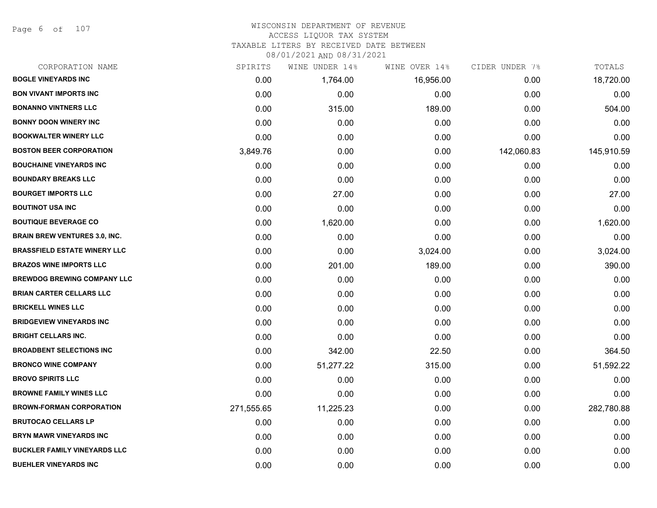Page 6 of 107

# WISCONSIN DEPARTMENT OF REVENUE ACCESS LIQUOR TAX SYSTEM

TAXABLE LITERS BY RECEIVED DATE BETWEEN

| CORPORATION NAME                     | SPIRITS    | WINE UNDER 14% | WINE OVER 14% | CIDER UNDER 7% | TOTALS     |
|--------------------------------------|------------|----------------|---------------|----------------|------------|
| <b>BOGLE VINEYARDS INC</b>           | 0.00       | 1,764.00       | 16,956.00     | 0.00           | 18,720.00  |
| <b>BON VIVANT IMPORTS INC</b>        | 0.00       | 0.00           | 0.00          | 0.00           | 0.00       |
| <b>BONANNO VINTNERS LLC</b>          | 0.00       | 315.00         | 189.00        | 0.00           | 504.00     |
| <b>BONNY DOON WINERY INC</b>         | 0.00       | 0.00           | 0.00          | 0.00           | 0.00       |
| <b>BOOKWALTER WINERY LLC</b>         | 0.00       | 0.00           | 0.00          | 0.00           | 0.00       |
| <b>BOSTON BEER CORPORATION</b>       | 3,849.76   | 0.00           | 0.00          | 142,060.83     | 145,910.59 |
| <b>BOUCHAINE VINEYARDS INC</b>       | 0.00       | 0.00           | 0.00          | 0.00           | 0.00       |
| <b>BOUNDARY BREAKS LLC</b>           | 0.00       | 0.00           | 0.00          | 0.00           | 0.00       |
| <b>BOURGET IMPORTS LLC</b>           | 0.00       | 27.00          | 0.00          | 0.00           | 27.00      |
| <b>BOUTINOT USA INC</b>              | 0.00       | 0.00           | 0.00          | 0.00           | 0.00       |
| <b>BOUTIQUE BEVERAGE CO</b>          | 0.00       | 1,620.00       | 0.00          | 0.00           | 1,620.00   |
| <b>BRAIN BREW VENTURES 3.0, INC.</b> | 0.00       | 0.00           | 0.00          | 0.00           | 0.00       |
| <b>BRASSFIELD ESTATE WINERY LLC</b>  | 0.00       | 0.00           | 3,024.00      | 0.00           | 3,024.00   |
| <b>BRAZOS WINE IMPORTS LLC</b>       | 0.00       | 201.00         | 189.00        | 0.00           | 390.00     |
| <b>BREWDOG BREWING COMPANY LLC</b>   | 0.00       | 0.00           | 0.00          | 0.00           | 0.00       |
| <b>BRIAN CARTER CELLARS LLC</b>      | 0.00       | 0.00           | 0.00          | 0.00           | 0.00       |
| <b>BRICKELL WINES LLC</b>            | 0.00       | 0.00           | 0.00          | 0.00           | 0.00       |
| <b>BRIDGEVIEW VINEYARDS INC</b>      | 0.00       | 0.00           | 0.00          | 0.00           | 0.00       |
| <b>BRIGHT CELLARS INC.</b>           | 0.00       | 0.00           | 0.00          | 0.00           | 0.00       |
| <b>BROADBENT SELECTIONS INC</b>      | 0.00       | 342.00         | 22.50         | 0.00           | 364.50     |
| <b>BRONCO WINE COMPANY</b>           | 0.00       | 51,277.22      | 315.00        | 0.00           | 51,592.22  |
| <b>BROVO SPIRITS LLC</b>             | 0.00       | 0.00           | 0.00          | 0.00           | 0.00       |
| <b>BROWNE FAMILY WINES LLC</b>       | 0.00       | 0.00           | 0.00          | 0.00           | 0.00       |
| <b>BROWN-FORMAN CORPORATION</b>      | 271,555.65 | 11,225.23      | 0.00          | 0.00           | 282,780.88 |
| <b>BRUTOCAO CELLARS LP</b>           | 0.00       | 0.00           | 0.00          | 0.00           | 0.00       |
| <b>BRYN MAWR VINEYARDS INC</b>       | 0.00       | 0.00           | 0.00          | 0.00           | 0.00       |
| <b>BUCKLER FAMILY VINEYARDS LLC</b>  | 0.00       | 0.00           | 0.00          | 0.00           | 0.00       |
| <b>BUEHLER VINEYARDS INC</b>         | 0.00       | 0.00           | 0.00          | 0.00           | 0.00       |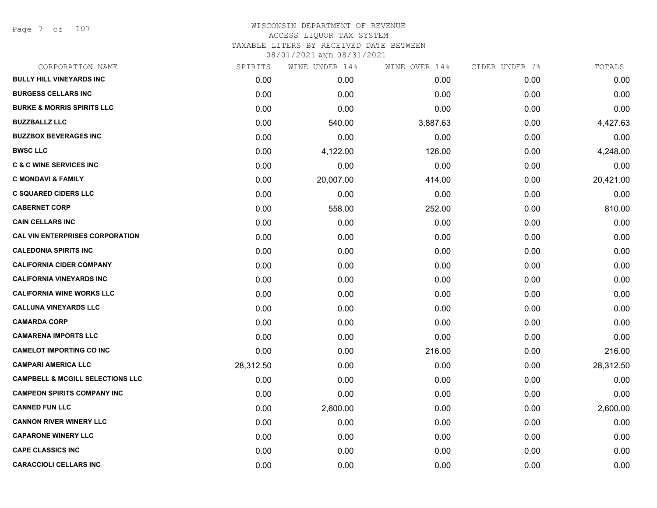Page 7 of 107

# WISCONSIN DEPARTMENT OF REVENUE ACCESS LIQUOR TAX SYSTEM TAXABLE LITERS BY RECEIVED DATE BETWEEN

| CORPORATION NAME                            | SPIRITS   | WINE UNDER 14% | WINE OVER 14% | CIDER UNDER 7% | TOTALS    |
|---------------------------------------------|-----------|----------------|---------------|----------------|-----------|
| <b>BULLY HILL VINEYARDS INC</b>             | 0.00      | 0.00           | 0.00          | 0.00           | 0.00      |
| <b>BURGESS CELLARS INC</b>                  | 0.00      | 0.00           | 0.00          | 0.00           | 0.00      |
| <b>BURKE &amp; MORRIS SPIRITS LLC</b>       | 0.00      | 0.00           | 0.00          | 0.00           | 0.00      |
| <b>BUZZBALLZ LLC</b>                        | 0.00      | 540.00         | 3,887.63      | 0.00           | 4,427.63  |
| <b>BUZZBOX BEVERAGES INC</b>                | 0.00      | 0.00           | 0.00          | 0.00           | 0.00      |
| <b>BWSC LLC</b>                             | 0.00      | 4,122.00       | 126.00        | 0.00           | 4,248.00  |
| <b>C &amp; C WINE SERVICES INC</b>          | 0.00      | 0.00           | 0.00          | 0.00           | 0.00      |
| <b>C MONDAVI &amp; FAMILY</b>               | 0.00      | 20,007.00      | 414.00        | 0.00           | 20,421.00 |
| <b>C SQUARED CIDERS LLC</b>                 | 0.00      | 0.00           | 0.00          | 0.00           | 0.00      |
| <b>CABERNET CORP</b>                        | 0.00      | 558.00         | 252.00        | 0.00           | 810.00    |
| <b>CAIN CELLARS INC</b>                     | 0.00      | 0.00           | 0.00          | 0.00           | 0.00      |
| <b>CAL VIN ENTERPRISES CORPORATION</b>      | 0.00      | 0.00           | 0.00          | 0.00           | 0.00      |
| <b>CALEDONIA SPIRITS INC</b>                | 0.00      | 0.00           | 0.00          | 0.00           | 0.00      |
| <b>CALIFORNIA CIDER COMPANY</b>             | 0.00      | 0.00           | 0.00          | 0.00           | 0.00      |
| <b>CALIFORNIA VINEYARDS INC</b>             | 0.00      | 0.00           | 0.00          | 0.00           | 0.00      |
| <b>CALIFORNIA WINE WORKS LLC</b>            | 0.00      | 0.00           | 0.00          | 0.00           | 0.00      |
| <b>CALLUNA VINEYARDS LLC</b>                | 0.00      | 0.00           | 0.00          | 0.00           | 0.00      |
| <b>CAMARDA CORP</b>                         | 0.00      | 0.00           | 0.00          | 0.00           | 0.00      |
| <b>CAMARENA IMPORTS LLC</b>                 | 0.00      | 0.00           | 0.00          | 0.00           | 0.00      |
| <b>CAMELOT IMPORTING CO INC</b>             | 0.00      | 0.00           | 216.00        | 0.00           | 216.00    |
| <b>CAMPARI AMERICA LLC</b>                  | 28,312.50 | 0.00           | 0.00          | 0.00           | 28,312.50 |
| <b>CAMPBELL &amp; MCGILL SELECTIONS LLC</b> | 0.00      | 0.00           | 0.00          | 0.00           | 0.00      |
| <b>CAMPEON SPIRITS COMPANY INC</b>          | 0.00      | 0.00           | 0.00          | 0.00           | 0.00      |
| <b>CANNED FUN LLC</b>                       | 0.00      | 2,600.00       | 0.00          | 0.00           | 2,600.00  |
| <b>CANNON RIVER WINERY LLC</b>              | 0.00      | 0.00           | 0.00          | 0.00           | 0.00      |
| <b>CAPARONE WINERY LLC</b>                  | 0.00      | 0.00           | 0.00          | 0.00           | 0.00      |
| <b>CAPE CLASSICS INC</b>                    | 0.00      | 0.00           | 0.00          | 0.00           | 0.00      |
| <b>CARACCIOLI CELLARS INC</b>               | 0.00      | 0.00           | 0.00          | 0.00           | 0.00      |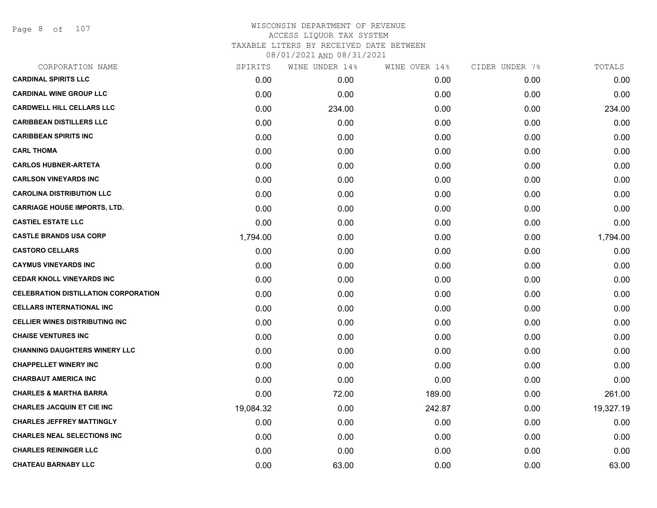Page 8 of 107

| CORPORATION NAME                            | SPIRITS   | WINE UNDER 14% | WINE OVER 14% | CIDER UNDER 7% | TOTALS    |
|---------------------------------------------|-----------|----------------|---------------|----------------|-----------|
| <b>CARDINAL SPIRITS LLC</b>                 | 0.00      | 0.00           | 0.00          | 0.00           | 0.00      |
| <b>CARDINAL WINE GROUP LLC</b>              | 0.00      | 0.00           | 0.00          | 0.00           | 0.00      |
| <b>CARDWELL HILL CELLARS LLC</b>            | 0.00      | 234.00         | 0.00          | 0.00           | 234.00    |
| <b>CARIBBEAN DISTILLERS LLC</b>             | 0.00      | 0.00           | 0.00          | 0.00           | 0.00      |
| <b>CARIBBEAN SPIRITS INC</b>                | 0.00      | 0.00           | 0.00          | 0.00           | 0.00      |
| <b>CARL THOMA</b>                           | 0.00      | 0.00           | 0.00          | 0.00           | 0.00      |
| <b>CARLOS HUBNER-ARTETA</b>                 | 0.00      | 0.00           | 0.00          | 0.00           | 0.00      |
| <b>CARLSON VINEYARDS INC</b>                | 0.00      | 0.00           | 0.00          | 0.00           | 0.00      |
| <b>CAROLINA DISTRIBUTION LLC</b>            | 0.00      | 0.00           | 0.00          | 0.00           | 0.00      |
| <b>CARRIAGE HOUSE IMPORTS, LTD.</b>         | 0.00      | 0.00           | 0.00          | 0.00           | 0.00      |
| <b>CASTIEL ESTATE LLC</b>                   | 0.00      | 0.00           | 0.00          | 0.00           | 0.00      |
| <b>CASTLE BRANDS USA CORP</b>               | 1,794.00  | 0.00           | 0.00          | 0.00           | 1,794.00  |
| <b>CASTORO CELLARS</b>                      | 0.00      | 0.00           | 0.00          | 0.00           | 0.00      |
| <b>CAYMUS VINEYARDS INC</b>                 | 0.00      | 0.00           | 0.00          | 0.00           | 0.00      |
| <b>CEDAR KNOLL VINEYARDS INC</b>            | 0.00      | 0.00           | 0.00          | 0.00           | 0.00      |
| <b>CELEBRATION DISTILLATION CORPORATION</b> | 0.00      | 0.00           | 0.00          | 0.00           | 0.00      |
| <b>CELLARS INTERNATIONAL INC</b>            | 0.00      | 0.00           | 0.00          | 0.00           | 0.00      |
| <b>CELLIER WINES DISTRIBUTING INC</b>       | 0.00      | 0.00           | 0.00          | 0.00           | 0.00      |
| <b>CHAISE VENTURES INC</b>                  | 0.00      | 0.00           | 0.00          | 0.00           | 0.00      |
| <b>CHANNING DAUGHTERS WINERY LLC</b>        | 0.00      | 0.00           | 0.00          | 0.00           | 0.00      |
| <b>CHAPPELLET WINERY INC</b>                | 0.00      | 0.00           | 0.00          | 0.00           | 0.00      |
| <b>CHARBAUT AMERICA INC</b>                 | 0.00      | 0.00           | 0.00          | 0.00           | 0.00      |
| <b>CHARLES &amp; MARTHA BARRA</b>           | 0.00      | 72.00          | 189.00        | 0.00           | 261.00    |
| <b>CHARLES JACQUIN ET CIE INC</b>           | 19,084.32 | 0.00           | 242.87        | 0.00           | 19,327.19 |
| <b>CHARLES JEFFREY MATTINGLY</b>            | 0.00      | 0.00           | 0.00          | 0.00           | 0.00      |
| <b>CHARLES NEAL SELECTIONS INC</b>          | 0.00      | 0.00           | 0.00          | 0.00           | 0.00      |
| <b>CHARLES REININGER LLC</b>                | 0.00      | 0.00           | 0.00          | 0.00           | 0.00      |
| <b>CHATEAU BARNABY LLC</b>                  | 0.00      | 63.00          | 0.00          | 0.00           | 63.00     |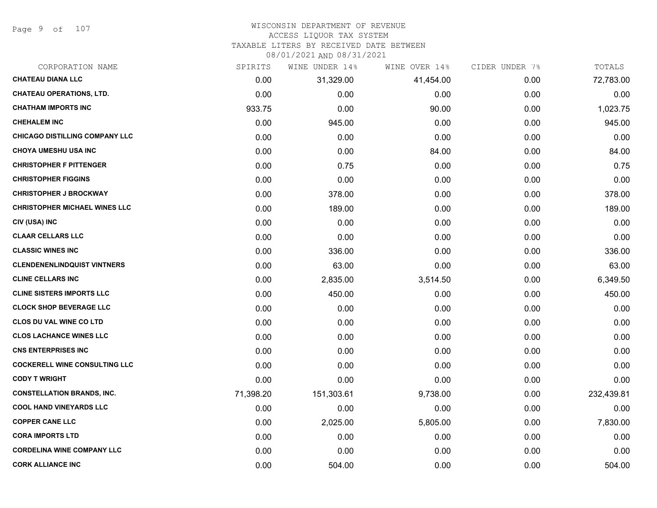Page 9 of 107

# WISCONSIN DEPARTMENT OF REVENUE

# ACCESS LIQUOR TAX SYSTEM

TAXABLE LITERS BY RECEIVED DATE BETWEEN

| CORPORATION NAME                      | SPIRITS   | WINE UNDER 14% | WINE OVER 14% | CIDER UNDER 7% | TOTALS     |
|---------------------------------------|-----------|----------------|---------------|----------------|------------|
| <b>CHATEAU DIANA LLC</b>              | 0.00      | 31,329.00      | 41,454.00     | 0.00           | 72,783.00  |
| <b>CHATEAU OPERATIONS, LTD.</b>       | 0.00      | 0.00           | 0.00          | 0.00           | 0.00       |
| <b>CHATHAM IMPORTS INC</b>            | 933.75    | 0.00           | 90.00         | 0.00           | 1,023.75   |
| <b>CHEHALEM INC</b>                   | 0.00      | 945.00         | 0.00          | 0.00           | 945.00     |
| <b>CHICAGO DISTILLING COMPANY LLC</b> | 0.00      | 0.00           | 0.00          | 0.00           | 0.00       |
| <b>CHOYA UMESHU USA INC</b>           | 0.00      | 0.00           | 84.00         | 0.00           | 84.00      |
| <b>CHRISTOPHER F PITTENGER</b>        | 0.00      | 0.75           | 0.00          | 0.00           | 0.75       |
| <b>CHRISTOPHER FIGGINS</b>            | 0.00      | 0.00           | 0.00          | 0.00           | 0.00       |
| <b>CHRISTOPHER J BROCKWAY</b>         | 0.00      | 378.00         | 0.00          | 0.00           | 378.00     |
| <b>CHRISTOPHER MICHAEL WINES LLC</b>  | 0.00      | 189.00         | 0.00          | 0.00           | 189.00     |
| CIV (USA) INC                         | 0.00      | 0.00           | 0.00          | 0.00           | 0.00       |
| <b>CLAAR CELLARS LLC</b>              | 0.00      | 0.00           | 0.00          | 0.00           | 0.00       |
| <b>CLASSIC WINES INC</b>              | 0.00      | 336.00         | 0.00          | 0.00           | 336.00     |
| <b>CLENDENENLINDQUIST VINTNERS</b>    | 0.00      | 63.00          | 0.00          | 0.00           | 63.00      |
| <b>CLINE CELLARS INC</b>              | 0.00      | 2,835.00       | 3,514.50      | 0.00           | 6,349.50   |
| <b>CLINE SISTERS IMPORTS LLC</b>      | 0.00      | 450.00         | 0.00          | 0.00           | 450.00     |
| <b>CLOCK SHOP BEVERAGE LLC</b>        | 0.00      | 0.00           | 0.00          | 0.00           | 0.00       |
| <b>CLOS DU VAL WINE CO LTD</b>        | 0.00      | 0.00           | 0.00          | 0.00           | 0.00       |
| <b>CLOS LACHANCE WINES LLC</b>        | 0.00      | 0.00           | 0.00          | 0.00           | 0.00       |
| <b>CNS ENTERPRISES INC</b>            | 0.00      | 0.00           | 0.00          | 0.00           | 0.00       |
| <b>COCKERELL WINE CONSULTING LLC</b>  | 0.00      | 0.00           | 0.00          | 0.00           | 0.00       |
| <b>CODY T WRIGHT</b>                  | 0.00      | 0.00           | 0.00          | 0.00           | 0.00       |
| <b>CONSTELLATION BRANDS, INC.</b>     | 71,398.20 | 151,303.61     | 9,738.00      | 0.00           | 232,439.81 |
| <b>COOL HAND VINEYARDS LLC</b>        | 0.00      | 0.00           | 0.00          | 0.00           | 0.00       |
| <b>COPPER CANE LLC</b>                | 0.00      | 2,025.00       | 5,805.00      | 0.00           | 7,830.00   |
| <b>CORA IMPORTS LTD</b>               | 0.00      | 0.00           | 0.00          | 0.00           | 0.00       |
| <b>CORDELINA WINE COMPANY LLC</b>     | 0.00      | 0.00           | 0.00          | 0.00           | 0.00       |
| <b>CORK ALLIANCE INC</b>              | 0.00      | 504.00         | 0.00          | 0.00           | 504.00     |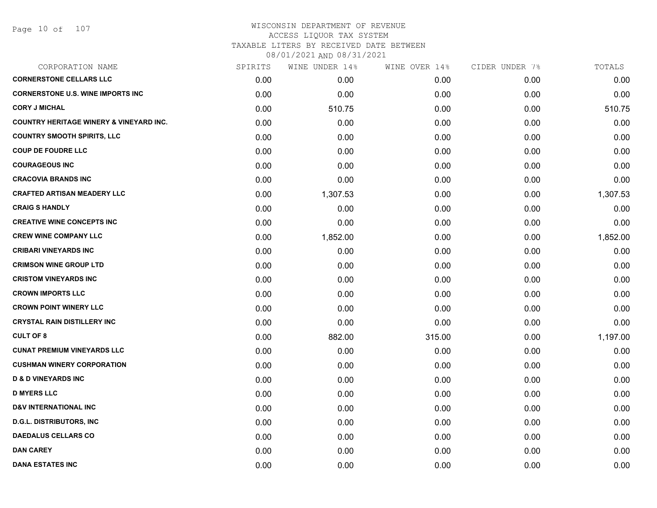### WISCONSIN DEPARTMENT OF REVENUE ACCESS LIQUOR TAX SYSTEM TAXABLE LITERS BY RECEIVED DATE BETWEEN

| CORPORATION NAME                                   | SPIRITS | WINE UNDER 14% | WINE OVER 14% | CIDER UNDER 7% | TOTALS   |
|----------------------------------------------------|---------|----------------|---------------|----------------|----------|
| <b>CORNERSTONE CELLARS LLC</b>                     | 0.00    | 0.00           | 0.00          | 0.00           | 0.00     |
| <b>CORNERSTONE U.S. WINE IMPORTS INC</b>           | 0.00    | 0.00           | 0.00          | 0.00           | 0.00     |
| <b>CORY J MICHAL</b>                               | 0.00    | 510.75         | 0.00          | 0.00           | 510.75   |
| <b>COUNTRY HERITAGE WINERY &amp; VINEYARD INC.</b> | 0.00    | 0.00           | 0.00          | 0.00           | 0.00     |
| <b>COUNTRY SMOOTH SPIRITS, LLC</b>                 | 0.00    | 0.00           | 0.00          | 0.00           | 0.00     |
| <b>COUP DE FOUDRE LLC</b>                          | 0.00    | 0.00           | 0.00          | 0.00           | 0.00     |
| <b>COURAGEOUS INC</b>                              | 0.00    | 0.00           | 0.00          | 0.00           | 0.00     |
| <b>CRACOVIA BRANDS INC</b>                         | 0.00    | 0.00           | 0.00          | 0.00           | 0.00     |
| <b>CRAFTED ARTISAN MEADERY LLC</b>                 | 0.00    | 1,307.53       | 0.00          | 0.00           | 1,307.53 |
| <b>CRAIG S HANDLY</b>                              | 0.00    | 0.00           | 0.00          | 0.00           | 0.00     |
| <b>CREATIVE WINE CONCEPTS INC</b>                  | 0.00    | 0.00           | 0.00          | 0.00           | 0.00     |
| <b>CREW WINE COMPANY LLC</b>                       | 0.00    | 1,852.00       | 0.00          | 0.00           | 1,852.00 |
| <b>CRIBARI VINEYARDS INC</b>                       | 0.00    | 0.00           | 0.00          | 0.00           | 0.00     |
| <b>CRIMSON WINE GROUP LTD</b>                      | 0.00    | 0.00           | 0.00          | 0.00           | 0.00     |
| <b>CRISTOM VINEYARDS INC</b>                       | 0.00    | 0.00           | 0.00          | 0.00           | 0.00     |
| <b>CROWN IMPORTS LLC</b>                           | 0.00    | 0.00           | 0.00          | 0.00           | 0.00     |
| <b>CROWN POINT WINERY LLC</b>                      | 0.00    | 0.00           | 0.00          | 0.00           | 0.00     |
| <b>CRYSTAL RAIN DISTILLERY INC</b>                 | 0.00    | 0.00           | 0.00          | 0.00           | 0.00     |
| <b>CULT OF 8</b>                                   | 0.00    | 882.00         | 315.00        | 0.00           | 1,197.00 |
| <b>CUNAT PREMIUM VINEYARDS LLC</b>                 | 0.00    | 0.00           | 0.00          | 0.00           | 0.00     |
| <b>CUSHMAN WINERY CORPORATION</b>                  | 0.00    | 0.00           | 0.00          | 0.00           | 0.00     |
| <b>D &amp; D VINEYARDS INC</b>                     | 0.00    | 0.00           | 0.00          | 0.00           | 0.00     |
| <b>D MYERS LLC</b>                                 | 0.00    | 0.00           | 0.00          | 0.00           | 0.00     |
| <b>D&amp;V INTERNATIONAL INC</b>                   | 0.00    | 0.00           | 0.00          | 0.00           | 0.00     |
| <b>D.G.L. DISTRIBUTORS, INC</b>                    | 0.00    | 0.00           | 0.00          | 0.00           | 0.00     |
| <b>DAEDALUS CELLARS CO</b>                         | 0.00    | 0.00           | 0.00          | 0.00           | 0.00     |
| <b>DAN CAREY</b>                                   | 0.00    | 0.00           | 0.00          | 0.00           | 0.00     |
| <b>DANA ESTATES INC</b>                            | 0.00    | 0.00           | 0.00          | 0.00           | 0.00     |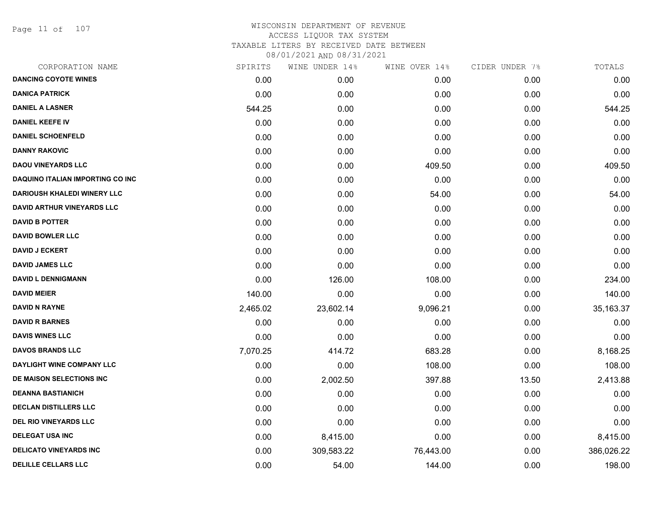Page 11 of 107

| CORPORATION NAME                   | SPIRITS  | WINE UNDER 14% | WINE OVER 14% | CIDER UNDER 7% | TOTALS     |
|------------------------------------|----------|----------------|---------------|----------------|------------|
| <b>DANCING COYOTE WINES</b>        | 0.00     | 0.00           | 0.00          | 0.00           | 0.00       |
| <b>DANICA PATRICK</b>              | 0.00     | 0.00           | 0.00          | 0.00           | 0.00       |
| <b>DANIEL A LASNER</b>             | 544.25   | 0.00           | 0.00          | 0.00           | 544.25     |
| <b>DANIEL KEEFE IV</b>             | 0.00     | 0.00           | 0.00          | 0.00           | 0.00       |
| <b>DANIEL SCHOENFELD</b>           | 0.00     | 0.00           | 0.00          | 0.00           | 0.00       |
| <b>DANNY RAKOVIC</b>               | 0.00     | 0.00           | 0.00          | 0.00           | 0.00       |
| <b>DAOU VINEYARDS LLC</b>          | 0.00     | 0.00           | 409.50        | 0.00           | 409.50     |
| DAQUINO ITALIAN IMPORTING CO INC   | 0.00     | 0.00           | 0.00          | 0.00           | 0.00       |
| <b>DARIOUSH KHALEDI WINERY LLC</b> | 0.00     | 0.00           | 54.00         | 0.00           | 54.00      |
| <b>DAVID ARTHUR VINEYARDS LLC</b>  | 0.00     | 0.00           | 0.00          | 0.00           | 0.00       |
| <b>DAVID B POTTER</b>              | 0.00     | 0.00           | 0.00          | 0.00           | 0.00       |
| <b>DAVID BOWLER LLC</b>            | 0.00     | 0.00           | 0.00          | 0.00           | 0.00       |
| <b>DAVID J ECKERT</b>              | 0.00     | 0.00           | 0.00          | 0.00           | 0.00       |
| <b>DAVID JAMES LLC</b>             | 0.00     | 0.00           | 0.00          | 0.00           | 0.00       |
| <b>DAVID L DENNIGMANN</b>          | 0.00     | 126.00         | 108.00        | 0.00           | 234.00     |
| <b>DAVID MEIER</b>                 | 140.00   | 0.00           | 0.00          | 0.00           | 140.00     |
| <b>DAVID N RAYNE</b>               | 2,465.02 | 23,602.14      | 9,096.21      | 0.00           | 35,163.37  |
| <b>DAVID R BARNES</b>              | 0.00     | 0.00           | 0.00          | 0.00           | 0.00       |
| <b>DAVIS WINES LLC</b>             | 0.00     | 0.00           | 0.00          | 0.00           | 0.00       |
| <b>DAVOS BRANDS LLC</b>            | 7,070.25 | 414.72         | 683.28        | 0.00           | 8,168.25   |
| DAYLIGHT WINE COMPANY LLC          | 0.00     | 0.00           | 108.00        | 0.00           | 108.00     |
| DE MAISON SELECTIONS INC           | 0.00     | 2,002.50       | 397.88        | 13.50          | 2,413.88   |
| <b>DEANNA BASTIANICH</b>           | 0.00     | 0.00           | 0.00          | 0.00           | 0.00       |
| <b>DECLAN DISTILLERS LLC</b>       | 0.00     | 0.00           | 0.00          | 0.00           | 0.00       |
| <b>DEL RIO VINEYARDS LLC</b>       | 0.00     | 0.00           | 0.00          | 0.00           | 0.00       |
| <b>DELEGAT USA INC</b>             | 0.00     | 8,415.00       | 0.00          | 0.00           | 8,415.00   |
| <b>DELICATO VINEYARDS INC</b>      | 0.00     | 309,583.22     | 76,443.00     | 0.00           | 386,026.22 |
| <b>DELILLE CELLARS LLC</b>         | 0.00     | 54.00          | 144.00        | 0.00           | 198.00     |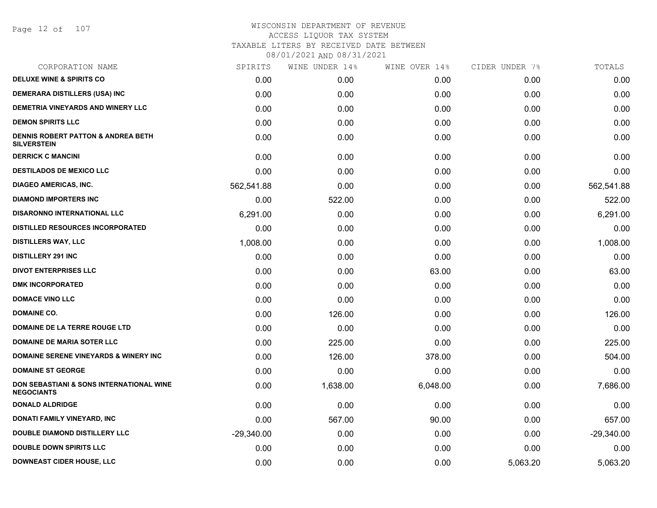Page 12 of 107

| CORPORATION NAME                                                    | SPIRITS      | WINE UNDER 14% | WINE OVER 14% | CIDER UNDER 7% | TOTALS       |
|---------------------------------------------------------------------|--------------|----------------|---------------|----------------|--------------|
| <b>DELUXE WINE &amp; SPIRITS CO</b>                                 | 0.00         | 0.00           | 0.00          | 0.00           | 0.00         |
| <b>DEMERARA DISTILLERS (USA) INC</b>                                | 0.00         | 0.00           | 0.00          | 0.00           | 0.00         |
| <b>DEMETRIA VINEYARDS AND WINERY LLC</b>                            | 0.00         | 0.00           | 0.00          | 0.00           | 0.00         |
| <b>DEMON SPIRITS LLC</b>                                            | 0.00         | 0.00           | 0.00          | 0.00           | 0.00         |
| <b>DENNIS ROBERT PATTON &amp; ANDREA BETH</b><br><b>SILVERSTEIN</b> | 0.00         | 0.00           | 0.00          | 0.00           | 0.00         |
| <b>DERRICK C MANCINI</b>                                            | 0.00         | 0.00           | 0.00          | 0.00           | 0.00         |
| <b>DESTILADOS DE MEXICO LLC</b>                                     | 0.00         | 0.00           | 0.00          | 0.00           | 0.00         |
| <b>DIAGEO AMERICAS, INC.</b>                                        | 562,541.88   | 0.00           | 0.00          | 0.00           | 562,541.88   |
| <b>DIAMOND IMPORTERS INC</b>                                        | 0.00         | 522.00         | 0.00          | 0.00           | 522.00       |
| DISARONNO INTERNATIONAL LLC                                         | 6,291.00     | 0.00           | 0.00          | 0.00           | 6,291.00     |
| <b>DISTILLED RESOURCES INCORPORATED</b>                             | 0.00         | 0.00           | 0.00          | 0.00           | 0.00         |
| <b>DISTILLERS WAY, LLC</b>                                          | 1,008.00     | 0.00           | 0.00          | 0.00           | 1,008.00     |
| <b>DISTILLERY 291 INC</b>                                           | 0.00         | 0.00           | 0.00          | 0.00           | 0.00         |
| <b>DIVOT ENTERPRISES LLC</b>                                        | 0.00         | 0.00           | 63.00         | 0.00           | 63.00        |
| <b>DMK INCORPORATED</b>                                             | 0.00         | 0.00           | 0.00          | 0.00           | 0.00         |
| <b>DOMACE VINO LLC</b>                                              | 0.00         | 0.00           | 0.00          | 0.00           | 0.00         |
| <b>DOMAINE CO.</b>                                                  | 0.00         | 126.00         | 0.00          | 0.00           | 126.00       |
| <b>DOMAINE DE LA TERRE ROUGE LTD</b>                                | 0.00         | 0.00           | 0.00          | 0.00           | 0.00         |
| <b>DOMAINE DE MARIA SOTER LLC</b>                                   | 0.00         | 225.00         | 0.00          | 0.00           | 225.00       |
| <b>DOMAINE SERENE VINEYARDS &amp; WINERY INC</b>                    | 0.00         | 126.00         | 378.00        | 0.00           | 504.00       |
| <b>DOMAINE ST GEORGE</b>                                            | 0.00         | 0.00           | 0.00          | 0.00           | 0.00         |
| DON SEBASTIANI & SONS INTERNATIONAL WINE<br><b>NEGOCIANTS</b>       | 0.00         | 1,638.00       | 6,048.00      | 0.00           | 7,686.00     |
| <b>DONALD ALDRIDGE</b>                                              | 0.00         | 0.00           | 0.00          | 0.00           | 0.00         |
| DONATI FAMILY VINEYARD, INC                                         | 0.00         | 567.00         | 90.00         | 0.00           | 657.00       |
| <b>DOUBLE DIAMOND DISTILLERY LLC</b>                                | $-29,340.00$ | 0.00           | 0.00          | 0.00           | $-29,340.00$ |
| <b>DOUBLE DOWN SPIRITS LLC</b>                                      | 0.00         | 0.00           | 0.00          | 0.00           | 0.00         |
| <b>DOWNEAST CIDER HOUSE, LLC</b>                                    | 0.00         | 0.00           | 0.00          | 5,063.20       | 5,063.20     |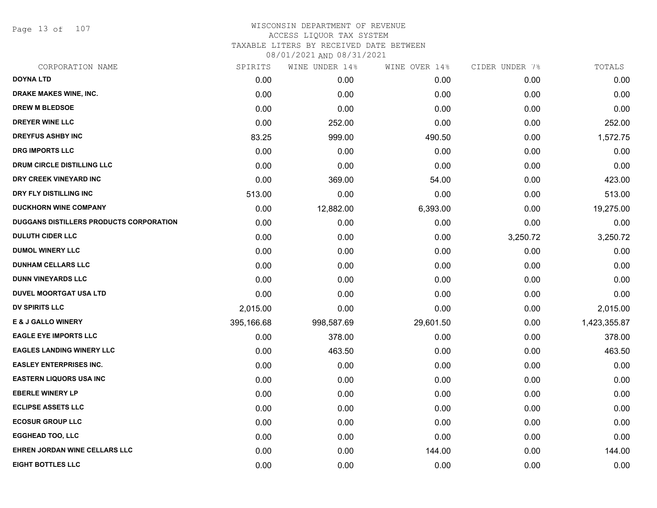Page 13 of 107

# WISCONSIN DEPARTMENT OF REVENUE ACCESS LIQUOR TAX SYSTEM TAXABLE LITERS BY RECEIVED DATE BETWEEN

| CORPORATION NAME                        | SPIRITS    | WINE UNDER 14% | WINE OVER 14% | CIDER UNDER 7% | TOTALS       |
|-----------------------------------------|------------|----------------|---------------|----------------|--------------|
| <b>DOYNA LTD</b>                        | 0.00       | 0.00           | 0.00          | 0.00           | 0.00         |
| DRAKE MAKES WINE, INC.                  | 0.00       | 0.00           | 0.00          | 0.00           | 0.00         |
| <b>DREW M BLEDSOE</b>                   | 0.00       | 0.00           | 0.00          | 0.00           | 0.00         |
| <b>DREYER WINE LLC</b>                  | 0.00       | 252.00         | 0.00          | 0.00           | 252.00       |
| <b>DREYFUS ASHBY INC</b>                | 83.25      | 999.00         | 490.50        | 0.00           | 1,572.75     |
| <b>DRG IMPORTS LLC</b>                  | 0.00       | 0.00           | 0.00          | 0.00           | 0.00         |
| DRUM CIRCLE DISTILLING LLC              | 0.00       | 0.00           | 0.00          | 0.00           | 0.00         |
| DRY CREEK VINEYARD INC                  | 0.00       | 369.00         | 54.00         | 0.00           | 423.00       |
| DRY FLY DISTILLING INC                  | 513.00     | 0.00           | 0.00          | 0.00           | 513.00       |
| <b>DUCKHORN WINE COMPANY</b>            | 0.00       | 12,882.00      | 6,393.00      | 0.00           | 19,275.00    |
| DUGGANS DISTILLERS PRODUCTS CORPORATION | 0.00       | 0.00           | 0.00          | 0.00           | 0.00         |
| <b>DULUTH CIDER LLC</b>                 | 0.00       | 0.00           | 0.00          | 3,250.72       | 3,250.72     |
| <b>DUMOL WINERY LLC</b>                 | 0.00       | 0.00           | 0.00          | 0.00           | 0.00         |
| <b>DUNHAM CELLARS LLC</b>               | 0.00       | 0.00           | 0.00          | 0.00           | 0.00         |
| <b>DUNN VINEYARDS LLC</b>               | 0.00       | 0.00           | 0.00          | 0.00           | 0.00         |
| <b>DUVEL MOORTGAT USA LTD</b>           | 0.00       | 0.00           | 0.00          | 0.00           | 0.00         |
| <b>DV SPIRITS LLC</b>                   | 2,015.00   | 0.00           | 0.00          | 0.00           | 2,015.00     |
| <b>E &amp; J GALLO WINERY</b>           | 395,166.68 | 998,587.69     | 29,601.50     | 0.00           | 1,423,355.87 |
| <b>EAGLE EYE IMPORTS LLC</b>            | 0.00       | 378.00         | 0.00          | 0.00           | 378.00       |
| <b>EAGLES LANDING WINERY LLC</b>        | 0.00       | 463.50         | 0.00          | 0.00           | 463.50       |
| <b>EASLEY ENTERPRISES INC.</b>          | 0.00       | 0.00           | 0.00          | 0.00           | 0.00         |
| <b>EASTERN LIQUORS USA INC</b>          | 0.00       | 0.00           | 0.00          | 0.00           | 0.00         |
| <b>EBERLE WINERY LP</b>                 | 0.00       | 0.00           | 0.00          | 0.00           | 0.00         |
| <b>ECLIPSE ASSETS LLC</b>               | 0.00       | 0.00           | 0.00          | 0.00           | 0.00         |
| <b>ECOSUR GROUP LLC</b>                 | 0.00       | 0.00           | 0.00          | 0.00           | 0.00         |
| <b>EGGHEAD TOO, LLC</b>                 | 0.00       | 0.00           | 0.00          | 0.00           | 0.00         |
| EHREN JORDAN WINE CELLARS LLC           | 0.00       | 0.00           | 144.00        | 0.00           | 144.00       |
| <b>EIGHT BOTTLES LLC</b>                | 0.00       | 0.00           | 0.00          | 0.00           | 0.00         |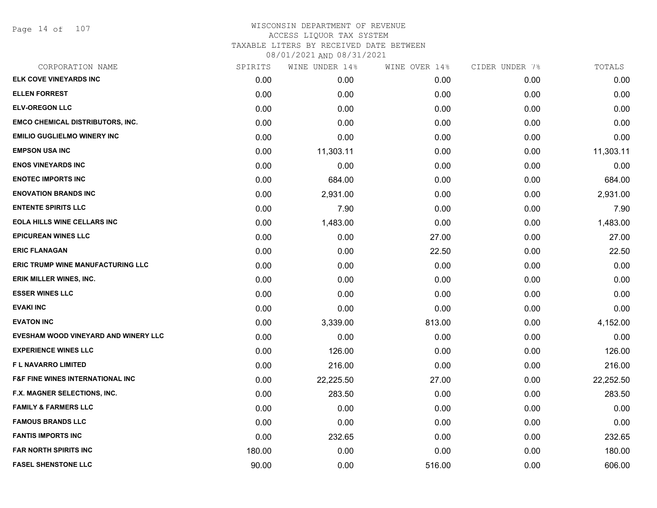| CORPORATION NAME                            | SPIRITS | WINE UNDER 14% | WINE OVER 14% | CIDER UNDER 7% | TOTALS    |
|---------------------------------------------|---------|----------------|---------------|----------------|-----------|
| ELK COVE VINEYARDS INC                      | 0.00    | 0.00           | 0.00          | 0.00           | 0.00      |
| <b>ELLEN FORREST</b>                        | 0.00    | 0.00           | 0.00          | 0.00           | 0.00      |
| <b>ELV-OREGON LLC</b>                       | 0.00    | 0.00           | 0.00          | 0.00           | 0.00      |
| <b>EMCO CHEMICAL DISTRIBUTORS, INC.</b>     | 0.00    | 0.00           | 0.00          | 0.00           | 0.00      |
| <b>EMILIO GUGLIELMO WINERY INC</b>          | 0.00    | 0.00           | 0.00          | 0.00           | 0.00      |
| <b>EMPSON USA INC</b>                       | 0.00    | 11,303.11      | 0.00          | 0.00           | 11,303.11 |
| <b>ENOS VINEYARDS INC</b>                   | 0.00    | 0.00           | 0.00          | 0.00           | 0.00      |
| <b>ENOTEC IMPORTS INC</b>                   | 0.00    | 684.00         | 0.00          | 0.00           | 684.00    |
| <b>ENOVATION BRANDS INC</b>                 | 0.00    | 2,931.00       | 0.00          | 0.00           | 2,931.00  |
| <b>ENTENTE SPIRITS LLC</b>                  | 0.00    | 7.90           | 0.00          | 0.00           | 7.90      |
| <b>EOLA HILLS WINE CELLARS INC</b>          | 0.00    | 1,483.00       | 0.00          | 0.00           | 1,483.00  |
| <b>EPICUREAN WINES LLC</b>                  | 0.00    | 0.00           | 27.00         | 0.00           | 27.00     |
| <b>ERIC FLANAGAN</b>                        | 0.00    | 0.00           | 22.50         | 0.00           | 22.50     |
| <b>ERIC TRUMP WINE MANUFACTURING LLC</b>    | 0.00    | 0.00           | 0.00          | 0.00           | 0.00      |
| ERIK MILLER WINES, INC.                     | 0.00    | 0.00           | 0.00          | 0.00           | 0.00      |
| <b>ESSER WINES LLC</b>                      | 0.00    | 0.00           | 0.00          | 0.00           | 0.00      |
| <b>EVAKI INC</b>                            | 0.00    | 0.00           | 0.00          | 0.00           | 0.00      |
| <b>EVATON INC</b>                           | 0.00    | 3,339.00       | 813.00        | 0.00           | 4,152.00  |
| EVESHAM WOOD VINEYARD AND WINERY LLC        | 0.00    | 0.00           | 0.00          | 0.00           | 0.00      |
| <b>EXPERIENCE WINES LLC</b>                 | 0.00    | 126.00         | 0.00          | 0.00           | 126.00    |
| <b>FL NAVARRO LIMITED</b>                   | 0.00    | 216.00         | 0.00          | 0.00           | 216.00    |
| <b>F&amp;F FINE WINES INTERNATIONAL INC</b> | 0.00    | 22,225.50      | 27.00         | 0.00           | 22,252.50 |
| F.X. MAGNER SELECTIONS, INC.                | 0.00    | 283.50         | 0.00          | 0.00           | 283.50    |
| <b>FAMILY &amp; FARMERS LLC</b>             | 0.00    | 0.00           | 0.00          | 0.00           | 0.00      |
| <b>FAMOUS BRANDS LLC</b>                    | 0.00    | 0.00           | 0.00          | 0.00           | 0.00      |
| <b>FANTIS IMPORTS INC</b>                   | 0.00    | 232.65         | 0.00          | 0.00           | 232.65    |
| <b>FAR NORTH SPIRITS INC</b>                | 180.00  | 0.00           | 0.00          | 0.00           | 180.00    |
| <b>FASEL SHENSTONE LLC</b>                  | 90.00   | 0.00           | 516.00        | 0.00           | 606.00    |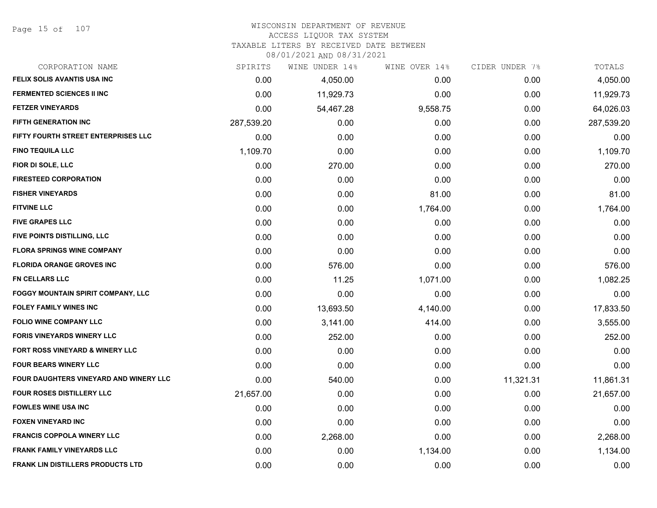# WISCONSIN DEPARTMENT OF REVENUE

## ACCESS LIQUOR TAX SYSTEM

TAXABLE LITERS BY RECEIVED DATE BETWEEN

| CORPORATION NAME                         | SPIRITS    | WINE UNDER 14% | WINE OVER 14% | CIDER UNDER 7% | TOTALS     |
|------------------------------------------|------------|----------------|---------------|----------------|------------|
| FELIX SOLIS AVANTIS USA INC              | 0.00       | 4,050.00       | 0.00          | 0.00           | 4,050.00   |
| <b>FERMENTED SCIENCES II INC</b>         | 0.00       | 11,929.73      | 0.00          | 0.00           | 11,929.73  |
| <b>FETZER VINEYARDS</b>                  | 0.00       | 54,467.28      | 9,558.75      | 0.00           | 64,026.03  |
| <b>FIFTH GENERATION INC</b>              | 287,539.20 | 0.00           | 0.00          | 0.00           | 287,539.20 |
| FIFTY FOURTH STREET ENTERPRISES LLC      | 0.00       | 0.00           | 0.00          | 0.00           | 0.00       |
| <b>FINO TEQUILA LLC</b>                  | 1,109.70   | 0.00           | 0.00          | 0.00           | 1,109.70   |
| FIOR DI SOLE, LLC                        | 0.00       | 270.00         | 0.00          | 0.00           | 270.00     |
| <b>FIRESTEED CORPORATION</b>             | 0.00       | 0.00           | 0.00          | 0.00           | 0.00       |
| <b>FISHER VINEYARDS</b>                  | 0.00       | 0.00           | 81.00         | 0.00           | 81.00      |
| <b>FITVINE LLC</b>                       | 0.00       | 0.00           | 1,764.00      | 0.00           | 1,764.00   |
| <b>FIVE GRAPES LLC</b>                   | 0.00       | 0.00           | 0.00          | 0.00           | 0.00       |
| FIVE POINTS DISTILLING, LLC              | 0.00       | 0.00           | 0.00          | 0.00           | 0.00       |
| <b>FLORA SPRINGS WINE COMPANY</b>        | 0.00       | 0.00           | 0.00          | 0.00           | 0.00       |
| <b>FLORIDA ORANGE GROVES INC</b>         | 0.00       | 576.00         | 0.00          | 0.00           | 576.00     |
| FN CELLARS LLC                           | 0.00       | 11.25          | 1,071.00      | 0.00           | 1,082.25   |
| FOGGY MOUNTAIN SPIRIT COMPANY, LLC       | 0.00       | 0.00           | 0.00          | 0.00           | 0.00       |
| FOLEY FAMILY WINES INC                   | 0.00       | 13,693.50      | 4,140.00      | 0.00           | 17,833.50  |
| <b>FOLIO WINE COMPANY LLC</b>            | 0.00       | 3,141.00       | 414.00        | 0.00           | 3,555.00   |
| <b>FORIS VINEYARDS WINERY LLC</b>        | 0.00       | 252.00         | 0.00          | 0.00           | 252.00     |
| FORT ROSS VINEYARD & WINERY LLC          | 0.00       | 0.00           | 0.00          | 0.00           | 0.00       |
| <b>FOUR BEARS WINERY LLC</b>             | 0.00       | 0.00           | 0.00          | 0.00           | 0.00       |
| FOUR DAUGHTERS VINEYARD AND WINERY LLC   | 0.00       | 540.00         | 0.00          | 11,321.31      | 11,861.31  |
| <b>FOUR ROSES DISTILLERY LLC</b>         | 21,657.00  | 0.00           | 0.00          | 0.00           | 21,657.00  |
| <b>FOWLES WINE USA INC</b>               | 0.00       | 0.00           | 0.00          | 0.00           | 0.00       |
| <b>FOXEN VINEYARD INC</b>                | 0.00       | 0.00           | 0.00          | 0.00           | 0.00       |
| <b>FRANCIS COPPOLA WINERY LLC</b>        | 0.00       | 2,268.00       | 0.00          | 0.00           | 2,268.00   |
| <b>FRANK FAMILY VINEYARDS LLC</b>        | 0.00       | 0.00           | 1,134.00      | 0.00           | 1,134.00   |
| <b>FRANK LIN DISTILLERS PRODUCTS LTD</b> | 0.00       | 0.00           | 0.00          | 0.00           | 0.00       |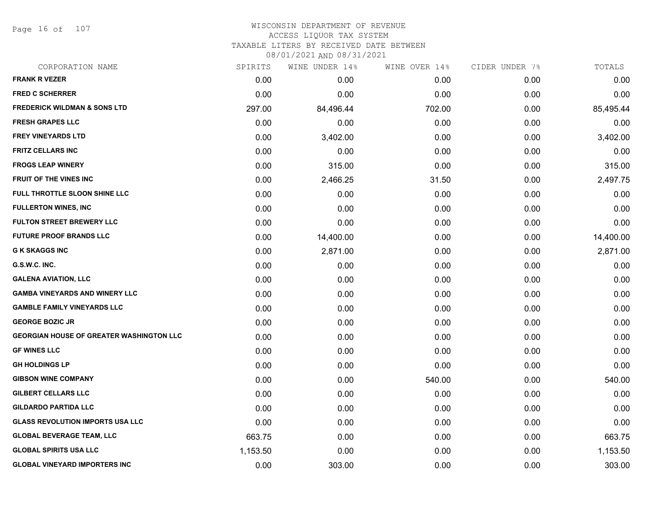Page 16 of 107

| CORPORATION NAME                                | SPIRITS  | WINE UNDER 14% | WINE OVER 14% | CIDER UNDER 7% | TOTALS    |
|-------------------------------------------------|----------|----------------|---------------|----------------|-----------|
| <b>FRANK R VEZER</b>                            | 0.00     | 0.00           | 0.00          | 0.00           | 0.00      |
| <b>FRED C SCHERRER</b>                          | 0.00     | 0.00           | 0.00          | 0.00           | 0.00      |
| <b>FREDERICK WILDMAN &amp; SONS LTD</b>         | 297.00   | 84,496.44      | 702.00        | 0.00           | 85,495.44 |
| <b>FRESH GRAPES LLC</b>                         | 0.00     | 0.00           | 0.00          | 0.00           | 0.00      |
| <b>FREY VINEYARDS LTD</b>                       | 0.00     | 3,402.00       | 0.00          | 0.00           | 3,402.00  |
| <b>FRITZ CELLARS INC</b>                        | 0.00     | 0.00           | 0.00          | 0.00           | 0.00      |
| <b>FROGS LEAP WINERY</b>                        | 0.00     | 315.00         | 0.00          | 0.00           | 315.00    |
| FRUIT OF THE VINES INC                          | 0.00     | 2,466.25       | 31.50         | 0.00           | 2,497.75  |
| FULL THROTTLE SLOON SHINE LLC                   | 0.00     | 0.00           | 0.00          | 0.00           | 0.00      |
| <b>FULLERTON WINES, INC</b>                     | 0.00     | 0.00           | 0.00          | 0.00           | 0.00      |
| <b>FULTON STREET BREWERY LLC</b>                | 0.00     | 0.00           | 0.00          | 0.00           | 0.00      |
| <b>FUTURE PROOF BRANDS LLC</b>                  | 0.00     | 14,400.00      | 0.00          | 0.00           | 14,400.00 |
| <b>G K SKAGGS INC</b>                           | 0.00     | 2,871.00       | 0.00          | 0.00           | 2,871.00  |
| G.S.W.C. INC.                                   | 0.00     | 0.00           | 0.00          | 0.00           | 0.00      |
| <b>GALENA AVIATION, LLC</b>                     | 0.00     | 0.00           | 0.00          | 0.00           | 0.00      |
| <b>GAMBA VINEYARDS AND WINERY LLC</b>           | 0.00     | 0.00           | 0.00          | 0.00           | 0.00      |
| <b>GAMBLE FAMILY VINEYARDS LLC</b>              | 0.00     | 0.00           | 0.00          | 0.00           | 0.00      |
| <b>GEORGE BOZIC JR</b>                          | 0.00     | 0.00           | 0.00          | 0.00           | 0.00      |
| <b>GEORGIAN HOUSE OF GREATER WASHINGTON LLC</b> | 0.00     | 0.00           | 0.00          | 0.00           | 0.00      |
| <b>GF WINES LLC</b>                             | 0.00     | 0.00           | 0.00          | 0.00           | 0.00      |
| <b>GH HOLDINGS LP</b>                           | 0.00     | 0.00           | 0.00          | 0.00           | 0.00      |
| <b>GIBSON WINE COMPANY</b>                      | 0.00     | 0.00           | 540.00        | 0.00           | 540.00    |
| <b>GILBERT CELLARS LLC</b>                      | 0.00     | 0.00           | 0.00          | 0.00           | 0.00      |
| <b>GILDARDO PARTIDA LLC</b>                     | 0.00     | 0.00           | 0.00          | 0.00           | 0.00      |
| <b>GLASS REVOLUTION IMPORTS USA LLC</b>         | 0.00     | 0.00           | 0.00          | 0.00           | 0.00      |
| <b>GLOBAL BEVERAGE TEAM, LLC</b>                | 663.75   | 0.00           | 0.00          | 0.00           | 663.75    |
| <b>GLOBAL SPIRITS USA LLC</b>                   | 1,153.50 | 0.00           | 0.00          | 0.00           | 1,153.50  |
| <b>GLOBAL VINEYARD IMPORTERS INC</b>            | 0.00     | 303.00         | 0.00          | 0.00           | 303.00    |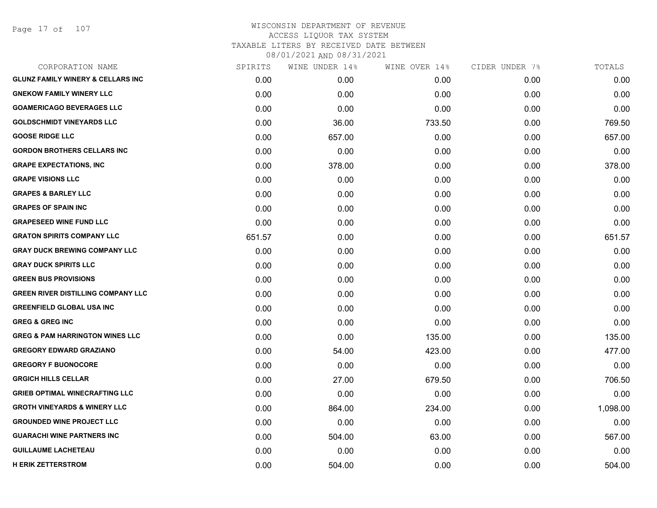| CORPORATION NAME                             | SPIRITS | WINE UNDER 14% | WINE OVER 14% | CIDER UNDER 7% | TOTALS   |
|----------------------------------------------|---------|----------------|---------------|----------------|----------|
| <b>GLUNZ FAMILY WINERY &amp; CELLARS INC</b> | 0.00    | 0.00           | 0.00          | 0.00           | 0.00     |
| <b>GNEKOW FAMILY WINERY LLC</b>              | 0.00    | 0.00           | 0.00          | 0.00           | 0.00     |
| <b>GOAMERICAGO BEVERAGES LLC</b>             | 0.00    | 0.00           | 0.00          | 0.00           | 0.00     |
| <b>GOLDSCHMIDT VINEYARDS LLC</b>             | 0.00    | 36.00          | 733.50        | 0.00           | 769.50   |
| <b>GOOSE RIDGE LLC</b>                       | 0.00    | 657.00         | 0.00          | 0.00           | 657.00   |
| <b>GORDON BROTHERS CELLARS INC</b>           | 0.00    | 0.00           | 0.00          | 0.00           | 0.00     |
| <b>GRAPE EXPECTATIONS, INC</b>               | 0.00    | 378.00         | 0.00          | 0.00           | 378.00   |
| <b>GRAPE VISIONS LLC</b>                     | 0.00    | 0.00           | 0.00          | 0.00           | 0.00     |
| <b>GRAPES &amp; BARLEY LLC</b>               | 0.00    | 0.00           | 0.00          | 0.00           | 0.00     |
| <b>GRAPES OF SPAIN INC</b>                   | 0.00    | 0.00           | 0.00          | 0.00           | 0.00     |
| <b>GRAPESEED WINE FUND LLC</b>               | 0.00    | 0.00           | 0.00          | 0.00           | 0.00     |
| <b>GRATON SPIRITS COMPANY LLC</b>            | 651.57  | 0.00           | 0.00          | 0.00           | 651.57   |
| <b>GRAY DUCK BREWING COMPANY LLC</b>         | 0.00    | 0.00           | 0.00          | 0.00           | 0.00     |
| <b>GRAY DUCK SPIRITS LLC</b>                 | 0.00    | 0.00           | 0.00          | 0.00           | 0.00     |
| <b>GREEN BUS PROVISIONS</b>                  | 0.00    | 0.00           | 0.00          | 0.00           | 0.00     |
| <b>GREEN RIVER DISTILLING COMPANY LLC</b>    | 0.00    | 0.00           | 0.00          | 0.00           | 0.00     |
| <b>GREENFIELD GLOBAL USA INC</b>             | 0.00    | 0.00           | 0.00          | 0.00           | 0.00     |
| <b>GREG &amp; GREG INC</b>                   | 0.00    | 0.00           | 0.00          | 0.00           | 0.00     |
| <b>GREG &amp; PAM HARRINGTON WINES LLC</b>   | 0.00    | 0.00           | 135.00        | 0.00           | 135.00   |
| <b>GREGORY EDWARD GRAZIANO</b>               | 0.00    | 54.00          | 423.00        | 0.00           | 477.00   |
| <b>GREGORY F BUONOCORE</b>                   | 0.00    | 0.00           | 0.00          | 0.00           | 0.00     |
| <b>GRGICH HILLS CELLAR</b>                   | 0.00    | 27.00          | 679.50        | 0.00           | 706.50   |
| <b>GRIEB OPTIMAL WINECRAFTING LLC</b>        | 0.00    | 0.00           | 0.00          | 0.00           | 0.00     |
| <b>GROTH VINEYARDS &amp; WINERY LLC</b>      | 0.00    | 864.00         | 234.00        | 0.00           | 1,098.00 |
| <b>GROUNDED WINE PROJECT LLC</b>             | 0.00    | 0.00           | 0.00          | 0.00           | 0.00     |
| <b>GUARACHI WINE PARTNERS INC</b>            | 0.00    | 504.00         | 63.00         | 0.00           | 567.00   |
| <b>GUILLAUME LACHETEAU</b>                   | 0.00    | 0.00           | 0.00          | 0.00           | 0.00     |
| <b>H ERIK ZETTERSTROM</b>                    | 0.00    | 504.00         | 0.00          | 0.00           | 504.00   |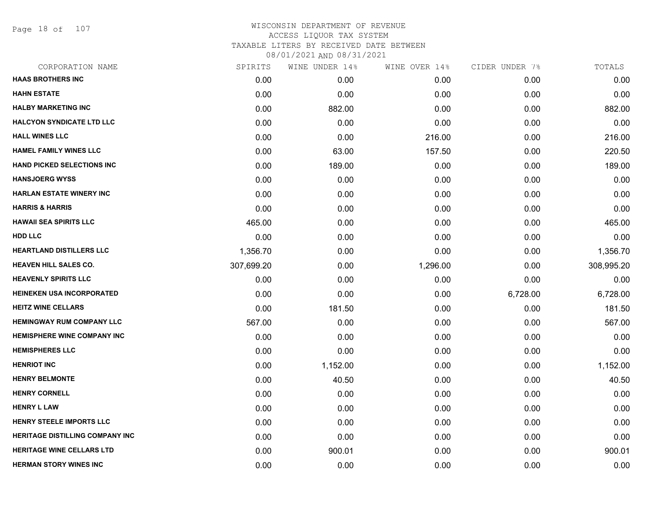Page 18 of 107

| CORPORATION NAME                       | SPIRITS    | WINE UNDER 14% | WINE OVER 14% | CIDER UNDER 7% | TOTALS     |
|----------------------------------------|------------|----------------|---------------|----------------|------------|
| <b>HAAS BROTHERS INC</b>               | 0.00       | 0.00           | 0.00          | 0.00           | 0.00       |
| <b>HAHN ESTATE</b>                     | 0.00       | 0.00           | 0.00          | 0.00           | 0.00       |
| <b>HALBY MARKETING INC</b>             | 0.00       | 882.00         | 0.00          | 0.00           | 882.00     |
| <b>HALCYON SYNDICATE LTD LLC</b>       | 0.00       | 0.00           | 0.00          | 0.00           | 0.00       |
| <b>HALL WINES LLC</b>                  | 0.00       | 0.00           | 216.00        | 0.00           | 216.00     |
| <b>HAMEL FAMILY WINES LLC</b>          | 0.00       | 63.00          | 157.50        | 0.00           | 220.50     |
| <b>HAND PICKED SELECTIONS INC</b>      | 0.00       | 189.00         | 0.00          | 0.00           | 189.00     |
| <b>HANSJOERG WYSS</b>                  | 0.00       | 0.00           | 0.00          | 0.00           | 0.00       |
| <b>HARLAN ESTATE WINERY INC</b>        | 0.00       | 0.00           | 0.00          | 0.00           | 0.00       |
| <b>HARRIS &amp; HARRIS</b>             | 0.00       | 0.00           | 0.00          | 0.00           | 0.00       |
| <b>HAWAII SEA SPIRITS LLC</b>          | 465.00     | 0.00           | 0.00          | 0.00           | 465.00     |
| <b>HDD LLC</b>                         | 0.00       | 0.00           | 0.00          | 0.00           | 0.00       |
| <b>HEARTLAND DISTILLERS LLC</b>        | 1,356.70   | 0.00           | 0.00          | 0.00           | 1,356.70   |
| <b>HEAVEN HILL SALES CO.</b>           | 307,699.20 | 0.00           | 1,296.00      | 0.00           | 308,995.20 |
| <b>HEAVENLY SPIRITS LLC</b>            | 0.00       | 0.00           | 0.00          | 0.00           | 0.00       |
| HEINEKEN USA INCORPORATED              | 0.00       | 0.00           | 0.00          | 6,728.00       | 6,728.00   |
| <b>HEITZ WINE CELLARS</b>              | 0.00       | 181.50         | 0.00          | 0.00           | 181.50     |
| <b>HEMINGWAY RUM COMPANY LLC</b>       | 567.00     | 0.00           | 0.00          | 0.00           | 567.00     |
| HEMISPHERE WINE COMPANY INC            | 0.00       | 0.00           | 0.00          | 0.00           | 0.00       |
| <b>HEMISPHERES LLC</b>                 | 0.00       | 0.00           | 0.00          | 0.00           | 0.00       |
| <b>HENRIOT INC</b>                     | 0.00       | 1,152.00       | 0.00          | 0.00           | 1,152.00   |
| <b>HENRY BELMONTE</b>                  | 0.00       | 40.50          | 0.00          | 0.00           | 40.50      |
| <b>HENRY CORNELL</b>                   | 0.00       | 0.00           | 0.00          | 0.00           | 0.00       |
| <b>HENRY L LAW</b>                     | 0.00       | 0.00           | 0.00          | 0.00           | 0.00       |
| <b>HENRY STEELE IMPORTS LLC</b>        | 0.00       | 0.00           | 0.00          | 0.00           | 0.00       |
| <b>HERITAGE DISTILLING COMPANY INC</b> | 0.00       | 0.00           | 0.00          | 0.00           | 0.00       |
| <b>HERITAGE WINE CELLARS LTD</b>       | 0.00       | 900.01         | 0.00          | 0.00           | 900.01     |
| <b>HERMAN STORY WINES INC</b>          | 0.00       | 0.00           | 0.00          | 0.00           | 0.00       |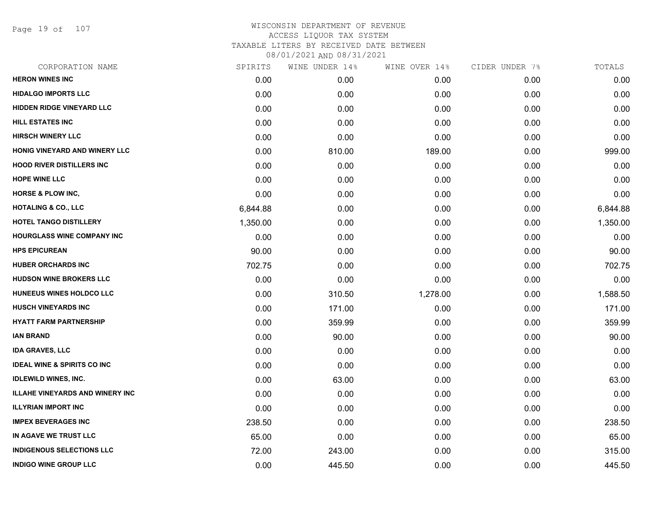Page 19 of 107

| CORPORATION NAME                       | SPIRITS  | WINE UNDER 14% | WINE OVER 14% | CIDER UNDER 7% | TOTALS   |
|----------------------------------------|----------|----------------|---------------|----------------|----------|
| <b>HERON WINES INC</b>                 | 0.00     | 0.00           | 0.00          | 0.00           | 0.00     |
| <b>HIDALGO IMPORTS LLC</b>             | 0.00     | 0.00           | 0.00          | 0.00           | 0.00     |
| <b>HIDDEN RIDGE VINEYARD LLC</b>       | 0.00     | 0.00           | 0.00          | 0.00           | 0.00     |
| <b>HILL ESTATES INC</b>                | 0.00     | 0.00           | 0.00          | 0.00           | 0.00     |
| <b>HIRSCH WINERY LLC</b>               | 0.00     | 0.00           | 0.00          | 0.00           | 0.00     |
| <b>HONIG VINEYARD AND WINERY LLC</b>   | 0.00     | 810.00         | 189.00        | 0.00           | 999.00   |
| <b>HOOD RIVER DISTILLERS INC</b>       | 0.00     | 0.00           | 0.00          | 0.00           | 0.00     |
| <b>HOPE WINE LLC</b>                   | 0.00     | 0.00           | 0.00          | 0.00           | 0.00     |
| <b>HORSE &amp; PLOW INC,</b>           | 0.00     | 0.00           | 0.00          | 0.00           | 0.00     |
| <b>HOTALING &amp; CO., LLC</b>         | 6,844.88 | 0.00           | 0.00          | 0.00           | 6,844.88 |
| <b>HOTEL TANGO DISTILLERY</b>          | 1,350.00 | 0.00           | 0.00          | 0.00           | 1,350.00 |
| <b>HOURGLASS WINE COMPANY INC</b>      | 0.00     | 0.00           | 0.00          | 0.00           | 0.00     |
| <b>HPS EPICUREAN</b>                   | 90.00    | 0.00           | 0.00          | 0.00           | 90.00    |
| <b>HUBER ORCHARDS INC</b>              | 702.75   | 0.00           | 0.00          | 0.00           | 702.75   |
| <b>HUDSON WINE BROKERS LLC</b>         | 0.00     | 0.00           | 0.00          | 0.00           | 0.00     |
| HUNEEUS WINES HOLDCO LLC               | 0.00     | 310.50         | 1,278.00      | 0.00           | 1,588.50 |
| <b>HUSCH VINEYARDS INC</b>             | 0.00     | 171.00         | 0.00          | 0.00           | 171.00   |
| <b>HYATT FARM PARTNERSHIP</b>          | 0.00     | 359.99         | 0.00          | 0.00           | 359.99   |
| <b>IAN BRAND</b>                       | 0.00     | 90.00          | 0.00          | 0.00           | 90.00    |
| <b>IDA GRAVES, LLC</b>                 | 0.00     | 0.00           | 0.00          | 0.00           | 0.00     |
| <b>IDEAL WINE &amp; SPIRITS CO INC</b> | 0.00     | 0.00           | 0.00          | 0.00           | 0.00     |
| <b>IDLEWILD WINES, INC.</b>            | 0.00     | 63.00          | 0.00          | 0.00           | 63.00    |
| <b>ILLAHE VINEYARDS AND WINERY INC</b> | 0.00     | 0.00           | 0.00          | 0.00           | 0.00     |
| <b>ILLYRIAN IMPORT INC</b>             | 0.00     | 0.00           | 0.00          | 0.00           | 0.00     |
| <b>IMPEX BEVERAGES INC</b>             | 238.50   | 0.00           | 0.00          | 0.00           | 238.50   |
| IN AGAVE WE TRUST LLC                  | 65.00    | 0.00           | 0.00          | 0.00           | 65.00    |
| <b>INDIGENOUS SELECTIONS LLC</b>       | 72.00    | 243.00         | 0.00          | 0.00           | 315.00   |
| <b>INDIGO WINE GROUP LLC</b>           | 0.00     | 445.50         | 0.00          | 0.00           | 445.50   |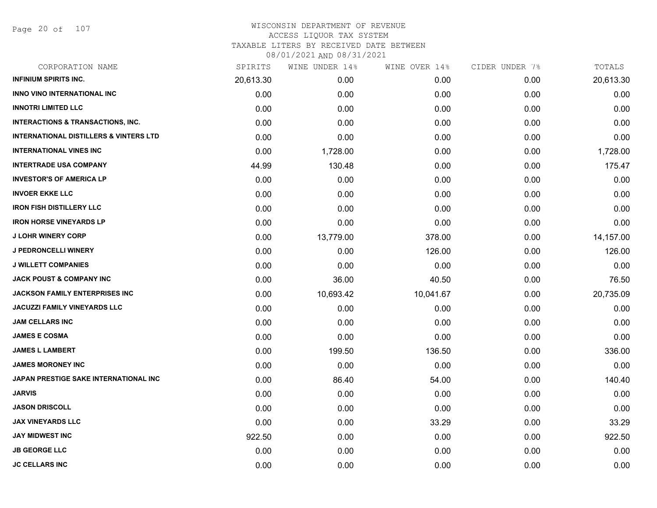Page 20 of 107

| CORPORATION NAME                                  | SPIRITS   | WINE UNDER 14% | WINE OVER 14% | CIDER UNDER 7% | TOTALS    |
|---------------------------------------------------|-----------|----------------|---------------|----------------|-----------|
| <b>INFINIUM SPIRITS INC.</b>                      | 20,613.30 | 0.00           | 0.00          | 0.00           | 20,613.30 |
| <b>INNO VINO INTERNATIONAL INC</b>                | 0.00      | 0.00           | 0.00          | 0.00           | 0.00      |
| <b>INNOTRI LIMITED LLC</b>                        | 0.00      | 0.00           | 0.00          | 0.00           | 0.00      |
| <b>INTERACTIONS &amp; TRANSACTIONS, INC.</b>      | 0.00      | 0.00           | 0.00          | 0.00           | 0.00      |
| <b>INTERNATIONAL DISTILLERS &amp; VINTERS LTD</b> | 0.00      | 0.00           | 0.00          | 0.00           | 0.00      |
| <b>INTERNATIONAL VINES INC</b>                    | 0.00      | 1,728.00       | 0.00          | 0.00           | 1,728.00  |
| <b>INTERTRADE USA COMPANY</b>                     | 44.99     | 130.48         | 0.00          | 0.00           | 175.47    |
| <b>INVESTOR'S OF AMERICA LP</b>                   | 0.00      | 0.00           | 0.00          | 0.00           | 0.00      |
| <b>INVOER EKKE LLC</b>                            | 0.00      | 0.00           | 0.00          | 0.00           | 0.00      |
| <b>IRON FISH DISTILLERY LLC</b>                   | 0.00      | 0.00           | 0.00          | 0.00           | 0.00      |
| <b>IRON HORSE VINEYARDS LP</b>                    | 0.00      | 0.00           | 0.00          | 0.00           | 0.00      |
| <b>J LOHR WINERY CORP</b>                         | 0.00      | 13,779.00      | 378.00        | 0.00           | 14,157.00 |
| <b>J PEDRONCELLI WINERY</b>                       | 0.00      | 0.00           | 126.00        | 0.00           | 126.00    |
| <b>J WILLETT COMPANIES</b>                        | 0.00      | 0.00           | 0.00          | 0.00           | 0.00      |
| <b>JACK POUST &amp; COMPANY INC</b>               | 0.00      | 36.00          | 40.50         | 0.00           | 76.50     |
| <b>JACKSON FAMILY ENTERPRISES INC</b>             | 0.00      | 10,693.42      | 10,041.67     | 0.00           | 20,735.09 |
| <b>JACUZZI FAMILY VINEYARDS LLC</b>               | 0.00      | 0.00           | 0.00          | 0.00           | 0.00      |
| <b>JAM CELLARS INC</b>                            | 0.00      | 0.00           | 0.00          | 0.00           | 0.00      |
| <b>JAMES E COSMA</b>                              | 0.00      | 0.00           | 0.00          | 0.00           | 0.00      |
| <b>JAMES L LAMBERT</b>                            | 0.00      | 199.50         | 136.50        | 0.00           | 336.00    |
| <b>JAMES MORONEY INC</b>                          | 0.00      | 0.00           | 0.00          | 0.00           | 0.00      |
| JAPAN PRESTIGE SAKE INTERNATIONAL INC             | 0.00      | 86.40          | 54.00         | 0.00           | 140.40    |
| <b>JARVIS</b>                                     | 0.00      | 0.00           | 0.00          | 0.00           | 0.00      |
| <b>JASON DRISCOLL</b>                             | 0.00      | 0.00           | 0.00          | 0.00           | 0.00      |
| <b>JAX VINEYARDS LLC</b>                          | 0.00      | 0.00           | 33.29         | 0.00           | 33.29     |
| <b>JAY MIDWEST INC</b>                            | 922.50    | 0.00           | 0.00          | 0.00           | 922.50    |
| <b>JB GEORGE LLC</b>                              | 0.00      | 0.00           | 0.00          | 0.00           | 0.00      |
| <b>JC CELLARS INC</b>                             | 0.00      | 0.00           | 0.00          | 0.00           | 0.00      |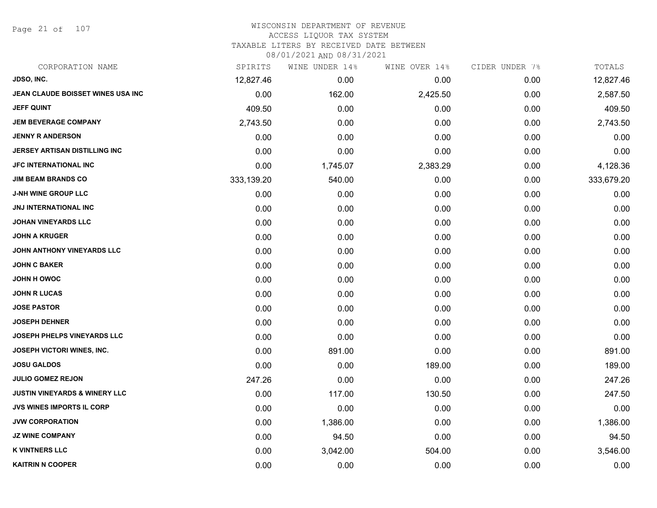Page 21 of 107

# WISCONSIN DEPARTMENT OF REVENUE ACCESS LIQUOR TAX SYSTEM

TAXABLE LITERS BY RECEIVED DATE BETWEEN

| CORPORATION NAME                         | SPIRITS    | WINE UNDER 14% | WINE OVER 14% | CIDER UNDER 7% | TOTALS     |
|------------------------------------------|------------|----------------|---------------|----------------|------------|
| <b>JDSO, INC.</b>                        | 12,827.46  | 0.00           | 0.00          | 0.00           | 12,827.46  |
| JEAN CLAUDE BOISSET WINES USA INC        | 0.00       | 162.00         | 2,425.50      | 0.00           | 2,587.50   |
| <b>JEFF QUINT</b>                        | 409.50     | 0.00           | 0.00          | 0.00           | 409.50     |
| <b>JEM BEVERAGE COMPANY</b>              | 2,743.50   | 0.00           | 0.00          | 0.00           | 2,743.50   |
| <b>JENNY R ANDERSON</b>                  | 0.00       | 0.00           | 0.00          | 0.00           | 0.00       |
| JERSEY ARTISAN DISTILLING INC            | 0.00       | 0.00           | 0.00          | 0.00           | 0.00       |
| JFC INTERNATIONAL INC                    | 0.00       | 1,745.07       | 2,383.29      | 0.00           | 4,128.36   |
| <b>JIM BEAM BRANDS CO</b>                | 333,139.20 | 540.00         | 0.00          | 0.00           | 333,679.20 |
| <b>J-NH WINE GROUP LLC</b>               | 0.00       | 0.00           | 0.00          | 0.00           | 0.00       |
| <b>JNJ INTERNATIONAL INC</b>             | 0.00       | 0.00           | 0.00          | 0.00           | 0.00       |
| <b>JOHAN VINEYARDS LLC</b>               | 0.00       | 0.00           | 0.00          | 0.00           | 0.00       |
| <b>JOHN A KRUGER</b>                     | 0.00       | 0.00           | 0.00          | 0.00           | 0.00       |
| JOHN ANTHONY VINEYARDS LLC               | 0.00       | 0.00           | 0.00          | 0.00           | 0.00       |
| <b>JOHN C BAKER</b>                      | 0.00       | 0.00           | 0.00          | 0.00           | 0.00       |
| JOHN H OWOC                              | 0.00       | 0.00           | 0.00          | 0.00           | 0.00       |
| <b>JOHN R LUCAS</b>                      | 0.00       | 0.00           | 0.00          | 0.00           | 0.00       |
| <b>JOSE PASTOR</b>                       | 0.00       | 0.00           | 0.00          | 0.00           | 0.00       |
| <b>JOSEPH DEHNER</b>                     | 0.00       | 0.00           | 0.00          | 0.00           | 0.00       |
| <b>JOSEPH PHELPS VINEYARDS LLC</b>       | 0.00       | 0.00           | 0.00          | 0.00           | 0.00       |
| JOSEPH VICTORI WINES, INC.               | 0.00       | 891.00         | 0.00          | 0.00           | 891.00     |
| <b>JOSU GALDOS</b>                       | 0.00       | 0.00           | 189.00        | 0.00           | 189.00     |
| <b>JULIO GOMEZ REJON</b>                 | 247.26     | 0.00           | 0.00          | 0.00           | 247.26     |
| <b>JUSTIN VINEYARDS &amp; WINERY LLC</b> | 0.00       | 117.00         | 130.50        | 0.00           | 247.50     |
| <b>JVS WINES IMPORTS IL CORP</b>         | 0.00       | 0.00           | 0.00          | 0.00           | 0.00       |
| <b>JVW CORPORATION</b>                   | 0.00       | 1,386.00       | 0.00          | 0.00           | 1,386.00   |
| <b>JZ WINE COMPANY</b>                   | 0.00       | 94.50          | 0.00          | 0.00           | 94.50      |
| <b>K VINTNERS LLC</b>                    | 0.00       | 3,042.00       | 504.00        | 0.00           | 3,546.00   |
| <b>KAITRIN N COOPER</b>                  | 0.00       | 0.00           | 0.00          | 0.00           | 0.00       |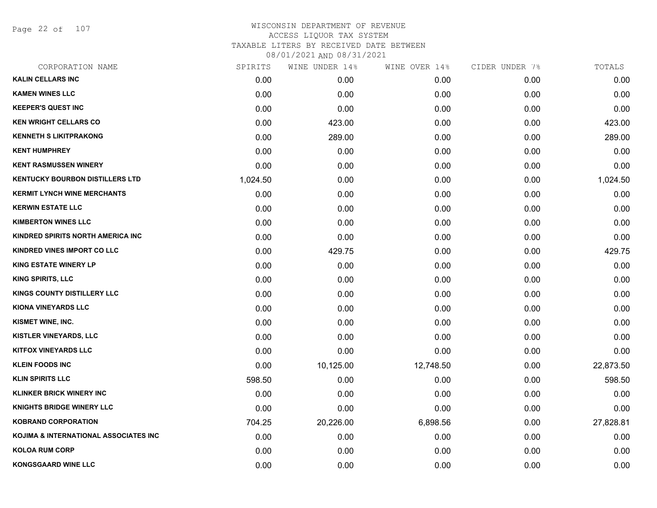Page 22 of 107

| CORPORATION NAME                       | SPIRITS  | WINE UNDER 14% | WINE OVER 14% | CIDER UNDER 7% | TOTALS    |
|----------------------------------------|----------|----------------|---------------|----------------|-----------|
| <b>KALIN CELLARS INC</b>               | 0.00     | 0.00           | 0.00          | 0.00           | 0.00      |
| <b>KAMEN WINES LLC</b>                 | 0.00     | 0.00           | 0.00          | 0.00           | 0.00      |
| <b>KEEPER'S QUEST INC</b>              | 0.00     | 0.00           | 0.00          | 0.00           | 0.00      |
| <b>KEN WRIGHT CELLARS CO</b>           | 0.00     | 423.00         | 0.00          | 0.00           | 423.00    |
| <b>KENNETH S LIKITPRAKONG</b>          | 0.00     | 289.00         | 0.00          | 0.00           | 289.00    |
| <b>KENT HUMPHREY</b>                   | 0.00     | 0.00           | 0.00          | 0.00           | 0.00      |
| <b>KENT RASMUSSEN WINERY</b>           | 0.00     | 0.00           | 0.00          | 0.00           | 0.00      |
| <b>KENTUCKY BOURBON DISTILLERS LTD</b> | 1,024.50 | 0.00           | 0.00          | 0.00           | 1,024.50  |
| <b>KERMIT LYNCH WINE MERCHANTS</b>     | 0.00     | 0.00           | 0.00          | 0.00           | 0.00      |
| <b>KERWIN ESTATE LLC</b>               | 0.00     | 0.00           | 0.00          | 0.00           | 0.00      |
| <b>KIMBERTON WINES LLC</b>             | 0.00     | 0.00           | 0.00          | 0.00           | 0.00      |
| KINDRED SPIRITS NORTH AMERICA INC      | 0.00     | 0.00           | 0.00          | 0.00           | 0.00      |
| KINDRED VINES IMPORT CO LLC            | 0.00     | 429.75         | 0.00          | 0.00           | 429.75    |
| <b>KING ESTATE WINERY LP</b>           | 0.00     | 0.00           | 0.00          | 0.00           | 0.00      |
| <b>KING SPIRITS, LLC</b>               | 0.00     | 0.00           | 0.00          | 0.00           | 0.00      |
| KINGS COUNTY DISTILLERY LLC            | 0.00     | 0.00           | 0.00          | 0.00           | 0.00      |
| <b>KIONA VINEYARDS LLC</b>             | 0.00     | 0.00           | 0.00          | 0.00           | 0.00      |
| KISMET WINE, INC.                      | 0.00     | 0.00           | 0.00          | 0.00           | 0.00      |
| <b>KISTLER VINEYARDS, LLC</b>          | 0.00     | 0.00           | 0.00          | 0.00           | 0.00      |
| <b>KITFOX VINEYARDS LLC</b>            | 0.00     | 0.00           | 0.00          | 0.00           | 0.00      |
| <b>KLEIN FOODS INC</b>                 | 0.00     | 10,125.00      | 12,748.50     | 0.00           | 22,873.50 |
| <b>KLIN SPIRITS LLC</b>                | 598.50   | 0.00           | 0.00          | 0.00           | 598.50    |
| <b>KLINKER BRICK WINERY INC</b>        | 0.00     | 0.00           | 0.00          | 0.00           | 0.00      |
| <b>KNIGHTS BRIDGE WINERY LLC</b>       | 0.00     | 0.00           | 0.00          | 0.00           | 0.00      |
| <b>KOBRAND CORPORATION</b>             | 704.25   | 20,226.00      | 6,898.56      | 0.00           | 27,828.81 |
| KOJIMA & INTERNATIONAL ASSOCIATES INC  | 0.00     | 0.00           | 0.00          | 0.00           | 0.00      |
| <b>KOLOA RUM CORP</b>                  | 0.00     | 0.00           | 0.00          | 0.00           | 0.00      |
| <b>KONGSGAARD WINE LLC</b>             | 0.00     | 0.00           | 0.00          | 0.00           | 0.00      |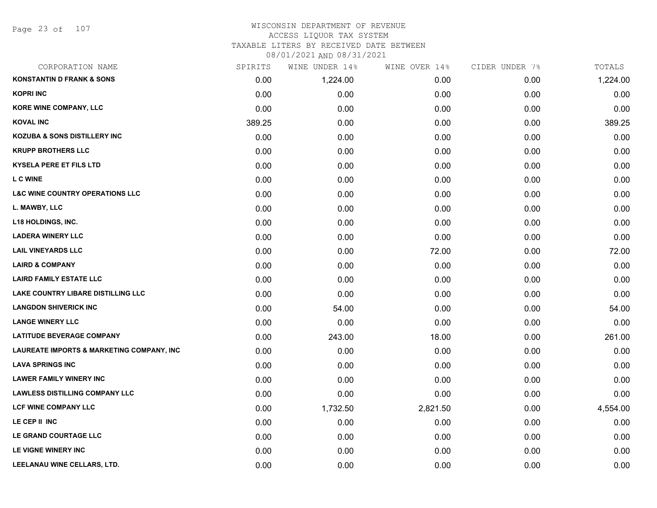#### WISCONSIN DEPARTMENT OF REVENUE ACCESS LIQUOR TAX SYSTEM TAXABLE LITERS BY RECEIVED DATE BETWEEN

| CORPORATION NAME                           | SPIRITS | WINE UNDER 14% | WINE OVER 14% | CIDER UNDER 7% | TOTALS   |
|--------------------------------------------|---------|----------------|---------------|----------------|----------|
| <b>KONSTANTIN D FRANK &amp; SONS</b>       | 0.00    | 1,224.00       | 0.00          | 0.00           | 1,224.00 |
| <b>KOPRI INC</b>                           | 0.00    | 0.00           | 0.00          | 0.00           | 0.00     |
| KORE WINE COMPANY, LLC                     | 0.00    | 0.00           | 0.00          | 0.00           | 0.00     |
| <b>KOVAL INC</b>                           | 389.25  | 0.00           | 0.00          | 0.00           | 389.25   |
| <b>KOZUBA &amp; SONS DISTILLERY INC</b>    | 0.00    | 0.00           | 0.00          | 0.00           | 0.00     |
| <b>KRUPP BROTHERS LLC</b>                  | 0.00    | 0.00           | 0.00          | 0.00           | 0.00     |
| <b>KYSELA PERE ET FILS LTD</b>             | 0.00    | 0.00           | 0.00          | 0.00           | 0.00     |
| <b>L C WINE</b>                            | 0.00    | 0.00           | 0.00          | 0.00           | 0.00     |
| <b>L&amp;C WINE COUNTRY OPERATIONS LLC</b> | 0.00    | 0.00           | 0.00          | 0.00           | 0.00     |
| L. MAWBY, LLC                              | 0.00    | 0.00           | 0.00          | 0.00           | 0.00     |
| <b>L18 HOLDINGS, INC.</b>                  | 0.00    | 0.00           | 0.00          | 0.00           | 0.00     |
| <b>LADERA WINERY LLC</b>                   | 0.00    | 0.00           | 0.00          | 0.00           | 0.00     |
| <b>LAIL VINEYARDS LLC</b>                  | 0.00    | 0.00           | 72.00         | 0.00           | 72.00    |
| <b>LAIRD &amp; COMPANY</b>                 | 0.00    | 0.00           | 0.00          | 0.00           | 0.00     |
| <b>LAIRD FAMILY ESTATE LLC</b>             | 0.00    | 0.00           | 0.00          | 0.00           | 0.00     |
| <b>LAKE COUNTRY LIBARE DISTILLING LLC</b>  | 0.00    | 0.00           | 0.00          | 0.00           | 0.00     |
| <b>LANGDON SHIVERICK INC</b>               | 0.00    | 54.00          | 0.00          | 0.00           | 54.00    |
| <b>LANGE WINERY LLC</b>                    | 0.00    | 0.00           | 0.00          | 0.00           | 0.00     |
| <b>LATITUDE BEVERAGE COMPANY</b>           | 0.00    | 243.00         | 18.00         | 0.00           | 261.00   |
| LAUREATE IMPORTS & MARKETING COMPANY, INC  | 0.00    | 0.00           | 0.00          | 0.00           | 0.00     |
| <b>LAVA SPRINGS INC</b>                    | 0.00    | 0.00           | 0.00          | 0.00           | 0.00     |
| <b>LAWER FAMILY WINERY INC</b>             | 0.00    | 0.00           | 0.00          | 0.00           | 0.00     |
| <b>LAWLESS DISTILLING COMPANY LLC</b>      | 0.00    | 0.00           | 0.00          | 0.00           | 0.00     |
| <b>LCF WINE COMPANY LLC</b>                | 0.00    | 1,732.50       | 2,821.50      | 0.00           | 4,554.00 |
| LE CEP II INC                              | 0.00    | 0.00           | 0.00          | 0.00           | 0.00     |
| LE GRAND COURTAGE LLC                      | 0.00    | 0.00           | 0.00          | 0.00           | 0.00     |
| LE VIGNE WINERY INC                        | 0.00    | 0.00           | 0.00          | 0.00           | 0.00     |
| LEELANAU WINE CELLARS, LTD.                | 0.00    | 0.00           | 0.00          | 0.00           | 0.00     |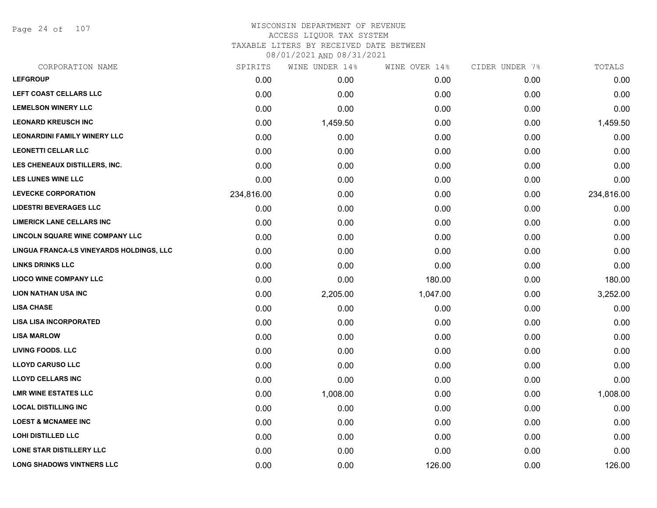Page 24 of 107

#### WISCONSIN DEPARTMENT OF REVENUE ACCESS LIQUOR TAX SYSTEM

TAXABLE LITERS BY RECEIVED DATE BETWEEN

| CORPORATION NAME                         | SPIRITS    | WINE UNDER 14% | WINE OVER 14% | CIDER UNDER 7% | TOTALS     |
|------------------------------------------|------------|----------------|---------------|----------------|------------|
| <b>LEFGROUP</b>                          | 0.00       | 0.00           | 0.00          | 0.00           | 0.00       |
| LEFT COAST CELLARS LLC                   | 0.00       | 0.00           | 0.00          | 0.00           | 0.00       |
| <b>LEMELSON WINERY LLC</b>               | 0.00       | 0.00           | 0.00          | 0.00           | 0.00       |
| <b>LEONARD KREUSCH INC</b>               | 0.00       | 1,459.50       | 0.00          | 0.00           | 1,459.50   |
| <b>LEONARDINI FAMILY WINERY LLC</b>      | 0.00       | 0.00           | 0.00          | 0.00           | 0.00       |
| <b>LEONETTI CELLAR LLC</b>               | 0.00       | 0.00           | 0.00          | 0.00           | 0.00       |
| LES CHENEAUX DISTILLERS, INC.            | 0.00       | 0.00           | 0.00          | 0.00           | 0.00       |
| <b>LES LUNES WINE LLC</b>                | 0.00       | 0.00           | 0.00          | 0.00           | 0.00       |
| <b>LEVECKE CORPORATION</b>               | 234,816.00 | 0.00           | 0.00          | 0.00           | 234,816.00 |
| <b>LIDESTRI BEVERAGES LLC</b>            | 0.00       | 0.00           | 0.00          | 0.00           | 0.00       |
| <b>LIMERICK LANE CELLARS INC</b>         | 0.00       | 0.00           | 0.00          | 0.00           | 0.00       |
| LINCOLN SQUARE WINE COMPANY LLC          | 0.00       | 0.00           | 0.00          | 0.00           | 0.00       |
| LINGUA FRANCA-LS VINEYARDS HOLDINGS, LLC | 0.00       | 0.00           | 0.00          | 0.00           | 0.00       |
| <b>LINKS DRINKS LLC</b>                  | 0.00       | 0.00           | 0.00          | 0.00           | 0.00       |
| <b>LIOCO WINE COMPANY LLC</b>            | 0.00       | 0.00           | 180.00        | 0.00           | 180.00     |
| <b>LION NATHAN USA INC</b>               | 0.00       | 2,205.00       | 1,047.00      | 0.00           | 3,252.00   |
| <b>LISA CHASE</b>                        | 0.00       | 0.00           | 0.00          | 0.00           | 0.00       |
| <b>LISA LISA INCORPORATED</b>            | 0.00       | 0.00           | 0.00          | 0.00           | 0.00       |
| <b>LISA MARLOW</b>                       | 0.00       | 0.00           | 0.00          | 0.00           | 0.00       |
| <b>LIVING FOODS. LLC</b>                 | 0.00       | 0.00           | 0.00          | 0.00           | 0.00       |
| <b>LLOYD CARUSO LLC</b>                  | 0.00       | 0.00           | 0.00          | 0.00           | 0.00       |
| <b>LLOYD CELLARS INC</b>                 | 0.00       | 0.00           | 0.00          | 0.00           | 0.00       |
| <b>LMR WINE ESTATES LLC</b>              | 0.00       | 1,008.00       | 0.00          | 0.00           | 1,008.00   |
| <b>LOCAL DISTILLING INC</b>              | 0.00       | 0.00           | 0.00          | 0.00           | 0.00       |
| <b>LOEST &amp; MCNAMEE INC</b>           | 0.00       | 0.00           | 0.00          | 0.00           | 0.00       |
| <b>LOHI DISTILLED LLC</b>                | 0.00       | 0.00           | 0.00          | 0.00           | 0.00       |
| LONE STAR DISTILLERY LLC                 | 0.00       | 0.00           | 0.00          | 0.00           | 0.00       |
| <b>LONG SHADOWS VINTNERS LLC</b>         | 0.00       | 0.00           | 126.00        | 0.00           | 126.00     |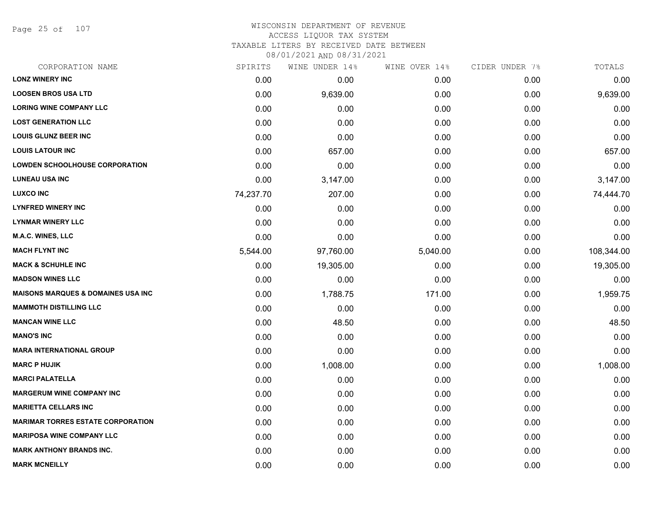Page 25 of 107

#### WISCONSIN DEPARTMENT OF REVENUE ACCESS LIQUOR TAX SYSTEM

TAXABLE LITERS BY RECEIVED DATE BETWEEN

| CORPORATION NAME                               | SPIRITS   | WINE UNDER 14% | WINE OVER 14% | CIDER UNDER 7% | TOTALS     |
|------------------------------------------------|-----------|----------------|---------------|----------------|------------|
| <b>LONZ WINERY INC</b>                         | 0.00      | 0.00           | 0.00          | 0.00           | 0.00       |
| <b>LOOSEN BROS USA LTD</b>                     | 0.00      | 9,639.00       | 0.00          | 0.00           | 9,639.00   |
| <b>LORING WINE COMPANY LLC</b>                 | 0.00      | 0.00           | 0.00          | 0.00           | 0.00       |
| <b>LOST GENERATION LLC</b>                     | 0.00      | 0.00           | 0.00          | 0.00           | 0.00       |
| <b>LOUIS GLUNZ BEER INC</b>                    | 0.00      | 0.00           | 0.00          | 0.00           | 0.00       |
| <b>LOUIS LATOUR INC</b>                        | 0.00      | 657.00         | 0.00          | 0.00           | 657.00     |
| <b>LOWDEN SCHOOLHOUSE CORPORATION</b>          | 0.00      | 0.00           | 0.00          | 0.00           | 0.00       |
| <b>LUNEAU USA INC</b>                          | 0.00      | 3,147.00       | 0.00          | 0.00           | 3,147.00   |
| <b>LUXCO INC</b>                               | 74,237.70 | 207.00         | 0.00          | 0.00           | 74,444.70  |
| <b>LYNFRED WINERY INC</b>                      | 0.00      | 0.00           | 0.00          | 0.00           | 0.00       |
| <b>LYNMAR WINERY LLC</b>                       | 0.00      | 0.00           | 0.00          | 0.00           | 0.00       |
| <b>M.A.C. WINES, LLC</b>                       | 0.00      | 0.00           | 0.00          | 0.00           | 0.00       |
| <b>MACH FLYNT INC</b>                          | 5,544.00  | 97,760.00      | 5,040.00      | 0.00           | 108,344.00 |
| <b>MACK &amp; SCHUHLE INC</b>                  | 0.00      | 19,305.00      | 0.00          | 0.00           | 19,305.00  |
| <b>MADSON WINES LLC</b>                        | 0.00      | 0.00           | 0.00          | 0.00           | 0.00       |
| <b>MAISONS MARQUES &amp; DOMAINES USA INC.</b> | 0.00      | 1,788.75       | 171.00        | 0.00           | 1,959.75   |
| <b>MAMMOTH DISTILLING LLC</b>                  | 0.00      | 0.00           | 0.00          | 0.00           | 0.00       |
| <b>MANCAN WINE LLC</b>                         | 0.00      | 48.50          | 0.00          | 0.00           | 48.50      |
| <b>MANO'S INC</b>                              | 0.00      | 0.00           | 0.00          | 0.00           | 0.00       |
| <b>MARA INTERNATIONAL GROUP</b>                | 0.00      | 0.00           | 0.00          | 0.00           | 0.00       |
| <b>MARC P HUJIK</b>                            | 0.00      | 1,008.00       | 0.00          | 0.00           | 1,008.00   |
| <b>MARCI PALATELLA</b>                         | 0.00      | 0.00           | 0.00          | 0.00           | 0.00       |
| <b>MARGERUM WINE COMPANY INC</b>               | 0.00      | 0.00           | 0.00          | 0.00           | 0.00       |
| <b>MARIETTA CELLARS INC</b>                    | 0.00      | 0.00           | 0.00          | 0.00           | 0.00       |
| <b>MARIMAR TORRES ESTATE CORPORATION</b>       | 0.00      | 0.00           | 0.00          | 0.00           | 0.00       |
| <b>MARIPOSA WINE COMPANY LLC</b>               | 0.00      | 0.00           | 0.00          | 0.00           | 0.00       |
| <b>MARK ANTHONY BRANDS INC.</b>                | 0.00      | 0.00           | 0.00          | 0.00           | 0.00       |
| <b>MARK MCNEILLY</b>                           | 0.00      | 0.00           | 0.00          | 0.00           | 0.00       |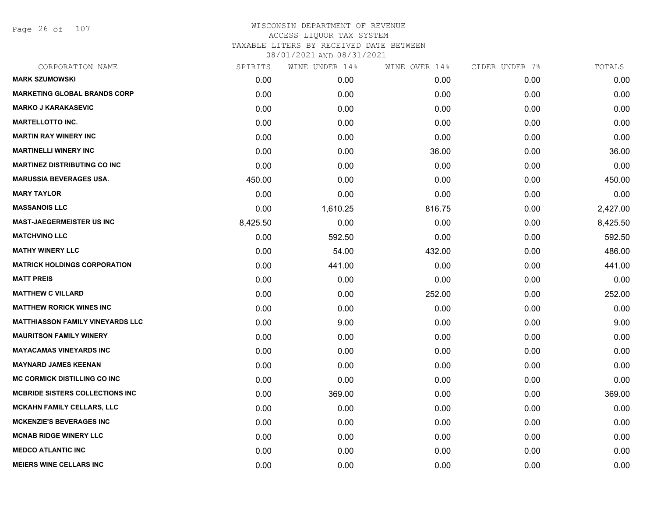Page 26 of 107

| CORPORATION NAME                        | SPIRITS  | WINE UNDER 14% | WINE OVER 14% | CIDER UNDER 7% | TOTALS   |
|-----------------------------------------|----------|----------------|---------------|----------------|----------|
| <b>MARK SZUMOWSKI</b>                   | 0.00     | 0.00           | 0.00          | 0.00           | 0.00     |
| <b>MARKETING GLOBAL BRANDS CORP</b>     | 0.00     | 0.00           | 0.00          | 0.00           | 0.00     |
| <b>MARKO J KARAKASEVIC</b>              | 0.00     | 0.00           | 0.00          | 0.00           | 0.00     |
| <b>MARTELLOTTO INC.</b>                 | 0.00     | 0.00           | 0.00          | 0.00           | 0.00     |
| <b>MARTIN RAY WINERY INC</b>            | 0.00     | 0.00           | 0.00          | 0.00           | 0.00     |
| <b>MARTINELLI WINERY INC</b>            | 0.00     | 0.00           | 36.00         | 0.00           | 36.00    |
| <b>MARTINEZ DISTRIBUTING CO INC</b>     | 0.00     | 0.00           | 0.00          | 0.00           | 0.00     |
| <b>MARUSSIA BEVERAGES USA.</b>          | 450.00   | 0.00           | 0.00          | 0.00           | 450.00   |
| <b>MARY TAYLOR</b>                      | 0.00     | 0.00           | 0.00          | 0.00           | 0.00     |
| <b>MASSANOIS LLC</b>                    | 0.00     | 1,610.25       | 816.75        | 0.00           | 2,427.00 |
| <b>MAST-JAEGERMEISTER US INC</b>        | 8,425.50 | 0.00           | 0.00          | 0.00           | 8,425.50 |
| <b>MATCHVINO LLC</b>                    | 0.00     | 592.50         | 0.00          | 0.00           | 592.50   |
| <b>MATHY WINERY LLC</b>                 | 0.00     | 54.00          | 432.00        | 0.00           | 486.00   |
| <b>MATRICK HOLDINGS CORPORATION</b>     | 0.00     | 441.00         | 0.00          | 0.00           | 441.00   |
| <b>MATT PREIS</b>                       | 0.00     | 0.00           | 0.00          | 0.00           | 0.00     |
| <b>MATTHEW C VILLARD</b>                | 0.00     | 0.00           | 252.00        | 0.00           | 252.00   |
| <b>MATTHEW RORICK WINES INC</b>         | 0.00     | 0.00           | 0.00          | 0.00           | 0.00     |
| <b>MATTHIASSON FAMILY VINEYARDS LLC</b> | 0.00     | 9.00           | 0.00          | 0.00           | 9.00     |
| <b>MAURITSON FAMILY WINERY</b>          | 0.00     | 0.00           | 0.00          | 0.00           | 0.00     |
| <b>MAYACAMAS VINEYARDS INC</b>          | 0.00     | 0.00           | 0.00          | 0.00           | 0.00     |
| <b>MAYNARD JAMES KEENAN</b>             | 0.00     | 0.00           | 0.00          | 0.00           | 0.00     |
| <b>MC CORMICK DISTILLING CO INC</b>     | 0.00     | 0.00           | 0.00          | 0.00           | 0.00     |
| <b>MCBRIDE SISTERS COLLECTIONS INC</b>  | 0.00     | 369.00         | 0.00          | 0.00           | 369.00   |
| <b>MCKAHN FAMILY CELLARS, LLC</b>       | 0.00     | 0.00           | 0.00          | 0.00           | 0.00     |
| <b>MCKENZIE'S BEVERAGES INC</b>         | 0.00     | 0.00           | 0.00          | 0.00           | 0.00     |
| <b>MCNAB RIDGE WINERY LLC</b>           | 0.00     | 0.00           | 0.00          | 0.00           | 0.00     |
| <b>MEDCO ATLANTIC INC</b>               | 0.00     | 0.00           | 0.00          | 0.00           | 0.00     |
| <b>MEIERS WINE CELLARS INC</b>          | 0.00     | 0.00           | 0.00          | 0.00           | 0.00     |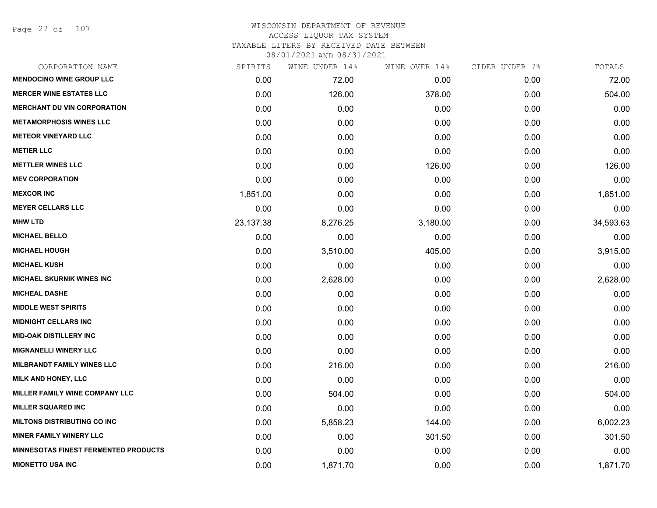Page 27 of 107

# WISCONSIN DEPARTMENT OF REVENUE ACCESS LIQUOR TAX SYSTEM TAXABLE LITERS BY RECEIVED DATE BETWEEN

| CORPORATION NAME                            | SPIRITS   | WINE UNDER 14% | WINE OVER 14% | CIDER UNDER 7% | TOTALS    |
|---------------------------------------------|-----------|----------------|---------------|----------------|-----------|
| <b>MENDOCINO WINE GROUP LLC</b>             | 0.00      | 72.00          | 0.00          | 0.00           | 72.00     |
| <b>MERCER WINE ESTATES LLC</b>              | 0.00      | 126.00         | 378.00        | 0.00           | 504.00    |
| <b>MERCHANT DU VIN CORPORATION</b>          | 0.00      | 0.00           | 0.00          | 0.00           | 0.00      |
| <b>METAMORPHOSIS WINES LLC</b>              | 0.00      | 0.00           | 0.00          | 0.00           | 0.00      |
| <b>METEOR VINEYARD LLC</b>                  | 0.00      | 0.00           | 0.00          | 0.00           | 0.00      |
| <b>METIER LLC</b>                           | 0.00      | 0.00           | 0.00          | 0.00           | 0.00      |
| <b>METTLER WINES LLC</b>                    | 0.00      | 0.00           | 126.00        | 0.00           | 126.00    |
| <b>MEV CORPORATION</b>                      | 0.00      | 0.00           | 0.00          | 0.00           | 0.00      |
| <b>MEXCOR INC</b>                           | 1,851.00  | 0.00           | 0.00          | 0.00           | 1,851.00  |
| <b>MEYER CELLARS LLC</b>                    | 0.00      | 0.00           | 0.00          | 0.00           | 0.00      |
| <b>MHW LTD</b>                              | 23,137.38 | 8,276.25       | 3,180.00      | 0.00           | 34,593.63 |
| <b>MICHAEL BELLO</b>                        | 0.00      | 0.00           | 0.00          | 0.00           | 0.00      |
| <b>MICHAEL HOUGH</b>                        | 0.00      | 3,510.00       | 405.00        | 0.00           | 3,915.00  |
| <b>MICHAEL KUSH</b>                         | 0.00      | 0.00           | 0.00          | 0.00           | 0.00      |
| <b>MICHAEL SKURNIK WINES INC</b>            | 0.00      | 2,628.00       | 0.00          | 0.00           | 2,628.00  |
| <b>MICHEAL DASHE</b>                        | 0.00      | 0.00           | 0.00          | 0.00           | 0.00      |
| <b>MIDDLE WEST SPIRITS</b>                  | 0.00      | 0.00           | 0.00          | 0.00           | 0.00      |
| <b>MIDNIGHT CELLARS INC</b>                 | 0.00      | 0.00           | 0.00          | 0.00           | 0.00      |
| <b>MID-OAK DISTILLERY INC</b>               | 0.00      | 0.00           | 0.00          | 0.00           | 0.00      |
| <b>MIGNANELLI WINERY LLC</b>                | 0.00      | 0.00           | 0.00          | 0.00           | 0.00      |
| <b>MILBRANDT FAMILY WINES LLC</b>           | 0.00      | 216.00         | 0.00          | 0.00           | 216.00    |
| <b>MILK AND HONEY, LLC</b>                  | 0.00      | 0.00           | 0.00          | 0.00           | 0.00      |
| MILLER FAMILY WINE COMPANY LLC              | 0.00      | 504.00         | 0.00          | 0.00           | 504.00    |
| <b>MILLER SQUARED INC</b>                   | 0.00      | 0.00           | 0.00          | 0.00           | 0.00      |
| <b>MILTONS DISTRIBUTING CO INC</b>          | 0.00      | 5,858.23       | 144.00        | 0.00           | 6,002.23  |
| <b>MINER FAMILY WINERY LLC</b>              | 0.00      | 0.00           | 301.50        | 0.00           | 301.50    |
| <b>MINNESOTAS FINEST FERMENTED PRODUCTS</b> | 0.00      | 0.00           | 0.00          | 0.00           | 0.00      |
| <b>MIONETTO USA INC</b>                     | 0.00      | 1,871.70       | 0.00          | 0.00           | 1,871.70  |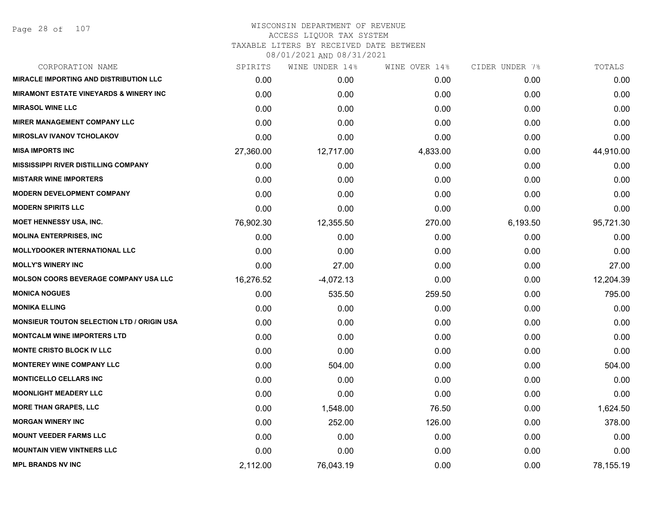#### WISCONSIN DEPARTMENT OF REVENUE ACCESS LIQUOR TAX SYSTEM TAXABLE LITERS BY RECEIVED DATE BETWEEN

| CORPORATION NAME                                   | SPIRITS   | WINE UNDER 14% | WINE OVER 14% | CIDER UNDER 7% | TOTALS    |
|----------------------------------------------------|-----------|----------------|---------------|----------------|-----------|
| <b>MIRACLE IMPORTING AND DISTRIBUTION LLC</b>      | 0.00      | 0.00           | 0.00          | 0.00           | 0.00      |
| <b>MIRAMONT ESTATE VINEYARDS &amp; WINERY INC.</b> | 0.00      | 0.00           | 0.00          | 0.00           | 0.00      |
| <b>MIRASOL WINE LLC</b>                            | 0.00      | 0.00           | 0.00          | 0.00           | 0.00      |
| <b>MIRER MANAGEMENT COMPANY LLC</b>                | 0.00      | 0.00           | 0.00          | 0.00           | 0.00      |
| <b>MIROSLAV IVANOV TCHOLAKOV</b>                   | 0.00      | 0.00           | 0.00          | 0.00           | 0.00      |
| <b>MISA IMPORTS INC</b>                            | 27,360.00 | 12,717.00      | 4,833.00      | 0.00           | 44,910.00 |
| MISSISSIPPI RIVER DISTILLING COMPANY               | 0.00      | 0.00           | 0.00          | 0.00           | 0.00      |
| <b>MISTARR WINE IMPORTERS</b>                      | 0.00      | 0.00           | 0.00          | 0.00           | 0.00      |
| <b>MODERN DEVELOPMENT COMPANY</b>                  | 0.00      | 0.00           | 0.00          | 0.00           | 0.00      |
| <b>MODERN SPIRITS LLC</b>                          | 0.00      | 0.00           | 0.00          | 0.00           | 0.00      |
| <b>MOET HENNESSY USA, INC.</b>                     | 76,902.30 | 12,355.50      | 270.00        | 6,193.50       | 95,721.30 |
| <b>MOLINA ENTERPRISES, INC</b>                     | 0.00      | 0.00           | 0.00          | 0.00           | 0.00      |
| <b>MOLLYDOOKER INTERNATIONAL LLC</b>               | 0.00      | 0.00           | 0.00          | 0.00           | 0.00      |
| <b>MOLLY'S WINERY INC</b>                          | 0.00      | 27.00          | 0.00          | 0.00           | 27.00     |
| <b>MOLSON COORS BEVERAGE COMPANY USA LLC</b>       | 16,276.52 | $-4,072.13$    | 0.00          | 0.00           | 12,204.39 |
| <b>MONICA NOGUES</b>                               | 0.00      | 535.50         | 259.50        | 0.00           | 795.00    |
| <b>MONIKA ELLING</b>                               | 0.00      | 0.00           | 0.00          | 0.00           | 0.00      |
| <b>MONSIEUR TOUTON SELECTION LTD / ORIGIN USA</b>  | 0.00      | 0.00           | 0.00          | 0.00           | 0.00      |
| <b>MONTCALM WINE IMPORTERS LTD</b>                 | 0.00      | 0.00           | 0.00          | 0.00           | 0.00      |
| <b>MONTE CRISTO BLOCK IV LLC</b>                   | 0.00      | 0.00           | 0.00          | 0.00           | 0.00      |
| <b>MONTEREY WINE COMPANY LLC</b>                   | 0.00      | 504.00         | 0.00          | 0.00           | 504.00    |
| <b>MONTICELLO CELLARS INC</b>                      | 0.00      | 0.00           | 0.00          | 0.00           | 0.00      |
| <b>MOONLIGHT MEADERY LLC</b>                       | 0.00      | 0.00           | 0.00          | 0.00           | 0.00      |
| <b>MORE THAN GRAPES, LLC</b>                       | 0.00      | 1,548.00       | 76.50         | 0.00           | 1,624.50  |
| <b>MORGAN WINERY INC</b>                           | 0.00      | 252.00         | 126.00        | 0.00           | 378.00    |
| <b>MOUNT VEEDER FARMS LLC</b>                      | 0.00      | 0.00           | 0.00          | 0.00           | 0.00      |
| <b>MOUNTAIN VIEW VINTNERS LLC</b>                  | 0.00      | 0.00           | 0.00          | 0.00           | 0.00      |
| <b>MPL BRANDS NV INC</b>                           | 2,112.00  | 76,043.19      | 0.00          | 0.00           | 78,155.19 |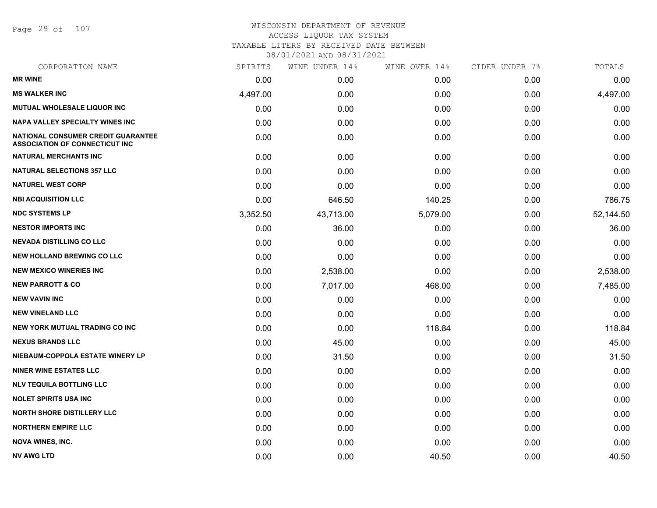Page 29 of 107

| CORPORATION NAME                                                            | SPIRITS  | WINE UNDER 14% | WINE OVER 14% | CIDER UNDER 7% | TOTALS    |
|-----------------------------------------------------------------------------|----------|----------------|---------------|----------------|-----------|
| <b>MR WINE</b>                                                              | 0.00     | 0.00           | 0.00          | 0.00           | 0.00      |
| <b>MS WALKER INC</b>                                                        | 4,497.00 | 0.00           | 0.00          | 0.00           | 4,497.00  |
| MUTUAL WHOLESALE LIQUOR INC                                                 | 0.00     | 0.00           | 0.00          | 0.00           | 0.00      |
| <b>NAPA VALLEY SPECIALTY WINES INC</b>                                      | 0.00     | 0.00           | 0.00          | 0.00           | 0.00      |
| NATIONAL CONSUMER CREDIT GUARANTEE<br><b>ASSOCIATION OF CONNECTICUT INC</b> | 0.00     | 0.00           | 0.00          | 0.00           | 0.00      |
| <b>NATURAL MERCHANTS INC</b>                                                | 0.00     | 0.00           | 0.00          | 0.00           | 0.00      |
| <b>NATURAL SELECTIONS 357 LLC</b>                                           | 0.00     | 0.00           | 0.00          | 0.00           | 0.00      |
| <b>NATUREL WEST CORP</b>                                                    | 0.00     | 0.00           | 0.00          | 0.00           | 0.00      |
| <b>NBI ACQUISITION LLC</b>                                                  | 0.00     | 646.50         | 140.25        | 0.00           | 786.75    |
| <b>NDC SYSTEMS LP</b>                                                       | 3,352.50 | 43,713.00      | 5,079.00      | 0.00           | 52,144.50 |
| <b>NESTOR IMPORTS INC</b>                                                   | 0.00     | 36.00          | 0.00          | 0.00           | 36.00     |
| <b>NEVADA DISTILLING CO LLC</b>                                             | 0.00     | 0.00           | 0.00          | 0.00           | 0.00      |
| <b>NEW HOLLAND BREWING CO LLC</b>                                           | 0.00     | 0.00           | 0.00          | 0.00           | 0.00      |
| <b>NEW MEXICO WINERIES INC</b>                                              | 0.00     | 2,538.00       | 0.00          | 0.00           | 2,538.00  |
| <b>NEW PARROTT &amp; CO</b>                                                 | 0.00     | 7,017.00       | 468.00        | 0.00           | 7,485.00  |
| <b>NEW VAVIN INC</b>                                                        | 0.00     | 0.00           | 0.00          | 0.00           | 0.00      |
| <b>NEW VINELAND LLC</b>                                                     | 0.00     | 0.00           | 0.00          | 0.00           | 0.00      |
| <b>NEW YORK MUTUAL TRADING CO INC</b>                                       | 0.00     | 0.00           | 118.84        | 0.00           | 118.84    |
| <b>NEXUS BRANDS LLC</b>                                                     | 0.00     | 45.00          | 0.00          | 0.00           | 45.00     |
| NIEBAUM-COPPOLA ESTATE WINERY LP                                            | 0.00     | 31.50          | 0.00          | 0.00           | 31.50     |
| <b>NINER WINE ESTATES LLC</b>                                               | 0.00     | 0.00           | 0.00          | 0.00           | 0.00      |
| <b>NLV TEQUILA BOTTLING LLC</b>                                             | 0.00     | 0.00           | 0.00          | 0.00           | 0.00      |
| <b>NOLET SPIRITS USA INC</b>                                                | 0.00     | 0.00           | 0.00          | 0.00           | 0.00      |
| <b>NORTH SHORE DISTILLERY LLC</b>                                           | 0.00     | 0.00           | 0.00          | 0.00           | 0.00      |
| <b>NORTHERN EMPIRE LLC</b>                                                  | 0.00     | 0.00           | 0.00          | 0.00           | 0.00      |
| <b>NOVA WINES, INC.</b>                                                     | 0.00     | 0.00           | 0.00          | 0.00           | 0.00      |
| <b>NV AWG LTD</b>                                                           | 0.00     | 0.00           | 40.50         | 0.00           | 40.50     |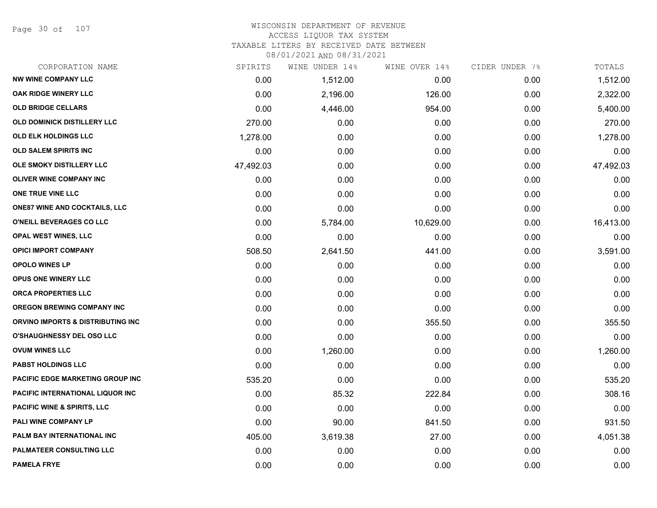Page 30 of 107

# WISCONSIN DEPARTMENT OF REVENUE ACCESS LIQUOR TAX SYSTEM

TAXABLE LITERS BY RECEIVED DATE BETWEEN

| CORPORATION NAME                       | SPIRITS   | WINE UNDER 14% | WINE OVER 14% | CIDER UNDER 7% | TOTALS    |
|----------------------------------------|-----------|----------------|---------------|----------------|-----------|
| <b>NW WINE COMPANY LLC</b>             | 0.00      | 1,512.00       | 0.00          | 0.00           | 1,512.00  |
| <b>OAK RIDGE WINERY LLC</b>            | 0.00      | 2,196.00       | 126.00        | 0.00           | 2,322.00  |
| <b>OLD BRIDGE CELLARS</b>              | 0.00      | 4,446.00       | 954.00        | 0.00           | 5,400.00  |
| <b>OLD DOMINICK DISTILLERY LLC</b>     | 270.00    | 0.00           | 0.00          | 0.00           | 270.00    |
| OLD ELK HOLDINGS LLC                   | 1,278.00  | 0.00           | 0.00          | 0.00           | 1,278.00  |
| <b>OLD SALEM SPIRITS INC</b>           | 0.00      | 0.00           | 0.00          | 0.00           | 0.00      |
| OLE SMOKY DISTILLERY LLC               | 47,492.03 | 0.00           | 0.00          | 0.00           | 47,492.03 |
| OLIVER WINE COMPANY INC                | 0.00      | 0.00           | 0.00          | 0.00           | 0.00      |
| ONE TRUE VINE LLC                      | 0.00      | 0.00           | 0.00          | 0.00           | 0.00      |
| <b>ONE87 WINE AND COCKTAILS, LLC</b>   | 0.00      | 0.00           | 0.00          | 0.00           | 0.00      |
| O'NEILL BEVERAGES CO LLC               | 0.00      | 5,784.00       | 10,629.00     | 0.00           | 16,413.00 |
| OPAL WEST WINES, LLC                   | 0.00      | 0.00           | 0.00          | 0.00           | 0.00      |
| <b>OPICI IMPORT COMPANY</b>            | 508.50    | 2,641.50       | 441.00        | 0.00           | 3,591.00  |
| <b>OPOLO WINES LP</b>                  | 0.00      | 0.00           | 0.00          | 0.00           | 0.00      |
| OPUS ONE WINERY LLC                    | 0.00      | 0.00           | 0.00          | 0.00           | 0.00      |
| <b>ORCA PROPERTIES LLC</b>             | 0.00      | 0.00           | 0.00          | 0.00           | 0.00      |
| <b>OREGON BREWING COMPANY INC</b>      | 0.00      | 0.00           | 0.00          | 0.00           | 0.00      |
| ORVINO IMPORTS & DISTRIBUTING INC      | 0.00      | 0.00           | 355.50        | 0.00           | 355.50    |
| <b>O'SHAUGHNESSY DEL OSO LLC</b>       | 0.00      | 0.00           | 0.00          | 0.00           | 0.00      |
| <b>OVUM WINES LLC</b>                  | 0.00      | 1,260.00       | 0.00          | 0.00           | 1,260.00  |
| <b>PABST HOLDINGS LLC</b>              | 0.00      | 0.00           | 0.00          | 0.00           | 0.00      |
| PACIFIC EDGE MARKETING GROUP INC       | 535.20    | 0.00           | 0.00          | 0.00           | 535.20    |
| PACIFIC INTERNATIONAL LIQUOR INC       | 0.00      | 85.32          | 222.84        | 0.00           | 308.16    |
| <b>PACIFIC WINE &amp; SPIRITS, LLC</b> | 0.00      | 0.00           | 0.00          | 0.00           | 0.00      |
| PALI WINE COMPANY LP                   | 0.00      | 90.00          | 841.50        | 0.00           | 931.50    |
| PALM BAY INTERNATIONAL INC             | 405.00    | 3,619.38       | 27.00         | 0.00           | 4,051.38  |
| <b>PALMATEER CONSULTING LLC</b>        | 0.00      | 0.00           | 0.00          | 0.00           | 0.00      |
| <b>PAMELA FRYE</b>                     | 0.00      | 0.00           | 0.00          | 0.00           | 0.00      |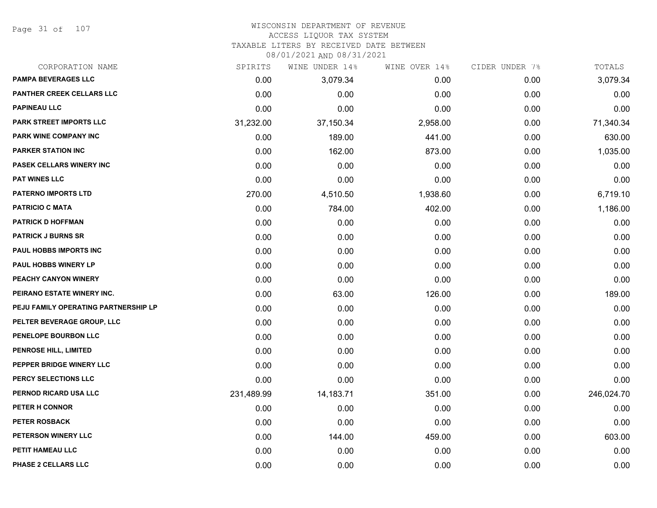Page 31 of 107

#### WISCONSIN DEPARTMENT OF REVENUE ACCESS LIQUOR TAX SYSTEM

TAXABLE LITERS BY RECEIVED DATE BETWEEN

| CORPORATION NAME                     | SPIRITS    | WINE UNDER 14% | WINE OVER 14% | CIDER UNDER 7% | TOTALS     |
|--------------------------------------|------------|----------------|---------------|----------------|------------|
| <b>PAMPA BEVERAGES LLC</b>           | 0.00       | 3,079.34       | 0.00          | 0.00           | 3,079.34   |
| <b>PANTHER CREEK CELLARS LLC</b>     | 0.00       | 0.00           | 0.00          | 0.00           | 0.00       |
| <b>PAPINEAU LLC</b>                  | 0.00       | 0.00           | 0.00          | 0.00           | 0.00       |
| PARK STREET IMPORTS LLC              | 31,232.00  | 37,150.34      | 2,958.00      | 0.00           | 71,340.34  |
| PARK WINE COMPANY INC                | 0.00       | 189.00         | 441.00        | 0.00           | 630.00     |
| <b>PARKER STATION INC</b>            | 0.00       | 162.00         | 873.00        | 0.00           | 1,035.00   |
| PASEK CELLARS WINERY INC             | 0.00       | 0.00           | 0.00          | 0.00           | 0.00       |
| <b>PAT WINES LLC</b>                 | 0.00       | 0.00           | 0.00          | 0.00           | 0.00       |
| <b>PATERNO IMPORTS LTD</b>           | 270.00     | 4,510.50       | 1,938.60      | 0.00           | 6,719.10   |
| <b>PATRICIO C MATA</b>               | 0.00       | 784.00         | 402.00        | 0.00           | 1,186.00   |
| <b>PATRICK D HOFFMAN</b>             | 0.00       | 0.00           | 0.00          | 0.00           | 0.00       |
| <b>PATRICK J BURNS SR</b>            | 0.00       | 0.00           | 0.00          | 0.00           | 0.00       |
| PAUL HOBBS IMPORTS INC               | 0.00       | 0.00           | 0.00          | 0.00           | 0.00       |
| <b>PAUL HOBBS WINERY LP</b>          | 0.00       | 0.00           | 0.00          | 0.00           | 0.00       |
| PEACHY CANYON WINERY                 | 0.00       | 0.00           | 0.00          | 0.00           | 0.00       |
| PEIRANO ESTATE WINERY INC.           | 0.00       | 63.00          | 126.00        | 0.00           | 189.00     |
| PEJU FAMILY OPERATING PARTNERSHIP LP | 0.00       | 0.00           | 0.00          | 0.00           | 0.00       |
| PELTER BEVERAGE GROUP, LLC           | 0.00       | 0.00           | 0.00          | 0.00           | 0.00       |
| PENELOPE BOURBON LLC                 | 0.00       | 0.00           | 0.00          | 0.00           | 0.00       |
| <b>PENROSE HILL, LIMITED</b>         | 0.00       | 0.00           | 0.00          | 0.00           | 0.00       |
| PEPPER BRIDGE WINERY LLC             | 0.00       | 0.00           | 0.00          | 0.00           | 0.00       |
| PERCY SELECTIONS LLC                 | 0.00       | 0.00           | 0.00          | 0.00           | 0.00       |
| PERNOD RICARD USA LLC                | 231,489.99 | 14,183.71      | 351.00        | 0.00           | 246,024.70 |
| PETER H CONNOR                       | 0.00       | 0.00           | 0.00          | 0.00           | 0.00       |
| <b>PETER ROSBACK</b>                 | 0.00       | 0.00           | 0.00          | 0.00           | 0.00       |
| PETERSON WINERY LLC                  | 0.00       | 144.00         | 459.00        | 0.00           | 603.00     |
| PETIT HAMEAU LLC                     | 0.00       | 0.00           | 0.00          | 0.00           | 0.00       |
| PHASE 2 CELLARS LLC                  | 0.00       | 0.00           | 0.00          | 0.00           | 0.00       |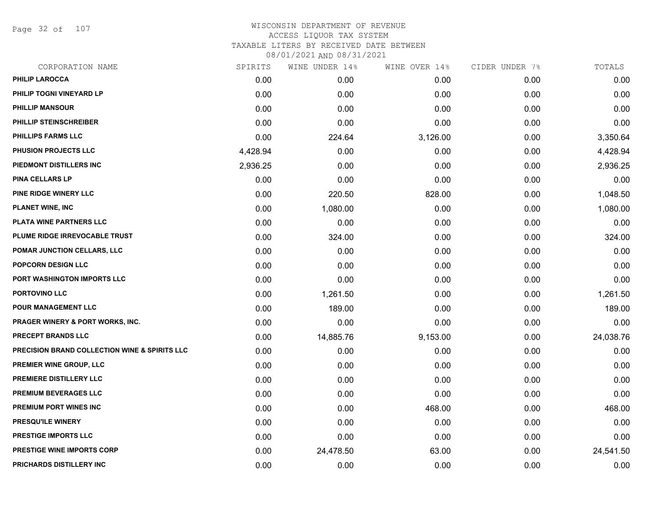Page 32 of 107

| CORPORATION NAME                                         | SPIRITS  | WINE UNDER 14% | WINE OVER 14% | CIDER UNDER 7% | TOTALS    |
|----------------------------------------------------------|----------|----------------|---------------|----------------|-----------|
| <b>PHILIP LAROCCA</b>                                    | 0.00     | 0.00           | 0.00          | 0.00           | 0.00      |
| PHILIP TOGNI VINEYARD LP                                 | 0.00     | 0.00           | 0.00          | 0.00           | 0.00      |
| <b>PHILLIP MANSOUR</b>                                   | 0.00     | 0.00           | 0.00          | 0.00           | 0.00      |
| <b>PHILLIP STEINSCHREIBER</b>                            | 0.00     | 0.00           | 0.00          | 0.00           | 0.00      |
| <b>PHILLIPS FARMS LLC</b>                                | 0.00     | 224.64         | 3,126.00      | 0.00           | 3,350.64  |
| <b>PHUSION PROJECTS LLC</b>                              | 4,428.94 | 0.00           | 0.00          | 0.00           | 4,428.94  |
| PIEDMONT DISTILLERS INC                                  | 2,936.25 | 0.00           | 0.00          | 0.00           | 2,936.25  |
| <b>PINA CELLARS LP</b>                                   | 0.00     | 0.00           | 0.00          | 0.00           | 0.00      |
| PINE RIDGE WINERY LLC                                    | 0.00     | 220.50         | 828.00        | 0.00           | 1,048.50  |
| <b>PLANET WINE, INC</b>                                  | 0.00     | 1,080.00       | 0.00          | 0.00           | 1,080.00  |
| PLATA WINE PARTNERS LLC                                  | 0.00     | 0.00           | 0.00          | 0.00           | 0.00      |
| PLUME RIDGE IRREVOCABLE TRUST                            | 0.00     | 324.00         | 0.00          | 0.00           | 324.00    |
| POMAR JUNCTION CELLARS, LLC                              | 0.00     | 0.00           | 0.00          | 0.00           | 0.00      |
| POPCORN DESIGN LLC                                       | 0.00     | 0.00           | 0.00          | 0.00           | 0.00      |
| PORT WASHINGTON IMPORTS LLC                              | 0.00     | 0.00           | 0.00          | 0.00           | 0.00      |
| PORTOVINO LLC                                            | 0.00     | 1,261.50       | 0.00          | 0.00           | 1,261.50  |
| POUR MANAGEMENT LLC                                      | 0.00     | 189.00         | 0.00          | 0.00           | 189.00    |
| <b>PRAGER WINERY &amp; PORT WORKS, INC.</b>              | 0.00     | 0.00           | 0.00          | 0.00           | 0.00      |
| PRECEPT BRANDS LLC                                       | 0.00     | 14,885.76      | 9,153.00      | 0.00           | 24,038.76 |
| <b>PRECISION BRAND COLLECTION WINE &amp; SPIRITS LLC</b> | 0.00     | 0.00           | 0.00          | 0.00           | 0.00      |
| PREMIER WINE GROUP, LLC                                  | 0.00     | 0.00           | 0.00          | 0.00           | 0.00      |
| PREMIERE DISTILLERY LLC                                  | 0.00     | 0.00           | 0.00          | 0.00           | 0.00      |
| PREMIUM BEVERAGES LLC                                    | 0.00     | 0.00           | 0.00          | 0.00           | 0.00      |
| PREMIUM PORT WINES INC                                   | 0.00     | 0.00           | 468.00        | 0.00           | 468.00    |
| <b>PRESQU'ILE WINERY</b>                                 | 0.00     | 0.00           | 0.00          | 0.00           | 0.00      |
| PRESTIGE IMPORTS LLC                                     | 0.00     | 0.00           | 0.00          | 0.00           | 0.00      |
| <b>PRESTIGE WINE IMPORTS CORP</b>                        | 0.00     | 24,478.50      | 63.00         | 0.00           | 24,541.50 |
| PRICHARDS DISTILLERY INC                                 | 0.00     | 0.00           | 0.00          | 0.00           | 0.00      |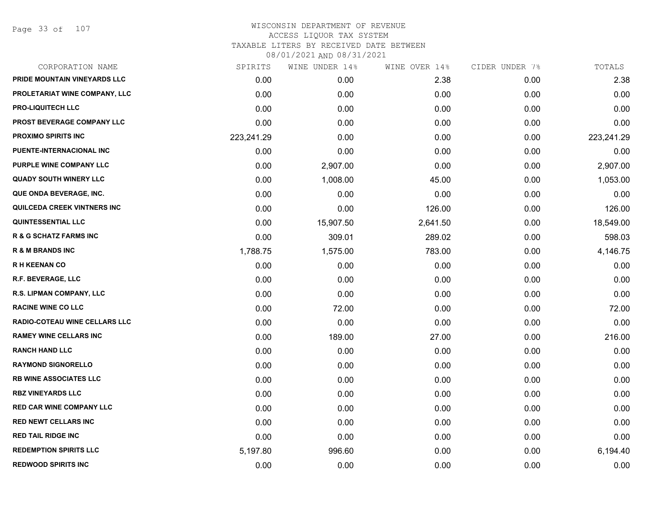Page 33 of 107

### WISCONSIN DEPARTMENT OF REVENUE ACCESS LIQUOR TAX SYSTEM TAXABLE LITERS BY RECEIVED DATE BETWEEN

| CORPORATION NAME                     | SPIRITS    | WINE UNDER 14% | WINE OVER 14% | CIDER UNDER 7% | TOTALS     |
|--------------------------------------|------------|----------------|---------------|----------------|------------|
| PRIDE MOUNTAIN VINEYARDS LLC         | 0.00       | 0.00           | 2.38          | 0.00           | 2.38       |
| PROLETARIAT WINE COMPANY, LLC        | 0.00       | 0.00           | 0.00          | 0.00           | 0.00       |
| <b>PRO-LIQUITECH LLC</b>             | 0.00       | 0.00           | 0.00          | 0.00           | 0.00       |
| <b>PROST BEVERAGE COMPANY LLC</b>    | 0.00       | 0.00           | 0.00          | 0.00           | 0.00       |
| <b>PROXIMO SPIRITS INC</b>           | 223,241.29 | 0.00           | 0.00          | 0.00           | 223,241.29 |
| PUENTE-INTERNACIONAL INC             | 0.00       | 0.00           | 0.00          | 0.00           | 0.00       |
| PURPLE WINE COMPANY LLC              | 0.00       | 2,907.00       | 0.00          | 0.00           | 2,907.00   |
| <b>QUADY SOUTH WINERY LLC</b>        | 0.00       | 1,008.00       | 45.00         | 0.00           | 1,053.00   |
| QUE ONDA BEVERAGE, INC.              | 0.00       | 0.00           | 0.00          | 0.00           | 0.00       |
| QUILCEDA CREEK VINTNERS INC          | 0.00       | 0.00           | 126.00        | 0.00           | 126.00     |
| <b>QUINTESSENTIAL LLC</b>            | 0.00       | 15,907.50      | 2,641.50      | 0.00           | 18,549.00  |
| <b>R &amp; G SCHATZ FARMS INC</b>    | 0.00       | 309.01         | 289.02        | 0.00           | 598.03     |
| <b>R &amp; M BRANDS INC</b>          | 1,788.75   | 1,575.00       | 783.00        | 0.00           | 4,146.75   |
| <b>RH KEENAN CO</b>                  | 0.00       | 0.00           | 0.00          | 0.00           | 0.00       |
| R.F. BEVERAGE, LLC                   | 0.00       | 0.00           | 0.00          | 0.00           | 0.00       |
| R.S. LIPMAN COMPANY, LLC             | 0.00       | 0.00           | 0.00          | 0.00           | 0.00       |
| <b>RACINE WINE CO LLC</b>            | 0.00       | 72.00          | 0.00          | 0.00           | 72.00      |
| <b>RADIO-COTEAU WINE CELLARS LLC</b> | 0.00       | 0.00           | 0.00          | 0.00           | 0.00       |
| <b>RAMEY WINE CELLARS INC</b>        | 0.00       | 189.00         | 27.00         | 0.00           | 216.00     |
| <b>RANCH HAND LLC</b>                | 0.00       | 0.00           | 0.00          | 0.00           | 0.00       |
| <b>RAYMOND SIGNORELLO</b>            | 0.00       | 0.00           | 0.00          | 0.00           | 0.00       |
| RB WINE ASSOCIATES LLC               | 0.00       | 0.00           | 0.00          | 0.00           | 0.00       |
| <b>RBZ VINEYARDS LLC</b>             | 0.00       | 0.00           | 0.00          | 0.00           | 0.00       |
| <b>RED CAR WINE COMPANY LLC</b>      | 0.00       | 0.00           | 0.00          | 0.00           | 0.00       |
| RED NEWT CELLARS INC                 | 0.00       | 0.00           | 0.00          | 0.00           | 0.00       |
| <b>RED TAIL RIDGE INC</b>            | 0.00       | 0.00           | 0.00          | 0.00           | 0.00       |
| <b>REDEMPTION SPIRITS LLC</b>        | 5,197.80   | 996.60         | 0.00          | 0.00           | 6,194.40   |
| <b>REDWOOD SPIRITS INC</b>           | 0.00       | 0.00           | 0.00          | 0.00           | 0.00       |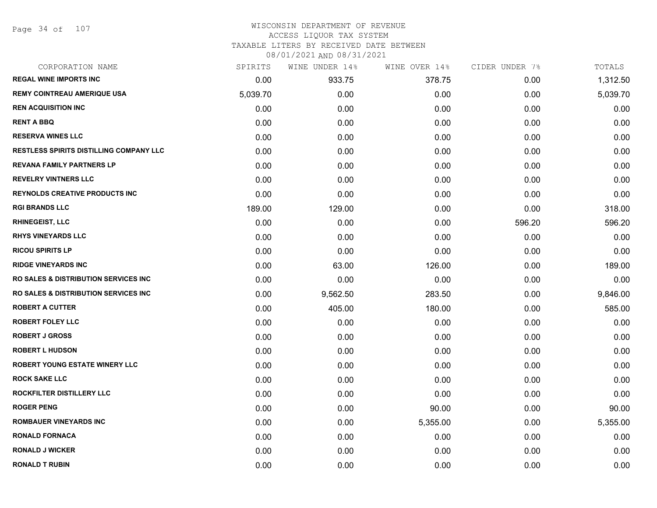#### WISCONSIN DEPARTMENT OF REVENUE ACCESS LIQUOR TAX SYSTEM

TAXABLE LITERS BY RECEIVED DATE BETWEEN

| CORPORATION NAME                                 | SPIRITS  | WINE UNDER 14% | WINE OVER 14% | CIDER UNDER 7% | TOTALS   |
|--------------------------------------------------|----------|----------------|---------------|----------------|----------|
| <b>REGAL WINE IMPORTS INC</b>                    | 0.00     | 933.75         | 378.75        | 0.00           | 1,312.50 |
| <b>REMY COINTREAU AMERIQUE USA</b>               | 5,039.70 | 0.00           | 0.00          | 0.00           | 5,039.70 |
| <b>REN ACQUISITION INC</b>                       | 0.00     | 0.00           | 0.00          | 0.00           | 0.00     |
| <b>RENT A BBQ</b>                                | 0.00     | 0.00           | 0.00          | 0.00           | 0.00     |
| <b>RESERVA WINES LLC</b>                         | 0.00     | 0.00           | 0.00          | 0.00           | 0.00     |
| <b>RESTLESS SPIRITS DISTILLING COMPANY LLC</b>   | 0.00     | 0.00           | 0.00          | 0.00           | 0.00     |
| <b>REVANA FAMILY PARTNERS LP</b>                 | 0.00     | 0.00           | 0.00          | 0.00           | 0.00     |
| <b>REVELRY VINTNERS LLC</b>                      | 0.00     | 0.00           | 0.00          | 0.00           | 0.00     |
| <b>REYNOLDS CREATIVE PRODUCTS INC</b>            | 0.00     | 0.00           | 0.00          | 0.00           | 0.00     |
| <b>RGI BRANDS LLC</b>                            | 189.00   | 129.00         | 0.00          | 0.00           | 318.00   |
| <b>RHINEGEIST, LLC</b>                           | 0.00     | 0.00           | 0.00          | 596.20         | 596.20   |
| <b>RHYS VINEYARDS LLC</b>                        | 0.00     | 0.00           | 0.00          | 0.00           | 0.00     |
| <b>RICOU SPIRITS LP</b>                          | 0.00     | 0.00           | 0.00          | 0.00           | 0.00     |
| <b>RIDGE VINEYARDS INC</b>                       | 0.00     | 63.00          | 126.00        | 0.00           | 189.00   |
| <b>RO SALES &amp; DISTRIBUTION SERVICES INC.</b> | 0.00     | 0.00           | 0.00          | 0.00           | 0.00     |
| <b>RO SALES &amp; DISTRIBUTION SERVICES INC.</b> | 0.00     | 9,562.50       | 283.50        | 0.00           | 9,846.00 |
| <b>ROBERT A CUTTER</b>                           | 0.00     | 405.00         | 180.00        | 0.00           | 585.00   |
| <b>ROBERT FOLEY LLC</b>                          | 0.00     | 0.00           | 0.00          | 0.00           | 0.00     |
| <b>ROBERT J GROSS</b>                            | 0.00     | 0.00           | 0.00          | 0.00           | 0.00     |
| <b>ROBERT L HUDSON</b>                           | 0.00     | 0.00           | 0.00          | 0.00           | 0.00     |
| ROBERT YOUNG ESTATE WINERY LLC                   | 0.00     | 0.00           | 0.00          | 0.00           | 0.00     |
| <b>ROCK SAKE LLC</b>                             | 0.00     | 0.00           | 0.00          | 0.00           | 0.00     |
| ROCKFILTER DISTILLERY LLC                        | 0.00     | 0.00           | 0.00          | 0.00           | 0.00     |
| <b>ROGER PENG</b>                                | 0.00     | 0.00           | 90.00         | 0.00           | 90.00    |
| <b>ROMBAUER VINEYARDS INC</b>                    | 0.00     | 0.00           | 5,355.00      | 0.00           | 5,355.00 |
| <b>RONALD FORNACA</b>                            | 0.00     | 0.00           | 0.00          | 0.00           | 0.00     |
| <b>RONALD J WICKER</b>                           | 0.00     | 0.00           | 0.00          | 0.00           | 0.00     |
| <b>RONALD T RUBIN</b>                            | 0.00     | 0.00           | 0.00          | 0.00           | 0.00     |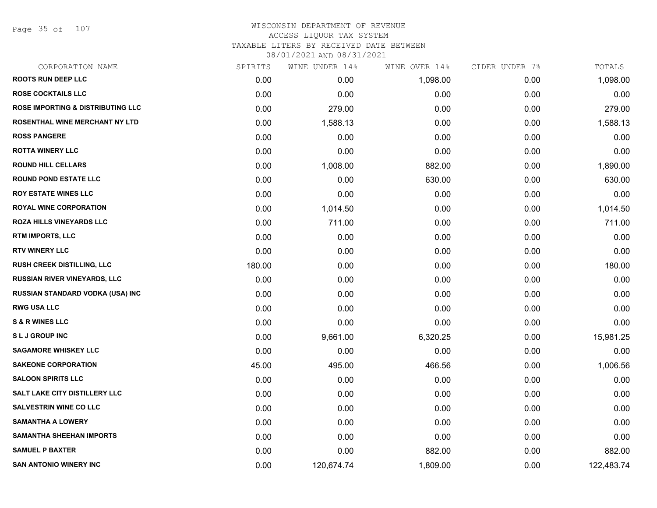Page 35 of 107

#### WISCONSIN DEPARTMENT OF REVENUE ACCESS LIQUOR TAX SYSTEM TAXABLE LITERS BY RECEIVED DATE BETWEEN

| CORPORATION NAME                             | SPIRITS | WINE UNDER 14% | WINE OVER 14% | CIDER UNDER 7% | TOTALS     |
|----------------------------------------------|---------|----------------|---------------|----------------|------------|
| <b>ROOTS RUN DEEP LLC</b>                    | 0.00    | 0.00           | 1,098.00      | 0.00           | 1,098.00   |
| <b>ROSE COCKTAILS LLC</b>                    | 0.00    | 0.00           | 0.00          | 0.00           | 0.00       |
| <b>ROSE IMPORTING &amp; DISTRIBUTING LLC</b> | 0.00    | 279.00         | 0.00          | 0.00           | 279.00     |
| ROSENTHAL WINE MERCHANT NY LTD               | 0.00    | 1,588.13       | 0.00          | 0.00           | 1,588.13   |
| <b>ROSS PANGERE</b>                          | 0.00    | 0.00           | 0.00          | 0.00           | 0.00       |
| <b>ROTTA WINERY LLC</b>                      | 0.00    | 0.00           | 0.00          | 0.00           | 0.00       |
| <b>ROUND HILL CELLARS</b>                    | 0.00    | 1,008.00       | 882.00        | 0.00           | 1,890.00   |
| <b>ROUND POND ESTATE LLC</b>                 | 0.00    | 0.00           | 630.00        | 0.00           | 630.00     |
| <b>ROY ESTATE WINES LLC</b>                  | 0.00    | 0.00           | 0.00          | 0.00           | 0.00       |
| <b>ROYAL WINE CORPORATION</b>                | 0.00    | 1,014.50       | 0.00          | 0.00           | 1,014.50   |
| <b>ROZA HILLS VINEYARDS LLC</b>              | 0.00    | 711.00         | 0.00          | 0.00           | 711.00     |
| RTM IMPORTS, LLC                             | 0.00    | 0.00           | 0.00          | 0.00           | 0.00       |
| <b>RTV WINERY LLC</b>                        | 0.00    | 0.00           | 0.00          | 0.00           | 0.00       |
| RUSH CREEK DISTILLING, LLC                   | 180.00  | 0.00           | 0.00          | 0.00           | 180.00     |
| <b>RUSSIAN RIVER VINEYARDS, LLC</b>          | 0.00    | 0.00           | 0.00          | 0.00           | 0.00       |
| RUSSIAN STANDARD VODKA (USA) INC             | 0.00    | 0.00           | 0.00          | 0.00           | 0.00       |
| <b>RWG USA LLC</b>                           | 0.00    | 0.00           | 0.00          | 0.00           | 0.00       |
| <b>S &amp; R WINES LLC</b>                   | 0.00    | 0.00           | 0.00          | 0.00           | 0.00       |
| <b>SLJ GROUP INC</b>                         | 0.00    | 9,661.00       | 6,320.25      | 0.00           | 15,981.25  |
| <b>SAGAMORE WHISKEY LLC</b>                  | 0.00    | 0.00           | 0.00          | 0.00           | 0.00       |
| <b>SAKEONE CORPORATION</b>                   | 45.00   | 495.00         | 466.56        | 0.00           | 1,006.56   |
| <b>SALOON SPIRITS LLC</b>                    | 0.00    | 0.00           | 0.00          | 0.00           | 0.00       |
| SALT LAKE CITY DISTILLERY LLC                | 0.00    | 0.00           | 0.00          | 0.00           | 0.00       |
| <b>SALVESTRIN WINE CO LLC</b>                | 0.00    | 0.00           | 0.00          | 0.00           | 0.00       |
| <b>SAMANTHA A LOWERY</b>                     | 0.00    | 0.00           | 0.00          | 0.00           | 0.00       |
| <b>SAMANTHA SHEEHAN IMPORTS</b>              | 0.00    | 0.00           | 0.00          | 0.00           | 0.00       |
| <b>SAMUEL P BAXTER</b>                       | 0.00    | 0.00           | 882.00        | 0.00           | 882.00     |
| <b>SAN ANTONIO WINERY INC</b>                | 0.00    | 120,674.74     | 1,809.00      | 0.00           | 122,483.74 |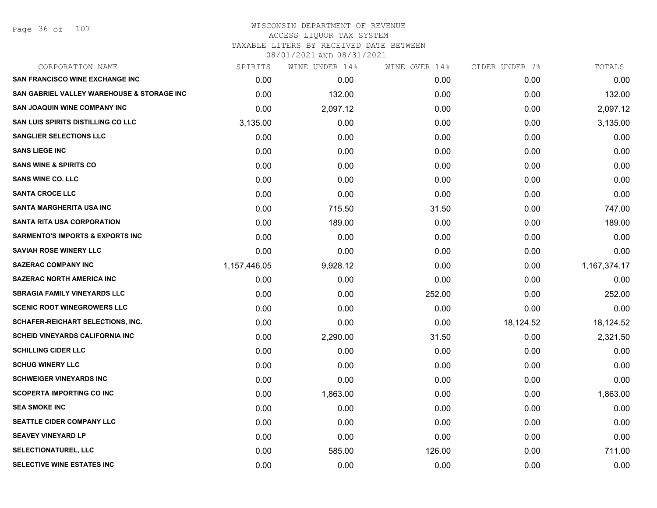#### WISCONSIN DEPARTMENT OF REVENUE ACCESS LIQUOR TAX SYSTEM TAXABLE LITERS BY RECEIVED DATE BETWEEN

| CORPORATION NAME                            | SPIRITS      | WINE UNDER 14% | WINE OVER 14% | CIDER UNDER 7% | TOTALS       |
|---------------------------------------------|--------------|----------------|---------------|----------------|--------------|
| <b>SAN FRANCISCO WINE EXCHANGE INC</b>      | 0.00         | 0.00           | 0.00          | 0.00           | 0.00         |
| SAN GABRIEL VALLEY WAREHOUSE & STORAGE INC  | 0.00         | 132.00         | 0.00          | 0.00           | 132.00       |
| <b>SAN JOAQUIN WINE COMPANY INC</b>         | 0.00         | 2,097.12       | 0.00          | 0.00           | 2,097.12     |
| <b>SAN LUIS SPIRITS DISTILLING CO LLC</b>   | 3,135.00     | 0.00           | 0.00          | 0.00           | 3,135.00     |
| <b>SANGLIER SELECTIONS LLC</b>              | 0.00         | 0.00           | 0.00          | 0.00           | 0.00         |
| <b>SANS LIEGE INC</b>                       | 0.00         | 0.00           | 0.00          | 0.00           | 0.00         |
| <b>SANS WINE &amp; SPIRITS CO</b>           | 0.00         | 0.00           | 0.00          | 0.00           | 0.00         |
| <b>SANS WINE CO. LLC</b>                    | 0.00         | 0.00           | 0.00          | 0.00           | 0.00         |
| <b>SANTA CROCE LLC</b>                      | 0.00         | 0.00           | 0.00          | 0.00           | 0.00         |
| <b>SANTA MARGHERITA USA INC</b>             | 0.00         | 715.50         | 31.50         | 0.00           | 747.00       |
| <b>SANTA RITA USA CORPORATION</b>           | 0.00         | 189.00         | 0.00          | 0.00           | 189.00       |
| <b>SARMENTO'S IMPORTS &amp; EXPORTS INC</b> | 0.00         | 0.00           | 0.00          | 0.00           | 0.00         |
| <b>SAVIAH ROSE WINERY LLC</b>               | 0.00         | 0.00           | 0.00          | 0.00           | 0.00         |
| <b>SAZERAC COMPANY INC</b>                  | 1,157,446.05 | 9,928.12       | 0.00          | 0.00           | 1,167,374.17 |
| <b>SAZERAC NORTH AMERICA INC</b>            | 0.00         | 0.00           | 0.00          | 0.00           | 0.00         |
| <b>SBRAGIA FAMILY VINEYARDS LLC</b>         | 0.00         | 0.00           | 252.00        | 0.00           | 252.00       |
| <b>SCENIC ROOT WINEGROWERS LLC</b>          | 0.00         | 0.00           | 0.00          | 0.00           | 0.00         |
| SCHAFER-REICHART SELECTIONS, INC.           | 0.00         | 0.00           | 0.00          | 18,124.52      | 18,124.52    |
| <b>SCHEID VINEYARDS CALIFORNIA INC</b>      | 0.00         | 2,290.00       | 31.50         | 0.00           | 2,321.50     |
| <b>SCHILLING CIDER LLC</b>                  | 0.00         | 0.00           | 0.00          | 0.00           | 0.00         |
| <b>SCHUG WINERY LLC</b>                     | 0.00         | 0.00           | 0.00          | 0.00           | 0.00         |
| <b>SCHWEIGER VINEYARDS INC</b>              | 0.00         | 0.00           | 0.00          | 0.00           | 0.00         |
| SCOPERTA IMPORTING CO INC                   | 0.00         | 1,863.00       | 0.00          | 0.00           | 1,863.00     |
| <b>SEA SMOKE INC</b>                        | 0.00         | 0.00           | 0.00          | 0.00           | 0.00         |
| SEATTLE CIDER COMPANY LLC                   | 0.00         | 0.00           | 0.00          | 0.00           | 0.00         |
| <b>SEAVEY VINEYARD LP</b>                   | 0.00         | 0.00           | 0.00          | 0.00           | 0.00         |
| <b>SELECTIONATUREL, LLC</b>                 | 0.00         | 585.00         | 126.00        | 0.00           | 711.00       |
| SELECTIVE WINE ESTATES INC                  | 0.00         | 0.00           | 0.00          | 0.00           | 0.00         |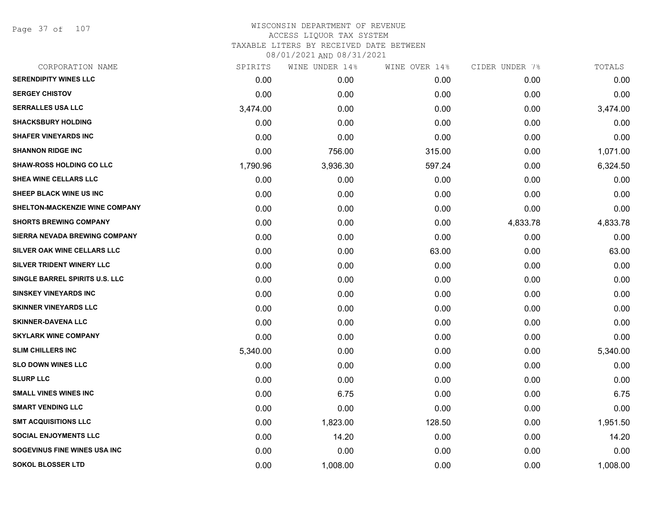Page 37 of 107

| CORPORATION NAME                | SPIRITS  | WINE UNDER 14% | WINE OVER 14% | CIDER UNDER 7% | TOTALS   |
|---------------------------------|----------|----------------|---------------|----------------|----------|
| <b>SERENDIPITY WINES LLC</b>    | 0.00     | 0.00           | 0.00          | 0.00           | 0.00     |
| <b>SERGEY CHISTOV</b>           | 0.00     | 0.00           | 0.00          | 0.00           | 0.00     |
| <b>SERRALLES USA LLC</b>        | 3,474.00 | 0.00           | 0.00          | 0.00           | 3,474.00 |
| <b>SHACKSBURY HOLDING</b>       | 0.00     | 0.00           | 0.00          | 0.00           | 0.00     |
| <b>SHAFER VINEYARDS INC</b>     | 0.00     | 0.00           | 0.00          | 0.00           | 0.00     |
| <b>SHANNON RIDGE INC</b>        | 0.00     | 756.00         | 315.00        | 0.00           | 1,071.00 |
| <b>SHAW-ROSS HOLDING CO LLC</b> | 1,790.96 | 3,936.30       | 597.24        | 0.00           | 6,324.50 |
| SHEA WINE CELLARS LLC           | 0.00     | 0.00           | 0.00          | 0.00           | 0.00     |
| SHEEP BLACK WINE US INC         | 0.00     | 0.00           | 0.00          | 0.00           | 0.00     |
| SHELTON-MACKENZIE WINE COMPANY  | 0.00     | 0.00           | 0.00          | 0.00           | 0.00     |
| <b>SHORTS BREWING COMPANY</b>   | 0.00     | 0.00           | 0.00          | 4,833.78       | 4,833.78 |
| SIERRA NEVADA BREWING COMPANY   | 0.00     | 0.00           | 0.00          | 0.00           | 0.00     |
| SILVER OAK WINE CELLARS LLC     | 0.00     | 0.00           | 63.00         | 0.00           | 63.00    |
| SILVER TRIDENT WINERY LLC       | 0.00     | 0.00           | 0.00          | 0.00           | 0.00     |
| SINGLE BARREL SPIRITS U.S. LLC  | 0.00     | 0.00           | 0.00          | 0.00           | 0.00     |
| <b>SINSKEY VINEYARDS INC</b>    | 0.00     | 0.00           | 0.00          | 0.00           | 0.00     |
| <b>SKINNER VINEYARDS LLC</b>    | 0.00     | 0.00           | 0.00          | 0.00           | 0.00     |
| <b>SKINNER-DAVENA LLC</b>       | 0.00     | 0.00           | 0.00          | 0.00           | 0.00     |
| <b>SKYLARK WINE COMPANY</b>     | 0.00     | 0.00           | 0.00          | 0.00           | 0.00     |
| <b>SLIM CHILLERS INC</b>        | 5,340.00 | 0.00           | 0.00          | 0.00           | 5,340.00 |
| <b>SLO DOWN WINES LLC</b>       | 0.00     | 0.00           | 0.00          | 0.00           | 0.00     |
| <b>SLURP LLC</b>                | 0.00     | 0.00           | 0.00          | 0.00           | 0.00     |
| <b>SMALL VINES WINES INC</b>    | 0.00     | 6.75           | 0.00          | 0.00           | 6.75     |
| <b>SMART VENDING LLC</b>        | 0.00     | 0.00           | 0.00          | 0.00           | 0.00     |
| <b>SMT ACQUISITIONS LLC</b>     | 0.00     | 1,823.00       | 128.50        | 0.00           | 1,951.50 |
| <b>SOCIAL ENJOYMENTS LLC</b>    | 0.00     | 14.20          | 0.00          | 0.00           | 14.20    |
| SOGEVINUS FINE WINES USA INC    | 0.00     | 0.00           | 0.00          | 0.00           | 0.00     |
| <b>SOKOL BLOSSER LTD</b>        | 0.00     | 1,008.00       | 0.00          | 0.00           | 1,008.00 |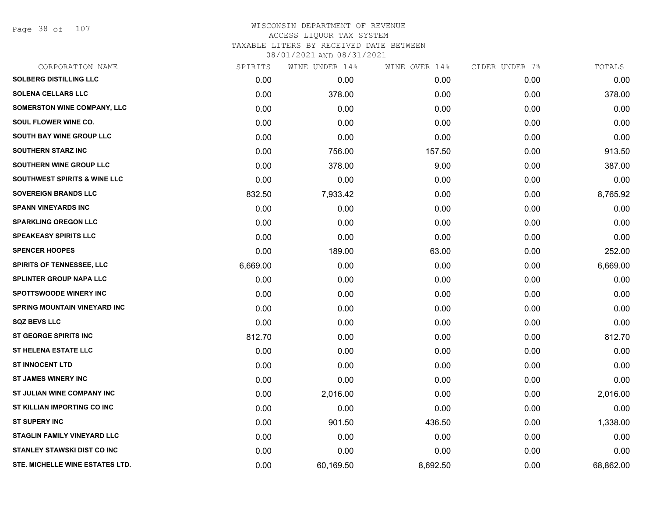Page 38 of 107

# WISCONSIN DEPARTMENT OF REVENUE ACCESS LIQUOR TAX SYSTEM TAXABLE LITERS BY RECEIVED DATE BETWEEN

| CORPORATION NAME                        | SPIRITS  | WINE UNDER 14% | WINE OVER 14% | CIDER UNDER 7% | TOTALS    |
|-----------------------------------------|----------|----------------|---------------|----------------|-----------|
| <b>SOLBERG DISTILLING LLC</b>           | 0.00     | 0.00           | 0.00          | 0.00           | 0.00      |
| <b>SOLENA CELLARS LLC</b>               | 0.00     | 378.00         | 0.00          | 0.00           | 378.00    |
| SOMERSTON WINE COMPANY, LLC             | 0.00     | 0.00           | 0.00          | 0.00           | 0.00      |
| SOUL FLOWER WINE CO.                    | 0.00     | 0.00           | 0.00          | 0.00           | 0.00      |
| <b>SOUTH BAY WINE GROUP LLC</b>         | 0.00     | 0.00           | 0.00          | 0.00           | 0.00      |
| <b>SOUTHERN STARZ INC</b>               | 0.00     | 756.00         | 157.50        | 0.00           | 913.50    |
| SOUTHERN WINE GROUP LLC                 | 0.00     | 378.00         | 9.00          | 0.00           | 387.00    |
| <b>SOUTHWEST SPIRITS &amp; WINE LLC</b> | 0.00     | 0.00           | 0.00          | 0.00           | 0.00      |
| <b>SOVEREIGN BRANDS LLC</b>             | 832.50   | 7,933.42       | 0.00          | 0.00           | 8,765.92  |
| <b>SPANN VINEYARDS INC</b>              | 0.00     | 0.00           | 0.00          | 0.00           | 0.00      |
| <b>SPARKLING OREGON LLC</b>             | 0.00     | 0.00           | 0.00          | 0.00           | 0.00      |
| <b>SPEAKEASY SPIRITS LLC</b>            | 0.00     | 0.00           | 0.00          | 0.00           | 0.00      |
| <b>SPENCER HOOPES</b>                   | 0.00     | 189.00         | 63.00         | 0.00           | 252.00    |
| <b>SPIRITS OF TENNESSEE, LLC</b>        | 6,669.00 | 0.00           | 0.00          | 0.00           | 6,669.00  |
| <b>SPLINTER GROUP NAPA LLC</b>          | 0.00     | 0.00           | 0.00          | 0.00           | 0.00      |
| <b>SPOTTSWOODE WINERY INC</b>           | 0.00     | 0.00           | 0.00          | 0.00           | 0.00      |
| <b>SPRING MOUNTAIN VINEYARD INC</b>     | 0.00     | 0.00           | 0.00          | 0.00           | 0.00      |
| <b>SQZ BEVS LLC</b>                     | 0.00     | 0.00           | 0.00          | 0.00           | 0.00      |
| <b>ST GEORGE SPIRITS INC</b>            | 812.70   | 0.00           | 0.00          | 0.00           | 812.70    |
| <b>ST HELENA ESTATE LLC</b>             | 0.00     | 0.00           | 0.00          | 0.00           | 0.00      |
| <b>ST INNOCENT LTD</b>                  | 0.00     | 0.00           | 0.00          | 0.00           | 0.00      |
| <b>ST JAMES WINERY INC</b>              | 0.00     | 0.00           | 0.00          | 0.00           | 0.00      |
| ST JULIAN WINE COMPANY INC              | 0.00     | 2,016.00       | 0.00          | 0.00           | 2,016.00  |
| <b>ST KILLIAN IMPORTING CO INC</b>      | 0.00     | 0.00           | 0.00          | 0.00           | 0.00      |
| <b>ST SUPERY INC</b>                    | 0.00     | 901.50         | 436.50        | 0.00           | 1,338.00  |
| <b>STAGLIN FAMILY VINEYARD LLC</b>      | 0.00     | 0.00           | 0.00          | 0.00           | 0.00      |
| <b>STANLEY STAWSKI DIST CO INC</b>      | 0.00     | 0.00           | 0.00          | 0.00           | 0.00      |
| STE. MICHELLE WINE ESTATES LTD.         | 0.00     | 60,169.50      | 8,692.50      | 0.00           | 68,862.00 |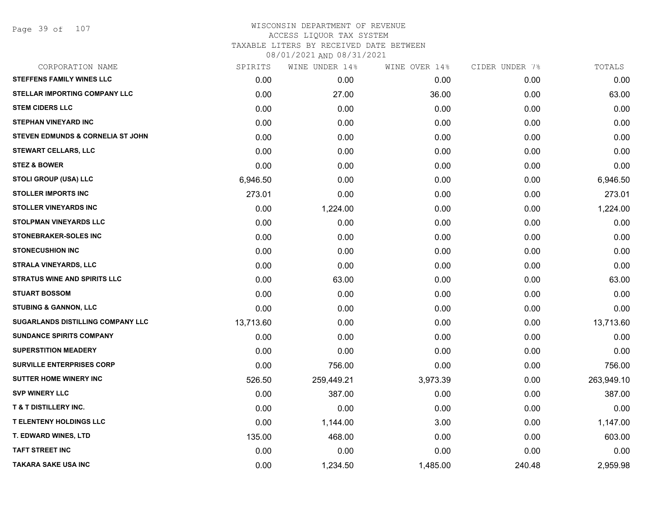# WISCONSIN DEPARTMENT OF REVENUE ACCESS LIQUOR TAX SYSTEM TAXABLE LITERS BY RECEIVED DATE BETWEEN

| CORPORATION NAME                             | SPIRITS   | WINE UNDER 14% | WINE OVER 14% | CIDER UNDER 7% | TOTALS     |
|----------------------------------------------|-----------|----------------|---------------|----------------|------------|
| <b>STEFFENS FAMILY WINES LLC</b>             | 0.00      | 0.00           | 0.00          | 0.00           | 0.00       |
| <b>STELLAR IMPORTING COMPANY LLC</b>         | 0.00      | 27.00          | 36.00         | 0.00           | 63.00      |
| <b>STEM CIDERS LLC</b>                       | 0.00      | 0.00           | 0.00          | 0.00           | 0.00       |
| <b>STEPHAN VINEYARD INC</b>                  | 0.00      | 0.00           | 0.00          | 0.00           | 0.00       |
| <b>STEVEN EDMUNDS &amp; CORNELIA ST JOHN</b> | 0.00      | 0.00           | 0.00          | 0.00           | 0.00       |
| <b>STEWART CELLARS, LLC</b>                  | 0.00      | 0.00           | 0.00          | 0.00           | 0.00       |
| <b>STEZ &amp; BOWER</b>                      | 0.00      | 0.00           | 0.00          | 0.00           | 0.00       |
| <b>STOLI GROUP (USA) LLC</b>                 | 6,946.50  | 0.00           | 0.00          | 0.00           | 6,946.50   |
| <b>STOLLER IMPORTS INC</b>                   | 273.01    | 0.00           | 0.00          | 0.00           | 273.01     |
| <b>STOLLER VINEYARDS INC</b>                 | 0.00      | 1,224.00       | 0.00          | 0.00           | 1,224.00   |
| <b>STOLPMAN VINEYARDS LLC</b>                | 0.00      | 0.00           | 0.00          | 0.00           | 0.00       |
| <b>STONEBRAKER-SOLES INC</b>                 | 0.00      | 0.00           | 0.00          | 0.00           | 0.00       |
| <b>STONECUSHION INC</b>                      | 0.00      | 0.00           | 0.00          | 0.00           | 0.00       |
| <b>STRALA VINEYARDS, LLC</b>                 | 0.00      | 0.00           | 0.00          | 0.00           | 0.00       |
| <b>STRATUS WINE AND SPIRITS LLC</b>          | 0.00      | 63.00          | 0.00          | 0.00           | 63.00      |
| <b>STUART BOSSOM</b>                         | 0.00      | 0.00           | 0.00          | 0.00           | 0.00       |
| <b>STUBING &amp; GANNON, LLC</b>             | 0.00      | 0.00           | 0.00          | 0.00           | 0.00       |
| <b>SUGARLANDS DISTILLING COMPANY LLC</b>     | 13,713.60 | 0.00           | 0.00          | 0.00           | 13,713.60  |
| SUNDANCE SPIRITS COMPANY                     | 0.00      | 0.00           | 0.00          | 0.00           | 0.00       |
| <b>SUPERSTITION MEADERY</b>                  | 0.00      | 0.00           | 0.00          | 0.00           | 0.00       |
| <b>SURVILLE ENTERPRISES CORP</b>             | 0.00      | 756.00         | 0.00          | 0.00           | 756.00     |
| <b>SUTTER HOME WINERY INC</b>                | 526.50    | 259,449.21     | 3,973.39      | 0.00           | 263,949.10 |
| <b>SVP WINERY LLC</b>                        | 0.00      | 387.00         | 0.00          | 0.00           | 387.00     |
| <b>T &amp; T DISTILLERY INC.</b>             | 0.00      | 0.00           | 0.00          | 0.00           | 0.00       |
| <b>T ELENTENY HOLDINGS LLC</b>               | 0.00      | 1,144.00       | 3.00          | 0.00           | 1,147.00   |
| T. EDWARD WINES, LTD                         | 135.00    | 468.00         | 0.00          | 0.00           | 603.00     |
| <b>TAFT STREET INC</b>                       | 0.00      | 0.00           | 0.00          | 0.00           | 0.00       |
| <b>TAKARA SAKE USA INC</b>                   | 0.00      | 1,234.50       | 1,485.00      | 240.48         | 2,959.98   |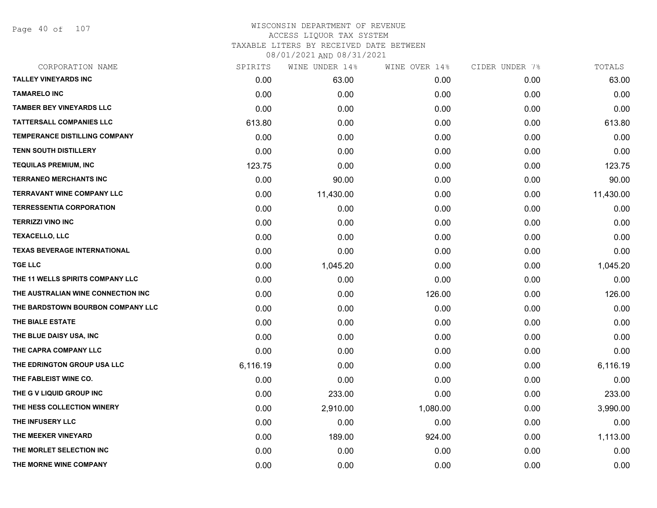Page 40 of 107

| CORPORATION NAME                     | SPIRITS  | WINE UNDER 14% | WINE OVER 14% | CIDER UNDER 7% | TOTALS    |
|--------------------------------------|----------|----------------|---------------|----------------|-----------|
| <b>TALLEY VINEYARDS INC</b>          | 0.00     | 63.00          | 0.00          | 0.00           | 63.00     |
| <b>TAMARELO INC</b>                  | 0.00     | 0.00           | 0.00          | 0.00           | 0.00      |
| <b>TAMBER BEY VINEYARDS LLC</b>      | 0.00     | 0.00           | 0.00          | 0.00           | 0.00      |
| <b>TATTERSALL COMPANIES LLC</b>      | 613.80   | 0.00           | 0.00          | 0.00           | 613.80    |
| <b>TEMPERANCE DISTILLING COMPANY</b> | 0.00     | 0.00           | 0.00          | 0.00           | 0.00      |
| <b>TENN SOUTH DISTILLERY</b>         | 0.00     | 0.00           | 0.00          | 0.00           | 0.00      |
| <b>TEQUILAS PREMIUM, INC</b>         | 123.75   | 0.00           | 0.00          | 0.00           | 123.75    |
| <b>TERRANEO MERCHANTS INC</b>        | 0.00     | 90.00          | 0.00          | 0.00           | 90.00     |
| <b>TERRAVANT WINE COMPANY LLC</b>    | 0.00     | 11,430.00      | 0.00          | 0.00           | 11,430.00 |
| <b>TERRESSENTIA CORPORATION</b>      | 0.00     | 0.00           | 0.00          | 0.00           | 0.00      |
| <b>TERRIZZI VINO INC</b>             | 0.00     | 0.00           | 0.00          | 0.00           | 0.00      |
| <b>TEXACELLO, LLC</b>                | 0.00     | 0.00           | 0.00          | 0.00           | 0.00      |
| <b>TEXAS BEVERAGE INTERNATIONAL</b>  | 0.00     | 0.00           | 0.00          | 0.00           | 0.00      |
| <b>TGE LLC</b>                       | 0.00     | 1,045.20       | 0.00          | 0.00           | 1,045.20  |
| THE 11 WELLS SPIRITS COMPANY LLC     | 0.00     | 0.00           | 0.00          | 0.00           | 0.00      |
| THE AUSTRALIAN WINE CONNECTION INC   | 0.00     | 0.00           | 126.00        | 0.00           | 126.00    |
| THE BARDSTOWN BOURBON COMPANY LLC    | 0.00     | 0.00           | 0.00          | 0.00           | 0.00      |
| THE BIALE ESTATE                     | 0.00     | 0.00           | 0.00          | 0.00           | 0.00      |
| THE BLUE DAISY USA, INC              | 0.00     | 0.00           | 0.00          | 0.00           | 0.00      |
| THE CAPRA COMPANY LLC                | 0.00     | 0.00           | 0.00          | 0.00           | 0.00      |
| THE EDRINGTON GROUP USA LLC          | 6,116.19 | 0.00           | 0.00          | 0.00           | 6,116.19  |
| THE FABLEIST WINE CO.                | 0.00     | 0.00           | 0.00          | 0.00           | 0.00      |
| THE G V LIQUID GROUP INC             | 0.00     | 233.00         | 0.00          | 0.00           | 233.00    |
| THE HESS COLLECTION WINERY           | 0.00     | 2,910.00       | 1,080.00      | 0.00           | 3,990.00  |
| THE INFUSERY LLC                     | 0.00     | 0.00           | 0.00          | 0.00           | 0.00      |
| THE MEEKER VINEYARD                  | 0.00     | 189.00         | 924.00        | 0.00           | 1,113.00  |
| THE MORLET SELECTION INC             | 0.00     | 0.00           | 0.00          | 0.00           | 0.00      |
| THE MORNE WINE COMPANY               | 0.00     | 0.00           | 0.00          | 0.00           | 0.00      |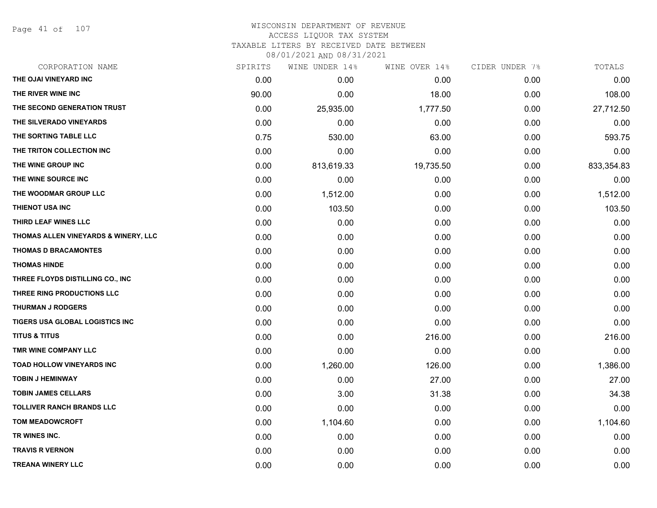Page 41 of 107

| CORPORATION NAME                     | SPIRITS | WINE UNDER 14% | WINE OVER 14% | CIDER UNDER 7% | TOTALS     |
|--------------------------------------|---------|----------------|---------------|----------------|------------|
| THE OJAI VINEYARD INC                | 0.00    | 0.00           | 0.00          | 0.00           | 0.00       |
| THE RIVER WINE INC                   | 90.00   | 0.00           | 18.00         | 0.00           | 108.00     |
| THE SECOND GENERATION TRUST          | 0.00    | 25,935.00      | 1,777.50      | 0.00           | 27,712.50  |
| THE SILVERADO VINEYARDS              | 0.00    | 0.00           | 0.00          | 0.00           | 0.00       |
| THE SORTING TABLE LLC                | 0.75    | 530.00         | 63.00         | 0.00           | 593.75     |
| THE TRITON COLLECTION INC            | 0.00    | 0.00           | 0.00          | 0.00           | 0.00       |
| THE WINE GROUP INC                   | 0.00    | 813,619.33     | 19,735.50     | 0.00           | 833,354.83 |
| THE WINE SOURCE INC                  | 0.00    | 0.00           | 0.00          | 0.00           | 0.00       |
| THE WOODMAR GROUP LLC                | 0.00    | 1,512.00       | 0.00          | 0.00           | 1,512.00   |
| THIENOT USA INC                      | 0.00    | 103.50         | 0.00          | 0.00           | 103.50     |
| THIRD LEAF WINES LLC                 | 0.00    | 0.00           | 0.00          | 0.00           | 0.00       |
| THOMAS ALLEN VINEYARDS & WINERY, LLC | 0.00    | 0.00           | 0.00          | 0.00           | 0.00       |
| <b>THOMAS D BRACAMONTES</b>          | 0.00    | 0.00           | 0.00          | 0.00           | 0.00       |
| <b>THOMAS HINDE</b>                  | 0.00    | 0.00           | 0.00          | 0.00           | 0.00       |
| THREE FLOYDS DISTILLING CO., INC     | 0.00    | 0.00           | 0.00          | 0.00           | 0.00       |
| THREE RING PRODUCTIONS LLC           | 0.00    | 0.00           | 0.00          | 0.00           | 0.00       |
| <b>THURMAN J RODGERS</b>             | 0.00    | 0.00           | 0.00          | 0.00           | 0.00       |
| TIGERS USA GLOBAL LOGISTICS INC      | 0.00    | 0.00           | 0.00          | 0.00           | 0.00       |
| <b>TITUS &amp; TITUS</b>             | 0.00    | 0.00           | 216.00        | 0.00           | 216.00     |
| TMR WINE COMPANY LLC                 | 0.00    | 0.00           | 0.00          | 0.00           | 0.00       |
| <b>TOAD HOLLOW VINEYARDS INC</b>     | 0.00    | 1,260.00       | 126.00        | 0.00           | 1,386.00   |
| <b>TOBIN J HEMINWAY</b>              | 0.00    | 0.00           | 27.00         | 0.00           | 27.00      |
| <b>TOBIN JAMES CELLARS</b>           | 0.00    | 3.00           | 31.38         | 0.00           | 34.38      |
| <b>TOLLIVER RANCH BRANDS LLC</b>     | 0.00    | 0.00           | 0.00          | 0.00           | 0.00       |
| <b>TOM MEADOWCROFT</b>               | 0.00    | 1,104.60       | 0.00          | 0.00           | 1,104.60   |
| TR WINES INC.                        | 0.00    | 0.00           | 0.00          | 0.00           | 0.00       |
| <b>TRAVIS R VERNON</b>               | 0.00    | 0.00           | 0.00          | 0.00           | 0.00       |
| <b>TREANA WINERY LLC</b>             | 0.00    | 0.00           | 0.00          | 0.00           | 0.00       |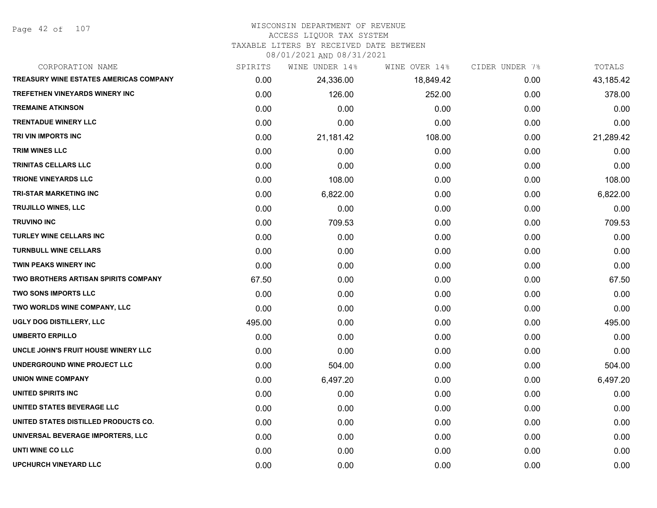Page 42 of 107

# WISCONSIN DEPARTMENT OF REVENUE

# ACCESS LIQUOR TAX SYSTEM

TAXABLE LITERS BY RECEIVED DATE BETWEEN

| CORPORATION NAME                              | SPIRITS | WINE UNDER 14% | WINE OVER 14% | CIDER UNDER 7% | TOTALS    |
|-----------------------------------------------|---------|----------------|---------------|----------------|-----------|
| <b>TREASURY WINE ESTATES AMERICAS COMPANY</b> | 0.00    | 24,336.00      | 18,849.42     | 0.00           | 43,185.42 |
| <b>TREFETHEN VINEYARDS WINERY INC</b>         | 0.00    | 126.00         | 252.00        | 0.00           | 378.00    |
| <b>TREMAINE ATKINSON</b>                      | 0.00    | 0.00           | 0.00          | 0.00           | 0.00      |
| <b>TRENTADUE WINERY LLC</b>                   | 0.00    | 0.00           | 0.00          | 0.00           | 0.00      |
| TRI VIN IMPORTS INC                           | 0.00    | 21,181.42      | 108.00        | 0.00           | 21,289.42 |
| <b>TRIM WINES LLC</b>                         | 0.00    | 0.00           | 0.00          | 0.00           | 0.00      |
| TRINITAS CELLARS LLC                          | 0.00    | 0.00           | 0.00          | 0.00           | 0.00      |
| <b>TRIONE VINEYARDS LLC</b>                   | 0.00    | 108.00         | 0.00          | 0.00           | 108.00    |
| <b>TRI-STAR MARKETING INC</b>                 | 0.00    | 6,822.00       | 0.00          | 0.00           | 6,822.00  |
| TRUJILLO WINES, LLC                           | 0.00    | 0.00           | 0.00          | 0.00           | 0.00      |
| <b>TRUVINO INC</b>                            | 0.00    | 709.53         | 0.00          | 0.00           | 709.53    |
| TURLEY WINE CELLARS INC                       | 0.00    | 0.00           | 0.00          | 0.00           | 0.00      |
| <b>TURNBULL WINE CELLARS</b>                  | 0.00    | 0.00           | 0.00          | 0.00           | 0.00      |
| <b>TWIN PEAKS WINERY INC</b>                  | 0.00    | 0.00           | 0.00          | 0.00           | 0.00      |
| TWO BROTHERS ARTISAN SPIRITS COMPANY          | 67.50   | 0.00           | 0.00          | 0.00           | 67.50     |
| <b>TWO SONS IMPORTS LLC</b>                   | 0.00    | 0.00           | 0.00          | 0.00           | 0.00      |
| TWO WORLDS WINE COMPANY, LLC                  | 0.00    | 0.00           | 0.00          | 0.00           | 0.00      |
| UGLY DOG DISTILLERY, LLC                      | 495.00  | 0.00           | 0.00          | 0.00           | 495.00    |
| <b>UMBERTO ERPILLO</b>                        | 0.00    | 0.00           | 0.00          | 0.00           | 0.00      |
| UNCLE JOHN'S FRUIT HOUSE WINERY LLC           | 0.00    | 0.00           | 0.00          | 0.00           | 0.00      |
| UNDERGROUND WINE PROJECT LLC                  | 0.00    | 504.00         | 0.00          | 0.00           | 504.00    |
| <b>UNION WINE COMPANY</b>                     | 0.00    | 6,497.20       | 0.00          | 0.00           | 6,497.20  |
| UNITED SPIRITS INC                            | 0.00    | 0.00           | 0.00          | 0.00           | 0.00      |
| UNITED STATES BEVERAGE LLC                    | 0.00    | 0.00           | 0.00          | 0.00           | 0.00      |
| UNITED STATES DISTILLED PRODUCTS CO.          | 0.00    | 0.00           | 0.00          | 0.00           | 0.00      |
| UNIVERSAL BEVERAGE IMPORTERS, LLC             | 0.00    | 0.00           | 0.00          | 0.00           | 0.00      |
| UNTI WINE CO LLC                              | 0.00    | 0.00           | 0.00          | 0.00           | 0.00      |
| <b>UPCHURCH VINEYARD LLC</b>                  | 0.00    | 0.00           | 0.00          | 0.00           | 0.00      |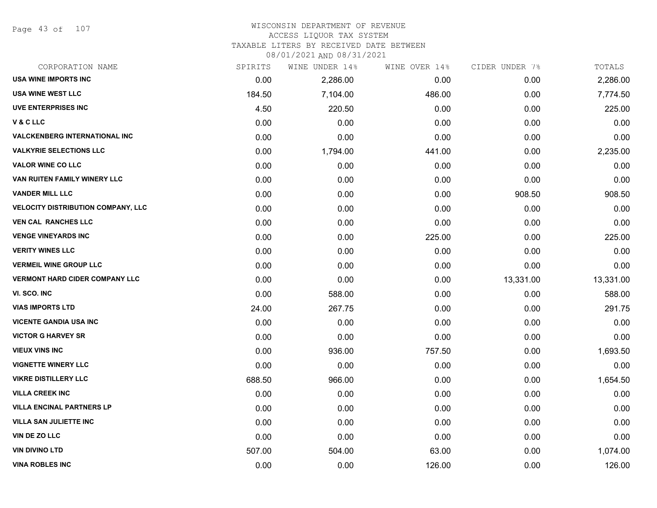Page 43 of 107

#### WISCONSIN DEPARTMENT OF REVENUE ACCESS LIQUOR TAX SYSTEM

TAXABLE LITERS BY RECEIVED DATE BETWEEN

| CORPORATION NAME                          | SPIRITS | WINE UNDER 14% | WINE OVER 14% | CIDER UNDER 7% | TOTALS    |
|-------------------------------------------|---------|----------------|---------------|----------------|-----------|
| <b>USA WINE IMPORTS INC</b>               | 0.00    | 2,286.00       | 0.00          | 0.00           | 2,286.00  |
| <b>USA WINE WEST LLC</b>                  | 184.50  | 7,104.00       | 486.00        | 0.00           | 7,774.50  |
| <b>UVE ENTERPRISES INC</b>                | 4.50    | 220.50         | 0.00          | 0.00           | 225.00    |
| V&CLLC                                    | 0.00    | 0.00           | 0.00          | 0.00           | 0.00      |
| <b>VALCKENBERG INTERNATIONAL INC</b>      | 0.00    | 0.00           | 0.00          | 0.00           | 0.00      |
| <b>VALKYRIE SELECTIONS LLC</b>            | 0.00    | 1,794.00       | 441.00        | 0.00           | 2,235.00  |
| <b>VALOR WINE CO LLC</b>                  | 0.00    | 0.00           | 0.00          | 0.00           | 0.00      |
| VAN RUITEN FAMILY WINERY LLC              | 0.00    | 0.00           | 0.00          | 0.00           | 0.00      |
| <b>VANDER MILL LLC</b>                    | 0.00    | 0.00           | 0.00          | 908.50         | 908.50    |
| <b>VELOCITY DISTRIBUTION COMPANY, LLC</b> | 0.00    | 0.00           | 0.00          | 0.00           | 0.00      |
| <b>VEN CAL RANCHES LLC</b>                | 0.00    | 0.00           | 0.00          | 0.00           | 0.00      |
| <b>VENGE VINEYARDS INC</b>                | 0.00    | 0.00           | 225.00        | 0.00           | 225.00    |
| <b>VERITY WINES LLC</b>                   | 0.00    | 0.00           | 0.00          | 0.00           | 0.00      |
| <b>VERMEIL WINE GROUP LLC</b>             | 0.00    | 0.00           | 0.00          | 0.00           | 0.00      |
| <b>VERMONT HARD CIDER COMPANY LLC</b>     | 0.00    | 0.00           | 0.00          | 13,331.00      | 13,331.00 |
| VI. SCO. INC                              | 0.00    | 588.00         | 0.00          | 0.00           | 588.00    |
| <b>VIAS IMPORTS LTD</b>                   | 24.00   | 267.75         | 0.00          | 0.00           | 291.75    |
| <b>VICENTE GANDIA USA INC</b>             | 0.00    | 0.00           | 0.00          | 0.00           | 0.00      |
| <b>VICTOR G HARVEY SR</b>                 | 0.00    | 0.00           | 0.00          | 0.00           | 0.00      |
| <b>VIEUX VINS INC</b>                     | 0.00    | 936.00         | 757.50        | 0.00           | 1,693.50  |
| <b>VIGNETTE WINERY LLC</b>                | 0.00    | 0.00           | 0.00          | 0.00           | 0.00      |
| <b>VIKRE DISTILLERY LLC</b>               | 688.50  | 966.00         | 0.00          | 0.00           | 1,654.50  |
| <b>VILLA CREEK INC</b>                    | 0.00    | 0.00           | 0.00          | 0.00           | 0.00      |
| <b>VILLA ENCINAL PARTNERS LP</b>          | 0.00    | 0.00           | 0.00          | 0.00           | 0.00      |
| <b>VILLA SAN JULIETTE INC</b>             | 0.00    | 0.00           | 0.00          | 0.00           | 0.00      |
| VIN DE ZO LLC                             | 0.00    | 0.00           | 0.00          | 0.00           | 0.00      |
| <b>VIN DIVINO LTD</b>                     | 507.00  | 504.00         | 63.00         | 0.00           | 1,074.00  |
| <b>VINA ROBLES INC</b>                    | 0.00    | 0.00           | 126.00        | 0.00           | 126.00    |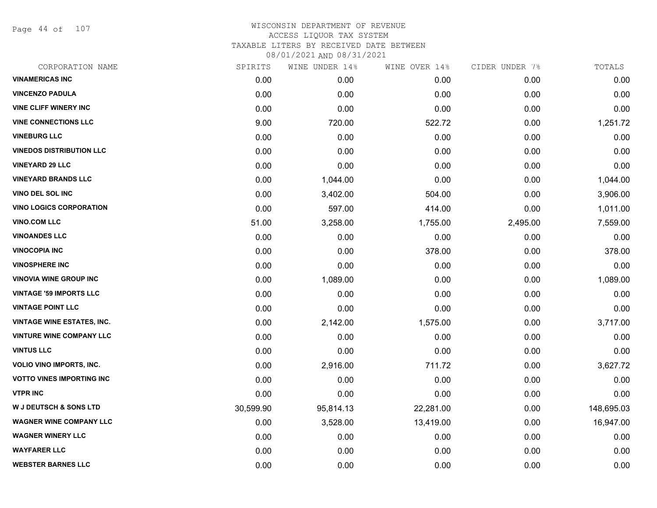Page 44 of 107

# WISCONSIN DEPARTMENT OF REVENUE ACCESS LIQUOR TAX SYSTEM TAXABLE LITERS BY RECEIVED DATE BETWEEN

| CORPORATION NAME                  | SPIRITS   | WINE UNDER 14% | WINE OVER 14% | CIDER UNDER 7% | TOTALS     |
|-----------------------------------|-----------|----------------|---------------|----------------|------------|
| <b>VINAMERICAS INC</b>            | 0.00      | 0.00           | 0.00          | 0.00           | 0.00       |
| <b>VINCENZO PADULA</b>            | 0.00      | 0.00           | 0.00          | 0.00           | 0.00       |
| <b>VINE CLIFF WINERY INC</b>      | 0.00      | 0.00           | 0.00          | 0.00           | 0.00       |
| <b>VINE CONNECTIONS LLC</b>       | 9.00      | 720.00         | 522.72        | 0.00           | 1,251.72   |
| <b>VINEBURG LLC</b>               | 0.00      | 0.00           | 0.00          | 0.00           | 0.00       |
| <b>VINEDOS DISTRIBUTION LLC</b>   | 0.00      | 0.00           | 0.00          | 0.00           | 0.00       |
| <b>VINEYARD 29 LLC</b>            | 0.00      | 0.00           | 0.00          | 0.00           | 0.00       |
| <b>VINEYARD BRANDS LLC</b>        | 0.00      | 1,044.00       | 0.00          | 0.00           | 1,044.00   |
| <b>VINO DEL SOL INC</b>           | 0.00      | 3,402.00       | 504.00        | 0.00           | 3,906.00   |
| <b>VINO LOGICS CORPORATION</b>    | 0.00      | 597.00         | 414.00        | 0.00           | 1,011.00   |
| <b>VINO.COM LLC</b>               | 51.00     | 3,258.00       | 1,755.00      | 2,495.00       | 7,559.00   |
| <b>VINOANDES LLC</b>              | 0.00      | 0.00           | 0.00          | 0.00           | 0.00       |
| <b>VINOCOPIA INC</b>              | 0.00      | 0.00           | 378.00        | 0.00           | 378.00     |
| <b>VINOSPHERE INC</b>             | 0.00      | 0.00           | 0.00          | 0.00           | 0.00       |
| <b>VINOVIA WINE GROUP INC</b>     | 0.00      | 1,089.00       | 0.00          | 0.00           | 1,089.00   |
| <b>VINTAGE '59 IMPORTS LLC</b>    | 0.00      | 0.00           | 0.00          | 0.00           | 0.00       |
| <b>VINTAGE POINT LLC</b>          | 0.00      | 0.00           | 0.00          | 0.00           | 0.00       |
| <b>VINTAGE WINE ESTATES, INC.</b> | 0.00      | 2,142.00       | 1,575.00      | 0.00           | 3,717.00   |
| <b>VINTURE WINE COMPANY LLC</b>   | 0.00      | 0.00           | 0.00          | 0.00           | 0.00       |
| <b>VINTUS LLC</b>                 | 0.00      | 0.00           | 0.00          | 0.00           | 0.00       |
| <b>VOLIO VINO IMPORTS, INC.</b>   | 0.00      | 2,916.00       | 711.72        | 0.00           | 3,627.72   |
| <b>VOTTO VINES IMPORTING INC</b>  | 0.00      | 0.00           | 0.00          | 0.00           | 0.00       |
| <b>VTPR INC</b>                   | 0.00      | 0.00           | 0.00          | 0.00           | 0.00       |
| <b>W J DEUTSCH &amp; SONS LTD</b> | 30,599.90 | 95,814.13      | 22,281.00     | 0.00           | 148,695.03 |
| <b>WAGNER WINE COMPANY LLC</b>    | 0.00      | 3,528.00       | 13,419.00     | 0.00           | 16,947.00  |
| <b>WAGNER WINERY LLC</b>          | 0.00      | 0.00           | 0.00          | 0.00           | 0.00       |
| <b>WAYFARER LLC</b>               | 0.00      | 0.00           | 0.00          | 0.00           | 0.00       |
| <b>WEBSTER BARNES LLC</b>         | 0.00      | 0.00           | 0.00          | 0.00           | 0.00       |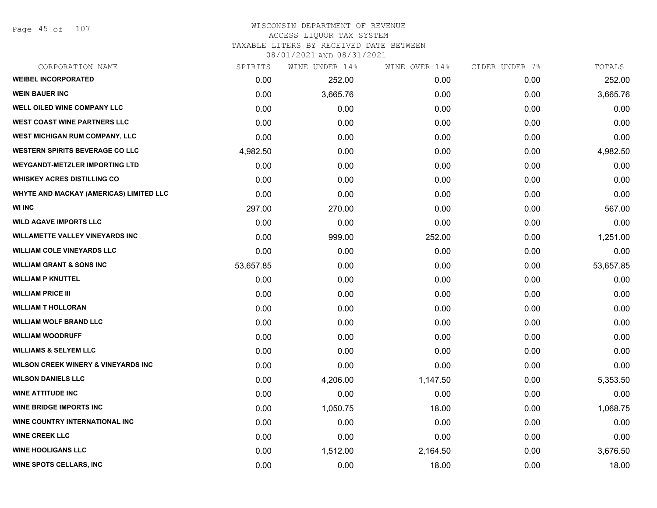Page 45 of 107

#### WISCONSIN DEPARTMENT OF REVENUE ACCESS LIQUOR TAX SYSTEM TAXABLE LITERS BY RECEIVED DATE BETWEEN

| CORPORATION NAME                               | SPIRITS   | WINE UNDER 14% | WINE OVER 14% | CIDER UNDER 7% | TOTALS    |
|------------------------------------------------|-----------|----------------|---------------|----------------|-----------|
| <b>WEIBEL INCORPORATED</b>                     | 0.00      | 252.00         | 0.00          | 0.00           | 252.00    |
| <b>WEIN BAUER INC</b>                          | 0.00      | 3,665.76       | 0.00          | 0.00           | 3,665.76  |
| WELL OILED WINE COMPANY LLC                    | 0.00      | 0.00           | 0.00          | 0.00           | 0.00      |
| <b>WEST COAST WINE PARTNERS LLC</b>            | 0.00      | 0.00           | 0.00          | 0.00           | 0.00      |
| WEST MICHIGAN RUM COMPANY, LLC                 | 0.00      | 0.00           | 0.00          | 0.00           | 0.00      |
| <b>WESTERN SPIRITS BEVERAGE CO LLC</b>         | 4,982.50  | 0.00           | 0.00          | 0.00           | 4,982.50  |
| <b>WEYGANDT-METZLER IMPORTING LTD</b>          | 0.00      | 0.00           | 0.00          | 0.00           | 0.00      |
| <b>WHISKEY ACRES DISTILLING CO</b>             | 0.00      | 0.00           | 0.00          | 0.00           | 0.00      |
| WHYTE AND MACKAY (AMERICAS) LIMITED LLC        | 0.00      | 0.00           | 0.00          | 0.00           | 0.00      |
| <b>WI INC</b>                                  | 297.00    | 270.00         | 0.00          | 0.00           | 567.00    |
| <b>WILD AGAVE IMPORTS LLC</b>                  | 0.00      | 0.00           | 0.00          | 0.00           | 0.00      |
| <b>WILLAMETTE VALLEY VINEYARDS INC</b>         | 0.00      | 999.00         | 252.00        | 0.00           | 1,251.00  |
| <b>WILLIAM COLE VINEYARDS LLC</b>              | 0.00      | 0.00           | 0.00          | 0.00           | 0.00      |
| <b>WILLIAM GRANT &amp; SONS INC</b>            | 53,657.85 | 0.00           | 0.00          | 0.00           | 53,657.85 |
| <b>WILLIAM P KNUTTEL</b>                       | 0.00      | 0.00           | 0.00          | 0.00           | 0.00      |
| <b>WILLIAM PRICE III</b>                       | 0.00      | 0.00           | 0.00          | 0.00           | 0.00      |
| <b>WILLIAM T HOLLORAN</b>                      | 0.00      | 0.00           | 0.00          | 0.00           | 0.00      |
| <b>WILLIAM WOLF BRAND LLC</b>                  | 0.00      | 0.00           | 0.00          | 0.00           | 0.00      |
| <b>WILLIAM WOODRUFF</b>                        | 0.00      | 0.00           | 0.00          | 0.00           | 0.00      |
| <b>WILLIAMS &amp; SELYEM LLC</b>               | 0.00      | 0.00           | 0.00          | 0.00           | 0.00      |
| <b>WILSON CREEK WINERY &amp; VINEYARDS INC</b> | 0.00      | 0.00           | 0.00          | 0.00           | 0.00      |
| <b>WILSON DANIELS LLC</b>                      | 0.00      | 4,206.00       | 1,147.50      | 0.00           | 5,353.50  |
| <b>WINE ATTITUDE INC.</b>                      | 0.00      | 0.00           | 0.00          | 0.00           | 0.00      |
| <b>WINE BRIDGE IMPORTS INC</b>                 | 0.00      | 1,050.75       | 18.00         | 0.00           | 1,068.75  |
| WINE COUNTRY INTERNATIONAL INC                 | 0.00      | 0.00           | 0.00          | 0.00           | 0.00      |
| <b>WINE CREEK LLC</b>                          | 0.00      | 0.00           | 0.00          | 0.00           | 0.00      |
| <b>WINE HOOLIGANS LLC</b>                      | 0.00      | 1,512.00       | 2,164.50      | 0.00           | 3,676.50  |
| WINE SPOTS CELLARS, INC                        | 0.00      | 0.00           | 18.00         | 0.00           | 18.00     |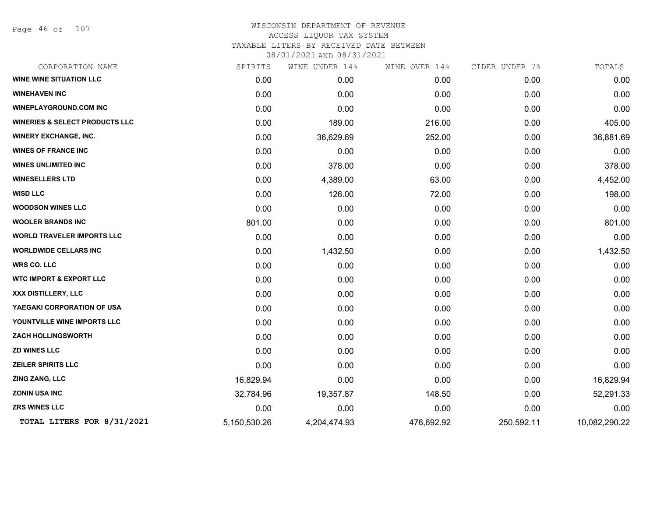Page 46 of 107

| CORPORATION NAME                          | SPIRITS      | WINE UNDER 14% | WINE OVER 14% | CIDER UNDER 7% | TOTALS        |
|-------------------------------------------|--------------|----------------|---------------|----------------|---------------|
| <b>WINE WINE SITUATION LLC</b>            | 0.00         | 0.00           | 0.00          | 0.00           | 0.00          |
| <b>WINEHAVEN INC</b>                      | 0.00         | 0.00           | 0.00          | 0.00           | 0.00          |
| <b>WINEPLAYGROUND.COM INC</b>             | 0.00         | 0.00           | 0.00          | 0.00           | 0.00          |
| <b>WINERIES &amp; SELECT PRODUCTS LLC</b> | 0.00         | 189.00         | 216.00        | 0.00           | 405.00        |
| <b>WINERY EXCHANGE, INC.</b>              | 0.00         | 36,629.69      | 252.00        | 0.00           | 36,881.69     |
| <b>WINES OF FRANCE INC</b>                | 0.00         | 0.00           | 0.00          | 0.00           | 0.00          |
| <b>WINES UNLIMITED INC</b>                | 0.00         | 378.00         | 0.00          | 0.00           | 378.00        |
| <b>WINESELLERS LTD</b>                    | 0.00         | 4,389.00       | 63.00         | 0.00           | 4,452.00      |
| <b>WISD LLC</b>                           | 0.00         | 126.00         | 72.00         | 0.00           | 198.00        |
| <b>WOODSON WINES LLC</b>                  | 0.00         | 0.00           | 0.00          | 0.00           | 0.00          |
| <b>WOOLER BRANDS INC</b>                  | 801.00       | 0.00           | 0.00          | 0.00           | 801.00        |
| <b>WORLD TRAVELER IMPORTS LLC</b>         | 0.00         | 0.00           | 0.00          | 0.00           | 0.00          |
| <b>WORLDWIDE CELLARS INC</b>              | 0.00         | 1,432.50       | 0.00          | 0.00           | 1,432.50      |
| <b>WRS CO. LLC</b>                        | 0.00         | 0.00           | 0.00          | 0.00           | 0.00          |
| <b>WTC IMPORT &amp; EXPORT LLC</b>        | 0.00         | 0.00           | 0.00          | 0.00           | 0.00          |
| XXX DISTILLERY, LLC                       | 0.00         | 0.00           | 0.00          | 0.00           | 0.00          |
| YAEGAKI CORPORATION OF USA                | 0.00         | 0.00           | 0.00          | 0.00           | 0.00          |
| YOUNTVILLE WINE IMPORTS LLC               | 0.00         | 0.00           | 0.00          | 0.00           | 0.00          |
| <b>ZACH HOLLINGSWORTH</b>                 | 0.00         | 0.00           | 0.00          | 0.00           | 0.00          |
| <b>ZD WINES LLC</b>                       | 0.00         | 0.00           | 0.00          | 0.00           | 0.00          |
| <b>ZEILER SPIRITS LLC</b>                 | 0.00         | 0.00           | 0.00          | 0.00           | 0.00          |
| ZING ZANG, LLC                            | 16,829.94    | 0.00           | 0.00          | 0.00           | 16,829.94     |
| <b>ZONIN USA INC</b>                      | 32,784.96    | 19,357.87      | 148.50        | 0.00           | 52,291.33     |
| <b>ZRS WINES LLC</b>                      | 0.00         | 0.00           | 0.00          | 0.00           | 0.00          |
| TOTAL LITERS FOR 8/31/2021                | 5,150,530.26 | 4,204,474.93   | 476,692.92    | 250,592.11     | 10,082,290.22 |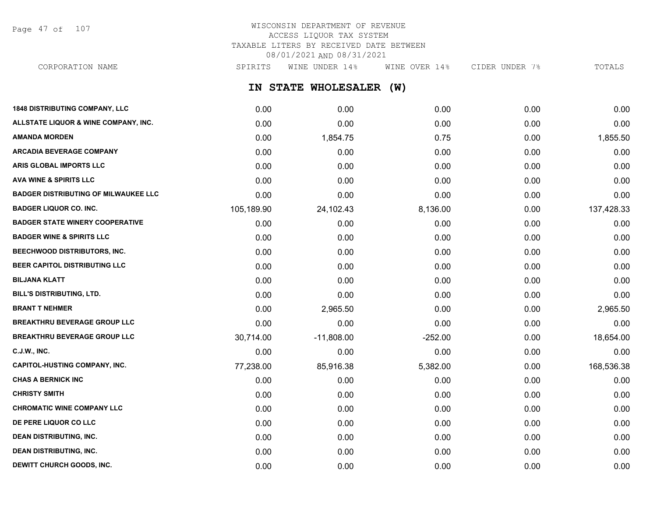Page 47 of 107

## WISCONSIN DEPARTMENT OF REVENUE ACCESS LIQUOR TAX SYSTEM TAXABLE LITERS BY RECEIVED DATE BETWEEN 08/01/2021 AND 08/31/2021 CORPORATION NAME SPIRITS WINE UNDER 14% WINE OVER 14% CIDER UNDER 7% TOTALS

**IN STATE WHOLESALER (W) 1848 DISTRIBUTING COMPANY, LLC** 0.00 0.00 0.00 0.00 0.00 **ALLSTATE LIQUOR & WINE COMPANY, INC.** 0.00 0.00 0.00 0.00 0.00 **AMANDA MORDEN** 0.00 1,854.75 0.75 0.00 1,855.50 **ARCADIA BEVERAGE COMPANY**  $0.00$   $0.00$   $0.00$   $0.00$   $0.00$   $0.00$   $0.00$   $0.00$   $0.00$   $0.00$   $0.00$   $0.00$   $0.00$   $0.00$   $0.00$   $0.00$   $0.00$   $0.00$   $0.00$   $0.00$   $0.00$   $0.00$   $0.00$   $0.00$   $0.00$   $0.00$   $0.00$   $0.00$ **ARIS GLOBAL IMPORTS LLC** 0.00 0.00 0.00 0.00 0.00 **AVA WINE & SPIRITS LLC** 0.00 0.00 0.00 0.00 0.00 **BADGER DISTRIBUTING OF MILWAUKEE LLC** 0.00 0.00 0.00 0.00 0.00 **BADGER LIQUOR CO. INC.** 105,189.90 24,102.43 8,136.00 0.00 137,428.33 **BADGER STATE WINERY COOPERATIVE** 0.00 0.00 0.00 0.00 0.00 **BADGER WINE & SPIRITS LLC** 0.00 0.00 0.00 0.00 0.00 **BEECHWOOD DISTRIBUTORS, INC.** 0.00 0.00 0.00 0.00 0.00 **BEER CAPITOL DISTRIBUTING LLC** 0.00 0.00 0.00 0.00 0.00 **BILJANA KLATT** 0.00 0.00 0.00 0.00 0.00 **BILL'S DISTRIBUTING, LTD.** 0.00 0.00 0.00 0.00 0.00 **BRANT T NEHMER** 0.00 2,965.50 0.00 0.00 2,965.50 **BREAKTHRU BEVERAGE GROUP LLC** 0.00 0.00 0.00 0.00 0.00 **BREAKTHRU BEVERAGE GROUP LLC**  $30.714.00$   $-11,808.00$   $-252.00$   $0.00$   $18,654.00$ **C.J.W., INC.** 6.00 **0.00 0.00 0.00 0.00 0.00 0.00 0.00 0.00 0.00 0.00 0.00 0.00 0.00 CAPITOL-HUSTING COMPANY, INC.** The computer of the computer of the computer of the computer of the computer of the computer of the computer of the computer of the computer of the computer of the computer of the computer o **CHAS A BERNICK INC** 0.00 0.00 0.00 0.00 0.00 **CHRISTY SMITH** 0.00 0.00 0.00 0.00 0.00 **CHROMATIC WINE COMPANY LLC** 0.00 0.00 0.00 0.00 0.00 **DE PERE LIQUOR CO LLC** 0.00 0.00 0.00 0.00 0.00 **DEAN DISTRIBUTING, INC.** 0.00 0.00 0.00 0.00 0.00

**DEAN DISTRIBUTING, INC.** 0.00 0.00 0.00 0.00 0.00 **DEWITT CHURCH GOODS, INC.** 0.00 0.00 0.00 0.00 0.00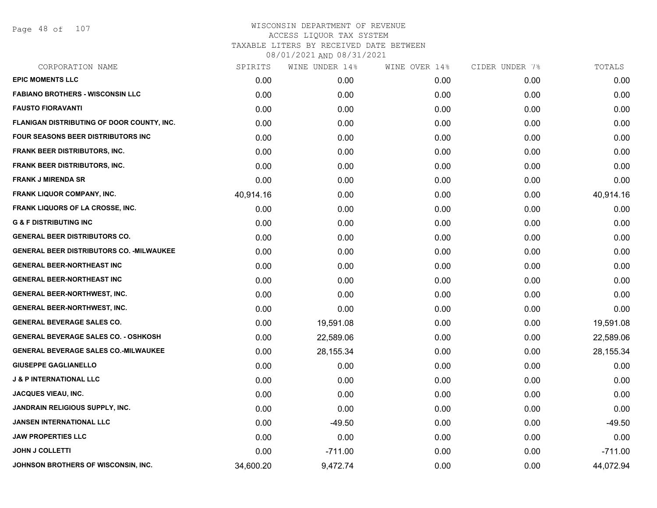Page 48 of 107

| SPIRITS   | WINE UNDER 14% | WINE OVER 14% |      | TOTALS         |
|-----------|----------------|---------------|------|----------------|
| 0.00      | 0.00           | 0.00          | 0.00 | 0.00           |
| 0.00      | 0.00           | 0.00          | 0.00 | 0.00           |
| 0.00      | 0.00           | 0.00          | 0.00 | 0.00           |
| 0.00      | 0.00           | 0.00          | 0.00 | 0.00           |
| 0.00      | 0.00           | 0.00          | 0.00 | 0.00           |
| 0.00      | 0.00           | 0.00          | 0.00 | 0.00           |
| 0.00      | 0.00           | 0.00          | 0.00 | 0.00           |
| 0.00      | 0.00           | 0.00          | 0.00 | 0.00           |
| 40,914.16 | 0.00           | 0.00          | 0.00 | 40,914.16      |
| 0.00      | 0.00           | 0.00          | 0.00 | 0.00           |
| 0.00      | 0.00           | 0.00          | 0.00 | 0.00           |
| 0.00      | 0.00           | 0.00          | 0.00 | 0.00           |
| 0.00      | 0.00           | 0.00          | 0.00 | 0.00           |
| 0.00      | 0.00           | 0.00          | 0.00 | 0.00           |
| 0.00      | 0.00           | 0.00          | 0.00 | 0.00           |
| 0.00      | 0.00           | 0.00          | 0.00 | 0.00           |
| 0.00      | 0.00           | 0.00          | 0.00 | 0.00           |
| 0.00      | 19,591.08      | 0.00          | 0.00 | 19,591.08      |
| 0.00      | 22,589.06      | 0.00          | 0.00 | 22,589.06      |
| 0.00      | 28,155.34      | 0.00          | 0.00 | 28,155.34      |
| 0.00      | 0.00           | 0.00          | 0.00 | 0.00           |
| 0.00      | 0.00           | 0.00          | 0.00 | 0.00           |
| 0.00      | 0.00           | 0.00          | 0.00 | 0.00           |
| 0.00      | 0.00           | 0.00          | 0.00 | 0.00           |
| 0.00      | $-49.50$       | 0.00          | 0.00 | $-49.50$       |
| 0.00      | 0.00           | 0.00          | 0.00 | 0.00           |
| 0.00      | $-711.00$      | 0.00          | 0.00 | $-711.00$      |
| 34,600.20 | 9,472.74       | 0.00          | 0.00 | 44,072.94      |
|           |                |               |      | CIDER UNDER 7% |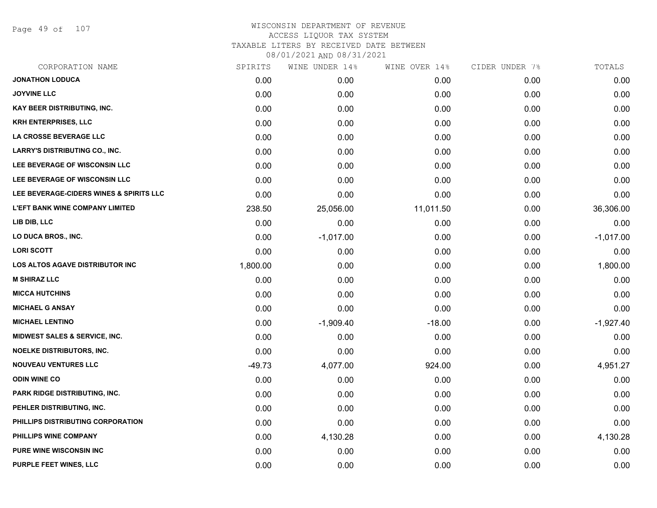Page 49 of 107

| CORPORATION NAME                        | SPIRITS  | WINE UNDER 14% | WINE OVER 14% | CIDER UNDER 7% | TOTALS      |
|-----------------------------------------|----------|----------------|---------------|----------------|-------------|
| <b>JONATHON LODUCA</b>                  | 0.00     | 0.00           | 0.00          | 0.00           | 0.00        |
| <b>JOYVINE LLC</b>                      | 0.00     | 0.00           | 0.00          | 0.00           | 0.00        |
| KAY BEER DISTRIBUTING, INC.             | 0.00     | 0.00           | 0.00          | 0.00           | 0.00        |
| <b>KRH ENTERPRISES, LLC</b>             | 0.00     | 0.00           | 0.00          | 0.00           | 0.00        |
| LA CROSSE BEVERAGE LLC                  | 0.00     | 0.00           | 0.00          | 0.00           | 0.00        |
| <b>LARRY'S DISTRIBUTING CO., INC.</b>   | 0.00     | 0.00           | 0.00          | 0.00           | 0.00        |
| LEE BEVERAGE OF WISCONSIN LLC           | 0.00     | 0.00           | 0.00          | 0.00           | 0.00        |
| LEE BEVERAGE OF WISCONSIN LLC           | 0.00     | 0.00           | 0.00          | 0.00           | 0.00        |
| LEE BEVERAGE-CIDERS WINES & SPIRITS LLC | 0.00     | 0.00           | 0.00          | 0.00           | 0.00        |
| <b>L'EFT BANK WINE COMPANY LIMITED</b>  | 238.50   | 25,056.00      | 11,011.50     | 0.00           | 36,306.00   |
| LIB DIB, LLC                            | 0.00     | 0.00           | 0.00          | 0.00           | 0.00        |
| LO DUCA BROS., INC.                     | 0.00     | $-1,017.00$    | 0.00          | 0.00           | $-1,017.00$ |
| <b>LORI SCOTT</b>                       | 0.00     | 0.00           | 0.00          | 0.00           | 0.00        |
| LOS ALTOS AGAVE DISTRIBUTOR INC         | 1,800.00 | 0.00           | 0.00          | 0.00           | 1,800.00    |
| <b>M SHIRAZ LLC</b>                     | 0.00     | 0.00           | 0.00          | 0.00           | 0.00        |
| <b>MICCA HUTCHINS</b>                   | 0.00     | 0.00           | 0.00          | 0.00           | 0.00        |
| <b>MICHAEL G ANSAY</b>                  | 0.00     | 0.00           | 0.00          | 0.00           | 0.00        |
| <b>MICHAEL LENTINO</b>                  | 0.00     | $-1,909.40$    | $-18.00$      | 0.00           | $-1,927.40$ |
| MIDWEST SALES & SERVICE, INC.           | 0.00     | 0.00           | 0.00          | 0.00           | 0.00        |
| NOELKE DISTRIBUTORS, INC.               | 0.00     | 0.00           | 0.00          | 0.00           | 0.00        |
| <b>NOUVEAU VENTURES LLC</b>             | $-49.73$ | 4,077.00       | 924.00        | 0.00           | 4,951.27    |
| <b>ODIN WINE CO</b>                     | 0.00     | 0.00           | 0.00          | 0.00           | 0.00        |
| PARK RIDGE DISTRIBUTING, INC.           | 0.00     | 0.00           | 0.00          | 0.00           | 0.00        |
| PEHLER DISTRIBUTING, INC.               | 0.00     | 0.00           | 0.00          | 0.00           | 0.00        |
| PHILLIPS DISTRIBUTING CORPORATION       | 0.00     | 0.00           | 0.00          | 0.00           | 0.00        |
| PHILLIPS WINE COMPANY                   | 0.00     | 4,130.28       | 0.00          | 0.00           | 4,130.28    |
| <b>PURE WINE WISCONSIN INC</b>          | 0.00     | 0.00           | 0.00          | 0.00           | 0.00        |
| PURPLE FEET WINES, LLC                  | 0.00     | 0.00           | 0.00          | 0.00           | 0.00        |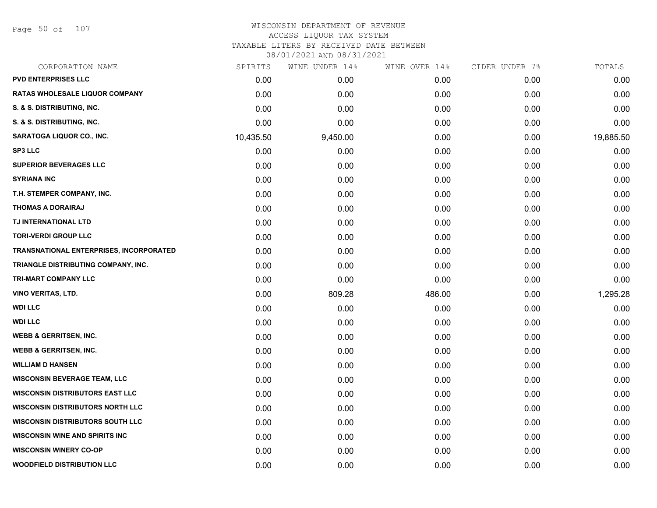Page 50 of 107

#### WISCONSIN DEPARTMENT OF REVENUE ACCESS LIQUOR TAX SYSTEM TAXABLE LITERS BY RECEIVED DATE BETWEEN

| CORPORATION NAME                               | SPIRITS   | WINE UNDER 14% | WINE OVER 14% | CIDER UNDER 7% | TOTALS    |
|------------------------------------------------|-----------|----------------|---------------|----------------|-----------|
| <b>PVD ENTERPRISES LLC</b>                     | 0.00      | 0.00           | 0.00          | 0.00           | 0.00      |
| <b>RATAS WHOLESALE LIQUOR COMPANY</b>          | 0.00      | 0.00           | 0.00          | 0.00           | 0.00      |
| S. & S. DISTRIBUTING, INC.                     | 0.00      | 0.00           | 0.00          | 0.00           | 0.00      |
| S. & S. DISTRIBUTING, INC.                     | 0.00      | 0.00           | 0.00          | 0.00           | 0.00      |
| SARATOGA LIQUOR CO., INC.                      | 10,435.50 | 9,450.00       | 0.00          | 0.00           | 19,885.50 |
| <b>SP3 LLC</b>                                 | 0.00      | 0.00           | 0.00          | 0.00           | 0.00      |
| <b>SUPERIOR BEVERAGES LLC</b>                  | 0.00      | 0.00           | 0.00          | 0.00           | 0.00      |
| <b>SYRIANA INC</b>                             | 0.00      | 0.00           | 0.00          | 0.00           | 0.00      |
| T.H. STEMPER COMPANY, INC.                     | 0.00      | 0.00           | 0.00          | 0.00           | 0.00      |
| <b>THOMAS A DORAIRAJ</b>                       | 0.00      | 0.00           | 0.00          | 0.00           | 0.00      |
| TJ INTERNATIONAL LTD                           | 0.00      | 0.00           | 0.00          | 0.00           | 0.00      |
| <b>TORI-VERDI GROUP LLC</b>                    | 0.00      | 0.00           | 0.00          | 0.00           | 0.00      |
| <b>TRANSNATIONAL ENTERPRISES, INCORPORATED</b> | 0.00      | 0.00           | 0.00          | 0.00           | 0.00      |
| TRIANGLE DISTRIBUTING COMPANY, INC.            | 0.00      | 0.00           | 0.00          | 0.00           | 0.00      |
| TRI-MART COMPANY LLC                           | 0.00      | 0.00           | 0.00          | 0.00           | 0.00      |
| <b>VINO VERITAS, LTD.</b>                      | 0.00      | 809.28         | 486.00        | 0.00           | 1,295.28  |
| <b>WDI LLC</b>                                 | 0.00      | 0.00           | 0.00          | 0.00           | 0.00      |
| <b>WDI LLC</b>                                 | 0.00      | 0.00           | 0.00          | 0.00           | 0.00      |
| <b>WEBB &amp; GERRITSEN, INC.</b>              | 0.00      | 0.00           | 0.00          | 0.00           | 0.00      |
| <b>WEBB &amp; GERRITSEN, INC.</b>              | 0.00      | 0.00           | 0.00          | 0.00           | 0.00      |
| <b>WILLIAM D HANSEN</b>                        | 0.00      | 0.00           | 0.00          | 0.00           | 0.00      |
| <b>WISCONSIN BEVERAGE TEAM, LLC</b>            | 0.00      | 0.00           | 0.00          | 0.00           | 0.00      |
| <b>WISCONSIN DISTRIBUTORS EAST LLC</b>         | 0.00      | 0.00           | 0.00          | 0.00           | 0.00      |
| <b>WISCONSIN DISTRIBUTORS NORTH LLC</b>        | 0.00      | 0.00           | 0.00          | 0.00           | 0.00      |
| <b>WISCONSIN DISTRIBUTORS SOUTH LLC</b>        | 0.00      | 0.00           | 0.00          | 0.00           | 0.00      |
| <b>WISCONSIN WINE AND SPIRITS INC</b>          | 0.00      | 0.00           | 0.00          | 0.00           | 0.00      |
| <b>WISCONSIN WINERY CO-OP</b>                  | 0.00      | 0.00           | 0.00          | 0.00           | 0.00      |
| <b>WOODFIELD DISTRIBUTION LLC</b>              | 0.00      | 0.00           | 0.00          | 0.00           | 0.00      |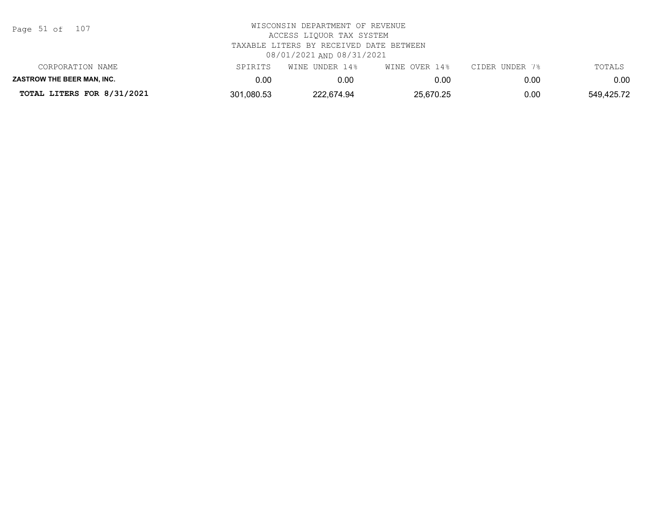| Page 51 of |  |  | 107 |
|------------|--|--|-----|
|------------|--|--|-----|

| CORPORATION NAME                  | SPIRITS    | WINE UNDER 14% | WINE OVER 14% | CIDER UNDER 7% | TOTALS     |
|-----------------------------------|------------|----------------|---------------|----------------|------------|
| <b>ZASTROW THE BEER MAN. INC.</b> | J.OC       | 0.OC           | 0.00          | 0.00           | 0.00       |
| TOTAL LITERS FOR 8/31/2021        | 301,080.53 | 222.674.94     | 25,670.25     | 0.00           | 549,425.72 |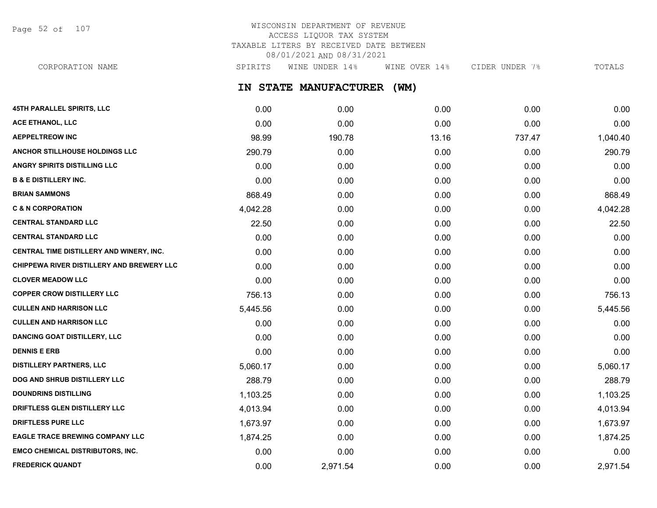Page 52 of 107

# WISCONSIN DEPARTMENT OF REVENUE ACCESS LIQUOR TAX SYSTEM TAXABLE LITERS BY RECEIVED DATE BETWEEN 08/01/2021 AND 08/31/2021

**IN STATE MANUFACTURER (WM) 45TH PARALLEL SPIRITS, LLC** 0.00 0.00 0.00 0.00 0.00 **ACE ETHANOL, LLC** 0.00 0.00 0.00 0.00 0.00 **AEPPELTREOW INC** 1,040.40 **ANCHOR STILLHOUSE HOLDINGS LLC** 290.79 0.00 0.00 0.00 290.79 **ANGRY SPIRITS DISTILLING LLC** 0.00 0.00 0.00 0.00 0.00 **B & E DISTILLERY INC.** 0.00 0.00 0.00 0.00 0.00 **BRIAN SAMMONS** 868.49 0.00 0.00 0.00 868.49 **C & N CORPORATION** 4,042.28 0.00 0.00 0.00 4,042.28 **CENTRAL STANDARD LLC** 22.50 0.00 0.00 0.00 22.50 **CENTRAL STANDARD LLC** 0.00 0.00 0.00 0.00 0.00 **CENTRAL TIME DISTILLERY AND WINERY, INC.**  $0.00$   $0.00$   $0.00$   $0.00$   $0.00$   $0.00$   $0.00$   $0.00$   $0.00$   $0.00$   $0.00$ **CHIPPEWA RIVER DISTILLERY AND BREWERY LLC** 0.00 0.00 0.00 0.00 0.00 **CLOVER MEADOW LLC** 0.00 0.00 0.00 0.00 0.00 **COPPER CROW DISTILLERY LLC** 756.13 0.00 0.00 0.00 756.13 **CULLEN AND HARRISON LLC** 5,445.56 0.00 0.00 0.00 5,445.56 **CULLEN AND HARRISON LLC** 0.00 0.00 0.00 0.00 0.00 **DANCING GOAT DISTILLERY, LLC** 0.00 0.00 0.00 0.00 0.00 **DENNIS E ERB** 0.00 0.00 0.00 0.00 0.00 **DISTILLERY PARTNERS, LLC** 5,060.17 0.00 0.00 0.00 5,060.17 **DOG AND SHRUB DISTILLERY LLC** 288.79 288.79 0.00 0.00 0.00 0.00 0.00 0.00 0.00 288.79 CORPORATION NAME SPIRITS WINE UNDER 14% WINE OVER 14% CIDER UNDER 7% TOTALS

**DOUNDRINS DISTILLING** 1,103.25 0.00 0.00 0.00 1,103.25 **DRIFTLESS GLEN DISTILLERY LLC** 4,013.94 0.00 0.00 0.00 4,013.94 **DRIFTLESS PURE LLC** 1,673.97 0.00 0.00 0.00 1,673.97 **EAGLE TRACE BREWING COMPANY LLC** 1,874.25 0.00 0.00 0.00 1,874.25 **EMCO CHEMICAL DISTRIBUTORS, INC.** 0.00 0.00 0.00 0.00 0.00 **FREDERICK QUANDT** 0.00 2,971.54 0.00 0.00 2,971.54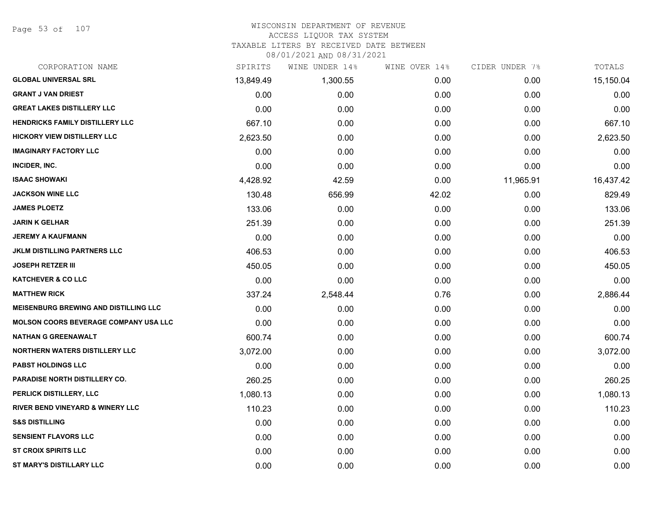Page 53 of 107

#### WISCONSIN DEPARTMENT OF REVENUE ACCESS LIQUOR TAX SYSTEM

TAXABLE LITERS BY RECEIVED DATE BETWEEN

| CORPORATION NAME                             | SPIRITS   | WINE UNDER 14% | WINE OVER 14% | CIDER UNDER 7% | TOTALS    |
|----------------------------------------------|-----------|----------------|---------------|----------------|-----------|
| <b>GLOBAL UNIVERSAL SRL</b>                  | 13,849.49 | 1,300.55       | 0.00          | 0.00           | 15,150.04 |
| <b>GRANT J VAN DRIEST</b>                    | 0.00      | 0.00           | 0.00          | 0.00           | 0.00      |
| <b>GREAT LAKES DISTILLERY LLC</b>            | 0.00      | 0.00           | 0.00          | 0.00           | 0.00      |
| <b>HENDRICKS FAMILY DISTILLERY LLC</b>       | 667.10    | 0.00           | 0.00          | 0.00           | 667.10    |
| <b>HICKORY VIEW DISTILLERY LLC</b>           | 2,623.50  | 0.00           | 0.00          | 0.00           | 2,623.50  |
| <b>IMAGINARY FACTORY LLC</b>                 | 0.00      | 0.00           | 0.00          | 0.00           | 0.00      |
| INCIDER, INC.                                | 0.00      | 0.00           | 0.00          | 0.00           | 0.00      |
| <b>ISAAC SHOWAKI</b>                         | 4,428.92  | 42.59          | 0.00          | 11,965.91      | 16,437.42 |
| <b>JACKSON WINE LLC</b>                      | 130.48    | 656.99         | 42.02         | 0.00           | 829.49    |
| <b>JAMES PLOETZ</b>                          | 133.06    | 0.00           | 0.00          | 0.00           | 133.06    |
| JARIN K GELHAR                               | 251.39    | 0.00           | 0.00          | 0.00           | 251.39    |
| <b>JEREMY A KAUFMANN</b>                     | 0.00      | 0.00           | 0.00          | 0.00           | 0.00      |
| <b>JKLM DISTILLING PARTNERS LLC</b>          | 406.53    | 0.00           | 0.00          | 0.00           | 406.53    |
| <b>JOSEPH RETZER III</b>                     | 450.05    | 0.00           | 0.00          | 0.00           | 450.05    |
| <b>KATCHEVER &amp; CO LLC</b>                | 0.00      | 0.00           | 0.00          | 0.00           | 0.00      |
| <b>MATTHEW RICK</b>                          | 337.24    | 2,548.44       | 0.76          | 0.00           | 2,886.44  |
| <b>MEISENBURG BREWING AND DISTILLING LLC</b> | 0.00      | 0.00           | 0.00          | 0.00           | 0.00      |
| <b>MOLSON COORS BEVERAGE COMPANY USA LLC</b> | 0.00      | 0.00           | 0.00          | 0.00           | 0.00      |
| <b>NATHAN G GREENAWALT</b>                   | 600.74    | 0.00           | 0.00          | 0.00           | 600.74    |
| <b>NORTHERN WATERS DISTILLERY LLC</b>        | 3,072.00  | 0.00           | 0.00          | 0.00           | 3,072.00  |
| <b>PABST HOLDINGS LLC</b>                    | 0.00      | 0.00           | 0.00          | 0.00           | 0.00      |
| <b>PARADISE NORTH DISTILLERY CO.</b>         | 260.25    | 0.00           | 0.00          | 0.00           | 260.25    |
| PERLICK DISTILLERY, LLC                      | 1,080.13  | 0.00           | 0.00          | 0.00           | 1,080.13  |
| <b>RIVER BEND VINEYARD &amp; WINERY LLC</b>  | 110.23    | 0.00           | 0.00          | 0.00           | 110.23    |
| <b>S&amp;S DISTILLING</b>                    | 0.00      | 0.00           | 0.00          | 0.00           | 0.00      |
| <b>SENSIENT FLAVORS LLC</b>                  | 0.00      | 0.00           | 0.00          | 0.00           | 0.00      |
| <b>ST CROIX SPIRITS LLC</b>                  | 0.00      | 0.00           | 0.00          | 0.00           | 0.00      |
| ST MARY'S DISTILLARY LLC                     | 0.00      | 0.00           | 0.00          | 0.00           | 0.00      |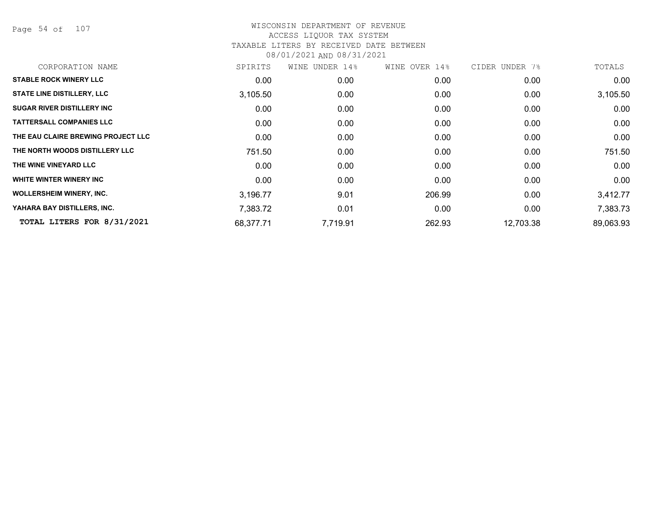Page 54 of 107

| CORPORATION NAME                   | SPIRITS   | WINE UNDER 14% | WINE OVER 14% | CIDER UNDER 7% | TOTALS    |
|------------------------------------|-----------|----------------|---------------|----------------|-----------|
| <b>STABLE ROCK WINERY LLC</b>      | 0.00      | 0.00           | 0.00          | 0.00           | 0.00      |
| <b>STATE LINE DISTILLERY, LLC</b>  | 3,105.50  | 0.00           | 0.00          | 0.00           | 3,105.50  |
| <b>SUGAR RIVER DISTILLERY INC</b>  | 0.00      | 0.00           | 0.00          | 0.00           | 0.00      |
| <b>TATTERSALL COMPANIES LLC</b>    | 0.00      | 0.00           | 0.00          | 0.00           | 0.00      |
| THE EAU CLAIRE BREWING PROJECT LLC | 0.00      | 0.00           | 0.00          | 0.00           | 0.00      |
| THE NORTH WOODS DISTILLERY LLC     | 751.50    | 0.00           | 0.00          | 0.00           | 751.50    |
| THE WINE VINEYARD LLC              | 0.00      | 0.00           | 0.00          | 0.00           | 0.00      |
| WHITE WINTER WINERY INC            | 0.00      | 0.00           | 0.00          | 0.00           | 0.00      |
| <b>WOLLERSHEIM WINERY, INC.</b>    | 3,196.77  | 9.01           | 206.99        | 0.00           | 3,412.77  |
| YAHARA BAY DISTILLERS, INC.        | 7,383.72  | 0.01           | 0.00          | 0.00           | 7,383.73  |
| TOTAL LITERS FOR 8/31/2021         | 68,377.71 | 7,719.91       | 262.93        | 12,703.38      | 89,063.93 |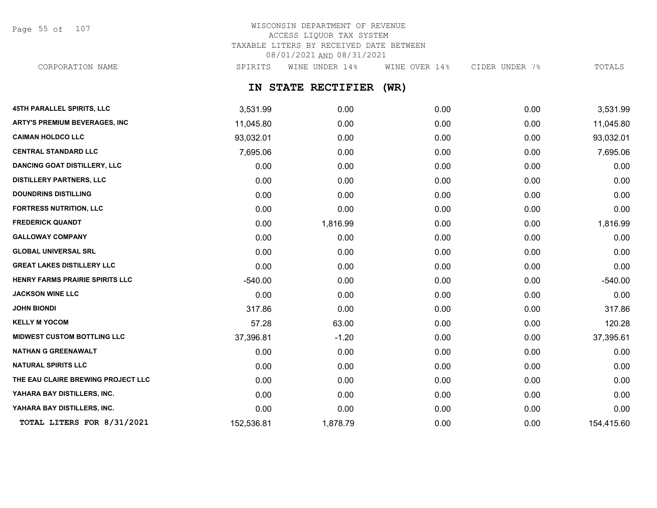Page 55 of 107

# WISCONSIN DEPARTMENT OF REVENUE ACCESS LIQUOR TAX SYSTEM TAXABLE LITERS BY RECEIVED DATE BETWEEN 08/01/2021 AND 08/31/2021 CORPORATION NAME SPIRITS WINE UNDER 14% WINE OVER 14% CIDER UNDER 7% TOTALS

**IN STATE RECTIFIER (WR)**

| <b>45TH PARALLEL SPIRITS, LLC</b>    | 3,531.99   | 0.00     | 0.00 | 0.00 | 3,531.99   |
|--------------------------------------|------------|----------|------|------|------------|
| <b>ARTY'S PREMIUM BEVERAGES, INC</b> | 11,045.80  | 0.00     | 0.00 | 0.00 | 11,045.80  |
| <b>CAIMAN HOLDCO LLC</b>             | 93,032.01  | 0.00     | 0.00 | 0.00 | 93,032.01  |
| <b>CENTRAL STANDARD LLC</b>          | 7,695.06   | 0.00     | 0.00 | 0.00 | 7,695.06   |
| <b>DANCING GOAT DISTILLERY, LLC</b>  | 0.00       | 0.00     | 0.00 | 0.00 | 0.00       |
| <b>DISTILLERY PARTNERS, LLC</b>      | 0.00       | 0.00     | 0.00 | 0.00 | 0.00       |
| <b>DOUNDRINS DISTILLING</b>          | 0.00       | 0.00     | 0.00 | 0.00 | 0.00       |
| <b>FORTRESS NUTRITION, LLC</b>       | 0.00       | 0.00     | 0.00 | 0.00 | 0.00       |
| <b>FREDERICK QUANDT</b>              | 0.00       | 1,816.99 | 0.00 | 0.00 | 1,816.99   |
| <b>GALLOWAY COMPANY</b>              | 0.00       | 0.00     | 0.00 | 0.00 | 0.00       |
| <b>GLOBAL UNIVERSAL SRL</b>          | 0.00       | 0.00     | 0.00 | 0.00 | 0.00       |
| <b>GREAT LAKES DISTILLERY LLC</b>    | 0.00       | 0.00     | 0.00 | 0.00 | 0.00       |
| HENRY FARMS PRAIRIE SPIRITS LLC      | $-540.00$  | 0.00     | 0.00 | 0.00 | $-540.00$  |
| <b>JACKSON WINE LLC</b>              | 0.00       | 0.00     | 0.00 | 0.00 | 0.00       |
| <b>JOHN BIONDI</b>                   | 317.86     | 0.00     | 0.00 | 0.00 | 317.86     |
| <b>KELLY M YOCOM</b>                 | 57.28      | 63.00    | 0.00 | 0.00 | 120.28     |
| <b>MIDWEST CUSTOM BOTTLING LLC</b>   | 37,396.81  | $-1.20$  | 0.00 | 0.00 | 37,395.61  |
| <b>NATHAN G GREENAWALT</b>           | 0.00       | 0.00     | 0.00 | 0.00 | 0.00       |
| <b>NATURAL SPIRITS LLC</b>           | 0.00       | 0.00     | 0.00 | 0.00 | 0.00       |
| THE EAU CLAIRE BREWING PROJECT LLC   | 0.00       | 0.00     | 0.00 | 0.00 | 0.00       |
| YAHARA BAY DISTILLERS, INC.          | 0.00       | 0.00     | 0.00 | 0.00 | 0.00       |
| YAHARA BAY DISTILLERS, INC.          | 0.00       | 0.00     | 0.00 | 0.00 | 0.00       |
| TOTAL LITERS FOR 8/31/2021           | 152,536.81 | 1,878.79 | 0.00 | 0.00 | 154,415.60 |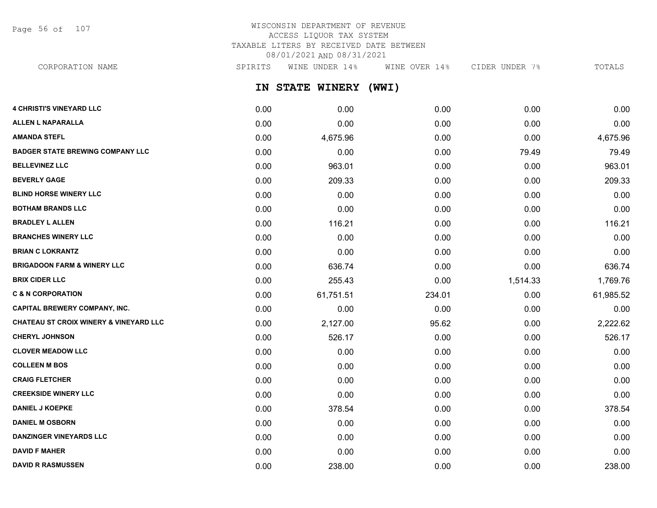Page 56 of 107

# WISCONSIN DEPARTMENT OF REVENUE ACCESS LIQUOR TAX SYSTEM TAXABLE LITERS BY RECEIVED DATE BETWEEN 08/01/2021 AND 08/31/2021

CORPORATION NAME SPIRITS WINE UNDER 14% WINE OVER 14% CIDER UNDER 7% TOTALS

**IN STATE WINERY (WWI)**

| <b>4 CHRISTI'S VINEYARD LLC</b>                   | 0.00 | 0.00      | 0.00   | 0.00     | 0.00      |
|---------------------------------------------------|------|-----------|--------|----------|-----------|
| <b>ALLEN L NAPARALLA</b>                          | 0.00 | 0.00      | 0.00   | 0.00     | 0.00      |
| <b>AMANDA STEFL</b>                               | 0.00 | 4,675.96  | 0.00   | 0.00     | 4,675.96  |
| <b>BADGER STATE BREWING COMPANY LLC</b>           | 0.00 | 0.00      | 0.00   | 79.49    | 79.49     |
| <b>BELLEVINEZ LLC</b>                             | 0.00 | 963.01    | 0.00   | 0.00     | 963.01    |
| <b>BEVERLY GAGE</b>                               | 0.00 | 209.33    | 0.00   | 0.00     | 209.33    |
| <b>BLIND HORSE WINERY LLC</b>                     | 0.00 | 0.00      | 0.00   | 0.00     | 0.00      |
| <b>BOTHAM BRANDS LLC</b>                          | 0.00 | 0.00      | 0.00   | 0.00     | 0.00      |
| <b>BRADLEY L ALLEN</b>                            | 0.00 | 116.21    | 0.00   | 0.00     | 116.21    |
| <b>BRANCHES WINERY LLC</b>                        | 0.00 | 0.00      | 0.00   | 0.00     | 0.00      |
| <b>BRIAN C LOKRANTZ</b>                           | 0.00 | 0.00      | 0.00   | 0.00     | 0.00      |
| <b>BRIGADOON FARM &amp; WINERY LLC</b>            | 0.00 | 636.74    | 0.00   | 0.00     | 636.74    |
| <b>BRIX CIDER LLC</b>                             | 0.00 | 255.43    | 0.00   | 1,514.33 | 1,769.76  |
| <b>C &amp; N CORPORATION</b>                      | 0.00 | 61,751.51 | 234.01 | 0.00     | 61,985.52 |
| <b>CAPITAL BREWERY COMPANY, INC.</b>              | 0.00 | 0.00      | 0.00   | 0.00     | 0.00      |
| <b>CHATEAU ST CROIX WINERY &amp; VINEYARD LLC</b> | 0.00 | 2,127.00  | 95.62  | 0.00     | 2,222.62  |
| <b>CHERYL JOHNSON</b>                             | 0.00 | 526.17    | 0.00   | 0.00     | 526.17    |
| <b>CLOVER MEADOW LLC</b>                          | 0.00 | 0.00      | 0.00   | 0.00     | 0.00      |
| <b>COLLEEN M BOS</b>                              | 0.00 | 0.00      | 0.00   | 0.00     | 0.00      |
| <b>CRAIG FLETCHER</b>                             | 0.00 | 0.00      | 0.00   | 0.00     | 0.00      |
| <b>CREEKSIDE WINERY LLC</b>                       | 0.00 | 0.00      | 0.00   | 0.00     | 0.00      |
| <b>DANIEL J KOEPKE</b>                            | 0.00 | 378.54    | 0.00   | 0.00     | 378.54    |
| <b>DANIEL M OSBORN</b>                            | 0.00 | 0.00      | 0.00   | 0.00     | 0.00      |
| <b>DANZINGER VINEYARDS LLC</b>                    | 0.00 | 0.00      | 0.00   | 0.00     | 0.00      |
| <b>DAVID F MAHER</b>                              | 0.00 | 0.00      | 0.00   | 0.00     | 0.00      |
| <b>DAVID R RASMUSSEN</b>                          | 0.00 | 238.00    | 0.00   | 0.00     | 238.00    |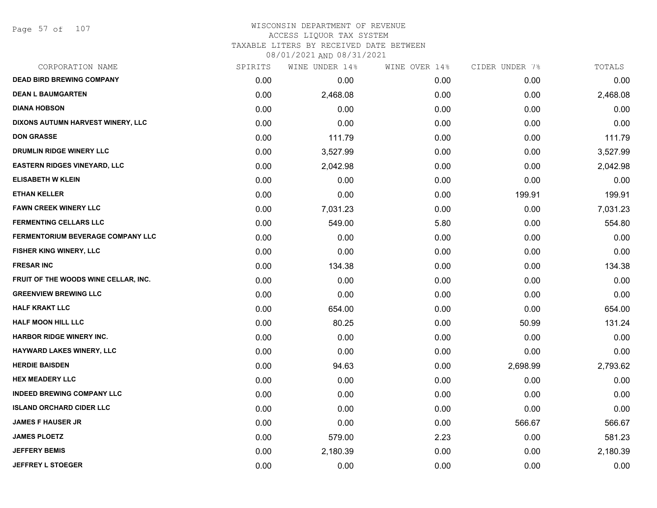# WISCONSIN DEPARTMENT OF REVENUE ACCESS LIQUOR TAX SYSTEM

TAXABLE LITERS BY RECEIVED DATE BETWEEN

| CORPORATION NAME                     | SPIRITS | WINE UNDER 14% | WINE OVER 14% | CIDER UNDER 7% | TOTALS   |
|--------------------------------------|---------|----------------|---------------|----------------|----------|
| <b>DEAD BIRD BREWING COMPANY</b>     | 0.00    | 0.00           | 0.00          | 0.00           | 0.00     |
| <b>DEAN L BAUMGARTEN</b>             | 0.00    | 2,468.08       | 0.00          | 0.00           | 2,468.08 |
| <b>DIANA HOBSON</b>                  | 0.00    | 0.00           | 0.00          | 0.00           | 0.00     |
| DIXONS AUTUMN HARVEST WINERY, LLC    | 0.00    | 0.00           | 0.00          | 0.00           | 0.00     |
| <b>DON GRASSE</b>                    | 0.00    | 111.79         | 0.00          | 0.00           | 111.79   |
| DRUMLIN RIDGE WINERY LLC             | 0.00    | 3,527.99       | 0.00          | 0.00           | 3,527.99 |
| <b>EASTERN RIDGES VINEYARD, LLC</b>  | 0.00    | 2,042.98       | 0.00          | 0.00           | 2,042.98 |
| <b>ELISABETH W KLEIN</b>             | 0.00    | 0.00           | 0.00          | 0.00           | 0.00     |
| <b>ETHAN KELLER</b>                  | 0.00    | 0.00           | 0.00          | 199.91         | 199.91   |
| <b>FAWN CREEK WINERY LLC</b>         | 0.00    | 7,031.23       | 0.00          | 0.00           | 7,031.23 |
| <b>FERMENTING CELLARS LLC</b>        | 0.00    | 549.00         | 5.80          | 0.00           | 554.80   |
| FERMENTORIUM BEVERAGE COMPANY LLC    | 0.00    | 0.00           | 0.00          | 0.00           | 0.00     |
| <b>FISHER KING WINERY, LLC</b>       | 0.00    | 0.00           | 0.00          | 0.00           | 0.00     |
| <b>FRESAR INC</b>                    | 0.00    | 134.38         | 0.00          | 0.00           | 134.38   |
| FRUIT OF THE WOODS WINE CELLAR, INC. | 0.00    | 0.00           | 0.00          | 0.00           | 0.00     |
| <b>GREENVIEW BREWING LLC</b>         | 0.00    | 0.00           | 0.00          | 0.00           | 0.00     |
| <b>HALF KRAKT LLC</b>                | 0.00    | 654.00         | 0.00          | 0.00           | 654.00   |
| <b>HALF MOON HILL LLC</b>            | 0.00    | 80.25          | 0.00          | 50.99          | 131.24   |
| <b>HARBOR RIDGE WINERY INC.</b>      | 0.00    | 0.00           | 0.00          | 0.00           | 0.00     |
| HAYWARD LAKES WINERY, LLC            | 0.00    | 0.00           | 0.00          | 0.00           | 0.00     |
| <b>HERDIE BAISDEN</b>                | 0.00    | 94.63          | 0.00          | 2,698.99       | 2,793.62 |
| <b>HEX MEADERY LLC</b>               | 0.00    | 0.00           | 0.00          | 0.00           | 0.00     |
| <b>INDEED BREWING COMPANY LLC</b>    | 0.00    | 0.00           | 0.00          | 0.00           | 0.00     |
| <b>ISLAND ORCHARD CIDER LLC</b>      | 0.00    | 0.00           | 0.00          | 0.00           | 0.00     |
| <b>JAMES F HAUSER JR</b>             | 0.00    | 0.00           | 0.00          | 566.67         | 566.67   |
| <b>JAMES PLOETZ</b>                  | 0.00    | 579.00         | 2.23          | 0.00           | 581.23   |
| <b>JEFFERY BEMIS</b>                 | 0.00    | 2,180.39       | 0.00          | 0.00           | 2,180.39 |
| <b>JEFFREY L STOEGER</b>             | 0.00    | 0.00           | 0.00          | 0.00           | 0.00     |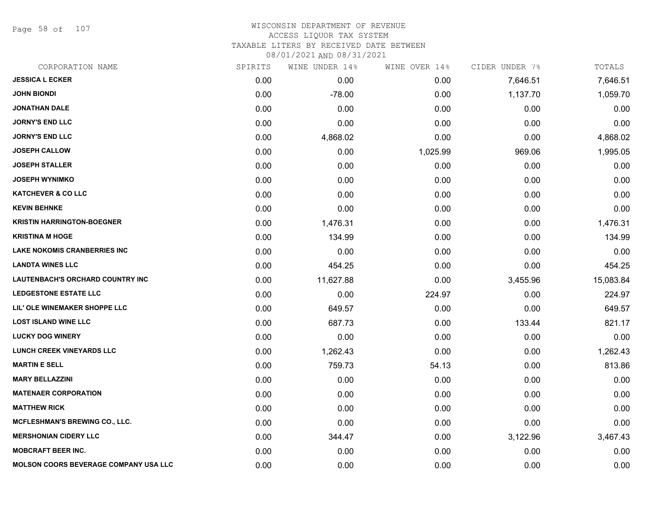Page 58 of 107

# WISCONSIN DEPARTMENT OF REVENUE ACCESS LIQUOR TAX SYSTEM

TAXABLE LITERS BY RECEIVED DATE BETWEEN

| CORPORATION NAME                             | SPIRITS | WINE UNDER 14% | WINE OVER 14% | CIDER UNDER 7% | TOTALS    |
|----------------------------------------------|---------|----------------|---------------|----------------|-----------|
| <b>JESSICA L ECKER</b>                       | 0.00    | 0.00           | 0.00          | 7,646.51       | 7,646.51  |
| <b>JOHN BIONDI</b>                           | 0.00    | $-78.00$       | 0.00          | 1,137.70       | 1,059.70  |
| <b>JONATHAN DALE</b>                         | 0.00    | 0.00           | 0.00          | 0.00           | 0.00      |
| <b>JORNY'S END LLC</b>                       | 0.00    | 0.00           | 0.00          | 0.00           | 0.00      |
| <b>JORNY'S END LLC</b>                       | 0.00    | 4,868.02       | 0.00          | 0.00           | 4,868.02  |
| <b>JOSEPH CALLOW</b>                         | 0.00    | 0.00           | 1,025.99      | 969.06         | 1,995.05  |
| <b>JOSEPH STALLER</b>                        | 0.00    | 0.00           | 0.00          | 0.00           | 0.00      |
| <b>JOSEPH WYNIMKO</b>                        | 0.00    | 0.00           | 0.00          | 0.00           | 0.00      |
| <b>KATCHEVER &amp; CO LLC</b>                | 0.00    | 0.00           | 0.00          | 0.00           | 0.00      |
| <b>KEVIN BEHNKE</b>                          | 0.00    | 0.00           | 0.00          | 0.00           | 0.00      |
| <b>KRISTIN HARRINGTON-BOEGNER</b>            | 0.00    | 1,476.31       | 0.00          | 0.00           | 1,476.31  |
| <b>KRISTINA M HOGE</b>                       | 0.00    | 134.99         | 0.00          | 0.00           | 134.99    |
| <b>LAKE NOKOMIS CRANBERRIES INC</b>          | 0.00    | 0.00           | 0.00          | 0.00           | 0.00      |
| <b>LANDTA WINES LLC</b>                      | 0.00    | 454.25         | 0.00          | 0.00           | 454.25    |
| LAUTENBACH'S ORCHARD COUNTRY INC             | 0.00    | 11,627.88      | 0.00          | 3,455.96       | 15,083.84 |
| <b>LEDGESTONE ESTATE LLC</b>                 | 0.00    | 0.00           | 224.97        | 0.00           | 224.97    |
| LIL' OLE WINEMAKER SHOPPE LLC                | 0.00    | 649.57         | 0.00          | 0.00           | 649.57    |
| <b>LOST ISLAND WINE LLC</b>                  | 0.00    | 687.73         | 0.00          | 133.44         | 821.17    |
| <b>LUCKY DOG WINERY</b>                      | 0.00    | 0.00           | 0.00          | 0.00           | 0.00      |
| <b>LUNCH CREEK VINEYARDS LLC</b>             | 0.00    | 1,262.43       | 0.00          | 0.00           | 1,262.43  |
| <b>MARTIN E SELL</b>                         | 0.00    | 759.73         | 54.13         | 0.00           | 813.86    |
| <b>MARY BELLAZZINI</b>                       | 0.00    | 0.00           | 0.00          | 0.00           | 0.00      |
| <b>MATENAER CORPORATION</b>                  | 0.00    | 0.00           | 0.00          | 0.00           | 0.00      |
| <b>MATTHEW RICK</b>                          | 0.00    | 0.00           | 0.00          | 0.00           | 0.00      |
| MCFLESHMAN'S BREWING CO., LLC.               | 0.00    | 0.00           | 0.00          | 0.00           | 0.00      |
| <b>MERSHONIAN CIDERY LLC</b>                 | 0.00    | 344.47         | 0.00          | 3,122.96       | 3,467.43  |
| <b>MOBCRAFT BEER INC.</b>                    | 0.00    | 0.00           | 0.00          | 0.00           | 0.00      |
| <b>MOLSON COORS BEVERAGE COMPANY USA LLC</b> | 0.00    | 0.00           | 0.00          | 0.00           | 0.00      |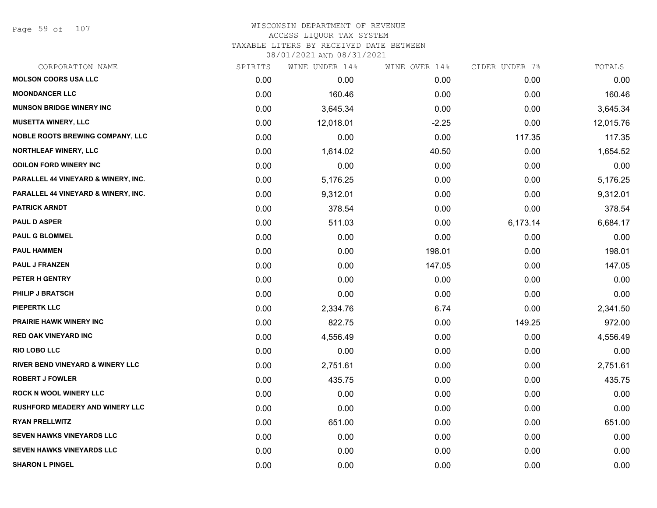Page 59 of 107

# WISCONSIN DEPARTMENT OF REVENUE ACCESS LIQUOR TAX SYSTEM TAXABLE LITERS BY RECEIVED DATE BETWEEN

| CORPORATION NAME                            | SPIRITS | WINE UNDER 14% | WINE OVER 14% | CIDER UNDER 7% | TOTALS    |
|---------------------------------------------|---------|----------------|---------------|----------------|-----------|
| <b>MOLSON COORS USA LLC</b>                 | 0.00    | 0.00           | 0.00          | 0.00           | 0.00      |
| <b>MOONDANCER LLC</b>                       | 0.00    | 160.46         | 0.00          | 0.00           | 160.46    |
| <b>MUNSON BRIDGE WINERY INC</b>             | 0.00    | 3,645.34       | 0.00          | 0.00           | 3,645.34  |
| <b>MUSETTA WINERY, LLC</b>                  | 0.00    | 12,018.01      | $-2.25$       | 0.00           | 12,015.76 |
| <b>NOBLE ROOTS BREWING COMPANY, LLC</b>     | 0.00    | 0.00           | 0.00          | 117.35         | 117.35    |
| NORTHLEAF WINERY, LLC                       | 0.00    | 1,614.02       | 40.50         | 0.00           | 1,654.52  |
| <b>ODILON FORD WINERY INC</b>               | 0.00    | 0.00           | 0.00          | 0.00           | 0.00      |
| PARALLEL 44 VINEYARD & WINERY, INC.         | 0.00    | 5,176.25       | 0.00          | 0.00           | 5,176.25  |
| PARALLEL 44 VINEYARD & WINERY, INC.         | 0.00    | 9,312.01       | 0.00          | 0.00           | 9,312.01  |
| <b>PATRICK ARNDT</b>                        | 0.00    | 378.54         | 0.00          | 0.00           | 378.54    |
| <b>PAUL D ASPER</b>                         | 0.00    | 511.03         | 0.00          | 6,173.14       | 6,684.17  |
| <b>PAUL G BLOMMEL</b>                       | 0.00    | 0.00           | 0.00          | 0.00           | 0.00      |
| <b>PAUL HAMMEN</b>                          | 0.00    | 0.00           | 198.01        | 0.00           | 198.01    |
| <b>PAUL J FRANZEN</b>                       | 0.00    | 0.00           | 147.05        | 0.00           | 147.05    |
| PETER H GENTRY                              | 0.00    | 0.00           | 0.00          | 0.00           | 0.00      |
| <b>PHILIP J BRATSCH</b>                     | 0.00    | 0.00           | 0.00          | 0.00           | 0.00      |
| <b>PIEPERTK LLC</b>                         | 0.00    | 2,334.76       | 6.74          | 0.00           | 2,341.50  |
| <b>PRAIRIE HAWK WINERY INC</b>              | 0.00    | 822.75         | 0.00          | 149.25         | 972.00    |
| <b>RED OAK VINEYARD INC</b>                 | 0.00    | 4,556.49       | 0.00          | 0.00           | 4,556.49  |
| <b>RIO LOBO LLC</b>                         | 0.00    | 0.00           | 0.00          | 0.00           | 0.00      |
| <b>RIVER BEND VINEYARD &amp; WINERY LLC</b> | 0.00    | 2,751.61       | 0.00          | 0.00           | 2,751.61  |
| <b>ROBERT J FOWLER</b>                      | 0.00    | 435.75         | 0.00          | 0.00           | 435.75    |
| <b>ROCK N WOOL WINERY LLC</b>               | 0.00    | 0.00           | 0.00          | 0.00           | 0.00      |
| <b>RUSHFORD MEADERY AND WINERY LLC</b>      | 0.00    | 0.00           | 0.00          | 0.00           | 0.00      |
| <b>RYAN PRELLWITZ</b>                       | 0.00    | 651.00         | 0.00          | 0.00           | 651.00    |
| <b>SEVEN HAWKS VINEYARDS LLC</b>            | 0.00    | 0.00           | 0.00          | 0.00           | 0.00      |
| SEVEN HAWKS VINEYARDS LLC                   | 0.00    | 0.00           | 0.00          | 0.00           | 0.00      |
| <b>SHARON L PINGEL</b>                      | 0.00    | 0.00           | 0.00          | 0.00           | 0.00      |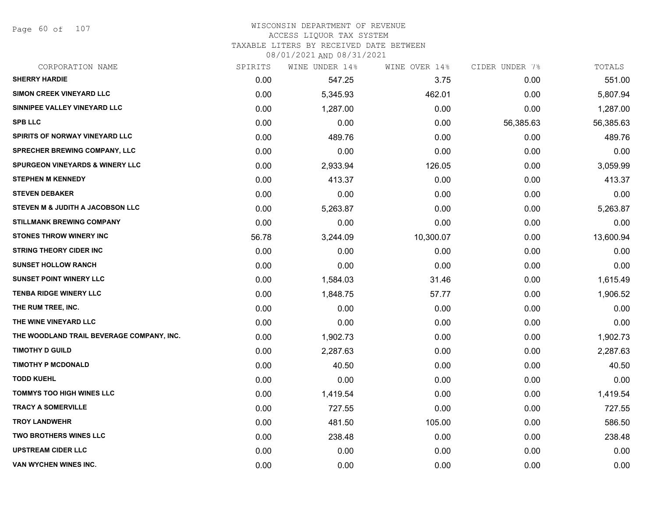Page 60 of 107

# WISCONSIN DEPARTMENT OF REVENUE

# ACCESS LIQUOR TAX SYSTEM

TAXABLE LITERS BY RECEIVED DATE BETWEEN

| CORPORATION NAME                           | SPIRITS | WINE UNDER 14% | WINE OVER 14% | CIDER UNDER 7% | TOTALS    |
|--------------------------------------------|---------|----------------|---------------|----------------|-----------|
| <b>SHERRY HARDIE</b>                       | 0.00    | 547.25         | 3.75          | 0.00           | 551.00    |
| SIMON CREEK VINEYARD LLC                   | 0.00    | 5,345.93       | 462.01        | 0.00           | 5,807.94  |
| SINNIPEE VALLEY VINEYARD LLC               | 0.00    | 1,287.00       | 0.00          | 0.00           | 1,287.00  |
| <b>SPB LLC</b>                             | 0.00    | 0.00           | 0.00          | 56,385.63      | 56,385.63 |
| <b>SPIRITS OF NORWAY VINEYARD LLC</b>      | 0.00    | 489.76         | 0.00          | 0.00           | 489.76    |
| <b>SPRECHER BREWING COMPANY, LLC</b>       | 0.00    | 0.00           | 0.00          | 0.00           | 0.00      |
| <b>SPURGEON VINEYARDS &amp; WINERY LLC</b> | 0.00    | 2,933.94       | 126.05        | 0.00           | 3,059.99  |
| <b>STEPHEN M KENNEDY</b>                   | 0.00    | 413.37         | 0.00          | 0.00           | 413.37    |
| <b>STEVEN DEBAKER</b>                      | 0.00    | 0.00           | 0.00          | 0.00           | 0.00      |
| STEVEN M & JUDITH A JACOBSON LLC           | 0.00    | 5,263.87       | 0.00          | 0.00           | 5,263.87  |
| <b>STILLMANK BREWING COMPANY</b>           | 0.00    | 0.00           | 0.00          | 0.00           | 0.00      |
| <b>STONES THROW WINERY INC</b>             | 56.78   | 3,244.09       | 10,300.07     | 0.00           | 13,600.94 |
| <b>STRING THEORY CIDER INC</b>             | 0.00    | 0.00           | 0.00          | 0.00           | 0.00      |
| <b>SUNSET HOLLOW RANCH</b>                 | 0.00    | 0.00           | 0.00          | 0.00           | 0.00      |
| <b>SUNSET POINT WINERY LLC</b>             | 0.00    | 1,584.03       | 31.46         | 0.00           | 1,615.49  |
| <b>TENBA RIDGE WINERY LLC</b>              | 0.00    | 1,848.75       | 57.77         | 0.00           | 1,906.52  |
| THE RUM TREE, INC.                         | 0.00    | 0.00           | 0.00          | 0.00           | 0.00      |
| THE WINE VINEYARD LLC                      | 0.00    | 0.00           | 0.00          | 0.00           | 0.00      |
| THE WOODLAND TRAIL BEVERAGE COMPANY, INC.  | 0.00    | 1,902.73       | 0.00          | 0.00           | 1,902.73  |
| <b>TIMOTHY D GUILD</b>                     | 0.00    | 2,287.63       | 0.00          | 0.00           | 2,287.63  |
| <b>TIMOTHY P MCDONALD</b>                  | 0.00    | 40.50          | 0.00          | 0.00           | 40.50     |
| <b>TODD KUEHL</b>                          | 0.00    | 0.00           | 0.00          | 0.00           | 0.00      |
| <b>TOMMYS TOO HIGH WINES LLC</b>           | 0.00    | 1,419.54       | 0.00          | 0.00           | 1,419.54  |
| <b>TRACY A SOMERVILLE</b>                  | 0.00    | 727.55         | 0.00          | 0.00           | 727.55    |
| <b>TROY LANDWEHR</b>                       | 0.00    | 481.50         | 105.00        | 0.00           | 586.50    |
| <b>TWO BROTHERS WINES LLC</b>              | 0.00    | 238.48         | 0.00          | 0.00           | 238.48    |
| <b>UPSTREAM CIDER LLC</b>                  | 0.00    | 0.00           | 0.00          | 0.00           | 0.00      |
| VAN WYCHEN WINES INC.                      | 0.00    | 0.00           | 0.00          | 0.00           | 0.00      |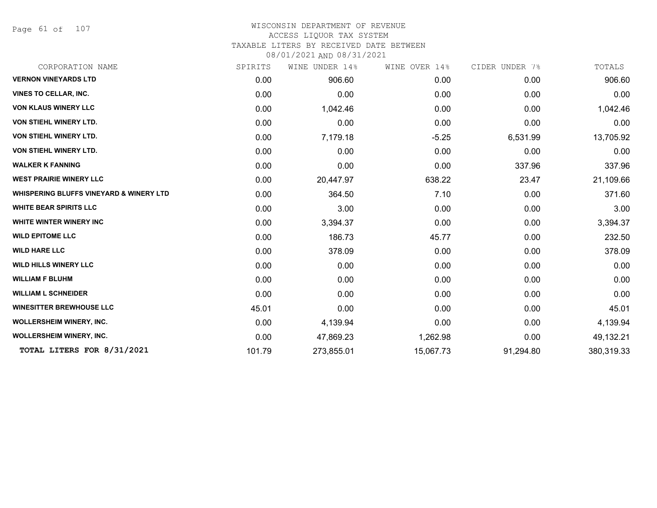Page 61 of 107

# WISCONSIN DEPARTMENT OF REVENUE

# ACCESS LIQUOR TAX SYSTEM

TAXABLE LITERS BY RECEIVED DATE BETWEEN

| CORPORATION NAME                                   | SPIRITS | WINE UNDER 14% | WINE OVER 14% | CIDER UNDER 7% | TOTALS     |
|----------------------------------------------------|---------|----------------|---------------|----------------|------------|
| <b>VERNON VINEYARDS LTD</b>                        | 0.00    | 906.60         | 0.00          | 0.00           | 906.60     |
| <b>VINES TO CELLAR, INC.</b>                       | 0.00    | 0.00           | 0.00          | 0.00           | 0.00       |
| <b>VON KLAUS WINERY LLC</b>                        | 0.00    | 1,042.46       | 0.00          | 0.00           | 1,042.46   |
| <b>VON STIEHL WINERY LTD.</b>                      | 0.00    | 0.00           | 0.00          | 0.00           | 0.00       |
| <b>VON STIEHL WINERY LTD.</b>                      | 0.00    | 7,179.18       | $-5.25$       | 6,531.99       | 13,705.92  |
| VON STIEHL WINERY LTD.                             | 0.00    | 0.00           | 0.00          | 0.00           | 0.00       |
| <b>WALKER K FANNING</b>                            | 0.00    | 0.00           | 0.00          | 337.96         | 337.96     |
| <b>WEST PRAIRIE WINERY LLC</b>                     | 0.00    | 20,447.97      | 638.22        | 23.47          | 21,109.66  |
| <b>WHISPERING BLUFFS VINEYARD &amp; WINERY LTD</b> | 0.00    | 364.50         | 7.10          | 0.00           | 371.60     |
| <b>WHITE BEAR SPIRITS LLC</b>                      | 0.00    | 3.00           | 0.00          | 0.00           | 3.00       |
| <b>WHITE WINTER WINERY INC</b>                     | 0.00    | 3,394.37       | 0.00          | 0.00           | 3,394.37   |
| <b>WILD EPITOME LLC</b>                            | 0.00    | 186.73         | 45.77         | 0.00           | 232.50     |
| <b>WILD HARE LLC</b>                               | 0.00    | 378.09         | 0.00          | 0.00           | 378.09     |
| <b>WILD HILLS WINERY LLC</b>                       | 0.00    | 0.00           | 0.00          | 0.00           | 0.00       |
| <b>WILLIAM F BLUHM</b>                             | 0.00    | 0.00           | 0.00          | 0.00           | 0.00       |
| <b>WILLIAM L SCHNEIDER</b>                         | 0.00    | 0.00           | 0.00          | 0.00           | 0.00       |
| <b>WINESITTER BREWHOUSE LLC</b>                    | 45.01   | 0.00           | 0.00          | 0.00           | 45.01      |
| <b>WOLLERSHEIM WINERY, INC.</b>                    | 0.00    | 4,139.94       | 0.00          | 0.00           | 4,139.94   |
| <b>WOLLERSHEIM WINERY, INC.</b>                    | 0.00    | 47,869.23      | 1,262.98      | 0.00           | 49,132.21  |
| TOTAL LITERS FOR 8/31/2021                         | 101.79  | 273,855.01     | 15,067.73     | 91,294.80      | 380,319.33 |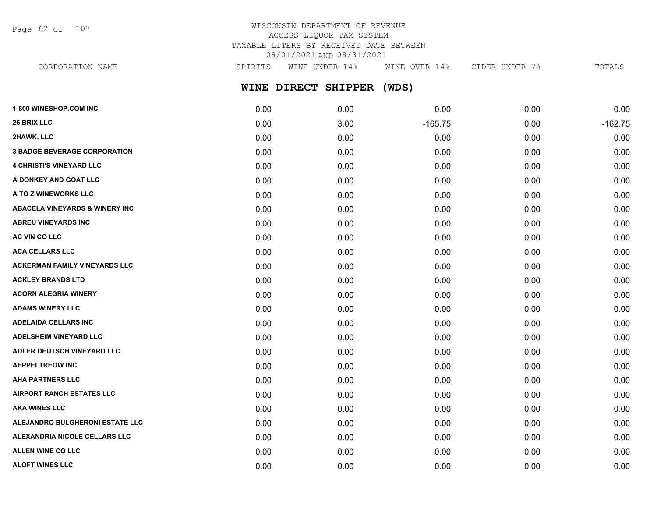Page 62 of 107

# WISCONSIN DEPARTMENT OF REVENUE ACCESS LIQUOR TAX SYSTEM TAXABLE LITERS BY RECEIVED DATE BETWEEN 08/01/2021 AND 08/31/2021

**WINE DIRECT SHIPPER (WDS)** CORPORATION NAME SPIRITS WINE UNDER 14% WINE OVER 14% CIDER UNDER 7% TOTALS

| <b>1-800 WINESHOP.COM INC</b>             | 0.00 | 0.00 | 0.00      | 0.00 | 0.00      |
|-------------------------------------------|------|------|-----------|------|-----------|
| 26 BRIX LLC                               | 0.00 | 3.00 | $-165.75$ | 0.00 | $-162.75$ |
| 2HAWK, LLC                                | 0.00 | 0.00 | 0.00      | 0.00 | 0.00      |
| <b>3 BADGE BEVERAGE CORPORATION</b>       | 0.00 | 0.00 | 0.00      | 0.00 | 0.00      |
| <b>4 CHRISTI'S VINEYARD LLC</b>           | 0.00 | 0.00 | 0.00      | 0.00 | 0.00      |
| A DONKEY AND GOAT LLC                     | 0.00 | 0.00 | 0.00      | 0.00 | 0.00      |
| A TO Z WINEWORKS LLC                      | 0.00 | 0.00 | 0.00      | 0.00 | 0.00      |
| <b>ABACELA VINEYARDS &amp; WINERY INC</b> | 0.00 | 0.00 | 0.00      | 0.00 | 0.00      |
| <b>ABREU VINEYARDS INC</b>                | 0.00 | 0.00 | 0.00      | 0.00 | 0.00      |
| AC VIN CO LLC                             | 0.00 | 0.00 | 0.00      | 0.00 | 0.00      |
| <b>ACA CELLARS LLC</b>                    | 0.00 | 0.00 | 0.00      | 0.00 | 0.00      |
| <b>ACKERMAN FAMILY VINEYARDS LLC</b>      | 0.00 | 0.00 | 0.00      | 0.00 | 0.00      |
| <b>ACKLEY BRANDS LTD</b>                  | 0.00 | 0.00 | 0.00      | 0.00 | 0.00      |
| <b>ACORN ALEGRIA WINERY</b>               | 0.00 | 0.00 | 0.00      | 0.00 | 0.00      |
| <b>ADAMS WINERY LLC</b>                   | 0.00 | 0.00 | 0.00      | 0.00 | 0.00      |
| <b>ADELAIDA CELLARS INC</b>               | 0.00 | 0.00 | 0.00      | 0.00 | 0.00      |
| <b>ADELSHEIM VINEYARD LLC</b>             | 0.00 | 0.00 | 0.00      | 0.00 | 0.00      |
| ADLER DEUTSCH VINEYARD LLC                | 0.00 | 0.00 | 0.00      | 0.00 | 0.00      |
| <b>AEPPELTREOW INC</b>                    | 0.00 | 0.00 | 0.00      | 0.00 | 0.00      |
| <b>AHA PARTNERS LLC</b>                   | 0.00 | 0.00 | 0.00      | 0.00 | 0.00      |
| <b>AIRPORT RANCH ESTATES LLC</b>          | 0.00 | 0.00 | 0.00      | 0.00 | 0.00      |
| <b>AKA WINES LLC</b>                      | 0.00 | 0.00 | 0.00      | 0.00 | 0.00      |
| ALEJANDRO BULGHERONI ESTATE LLC           | 0.00 | 0.00 | 0.00      | 0.00 | 0.00      |
| ALEXANDRIA NICOLE CELLARS LLC             | 0.00 | 0.00 | 0.00      | 0.00 | 0.00      |
| <b>ALLEN WINE CO LLC</b>                  | 0.00 | 0.00 | 0.00      | 0.00 | 0.00      |
| <b>ALOFT WINES LLC</b>                    | 0.00 | 0.00 | 0.00      | 0.00 | 0.00      |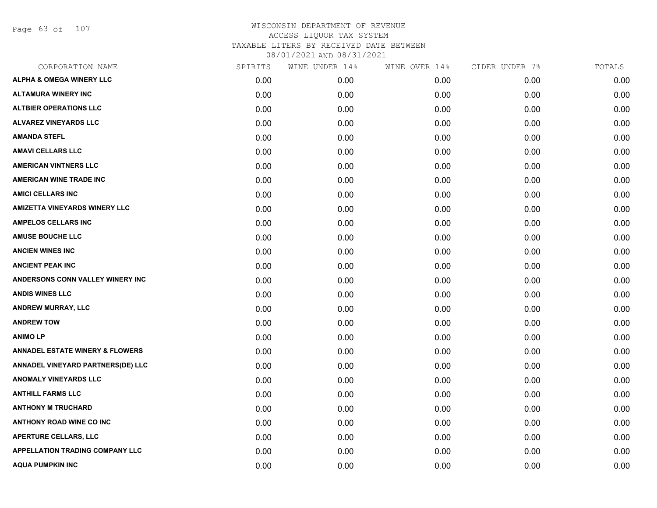Page 63 of 107

| CORPORATION NAME                           | SPIRITS | WINE UNDER 14% | WINE OVER 14% | CIDER UNDER 7% | TOTALS |
|--------------------------------------------|---------|----------------|---------------|----------------|--------|
| <b>ALPHA &amp; OMEGA WINERY LLC</b>        | 0.00    | 0.00           | 0.00          | 0.00           | 0.00   |
| <b>ALTAMURA WINERY INC</b>                 | 0.00    | 0.00           | 0.00          | 0.00           | 0.00   |
| <b>ALTBIER OPERATIONS LLC</b>              | 0.00    | 0.00           | 0.00          | 0.00           | 0.00   |
| <b>ALVAREZ VINEYARDS LLC</b>               | 0.00    | 0.00           | 0.00          | 0.00           | 0.00   |
| <b>AMANDA STEFL</b>                        | 0.00    | 0.00           | 0.00          | 0.00           | 0.00   |
| <b>AMAVI CELLARS LLC</b>                   | 0.00    | 0.00           | 0.00          | 0.00           | 0.00   |
| <b>AMERICAN VINTNERS LLC</b>               | 0.00    | 0.00           | 0.00          | 0.00           | 0.00   |
| <b>AMERICAN WINE TRADE INC</b>             | 0.00    | 0.00           | 0.00          | 0.00           | 0.00   |
| <b>AMICI CELLARS INC</b>                   | 0.00    | 0.00           | 0.00          | 0.00           | 0.00   |
| <b>AMIZETTA VINEYARDS WINERY LLC</b>       | 0.00    | 0.00           | 0.00          | 0.00           | 0.00   |
| <b>AMPELOS CELLARS INC</b>                 | 0.00    | 0.00           | 0.00          | 0.00           | 0.00   |
| <b>AMUSE BOUCHE LLC</b>                    | 0.00    | 0.00           | 0.00          | 0.00           | 0.00   |
| <b>ANCIEN WINES INC</b>                    | 0.00    | 0.00           | 0.00          | 0.00           | 0.00   |
| <b>ANCIENT PEAK INC</b>                    | 0.00    | 0.00           | 0.00          | 0.00           | 0.00   |
| ANDERSONS CONN VALLEY WINERY INC           | 0.00    | 0.00           | 0.00          | 0.00           | 0.00   |
| <b>ANDIS WINES LLC</b>                     | 0.00    | 0.00           | 0.00          | 0.00           | 0.00   |
| <b>ANDREW MURRAY, LLC</b>                  | 0.00    | 0.00           | 0.00          | 0.00           | 0.00   |
| <b>ANDREW TOW</b>                          | 0.00    | 0.00           | 0.00          | 0.00           | 0.00   |
| <b>ANIMOLP</b>                             | 0.00    | 0.00           | 0.00          | 0.00           | 0.00   |
| <b>ANNADEL ESTATE WINERY &amp; FLOWERS</b> | 0.00    | 0.00           | 0.00          | 0.00           | 0.00   |
| ANNADEL VINEYARD PARTNERS(DE) LLC          | 0.00    | 0.00           | 0.00          | 0.00           | 0.00   |
| <b>ANOMALY VINEYARDS LLC</b>               | 0.00    | 0.00           | 0.00          | 0.00           | 0.00   |
| <b>ANTHILL FARMS LLC</b>                   | 0.00    | 0.00           | 0.00          | 0.00           | 0.00   |
| <b>ANTHONY M TRUCHARD</b>                  | 0.00    | 0.00           | 0.00          | 0.00           | 0.00   |
| <b>ANTHONY ROAD WINE CO INC</b>            | 0.00    | 0.00           | 0.00          | 0.00           | 0.00   |
| <b>APERTURE CELLARS, LLC</b>               | 0.00    | 0.00           | 0.00          | 0.00           | 0.00   |
| <b>APPELLATION TRADING COMPANY LLC</b>     | 0.00    | 0.00           | 0.00          | 0.00           | 0.00   |
| <b>AQUA PUMPKIN INC</b>                    | 0.00    | 0.00           | 0.00          | 0.00           | 0.00   |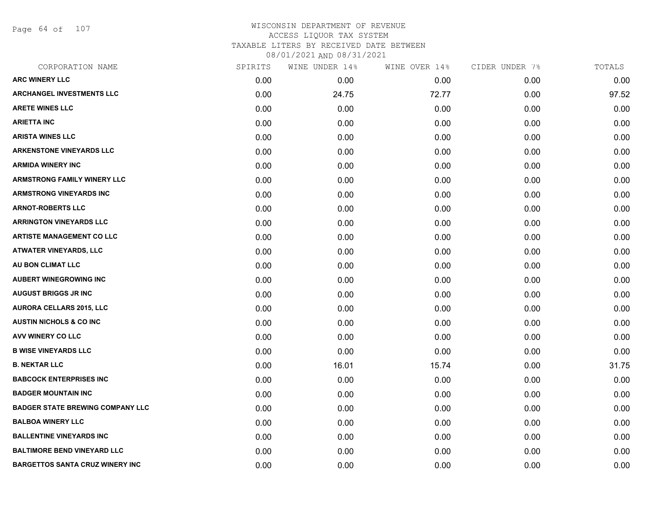Page 64 of 107

# WISCONSIN DEPARTMENT OF REVENUE ACCESS LIQUOR TAX SYSTEM TAXABLE LITERS BY RECEIVED DATE BETWEEN

| CORPORATION NAME                        | SPIRITS | WINE UNDER 14% | WINE OVER 14% | CIDER UNDER 7% | TOTALS |
|-----------------------------------------|---------|----------------|---------------|----------------|--------|
| <b>ARC WINERY LLC</b>                   | 0.00    | 0.00           | 0.00          | 0.00           | 0.00   |
| <b>ARCHANGEL INVESTMENTS LLC</b>        | 0.00    | 24.75          | 72.77         | 0.00           | 97.52  |
| <b>ARETE WINES LLC</b>                  | 0.00    | 0.00           | 0.00          | 0.00           | 0.00   |
| <b>ARIETTA INC</b>                      | 0.00    | 0.00           | 0.00          | 0.00           | 0.00   |
| <b>ARISTA WINES LLC</b>                 | 0.00    | 0.00           | 0.00          | 0.00           | 0.00   |
| <b>ARKENSTONE VINEYARDS LLC</b>         | 0.00    | 0.00           | 0.00          | 0.00           | 0.00   |
| <b>ARMIDA WINERY INC</b>                | 0.00    | 0.00           | 0.00          | 0.00           | 0.00   |
| <b>ARMSTRONG FAMILY WINERY LLC</b>      | 0.00    | 0.00           | 0.00          | 0.00           | 0.00   |
| <b>ARMSTRONG VINEYARDS INC</b>          | 0.00    | 0.00           | 0.00          | 0.00           | 0.00   |
| <b>ARNOT-ROBERTS LLC</b>                | 0.00    | 0.00           | 0.00          | 0.00           | 0.00   |
| <b>ARRINGTON VINEYARDS LLC</b>          | 0.00    | 0.00           | 0.00          | 0.00           | 0.00   |
| <b>ARTISTE MANAGEMENT CO LLC</b>        | 0.00    | 0.00           | 0.00          | 0.00           | 0.00   |
| <b>ATWATER VINEYARDS, LLC</b>           | 0.00    | 0.00           | 0.00          | 0.00           | 0.00   |
| AU BON CLIMAT LLC                       | 0.00    | 0.00           | 0.00          | 0.00           | 0.00   |
| <b>AUBERT WINEGROWING INC</b>           | 0.00    | 0.00           | 0.00          | 0.00           | 0.00   |
| <b>AUGUST BRIGGS JR INC</b>             | 0.00    | 0.00           | 0.00          | 0.00           | 0.00   |
| <b>AURORA CELLARS 2015, LLC</b>         | 0.00    | 0.00           | 0.00          | 0.00           | 0.00   |
| <b>AUSTIN NICHOLS &amp; CO INC</b>      | 0.00    | 0.00           | 0.00          | 0.00           | 0.00   |
| AVV WINERY CO LLC                       | 0.00    | 0.00           | 0.00          | 0.00           | 0.00   |
| <b>B WISE VINEYARDS LLC</b>             | 0.00    | 0.00           | 0.00          | 0.00           | 0.00   |
| <b>B. NEKTAR LLC</b>                    | 0.00    | 16.01          | 15.74         | 0.00           | 31.75  |
| <b>BABCOCK ENTERPRISES INC</b>          | 0.00    | 0.00           | 0.00          | 0.00           | 0.00   |
| <b>BADGER MOUNTAIN INC</b>              | 0.00    | 0.00           | 0.00          | 0.00           | 0.00   |
| <b>BADGER STATE BREWING COMPANY LLC</b> | 0.00    | 0.00           | 0.00          | 0.00           | 0.00   |
| <b>BALBOA WINERY LLC</b>                | 0.00    | 0.00           | 0.00          | 0.00           | 0.00   |
| <b>BALLENTINE VINEYARDS INC</b>         | 0.00    | 0.00           | 0.00          | 0.00           | 0.00   |
| <b>BALTIMORE BEND VINEYARD LLC</b>      | 0.00    | 0.00           | 0.00          | 0.00           | 0.00   |
| <b>BARGETTOS SANTA CRUZ WINERY INC</b>  | 0.00    | 0.00           | 0.00          | 0.00           | 0.00   |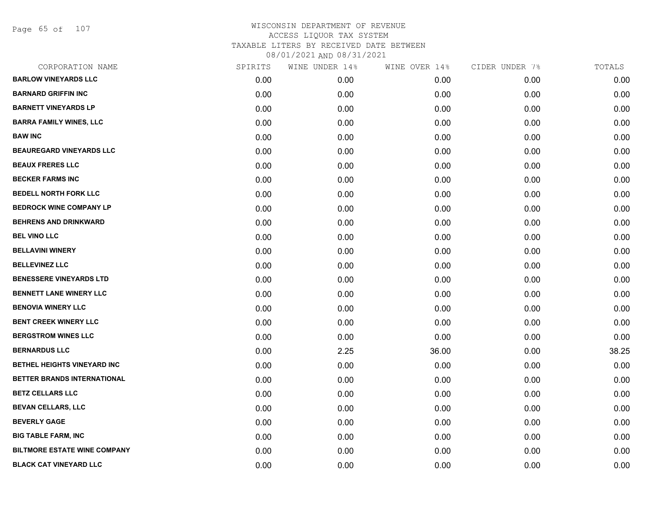Page 65 of 107

| CORPORATION NAME                    | SPIRITS | WINE UNDER 14% | WINE OVER 14% | CIDER UNDER 7% | TOTALS |
|-------------------------------------|---------|----------------|---------------|----------------|--------|
| <b>BARLOW VINEYARDS LLC</b>         | 0.00    | 0.00           | 0.00          | 0.00           | 0.00   |
| <b>BARNARD GRIFFIN INC</b>          | 0.00    | 0.00           | 0.00          | 0.00           | 0.00   |
| <b>BARNETT VINEYARDS LP</b>         | 0.00    | 0.00           | 0.00          | 0.00           | 0.00   |
| <b>BARRA FAMILY WINES, LLC</b>      | 0.00    | 0.00           | 0.00          | 0.00           | 0.00   |
| <b>BAW INC</b>                      | 0.00    | 0.00           | 0.00          | 0.00           | 0.00   |
| <b>BEAUREGARD VINEYARDS LLC</b>     | 0.00    | 0.00           | 0.00          | 0.00           | 0.00   |
| <b>BEAUX FRERES LLC</b>             | 0.00    | 0.00           | 0.00          | 0.00           | 0.00   |
| <b>BECKER FARMS INC</b>             | 0.00    | 0.00           | 0.00          | 0.00           | 0.00   |
| <b>BEDELL NORTH FORK LLC</b>        | 0.00    | 0.00           | 0.00          | 0.00           | 0.00   |
| <b>BEDROCK WINE COMPANY LP</b>      | 0.00    | 0.00           | 0.00          | 0.00           | 0.00   |
| <b>BEHRENS AND DRINKWARD</b>        | 0.00    | 0.00           | 0.00          | 0.00           | 0.00   |
| <b>BEL VINO LLC</b>                 | 0.00    | 0.00           | 0.00          | 0.00           | 0.00   |
| <b>BELLAVINI WINERY</b>             | 0.00    | 0.00           | 0.00          | 0.00           | 0.00   |
| <b>BELLEVINEZ LLC</b>               | 0.00    | 0.00           | 0.00          | 0.00           | 0.00   |
| <b>BENESSERE VINEYARDS LTD</b>      | 0.00    | 0.00           | 0.00          | 0.00           | 0.00   |
| <b>BENNETT LANE WINERY LLC</b>      | 0.00    | 0.00           | 0.00          | 0.00           | 0.00   |
| <b>BENOVIA WINERY LLC</b>           | 0.00    | 0.00           | 0.00          | 0.00           | 0.00   |
| <b>BENT CREEK WINERY LLC</b>        | 0.00    | 0.00           | 0.00          | 0.00           | 0.00   |
| <b>BERGSTROM WINES LLC</b>          | 0.00    | 0.00           | 0.00          | 0.00           | 0.00   |
| <b>BERNARDUS LLC</b>                | 0.00    | 2.25           | 36.00         | 0.00           | 38.25  |
| BETHEL HEIGHTS VINEYARD INC         | 0.00    | 0.00           | 0.00          | 0.00           | 0.00   |
| BETTER BRANDS INTERNATIONAL         | 0.00    | 0.00           | 0.00          | 0.00           | 0.00   |
| <b>BETZ CELLARS LLC</b>             | 0.00    | 0.00           | 0.00          | 0.00           | 0.00   |
| <b>BEVAN CELLARS, LLC</b>           | 0.00    | 0.00           | 0.00          | 0.00           | 0.00   |
| <b>BEVERLY GAGE</b>                 | 0.00    | 0.00           | 0.00          | 0.00           | 0.00   |
| <b>BIG TABLE FARM, INC</b>          | 0.00    | 0.00           | 0.00          | 0.00           | 0.00   |
| <b>BILTMORE ESTATE WINE COMPANY</b> | 0.00    | 0.00           | 0.00          | 0.00           | 0.00   |
| <b>BLACK CAT VINEYARD LLC</b>       | 0.00    | 0.00           | 0.00          | 0.00           | 0.00   |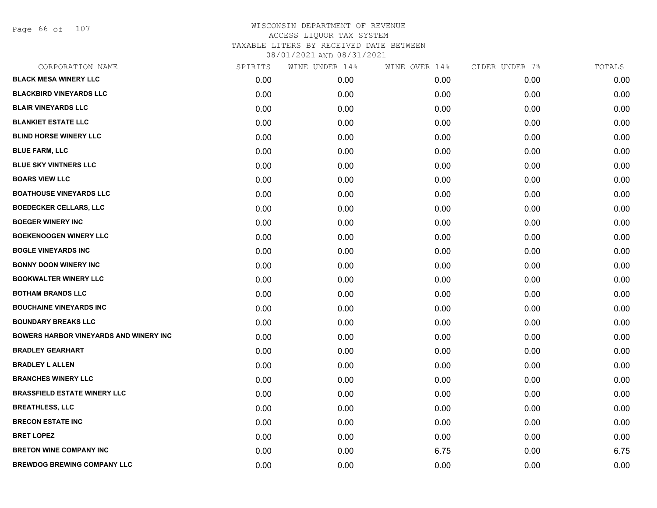Page 66 of 107

| CORPORATION NAME                              | SPIRITS | WINE UNDER 14% | WINE OVER 14% | CIDER UNDER 7% | TOTALS |
|-----------------------------------------------|---------|----------------|---------------|----------------|--------|
| <b>BLACK MESA WINERY LLC</b>                  | 0.00    | 0.00           | 0.00          | 0.00           | 0.00   |
| <b>BLACKBIRD VINEYARDS LLC</b>                | 0.00    | 0.00           | 0.00          | 0.00           | 0.00   |
| <b>BLAIR VINEYARDS LLC</b>                    | 0.00    | 0.00           | 0.00          | 0.00           | 0.00   |
| <b>BLANKIET ESTATE LLC</b>                    | 0.00    | 0.00           | 0.00          | 0.00           | 0.00   |
| <b>BLIND HORSE WINERY LLC</b>                 | 0.00    | 0.00           | 0.00          | 0.00           | 0.00   |
| <b>BLUE FARM, LLC</b>                         | 0.00    | 0.00           | 0.00          | 0.00           | 0.00   |
| <b>BLUE SKY VINTNERS LLC</b>                  | 0.00    | 0.00           | 0.00          | 0.00           | 0.00   |
| <b>BOARS VIEW LLC</b>                         | 0.00    | 0.00           | 0.00          | 0.00           | 0.00   |
| <b>BOATHOUSE VINEYARDS LLC</b>                | 0.00    | 0.00           | 0.00          | 0.00           | 0.00   |
| <b>BOEDECKER CELLARS, LLC</b>                 | 0.00    | 0.00           | 0.00          | 0.00           | 0.00   |
| <b>BOEGER WINERY INC</b>                      | 0.00    | 0.00           | 0.00          | 0.00           | 0.00   |
| <b>BOEKENOOGEN WINERY LLC</b>                 | 0.00    | 0.00           | 0.00          | 0.00           | 0.00   |
| <b>BOGLE VINEYARDS INC</b>                    | 0.00    | 0.00           | 0.00          | 0.00           | 0.00   |
| <b>BONNY DOON WINERY INC</b>                  | 0.00    | 0.00           | 0.00          | 0.00           | 0.00   |
| <b>BOOKWALTER WINERY LLC</b>                  | 0.00    | 0.00           | 0.00          | 0.00           | 0.00   |
| <b>BOTHAM BRANDS LLC</b>                      | 0.00    | 0.00           | 0.00          | 0.00           | 0.00   |
| <b>BOUCHAINE VINEYARDS INC</b>                | 0.00    | 0.00           | 0.00          | 0.00           | 0.00   |
| <b>BOUNDARY BREAKS LLC</b>                    | 0.00    | 0.00           | 0.00          | 0.00           | 0.00   |
| <b>BOWERS HARBOR VINEYARDS AND WINERY INC</b> | 0.00    | 0.00           | 0.00          | 0.00           | 0.00   |
| <b>BRADLEY GEARHART</b>                       | 0.00    | 0.00           | 0.00          | 0.00           | 0.00   |
| <b>BRADLEY L ALLEN</b>                        | 0.00    | 0.00           | 0.00          | 0.00           | 0.00   |
| <b>BRANCHES WINERY LLC</b>                    | 0.00    | 0.00           | 0.00          | 0.00           | 0.00   |
| <b>BRASSFIELD ESTATE WINERY LLC</b>           | 0.00    | 0.00           | 0.00          | 0.00           | 0.00   |
| <b>BREATHLESS, LLC</b>                        | 0.00    | 0.00           | 0.00          | 0.00           | 0.00   |
| <b>BRECON ESTATE INC</b>                      | 0.00    | 0.00           | 0.00          | 0.00           | 0.00   |
| <b>BRET LOPEZ</b>                             | 0.00    | 0.00           | 0.00          | 0.00           | 0.00   |
| <b>BRETON WINE COMPANY INC</b>                | 0.00    | 0.00           | 6.75          | 0.00           | 6.75   |
| <b>BREWDOG BREWING COMPANY LLC</b>            | 0.00    | 0.00           | 0.00          | 0.00           | 0.00   |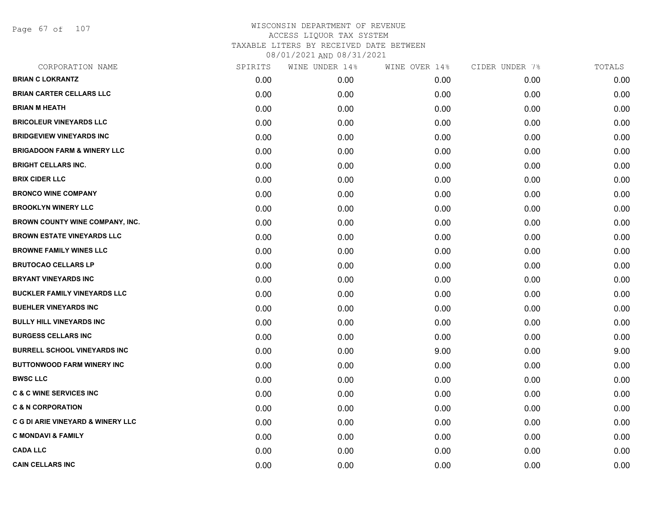Page 67 of 107

| CORPORATION NAME                             | SPIRITS | WINE UNDER 14% | WINE OVER 14% | CIDER UNDER 7% | TOTALS |
|----------------------------------------------|---------|----------------|---------------|----------------|--------|
| <b>BRIAN C LOKRANTZ</b>                      | 0.00    | 0.00           | 0.00          | 0.00           | 0.00   |
| <b>BRIAN CARTER CELLARS LLC</b>              | 0.00    | 0.00           | 0.00          | 0.00           | 0.00   |
| <b>BRIAN M HEATH</b>                         | 0.00    | 0.00           | 0.00          | 0.00           | 0.00   |
| <b>BRICOLEUR VINEYARDS LLC</b>               | 0.00    | 0.00           | 0.00          | 0.00           | 0.00   |
| <b>BRIDGEVIEW VINEYARDS INC</b>              | 0.00    | 0.00           | 0.00          | 0.00           | 0.00   |
| <b>BRIGADOON FARM &amp; WINERY LLC</b>       | 0.00    | 0.00           | 0.00          | 0.00           | 0.00   |
| <b>BRIGHT CELLARS INC.</b>                   | 0.00    | 0.00           | 0.00          | 0.00           | 0.00   |
| <b>BRIX CIDER LLC</b>                        | 0.00    | 0.00           | 0.00          | 0.00           | 0.00   |
| <b>BRONCO WINE COMPANY</b>                   | 0.00    | 0.00           | 0.00          | 0.00           | 0.00   |
| <b>BROOKLYN WINERY LLC</b>                   | 0.00    | 0.00           | 0.00          | 0.00           | 0.00   |
| <b>BROWN COUNTY WINE COMPANY, INC.</b>       | 0.00    | 0.00           | 0.00          | 0.00           | 0.00   |
| <b>BROWN ESTATE VINEYARDS LLC</b>            | 0.00    | 0.00           | 0.00          | 0.00           | 0.00   |
| <b>BROWNE FAMILY WINES LLC</b>               | 0.00    | 0.00           | 0.00          | 0.00           | 0.00   |
| <b>BRUTOCAO CELLARS LP</b>                   | 0.00    | 0.00           | 0.00          | 0.00           | 0.00   |
| <b>BRYANT VINEYARDS INC</b>                  | 0.00    | 0.00           | 0.00          | 0.00           | 0.00   |
| <b>BUCKLER FAMILY VINEYARDS LLC</b>          | 0.00    | 0.00           | 0.00          | 0.00           | 0.00   |
| <b>BUEHLER VINEYARDS INC</b>                 | 0.00    | 0.00           | 0.00          | 0.00           | 0.00   |
| <b>BULLY HILL VINEYARDS INC</b>              | 0.00    | 0.00           | 0.00          | 0.00           | 0.00   |
| <b>BURGESS CELLARS INC</b>                   | 0.00    | 0.00           | 0.00          | 0.00           | 0.00   |
| <b>BURRELL SCHOOL VINEYARDS INC</b>          | 0.00    | 0.00           | 9.00          | 0.00           | 9.00   |
| <b>BUTTONWOOD FARM WINERY INC</b>            | 0.00    | 0.00           | 0.00          | 0.00           | 0.00   |
| <b>BWSC LLC</b>                              | 0.00    | 0.00           | 0.00          | 0.00           | 0.00   |
| <b>C &amp; C WINE SERVICES INC</b>           | 0.00    | 0.00           | 0.00          | 0.00           | 0.00   |
| <b>C &amp; N CORPORATION</b>                 | 0.00    | 0.00           | 0.00          | 0.00           | 0.00   |
| <b>C G DI ARIE VINEYARD &amp; WINERY LLC</b> | 0.00    | 0.00           | 0.00          | 0.00           | 0.00   |
| <b>C MONDAVI &amp; FAMILY</b>                | 0.00    | 0.00           | 0.00          | 0.00           | 0.00   |
| <b>CADA LLC</b>                              | 0.00    | 0.00           | 0.00          | 0.00           | 0.00   |
| <b>CAIN CELLARS INC</b>                      | 0.00    | 0.00           | 0.00          | 0.00           | 0.00   |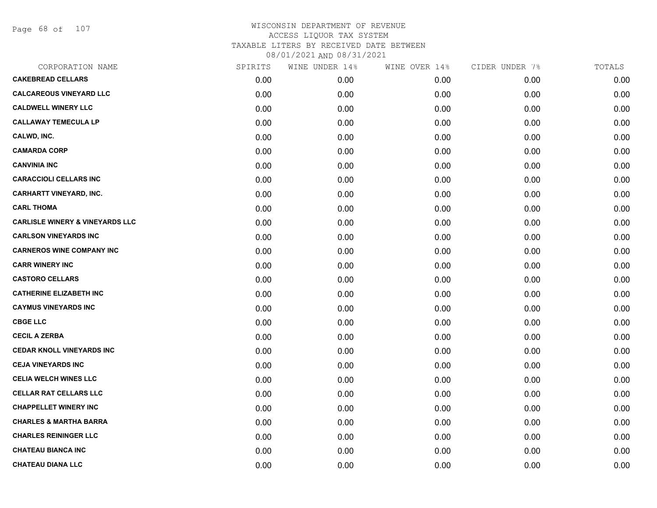Page 68 of 107

| CORPORATION NAME                           | SPIRITS | WINE UNDER 14% | WINE OVER 14% | CIDER UNDER 7% | TOTALS |
|--------------------------------------------|---------|----------------|---------------|----------------|--------|
| <b>CAKEBREAD CELLARS</b>                   | 0.00    | 0.00           | 0.00          | 0.00           | 0.00   |
| <b>CALCAREOUS VINEYARD LLC</b>             | 0.00    | 0.00           | 0.00          | 0.00           | 0.00   |
| <b>CALDWELL WINERY LLC</b>                 | 0.00    | 0.00           | 0.00          | 0.00           | 0.00   |
| <b>CALLAWAY TEMECULA LP</b>                | 0.00    | 0.00           | 0.00          | 0.00           | 0.00   |
| CALWD, INC.                                | 0.00    | 0.00           | 0.00          | 0.00           | 0.00   |
| <b>CAMARDA CORP</b>                        | 0.00    | 0.00           | 0.00          | 0.00           | 0.00   |
| <b>CANVINIA INC</b>                        | 0.00    | 0.00           | 0.00          | 0.00           | 0.00   |
| <b>CARACCIOLI CELLARS INC</b>              | 0.00    | 0.00           | 0.00          | 0.00           | 0.00   |
| <b>CARHARTT VINEYARD, INC.</b>             | 0.00    | 0.00           | 0.00          | 0.00           | 0.00   |
| <b>CARL THOMA</b>                          | 0.00    | 0.00           | 0.00          | 0.00           | 0.00   |
| <b>CARLISLE WINERY &amp; VINEYARDS LLC</b> | 0.00    | 0.00           | 0.00          | 0.00           | 0.00   |
| <b>CARLSON VINEYARDS INC</b>               | 0.00    | 0.00           | 0.00          | 0.00           | 0.00   |
| <b>CARNEROS WINE COMPANY INC</b>           | 0.00    | 0.00           | 0.00          | 0.00           | 0.00   |
| <b>CARR WINERY INC</b>                     | 0.00    | 0.00           | 0.00          | 0.00           | 0.00   |
| <b>CASTORO CELLARS</b>                     | 0.00    | 0.00           | 0.00          | 0.00           | 0.00   |
| <b>CATHERINE ELIZABETH INC</b>             | 0.00    | 0.00           | 0.00          | 0.00           | 0.00   |
| <b>CAYMUS VINEYARDS INC</b>                | 0.00    | 0.00           | 0.00          | 0.00           | 0.00   |
| <b>CBGE LLC</b>                            | 0.00    | 0.00           | 0.00          | 0.00           | 0.00   |
| <b>CECIL A ZERBA</b>                       | 0.00    | 0.00           | 0.00          | 0.00           | 0.00   |
| <b>CEDAR KNOLL VINEYARDS INC</b>           | 0.00    | 0.00           | 0.00          | 0.00           | 0.00   |
| <b>CEJA VINEYARDS INC</b>                  | 0.00    | 0.00           | 0.00          | 0.00           | 0.00   |
| <b>CELIA WELCH WINES LLC</b>               | 0.00    | 0.00           | 0.00          | 0.00           | 0.00   |
| <b>CELLAR RAT CELLARS LLC</b>              | 0.00    | 0.00           | 0.00          | 0.00           | 0.00   |
| <b>CHAPPELLET WINERY INC</b>               | 0.00    | 0.00           | 0.00          | 0.00           | 0.00   |
| <b>CHARLES &amp; MARTHA BARRA</b>          | 0.00    | 0.00           | 0.00          | 0.00           | 0.00   |
| <b>CHARLES REININGER LLC</b>               | 0.00    | 0.00           | 0.00          | 0.00           | 0.00   |
| <b>CHATEAU BIANCA INC</b>                  | 0.00    | 0.00           | 0.00          | 0.00           | 0.00   |
| <b>CHATEAU DIANA LLC</b>                   | 0.00    | 0.00           | 0.00          | 0.00           | 0.00   |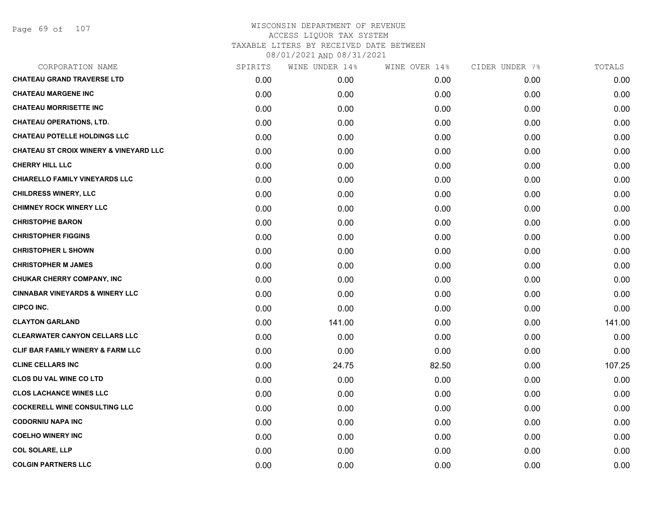Page 69 of 107

| CORPORATION NAME                                  | SPIRITS | WINE UNDER 14% | WINE OVER 14% | CIDER UNDER 7% | TOTALS |
|---------------------------------------------------|---------|----------------|---------------|----------------|--------|
| <b>CHATEAU GRAND TRAVERSE LTD</b>                 | 0.00    | 0.00           | 0.00          | 0.00           | 0.00   |
| <b>CHATEAU MARGENE INC</b>                        | 0.00    | 0.00           | 0.00          | 0.00           | 0.00   |
| <b>CHATEAU MORRISETTE INC</b>                     | 0.00    | 0.00           | 0.00          | 0.00           | 0.00   |
| <b>CHATEAU OPERATIONS, LTD.</b>                   | 0.00    | 0.00           | 0.00          | 0.00           | 0.00   |
| <b>CHATEAU POTELLE HOLDINGS LLC</b>               | 0.00    | 0.00           | 0.00          | 0.00           | 0.00   |
| <b>CHATEAU ST CROIX WINERY &amp; VINEYARD LLC</b> | 0.00    | 0.00           | 0.00          | 0.00           | 0.00   |
| <b>CHERRY HILL LLC</b>                            | 0.00    | 0.00           | 0.00          | 0.00           | 0.00   |
| <b>CHIARELLO FAMILY VINEYARDS LLC</b>             | 0.00    | 0.00           | 0.00          | 0.00           | 0.00   |
| <b>CHILDRESS WINERY, LLC</b>                      | 0.00    | 0.00           | 0.00          | 0.00           | 0.00   |
| <b>CHIMNEY ROCK WINERY LLC</b>                    | 0.00    | 0.00           | 0.00          | 0.00           | 0.00   |
| <b>CHRISTOPHE BARON</b>                           | 0.00    | 0.00           | 0.00          | 0.00           | 0.00   |
| <b>CHRISTOPHER FIGGINS</b>                        | 0.00    | 0.00           | 0.00          | 0.00           | 0.00   |
| <b>CHRISTOPHER L SHOWN</b>                        | 0.00    | 0.00           | 0.00          | 0.00           | 0.00   |
| <b>CHRISTOPHER M JAMES</b>                        | 0.00    | 0.00           | 0.00          | 0.00           | 0.00   |
| CHUKAR CHERRY COMPANY, INC                        | 0.00    | 0.00           | 0.00          | 0.00           | 0.00   |
| <b>CINNABAR VINEYARDS &amp; WINERY LLC</b>        | 0.00    | 0.00           | 0.00          | 0.00           | 0.00   |
| <b>CIPCO INC.</b>                                 | 0.00    | 0.00           | 0.00          | 0.00           | 0.00   |
| <b>CLAYTON GARLAND</b>                            | 0.00    | 141.00         | 0.00          | 0.00           | 141.00 |
| <b>CLEARWATER CANYON CELLARS LLC</b>              | 0.00    | 0.00           | 0.00          | 0.00           | 0.00   |
| <b>CLIF BAR FAMILY WINERY &amp; FARM LLC</b>      | 0.00    | 0.00           | 0.00          | 0.00           | 0.00   |
| <b>CLINE CELLARS INC</b>                          | 0.00    | 24.75          | 82.50         | 0.00           | 107.25 |
| <b>CLOS DU VAL WINE CO LTD</b>                    | 0.00    | 0.00           | 0.00          | 0.00           | 0.00   |
| <b>CLOS LACHANCE WINES LLC</b>                    | 0.00    | 0.00           | 0.00          | 0.00           | 0.00   |
| <b>COCKERELL WINE CONSULTING LLC</b>              | 0.00    | 0.00           | 0.00          | 0.00           | 0.00   |
| <b>CODORNIU NAPA INC</b>                          | 0.00    | 0.00           | 0.00          | 0.00           | 0.00   |
| <b>COELHO WINERY INC</b>                          | 0.00    | 0.00           | 0.00          | 0.00           | 0.00   |
| <b>COL SOLARE, LLP</b>                            | 0.00    | 0.00           | 0.00          | 0.00           | 0.00   |
| <b>COLGIN PARTNERS LLC</b>                        | 0.00    | 0.00           | 0.00          | 0.00           | 0.00   |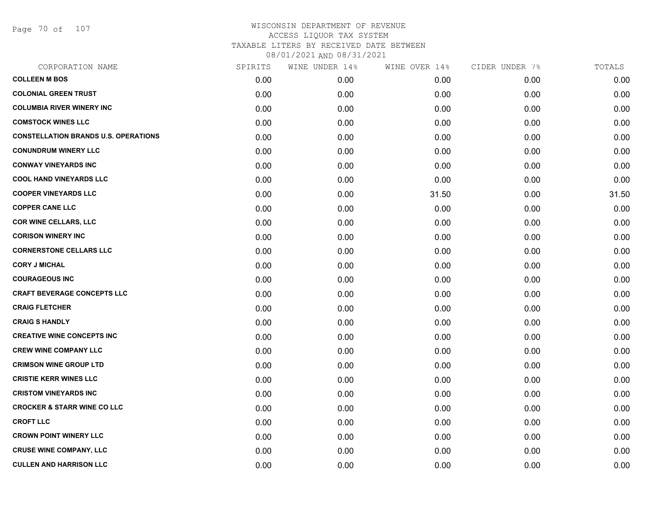Page 70 of 107

| CORPORATION NAME                            | SPIRITS | WINE UNDER 14% | WINE OVER 14% | CIDER UNDER 7% | TOTALS |
|---------------------------------------------|---------|----------------|---------------|----------------|--------|
| <b>COLLEEN M BOS</b>                        | 0.00    | 0.00           | 0.00          | 0.00           | 0.00   |
| <b>COLONIAL GREEN TRUST</b>                 | 0.00    | 0.00           | 0.00          | 0.00           | 0.00   |
| <b>COLUMBIA RIVER WINERY INC</b>            | 0.00    | 0.00           | 0.00          | 0.00           | 0.00   |
| <b>COMSTOCK WINES LLC</b>                   | 0.00    | 0.00           | 0.00          | 0.00           | 0.00   |
| <b>CONSTELLATION BRANDS U.S. OPERATIONS</b> | 0.00    | 0.00           | 0.00          | 0.00           | 0.00   |
| <b>CONUNDRUM WINERY LLC</b>                 | 0.00    | 0.00           | 0.00          | 0.00           | 0.00   |
| <b>CONWAY VINEYARDS INC</b>                 | 0.00    | 0.00           | 0.00          | 0.00           | 0.00   |
| <b>COOL HAND VINEYARDS LLC</b>              | 0.00    | 0.00           | 0.00          | 0.00           | 0.00   |
| <b>COOPER VINEYARDS LLC</b>                 | 0.00    | 0.00           | 31.50         | 0.00           | 31.50  |
| <b>COPPER CANE LLC</b>                      | 0.00    | 0.00           | 0.00          | 0.00           | 0.00   |
| <b>COR WINE CELLARS, LLC</b>                | 0.00    | 0.00           | 0.00          | 0.00           | 0.00   |
| <b>CORISON WINERY INC</b>                   | 0.00    | 0.00           | 0.00          | 0.00           | 0.00   |
| <b>CORNERSTONE CELLARS LLC</b>              | 0.00    | 0.00           | 0.00          | 0.00           | 0.00   |
| <b>CORY J MICHAL</b>                        | 0.00    | 0.00           | 0.00          | 0.00           | 0.00   |
| <b>COURAGEOUS INC</b>                       | 0.00    | 0.00           | 0.00          | 0.00           | 0.00   |
| <b>CRAFT BEVERAGE CONCEPTS LLC</b>          | 0.00    | 0.00           | 0.00          | 0.00           | 0.00   |
| <b>CRAIG FLETCHER</b>                       | 0.00    | 0.00           | 0.00          | 0.00           | 0.00   |
| <b>CRAIG S HANDLY</b>                       | 0.00    | 0.00           | 0.00          | 0.00           | 0.00   |
| <b>CREATIVE WINE CONCEPTS INC</b>           | 0.00    | 0.00           | 0.00          | 0.00           | 0.00   |
| <b>CREW WINE COMPANY LLC</b>                | 0.00    | 0.00           | 0.00          | 0.00           | 0.00   |
| <b>CRIMSON WINE GROUP LTD</b>               | 0.00    | 0.00           | 0.00          | 0.00           | 0.00   |
| <b>CRISTIE KERR WINES LLC</b>               | 0.00    | 0.00           | 0.00          | 0.00           | 0.00   |
| <b>CRISTOM VINEYARDS INC</b>                | 0.00    | 0.00           | 0.00          | 0.00           | 0.00   |
| <b>CROCKER &amp; STARR WINE CO LLC</b>      | 0.00    | 0.00           | 0.00          | 0.00           | 0.00   |
| <b>CROFT LLC</b>                            | 0.00    | 0.00           | 0.00          | 0.00           | 0.00   |
| <b>CROWN POINT WINERY LLC</b>               | 0.00    | 0.00           | 0.00          | 0.00           | 0.00   |
| <b>CRUSE WINE COMPANY, LLC</b>              | 0.00    | 0.00           | 0.00          | 0.00           | 0.00   |
| <b>CULLEN AND HARRISON LLC</b>              | 0.00    | 0.00           | 0.00          | 0.00           | 0.00   |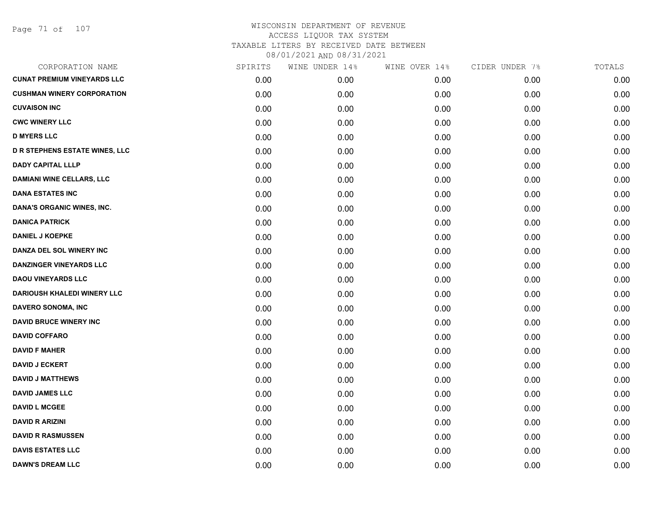Page 71 of 107

| CORPORATION NAME                      | SPIRITS | WINE UNDER 14% | WINE OVER 14% | CIDER UNDER 7% | TOTALS |
|---------------------------------------|---------|----------------|---------------|----------------|--------|
| <b>CUNAT PREMIUM VINEYARDS LLC</b>    | 0.00    | 0.00           | 0.00          | 0.00           | 0.00   |
| <b>CUSHMAN WINERY CORPORATION</b>     | 0.00    | 0.00           | 0.00          | 0.00           | 0.00   |
| <b>CUVAISON INC</b>                   | 0.00    | 0.00           | 0.00          | 0.00           | 0.00   |
| <b>CWC WINERY LLC</b>                 | 0.00    | 0.00           | 0.00          | 0.00           | 0.00   |
| <b>D MYERS LLC</b>                    | 0.00    | 0.00           | 0.00          | 0.00           | 0.00   |
| <b>D R STEPHENS ESTATE WINES, LLC</b> | 0.00    | 0.00           | 0.00          | 0.00           | 0.00   |
| <b>DADY CAPITAL LLLP</b>              | 0.00    | 0.00           | 0.00          | 0.00           | 0.00   |
| <b>DAMIANI WINE CELLARS, LLC</b>      | 0.00    | 0.00           | 0.00          | 0.00           | 0.00   |
| <b>DANA ESTATES INC</b>               | 0.00    | 0.00           | 0.00          | 0.00           | 0.00   |
| DANA'S ORGANIC WINES, INC.            | 0.00    | 0.00           | 0.00          | 0.00           | 0.00   |
| <b>DANICA PATRICK</b>                 | 0.00    | 0.00           | 0.00          | 0.00           | 0.00   |
| <b>DANIEL J KOEPKE</b>                | 0.00    | 0.00           | 0.00          | 0.00           | 0.00   |
| DANZA DEL SOL WINERY INC              | 0.00    | 0.00           | 0.00          | 0.00           | 0.00   |
| <b>DANZINGER VINEYARDS LLC</b>        | 0.00    | 0.00           | 0.00          | 0.00           | 0.00   |
| <b>DAOU VINEYARDS LLC</b>             | 0.00    | 0.00           | 0.00          | 0.00           | 0.00   |
| <b>DARIOUSH KHALEDI WINERY LLC</b>    | 0.00    | 0.00           | 0.00          | 0.00           | 0.00   |
| DAVERO SONOMA, INC                    | 0.00    | 0.00           | 0.00          | 0.00           | 0.00   |
| <b>DAVID BRUCE WINERY INC</b>         | 0.00    | 0.00           | 0.00          | 0.00           | 0.00   |
| <b>DAVID COFFARO</b>                  | 0.00    | 0.00           | 0.00          | 0.00           | 0.00   |
| <b>DAVID F MAHER</b>                  | 0.00    | 0.00           | 0.00          | 0.00           | 0.00   |
| <b>DAVID J ECKERT</b>                 | 0.00    | 0.00           | 0.00          | 0.00           | 0.00   |
| <b>DAVID J MATTHEWS</b>               | 0.00    | 0.00           | 0.00          | 0.00           | 0.00   |
| <b>DAVID JAMES LLC</b>                | 0.00    | 0.00           | 0.00          | 0.00           | 0.00   |
| <b>DAVID L MCGEE</b>                  | 0.00    | 0.00           | 0.00          | 0.00           | 0.00   |
| <b>DAVID R ARIZINI</b>                | 0.00    | 0.00           | 0.00          | 0.00           | 0.00   |
| <b>DAVID R RASMUSSEN</b>              | 0.00    | 0.00           | 0.00          | 0.00           | 0.00   |
| <b>DAVIS ESTATES LLC</b>              | 0.00    | 0.00           | 0.00          | 0.00           | 0.00   |
| <b>DAWN'S DREAM LLC</b>               | 0.00    | 0.00           | 0.00          | 0.00           | 0.00   |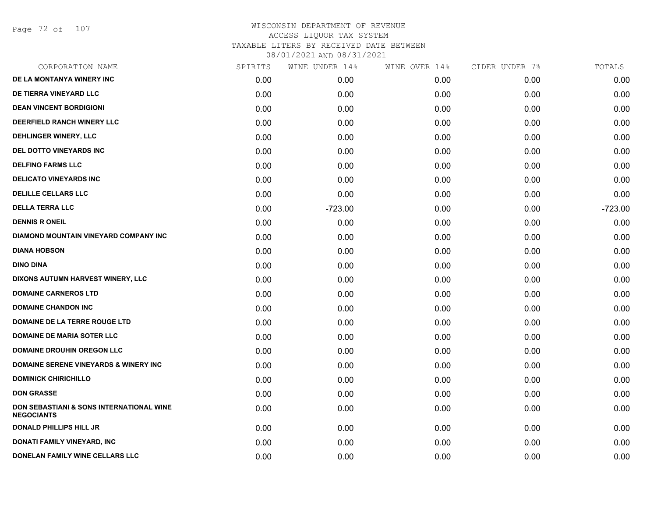Page 72 of 107

| CORPORATION NAME                                                         | SPIRITS | WINE UNDER 14% | WINE OVER 14% | CIDER UNDER 7% | TOTALS    |
|--------------------------------------------------------------------------|---------|----------------|---------------|----------------|-----------|
| DE LA MONTANYA WINERY INC                                                | 0.00    | 0.00           | 0.00          | 0.00           | 0.00      |
| DE TIERRA VINEYARD LLC                                                   | 0.00    | 0.00           | 0.00          | 0.00           | 0.00      |
| <b>DEAN VINCENT BORDIGIONI</b>                                           | 0.00    | 0.00           | 0.00          | 0.00           | 0.00      |
| DEERFIELD RANCH WINERY LLC                                               | 0.00    | 0.00           | 0.00          | 0.00           | 0.00      |
| <b>DEHLINGER WINERY, LLC</b>                                             | 0.00    | 0.00           | 0.00          | 0.00           | 0.00      |
| DEL DOTTO VINEYARDS INC                                                  | 0.00    | 0.00           | 0.00          | 0.00           | 0.00      |
| <b>DELFINO FARMS LLC</b>                                                 | 0.00    | 0.00           | 0.00          | 0.00           | 0.00      |
| <b>DELICATO VINEYARDS INC</b>                                            | 0.00    | 0.00           | 0.00          | 0.00           | 0.00      |
| <b>DELILLE CELLARS LLC</b>                                               | 0.00    | 0.00           | 0.00          | 0.00           | 0.00      |
| <b>DELLA TERRA LLC</b>                                                   | 0.00    | $-723.00$      | 0.00          | 0.00           | $-723.00$ |
| <b>DENNIS R ONEIL</b>                                                    | 0.00    | 0.00           | 0.00          | 0.00           | 0.00      |
| <b>DIAMOND MOUNTAIN VINEYARD COMPANY INC</b>                             | 0.00    | 0.00           | 0.00          | 0.00           | 0.00      |
| <b>DIANA HOBSON</b>                                                      | 0.00    | 0.00           | 0.00          | 0.00           | 0.00      |
| <b>DINO DINA</b>                                                         | 0.00    | 0.00           | 0.00          | 0.00           | 0.00      |
| DIXONS AUTUMN HARVEST WINERY, LLC                                        | 0.00    | 0.00           | 0.00          | 0.00           | 0.00      |
| <b>DOMAINE CARNEROS LTD</b>                                              | 0.00    | 0.00           | 0.00          | 0.00           | 0.00      |
| <b>DOMAINE CHANDON INC</b>                                               | 0.00    | 0.00           | 0.00          | 0.00           | 0.00      |
| DOMAINE DE LA TERRE ROUGE LTD                                            | 0.00    | 0.00           | 0.00          | 0.00           | 0.00      |
| <b>DOMAINE DE MARIA SOTER LLC</b>                                        | 0.00    | 0.00           | 0.00          | 0.00           | 0.00      |
| <b>DOMAINE DROUHIN OREGON LLC</b>                                        | 0.00    | 0.00           | 0.00          | 0.00           | 0.00      |
| <b>DOMAINE SERENE VINEYARDS &amp; WINERY INC</b>                         | 0.00    | 0.00           | 0.00          | 0.00           | 0.00      |
| <b>DOMINICK CHIRICHILLO</b>                                              | 0.00    | 0.00           | 0.00          | 0.00           | 0.00      |
| <b>DON GRASSE</b>                                                        | 0.00    | 0.00           | 0.00          | 0.00           | 0.00      |
| <b>DON SEBASTIANI &amp; SONS INTERNATIONAL WINE</b><br><b>NEGOCIANTS</b> | 0.00    | 0.00           | 0.00          | 0.00           | 0.00      |
| <b>DONALD PHILLIPS HILL JR</b>                                           | 0.00    | 0.00           | 0.00          | 0.00           | 0.00      |
| DONATI FAMILY VINEYARD, INC                                              | 0.00    | 0.00           | 0.00          | 0.00           | 0.00      |
| DONELAN FAMILY WINE CELLARS LLC                                          | 0.00    | 0.00           | 0.00          | 0.00           | 0.00      |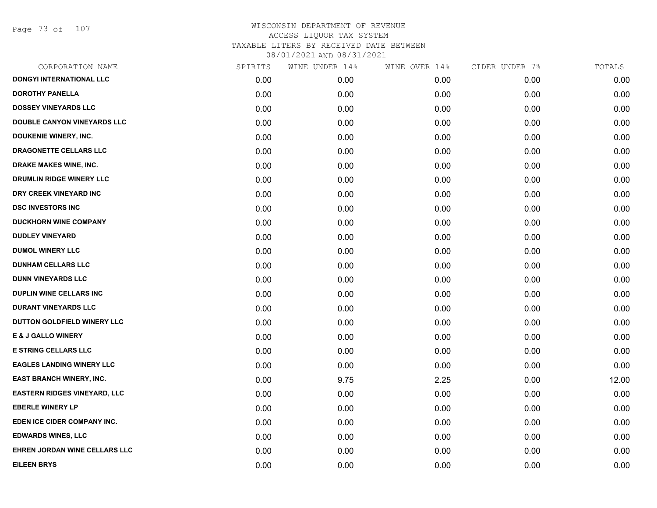Page 73 of 107

| CORPORATION NAME                    | SPIRITS | WINE UNDER 14% | WINE OVER 14% | CIDER UNDER 7% | TOTALS |
|-------------------------------------|---------|----------------|---------------|----------------|--------|
| <b>DONGYI INTERNATIONAL LLC</b>     | 0.00    | 0.00           | 0.00          | 0.00           | 0.00   |
| <b>DOROTHY PANELLA</b>              | 0.00    | 0.00           | 0.00          | 0.00           | 0.00   |
| <b>DOSSEY VINEYARDS LLC</b>         | 0.00    | 0.00           | 0.00          | 0.00           | 0.00   |
| <b>DOUBLE CANYON VINEYARDS LLC</b>  | 0.00    | 0.00           | 0.00          | 0.00           | 0.00   |
| DOUKENIE WINERY, INC.               | 0.00    | 0.00           | 0.00          | 0.00           | 0.00   |
| DRAGONETTE CELLARS LLC              | 0.00    | 0.00           | 0.00          | 0.00           | 0.00   |
| DRAKE MAKES WINE, INC.              | 0.00    | 0.00           | 0.00          | 0.00           | 0.00   |
| DRUMLIN RIDGE WINERY LLC            | 0.00    | 0.00           | 0.00          | 0.00           | 0.00   |
| DRY CREEK VINEYARD INC              | 0.00    | 0.00           | 0.00          | 0.00           | 0.00   |
| <b>DSC INVESTORS INC</b>            | 0.00    | 0.00           | 0.00          | 0.00           | 0.00   |
| <b>DUCKHORN WINE COMPANY</b>        | 0.00    | 0.00           | 0.00          | 0.00           | 0.00   |
| <b>DUDLEY VINEYARD</b>              | 0.00    | 0.00           | 0.00          | 0.00           | 0.00   |
| <b>DUMOL WINERY LLC</b>             | 0.00    | 0.00           | 0.00          | 0.00           | 0.00   |
| <b>DUNHAM CELLARS LLC</b>           | 0.00    | 0.00           | 0.00          | 0.00           | 0.00   |
| <b>DUNN VINEYARDS LLC</b>           | 0.00    | 0.00           | 0.00          | 0.00           | 0.00   |
| DUPLIN WINE CELLARS INC             | 0.00    | 0.00           | 0.00          | 0.00           | 0.00   |
| <b>DURANT VINEYARDS LLC</b>         | 0.00    | 0.00           | 0.00          | 0.00           | 0.00   |
| DUTTON GOLDFIELD WINERY LLC         | 0.00    | 0.00           | 0.00          | 0.00           | 0.00   |
| E & J GALLO WINERY                  | 0.00    | 0.00           | 0.00          | 0.00           | 0.00   |
| <b>E STRING CELLARS LLC</b>         | 0.00    | 0.00           | 0.00          | 0.00           | 0.00   |
| <b>EAGLES LANDING WINERY LLC</b>    | 0.00    | 0.00           | 0.00          | 0.00           | 0.00   |
| <b>EAST BRANCH WINERY, INC.</b>     | 0.00    | 9.75           | 2.25          | 0.00           | 12.00  |
| <b>EASTERN RIDGES VINEYARD, LLC</b> | 0.00    | 0.00           | 0.00          | 0.00           | 0.00   |
| <b>EBERLE WINERY LP</b>             | 0.00    | 0.00           | 0.00          | 0.00           | 0.00   |
| EDEN ICE CIDER COMPANY INC.         | 0.00    | 0.00           | 0.00          | 0.00           | 0.00   |
| <b>EDWARDS WINES, LLC</b>           | 0.00    | 0.00           | 0.00          | 0.00           | 0.00   |
| EHREN JORDAN WINE CELLARS LLC       | 0.00    | 0.00           | 0.00          | 0.00           | 0.00   |
| <b>EILEEN BRYS</b>                  | 0.00    | 0.00           | 0.00          | 0.00           | 0.00   |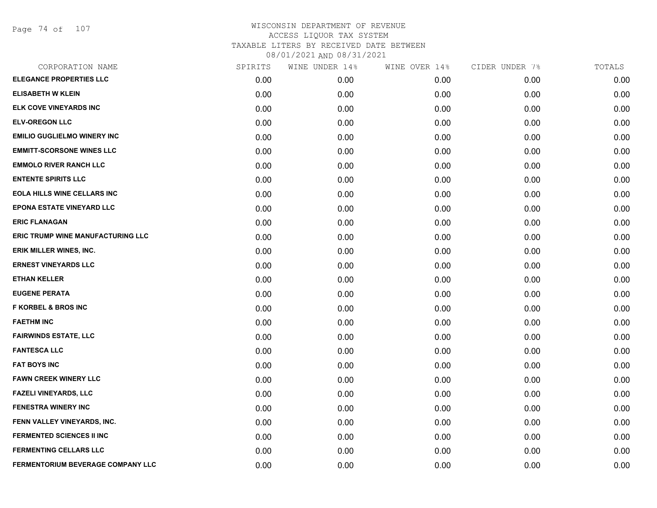Page 74 of 107

| CORPORATION NAME                   | SPIRITS | WINE UNDER 14% | WINE OVER 14% | CIDER UNDER 7% | TOTALS |
|------------------------------------|---------|----------------|---------------|----------------|--------|
| <b>ELEGANCE PROPERTIES LLC</b>     | 0.00    | 0.00           | 0.00          | 0.00           | 0.00   |
| <b>ELISABETH W KLEIN</b>           | 0.00    | 0.00           | 0.00          | 0.00           | 0.00   |
| ELK COVE VINEYARDS INC             | 0.00    | 0.00           | 0.00          | 0.00           | 0.00   |
| <b>ELV-OREGON LLC</b>              | 0.00    | 0.00           | 0.00          | 0.00           | 0.00   |
| <b>EMILIO GUGLIELMO WINERY INC</b> | 0.00    | 0.00           | 0.00          | 0.00           | 0.00   |
| <b>EMMITT-SCORSONE WINES LLC</b>   | 0.00    | 0.00           | 0.00          | 0.00           | 0.00   |
| <b>EMMOLO RIVER RANCH LLC</b>      | 0.00    | 0.00           | 0.00          | 0.00           | 0.00   |
| <b>ENTENTE SPIRITS LLC</b>         | 0.00    | 0.00           | 0.00          | 0.00           | 0.00   |
| <b>EOLA HILLS WINE CELLARS INC</b> | 0.00    | 0.00           | 0.00          | 0.00           | 0.00   |
| EPONA ESTATE VINEYARD LLC          | 0.00    | 0.00           | 0.00          | 0.00           | 0.00   |
| <b>ERIC FLANAGAN</b>               | 0.00    | 0.00           | 0.00          | 0.00           | 0.00   |
| ERIC TRUMP WINE MANUFACTURING LLC  | 0.00    | 0.00           | 0.00          | 0.00           | 0.00   |
| ERIK MILLER WINES, INC.            | 0.00    | 0.00           | 0.00          | 0.00           | 0.00   |
| <b>ERNEST VINEYARDS LLC</b>        | 0.00    | 0.00           | 0.00          | 0.00           | 0.00   |
| <b>ETHAN KELLER</b>                | 0.00    | 0.00           | 0.00          | 0.00           | 0.00   |
| <b>EUGENE PERATA</b>               | 0.00    | 0.00           | 0.00          | 0.00           | 0.00   |
| <b>F KORBEL &amp; BROS INC</b>     | 0.00    | 0.00           | 0.00          | 0.00           | 0.00   |
| <b>FAETHM INC</b>                  | 0.00    | 0.00           | 0.00          | 0.00           | 0.00   |
| <b>FAIRWINDS ESTATE, LLC</b>       | 0.00    | 0.00           | 0.00          | 0.00           | 0.00   |
| <b>FANTESCA LLC</b>                | 0.00    | 0.00           | 0.00          | 0.00           | 0.00   |
| <b>FAT BOYS INC</b>                | 0.00    | 0.00           | 0.00          | 0.00           | 0.00   |
| <b>FAWN CREEK WINERY LLC</b>       | 0.00    | 0.00           | 0.00          | 0.00           | 0.00   |
| <b>FAZELI VINEYARDS, LLC</b>       | 0.00    | 0.00           | 0.00          | 0.00           | 0.00   |
| <b>FENESTRA WINERY INC</b>         | 0.00    | 0.00           | 0.00          | 0.00           | 0.00   |
| FENN VALLEY VINEYARDS, INC.        | 0.00    | 0.00           | 0.00          | 0.00           | 0.00   |
| FERMENTED SCIENCES II INC          | 0.00    | 0.00           | 0.00          | 0.00           | 0.00   |
| <b>FERMENTING CELLARS LLC</b>      | 0.00    | 0.00           | 0.00          | 0.00           | 0.00   |
| FERMENTORIUM BEVERAGE COMPANY LLC  | 0.00    | 0.00           | 0.00          | 0.00           | 0.00   |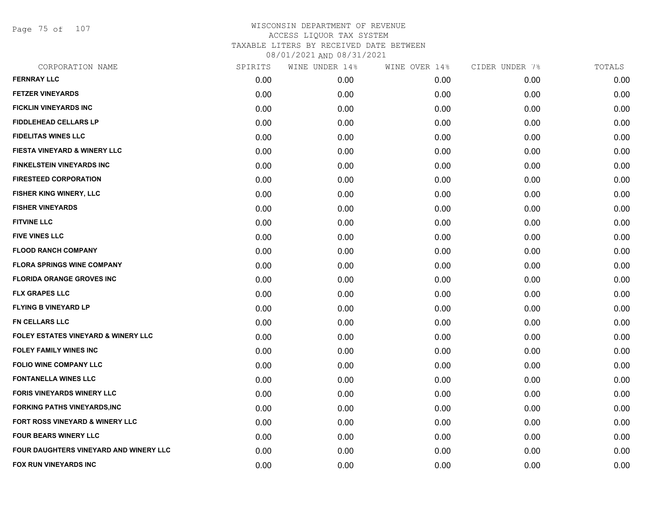Page 75 of 107

|      | WINE UNDER 14% | WINE OVER 14% |      | TOTALS         |
|------|----------------|---------------|------|----------------|
| 0.00 | 0.00           | 0.00          | 0.00 | 0.00           |
| 0.00 | 0.00           | 0.00          | 0.00 | 0.00           |
| 0.00 | 0.00           | 0.00          | 0.00 | 0.00           |
| 0.00 | 0.00           | 0.00          | 0.00 | 0.00           |
| 0.00 | 0.00           | 0.00          | 0.00 | 0.00           |
| 0.00 | 0.00           | 0.00          | 0.00 | 0.00           |
| 0.00 | 0.00           | 0.00          | 0.00 | 0.00           |
| 0.00 | 0.00           | 0.00          | 0.00 | 0.00           |
| 0.00 | 0.00           | 0.00          | 0.00 | 0.00           |
| 0.00 | 0.00           | 0.00          | 0.00 | 0.00           |
| 0.00 | 0.00           | 0.00          | 0.00 | 0.00           |
| 0.00 | 0.00           | 0.00          | 0.00 | 0.00           |
| 0.00 | 0.00           | 0.00          | 0.00 | 0.00           |
| 0.00 | 0.00           | 0.00          | 0.00 | 0.00           |
| 0.00 | 0.00           | 0.00          | 0.00 | 0.00           |
| 0.00 | 0.00           | 0.00          | 0.00 | 0.00           |
| 0.00 | 0.00           | 0.00          | 0.00 | 0.00           |
| 0.00 | 0.00           | 0.00          | 0.00 | 0.00           |
| 0.00 | 0.00           | 0.00          | 0.00 | 0.00           |
| 0.00 | 0.00           | 0.00          | 0.00 | 0.00           |
| 0.00 | 0.00           | 0.00          | 0.00 | 0.00           |
| 0.00 | 0.00           | 0.00          | 0.00 | 0.00           |
| 0.00 | 0.00           | 0.00          | 0.00 | 0.00           |
| 0.00 | 0.00           | 0.00          | 0.00 | 0.00           |
| 0.00 | 0.00           | 0.00          | 0.00 | 0.00           |
| 0.00 | 0.00           | 0.00          | 0.00 | 0.00           |
| 0.00 | 0.00           | 0.00          | 0.00 | 0.00           |
| 0.00 | 0.00           | 0.00          | 0.00 | 0.00           |
|      | SPIRITS        |               |      | CIDER UNDER 7% |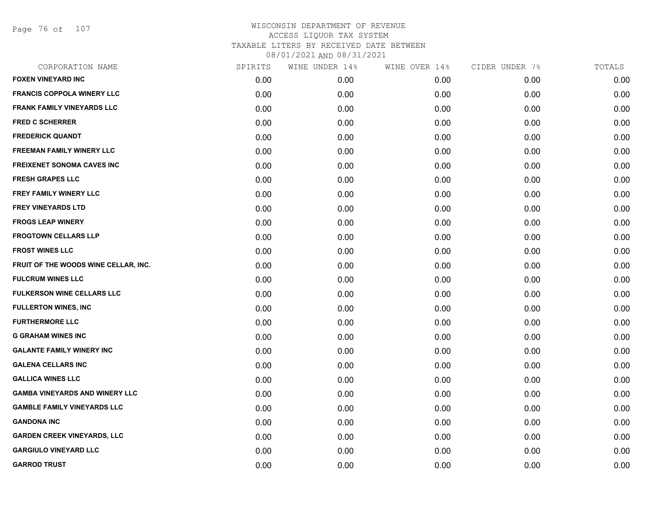Page 76 of 107

| CORPORATION NAME                      | SPIRITS | WINE UNDER 14% | WINE OVER 14% | CIDER UNDER 7% | TOTALS |
|---------------------------------------|---------|----------------|---------------|----------------|--------|
| <b>FOXEN VINEYARD INC</b>             | 0.00    | 0.00           | 0.00          | 0.00           | 0.00   |
| <b>FRANCIS COPPOLA WINERY LLC</b>     | 0.00    | 0.00           | 0.00          | 0.00           | 0.00   |
| FRANK FAMILY VINEYARDS LLC            | 0.00    | 0.00           | 0.00          | 0.00           | 0.00   |
| <b>FRED C SCHERRER</b>                | 0.00    | 0.00           | 0.00          | 0.00           | 0.00   |
| <b>FREDERICK QUANDT</b>               | 0.00    | 0.00           | 0.00          | 0.00           | 0.00   |
| <b>FREEMAN FAMILY WINERY LLC</b>      | 0.00    | 0.00           | 0.00          | 0.00           | 0.00   |
| <b>FREIXENET SONOMA CAVES INC</b>     | 0.00    | 0.00           | 0.00          | 0.00           | 0.00   |
| <b>FRESH GRAPES LLC</b>               | 0.00    | 0.00           | 0.00          | 0.00           | 0.00   |
| FREY FAMILY WINERY LLC                | 0.00    | 0.00           | 0.00          | 0.00           | 0.00   |
| <b>FREY VINEYARDS LTD</b>             | 0.00    | 0.00           | 0.00          | 0.00           | 0.00   |
| <b>FROGS LEAP WINERY</b>              | 0.00    | 0.00           | 0.00          | 0.00           | 0.00   |
| <b>FROGTOWN CELLARS LLP</b>           | 0.00    | 0.00           | 0.00          | 0.00           | 0.00   |
| <b>FROST WINES LLC</b>                | 0.00    | 0.00           | 0.00          | 0.00           | 0.00   |
| FRUIT OF THE WOODS WINE CELLAR, INC.  | 0.00    | 0.00           | 0.00          | 0.00           | 0.00   |
| <b>FULCRUM WINES LLC</b>              | 0.00    | 0.00           | 0.00          | 0.00           | 0.00   |
| FULKERSON WINE CELLARS LLC            | 0.00    | 0.00           | 0.00          | 0.00           | 0.00   |
| <b>FULLERTON WINES, INC</b>           | 0.00    | 0.00           | 0.00          | 0.00           | 0.00   |
| <b>FURTHERMORE LLC</b>                | 0.00    | 0.00           | 0.00          | 0.00           | 0.00   |
| <b>G GRAHAM WINES INC</b>             | 0.00    | 0.00           | 0.00          | 0.00           | 0.00   |
| <b>GALANTE FAMILY WINERY INC</b>      | 0.00    | 0.00           | 0.00          | 0.00           | 0.00   |
| <b>GALENA CELLARS INC</b>             | 0.00    | 0.00           | 0.00          | 0.00           | 0.00   |
| <b>GALLICA WINES LLC</b>              | 0.00    | 0.00           | 0.00          | 0.00           | 0.00   |
| <b>GAMBA VINEYARDS AND WINERY LLC</b> | 0.00    | 0.00           | 0.00          | 0.00           | 0.00   |
| <b>GAMBLE FAMILY VINEYARDS LLC</b>    | 0.00    | 0.00           | 0.00          | 0.00           | 0.00   |
| <b>GANDONA INC</b>                    | 0.00    | 0.00           | 0.00          | 0.00           | 0.00   |
| <b>GARDEN CREEK VINEYARDS, LLC</b>    | 0.00    | 0.00           | 0.00          | 0.00           | 0.00   |
| <b>GARGIULO VINEYARD LLC</b>          | 0.00    | 0.00           | 0.00          | 0.00           | 0.00   |
| <b>GARROD TRUST</b>                   | 0.00    | 0.00           | 0.00          | 0.00           | 0.00   |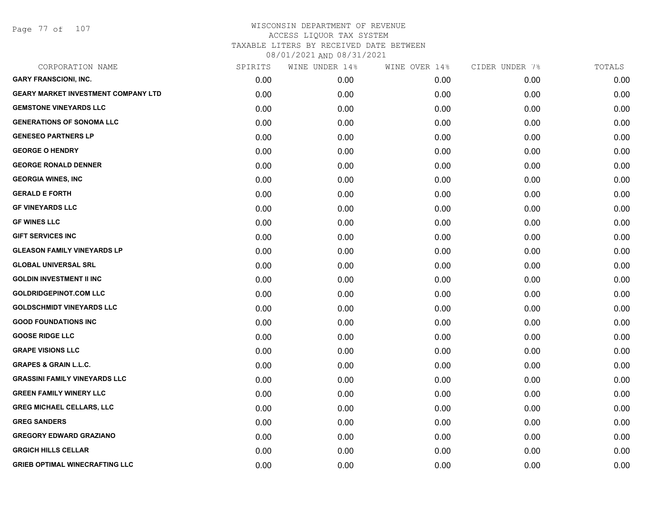Page 77 of 107

| CORPORATION NAME                           | SPIRITS | WINE UNDER 14% | WINE OVER 14% | CIDER UNDER 7% | TOTALS |
|--------------------------------------------|---------|----------------|---------------|----------------|--------|
| <b>GARY FRANSCIONI, INC.</b>               | 0.00    | 0.00           | 0.00          | 0.00           | 0.00   |
| <b>GEARY MARKET INVESTMENT COMPANY LTD</b> | 0.00    | 0.00           | 0.00          | 0.00           | 0.00   |
| <b>GEMSTONE VINEYARDS LLC</b>              | 0.00    | 0.00           | 0.00          | 0.00           | 0.00   |
| <b>GENERATIONS OF SONOMA LLC</b>           | 0.00    | 0.00           | 0.00          | 0.00           | 0.00   |
| <b>GENESEO PARTNERS LP</b>                 | 0.00    | 0.00           | 0.00          | 0.00           | 0.00   |
| <b>GEORGE O HENDRY</b>                     | 0.00    | 0.00           | 0.00          | 0.00           | 0.00   |
| <b>GEORGE RONALD DENNER</b>                | 0.00    | 0.00           | 0.00          | 0.00           | 0.00   |
| <b>GEORGIA WINES, INC</b>                  | 0.00    | 0.00           | 0.00          | 0.00           | 0.00   |
| <b>GERALD E FORTH</b>                      | 0.00    | 0.00           | 0.00          | 0.00           | 0.00   |
| <b>GF VINEYARDS LLC</b>                    | 0.00    | 0.00           | 0.00          | 0.00           | 0.00   |
| <b>GF WINES LLC</b>                        | 0.00    | 0.00           | 0.00          | 0.00           | 0.00   |
| <b>GIFT SERVICES INC</b>                   | 0.00    | 0.00           | 0.00          | 0.00           | 0.00   |
| <b>GLEASON FAMILY VINEYARDS LP</b>         | 0.00    | 0.00           | 0.00          | 0.00           | 0.00   |
| <b>GLOBAL UNIVERSAL SRL</b>                | 0.00    | 0.00           | 0.00          | 0.00           | 0.00   |
| <b>GOLDIN INVESTMENT II INC</b>            | 0.00    | 0.00           | 0.00          | 0.00           | 0.00   |
| <b>GOLDRIDGEPINOT.COM LLC</b>              | 0.00    | 0.00           | 0.00          | 0.00           | 0.00   |
| <b>GOLDSCHMIDT VINEYARDS LLC</b>           | 0.00    | 0.00           | 0.00          | 0.00           | 0.00   |
| <b>GOOD FOUNDATIONS INC</b>                | 0.00    | 0.00           | 0.00          | 0.00           | 0.00   |
| <b>GOOSE RIDGE LLC</b>                     | 0.00    | 0.00           | 0.00          | 0.00           | 0.00   |
| <b>GRAPE VISIONS LLC</b>                   | 0.00    | 0.00           | 0.00          | 0.00           | 0.00   |
| <b>GRAPES &amp; GRAIN L.L.C.</b>           | 0.00    | 0.00           | 0.00          | 0.00           | 0.00   |
| <b>GRASSINI FAMILY VINEYARDS LLC</b>       | 0.00    | 0.00           | 0.00          | 0.00           | 0.00   |
| <b>GREEN FAMILY WINERY LLC</b>             | 0.00    | 0.00           | 0.00          | 0.00           | 0.00   |
| <b>GREG MICHAEL CELLARS, LLC</b>           | 0.00    | 0.00           | 0.00          | 0.00           | 0.00   |
| <b>GREG SANDERS</b>                        | 0.00    | 0.00           | 0.00          | 0.00           | 0.00   |
| <b>GREGORY EDWARD GRAZIANO</b>             | 0.00    | 0.00           | 0.00          | 0.00           | 0.00   |
| <b>GRGICH HILLS CELLAR</b>                 | 0.00    | 0.00           | 0.00          | 0.00           | 0.00   |
| <b>GRIEB OPTIMAL WINECRAFTING LLC</b>      | 0.00    | 0.00           | 0.00          | 0.00           | 0.00   |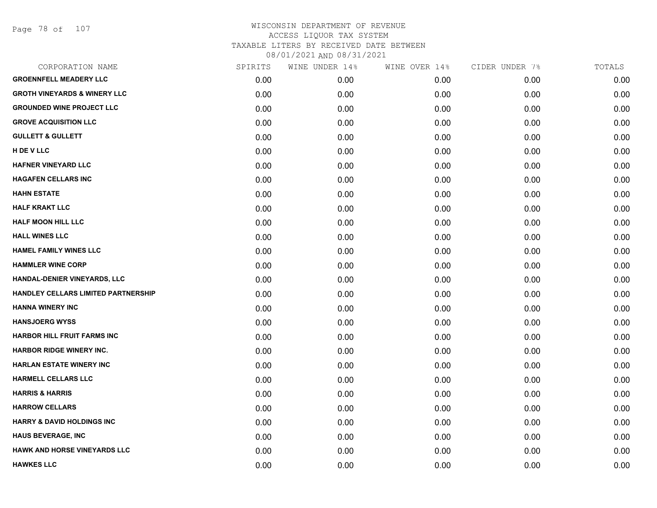Page 78 of 107

| CORPORATION NAME                           | SPIRITS | WINE UNDER 14% | WINE OVER 14% | CIDER UNDER 7% | TOTALS |
|--------------------------------------------|---------|----------------|---------------|----------------|--------|
| <b>GROENNFELL MEADERY LLC</b>              | 0.00    | 0.00           | 0.00          | 0.00           | 0.00   |
| <b>GROTH VINEYARDS &amp; WINERY LLC</b>    | 0.00    | 0.00           | 0.00          | 0.00           | 0.00   |
| <b>GROUNDED WINE PROJECT LLC</b>           | 0.00    | 0.00           | 0.00          | 0.00           | 0.00   |
| <b>GROVE ACQUISITION LLC</b>               | 0.00    | 0.00           | 0.00          | 0.00           | 0.00   |
| <b>GULLETT &amp; GULLETT</b>               | 0.00    | 0.00           | 0.00          | 0.00           | 0.00   |
| H DE V LLC                                 | 0.00    | 0.00           | 0.00          | 0.00           | 0.00   |
| <b>HAFNER VINEYARD LLC</b>                 | 0.00    | 0.00           | 0.00          | 0.00           | 0.00   |
| <b>HAGAFEN CELLARS INC</b>                 | 0.00    | 0.00           | 0.00          | 0.00           | 0.00   |
| <b>HAHN ESTATE</b>                         | 0.00    | 0.00           | 0.00          | 0.00           | 0.00   |
| <b>HALF KRAKT LLC</b>                      | 0.00    | 0.00           | 0.00          | 0.00           | 0.00   |
| <b>HALF MOON HILL LLC</b>                  | 0.00    | 0.00           | 0.00          | 0.00           | 0.00   |
| <b>HALL WINES LLC</b>                      | 0.00    | 0.00           | 0.00          | 0.00           | 0.00   |
| <b>HAMEL FAMILY WINES LLC</b>              | 0.00    | 0.00           | 0.00          | 0.00           | 0.00   |
| <b>HAMMLER WINE CORP</b>                   | 0.00    | 0.00           | 0.00          | 0.00           | 0.00   |
| HANDAL-DENIER VINEYARDS, LLC               | 0.00    | 0.00           | 0.00          | 0.00           | 0.00   |
| <b>HANDLEY CELLARS LIMITED PARTNERSHIP</b> | 0.00    | 0.00           | 0.00          | 0.00           | 0.00   |
| <b>HANNA WINERY INC</b>                    | 0.00    | 0.00           | 0.00          | 0.00           | 0.00   |
| <b>HANSJOERG WYSS</b>                      | 0.00    | 0.00           | 0.00          | 0.00           | 0.00   |
| <b>HARBOR HILL FRUIT FARMS INC</b>         | 0.00    | 0.00           | 0.00          | 0.00           | 0.00   |
| HARBOR RIDGE WINERY INC.                   | 0.00    | 0.00           | 0.00          | 0.00           | 0.00   |
| <b>HARLAN ESTATE WINERY INC</b>            | 0.00    | 0.00           | 0.00          | 0.00           | 0.00   |
| <b>HARMELL CELLARS LLC</b>                 | 0.00    | 0.00           | 0.00          | 0.00           | 0.00   |
| <b>HARRIS &amp; HARRIS</b>                 | 0.00    | 0.00           | 0.00          | 0.00           | 0.00   |
| <b>HARROW CELLARS</b>                      | 0.00    | 0.00           | 0.00          | 0.00           | 0.00   |
| <b>HARRY &amp; DAVID HOLDINGS INC</b>      | 0.00    | 0.00           | 0.00          | 0.00           | 0.00   |
| <b>HAUS BEVERAGE, INC</b>                  | 0.00    | 0.00           | 0.00          | 0.00           | 0.00   |
| HAWK AND HORSE VINEYARDS LLC               | 0.00    | 0.00           | 0.00          | 0.00           | 0.00   |
| <b>HAWKES LLC</b>                          | 0.00    | 0.00           | 0.00          | 0.00           | 0.00   |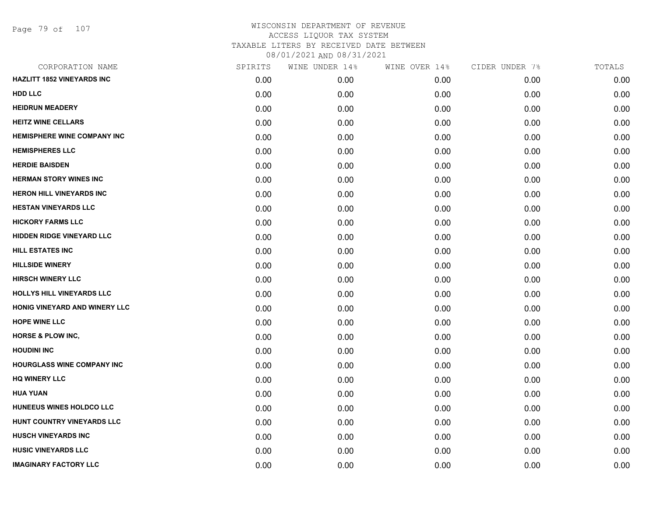| CORPORATION NAME                   | SPIRITS | WINE UNDER 14% | WINE OVER 14% | CIDER UNDER 7% | TOTALS |
|------------------------------------|---------|----------------|---------------|----------------|--------|
| <b>HAZLITT 1852 VINEYARDS INC</b>  | 0.00    | 0.00           | 0.00          | 0.00           | 0.00   |
| <b>HDD LLC</b>                     | 0.00    | 0.00           | 0.00          | 0.00           | 0.00   |
| <b>HEIDRUN MEADERY</b>             | 0.00    | 0.00           | 0.00          | 0.00           | 0.00   |
| <b>HEITZ WINE CELLARS</b>          | 0.00    | 0.00           | 0.00          | 0.00           | 0.00   |
| <b>HEMISPHERE WINE COMPANY INC</b> | 0.00    | 0.00           | 0.00          | 0.00           | 0.00   |
| <b>HEMISPHERES LLC</b>             | 0.00    | 0.00           | 0.00          | 0.00           | 0.00   |
| <b>HERDIE BAISDEN</b>              | 0.00    | 0.00           | 0.00          | 0.00           | 0.00   |
| <b>HERMAN STORY WINES INC</b>      | 0.00    | 0.00           | 0.00          | 0.00           | 0.00   |
| <b>HERON HILL VINEYARDS INC</b>    | 0.00    | 0.00           | 0.00          | 0.00           | 0.00   |
| <b>HESTAN VINEYARDS LLC</b>        | 0.00    | 0.00           | 0.00          | 0.00           | 0.00   |
| <b>HICKORY FARMS LLC</b>           | 0.00    | 0.00           | 0.00          | 0.00           | 0.00   |
| <b>HIDDEN RIDGE VINEYARD LLC</b>   | 0.00    | 0.00           | 0.00          | 0.00           | 0.00   |
| <b>HILL ESTATES INC</b>            | 0.00    | 0.00           | 0.00          | 0.00           | 0.00   |
| <b>HILLSIDE WINERY</b>             | 0.00    | 0.00           | 0.00          | 0.00           | 0.00   |
| <b>HIRSCH WINERY LLC</b>           | 0.00    | 0.00           | 0.00          | 0.00           | 0.00   |
| HOLLYS HILL VINEYARDS LLC          | 0.00    | 0.00           | 0.00          | 0.00           | 0.00   |
| HONIG VINEYARD AND WINERY LLC      | 0.00    | 0.00           | 0.00          | 0.00           | 0.00   |
| <b>HOPE WINE LLC</b>               | 0.00    | 0.00           | 0.00          | 0.00           | 0.00   |
| HORSE & PLOW INC,                  | 0.00    | 0.00           | 0.00          | 0.00           | 0.00   |
| <b>HOUDINI INC</b>                 | 0.00    | 0.00           | 0.00          | 0.00           | 0.00   |
| <b>HOURGLASS WINE COMPANY INC</b>  | 0.00    | 0.00           | 0.00          | 0.00           | 0.00   |
| <b>HQ WINERY LLC</b>               | 0.00    | 0.00           | 0.00          | 0.00           | 0.00   |
| <b>HUA YUAN</b>                    | 0.00    | 0.00           | 0.00          | 0.00           | 0.00   |
| HUNEEUS WINES HOLDCO LLC           | 0.00    | 0.00           | 0.00          | 0.00           | 0.00   |
| HUNT COUNTRY VINEYARDS LLC         | 0.00    | 0.00           | 0.00          | 0.00           | 0.00   |
| <b>HUSCH VINEYARDS INC</b>         | 0.00    | 0.00           | 0.00          | 0.00           | 0.00   |
| <b>HUSIC VINEYARDS LLC</b>         | 0.00    | 0.00           | 0.00          | 0.00           | 0.00   |
| <b>IMAGINARY FACTORY LLC</b>       | 0.00    | 0.00           | 0.00          | 0.00           | 0.00   |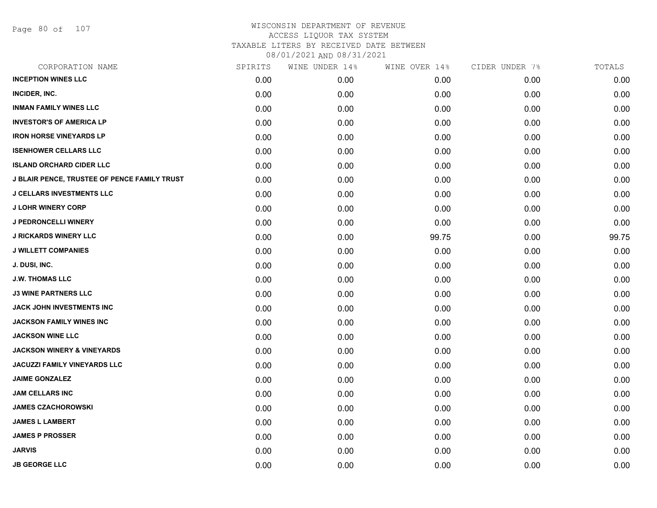Page 80 of 107

| CORPORATION NAME                             | SPIRITS | WINE UNDER 14% | WINE OVER 14% | CIDER UNDER 7% | TOTALS |
|----------------------------------------------|---------|----------------|---------------|----------------|--------|
| <b>INCEPTION WINES LLC</b>                   | 0.00    | 0.00           | 0.00          | 0.00           | 0.00   |
| INCIDER, INC.                                | 0.00    | 0.00           | 0.00          | 0.00           | 0.00   |
| <b>INMAN FAMILY WINES LLC</b>                | 0.00    | 0.00           | 0.00          | 0.00           | 0.00   |
| <b>INVESTOR'S OF AMERICA LP</b>              | 0.00    | 0.00           | 0.00          | 0.00           | 0.00   |
| <b>IRON HORSE VINEYARDS LP</b>               | 0.00    | 0.00           | 0.00          | 0.00           | 0.00   |
| <b>ISENHOWER CELLARS LLC</b>                 | 0.00    | 0.00           | 0.00          | 0.00           | 0.00   |
| <b>ISLAND ORCHARD CIDER LLC</b>              | 0.00    | 0.00           | 0.00          | 0.00           | 0.00   |
| J BLAIR PENCE, TRUSTEE OF PENCE FAMILY TRUST | 0.00    | 0.00           | 0.00          | 0.00           | 0.00   |
| <b>J CELLARS INVESTMENTS LLC</b>             | 0.00    | 0.00           | 0.00          | 0.00           | 0.00   |
| <b>J LOHR WINERY CORP</b>                    | 0.00    | 0.00           | 0.00          | 0.00           | 0.00   |
| J PEDRONCELLI WINERY                         | 0.00    | 0.00           | 0.00          | 0.00           | 0.00   |
| <b>J RICKARDS WINERY LLC</b>                 | 0.00    | 0.00           | 99.75         | 0.00           | 99.75  |
| <b>J WILLETT COMPANIES</b>                   | 0.00    | 0.00           | 0.00          | 0.00           | 0.00   |
| J. DUSI, INC.                                | 0.00    | 0.00           | 0.00          | 0.00           | 0.00   |
| <b>J.W. THOMAS LLC</b>                       | 0.00    | 0.00           | 0.00          | 0.00           | 0.00   |
| <b>J3 WINE PARTNERS LLC</b>                  | 0.00    | 0.00           | 0.00          | 0.00           | 0.00   |
| JACK JOHN INVESTMENTS INC                    | 0.00    | 0.00           | 0.00          | 0.00           | 0.00   |
| <b>JACKSON FAMILY WINES INC</b>              | 0.00    | 0.00           | 0.00          | 0.00           | 0.00   |
| <b>JACKSON WINE LLC</b>                      | 0.00    | 0.00           | 0.00          | 0.00           | 0.00   |
| <b>JACKSON WINERY &amp; VINEYARDS</b>        | 0.00    | 0.00           | 0.00          | 0.00           | 0.00   |
| <b>JACUZZI FAMILY VINEYARDS LLC</b>          | 0.00    | 0.00           | 0.00          | 0.00           | 0.00   |
| <b>JAIME GONZALEZ</b>                        | 0.00    | 0.00           | 0.00          | 0.00           | 0.00   |
| <b>JAM CELLARS INC</b>                       | 0.00    | 0.00           | 0.00          | 0.00           | 0.00   |
| <b>JAMES CZACHOROWSKI</b>                    | 0.00    | 0.00           | 0.00          | 0.00           | 0.00   |
| <b>JAMES L LAMBERT</b>                       | 0.00    | 0.00           | 0.00          | 0.00           | 0.00   |
| <b>JAMES P PROSSER</b>                       | 0.00    | 0.00           | 0.00          | 0.00           | 0.00   |
| <b>JARVIS</b>                                | 0.00    | 0.00           | 0.00          | 0.00           | 0.00   |
| <b>JB GEORGE LLC</b>                         | 0.00    | 0.00           | 0.00          | 0.00           | 0.00   |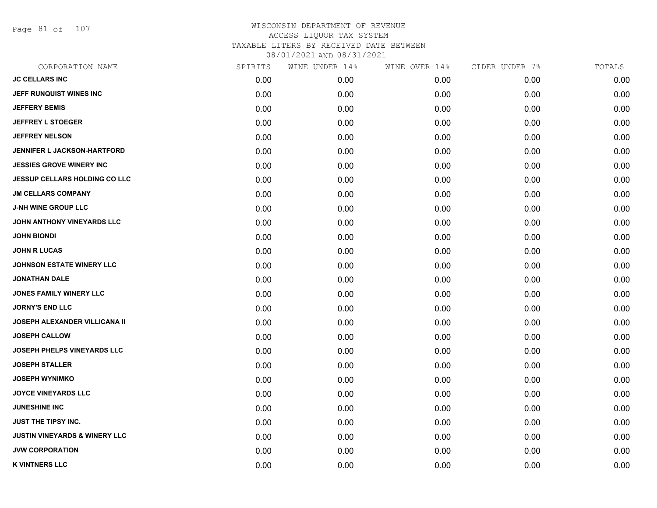Page 81 of 107

| CORPORATION NAME                         | SPIRITS | WINE UNDER 14% | WINE OVER 14% | CIDER UNDER 7% | TOTALS |
|------------------------------------------|---------|----------------|---------------|----------------|--------|
| <b>JC CELLARS INC</b>                    | 0.00    | 0.00           | 0.00          | 0.00           | 0.00   |
| JEFF RUNQUIST WINES INC                  | 0.00    | 0.00           | 0.00          | 0.00           | 0.00   |
| <b>JEFFERY BEMIS</b>                     | 0.00    | 0.00           | 0.00          | 0.00           | 0.00   |
| <b>JEFFREY L STOEGER</b>                 | 0.00    | 0.00           | 0.00          | 0.00           | 0.00   |
| <b>JEFFREY NELSON</b>                    | 0.00    | 0.00           | 0.00          | 0.00           | 0.00   |
| <b>JENNIFER L JACKSON-HARTFORD</b>       | 0.00    | 0.00           | 0.00          | 0.00           | 0.00   |
| <b>JESSIES GROVE WINERY INC</b>          | 0.00    | 0.00           | 0.00          | 0.00           | 0.00   |
| <b>JESSUP CELLARS HOLDING CO LLC</b>     | 0.00    | 0.00           | 0.00          | 0.00           | 0.00   |
| <b>JM CELLARS COMPANY</b>                | 0.00    | 0.00           | 0.00          | 0.00           | 0.00   |
| <b>J-NH WINE GROUP LLC</b>               | 0.00    | 0.00           | 0.00          | 0.00           | 0.00   |
| JOHN ANTHONY VINEYARDS LLC               | 0.00    | 0.00           | 0.00          | 0.00           | 0.00   |
| <b>JOHN BIONDI</b>                       | 0.00    | 0.00           | 0.00          | 0.00           | 0.00   |
| <b>JOHN R LUCAS</b>                      | 0.00    | 0.00           | 0.00          | 0.00           | 0.00   |
| <b>JOHNSON ESTATE WINERY LLC</b>         | 0.00    | 0.00           | 0.00          | 0.00           | 0.00   |
| <b>JONATHAN DALE</b>                     | 0.00    | 0.00           | 0.00          | 0.00           | 0.00   |
| <b>JONES FAMILY WINERY LLC</b>           | 0.00    | 0.00           | 0.00          | 0.00           | 0.00   |
| <b>JORNY'S END LLC</b>                   | 0.00    | 0.00           | 0.00          | 0.00           | 0.00   |
| <b>JOSEPH ALEXANDER VILLICANA II</b>     | 0.00    | 0.00           | 0.00          | 0.00           | 0.00   |
| <b>JOSEPH CALLOW</b>                     | 0.00    | 0.00           | 0.00          | 0.00           | 0.00   |
| <b>JOSEPH PHELPS VINEYARDS LLC</b>       | 0.00    | 0.00           | 0.00          | 0.00           | 0.00   |
| <b>JOSEPH STALLER</b>                    | 0.00    | 0.00           | 0.00          | 0.00           | 0.00   |
| <b>JOSEPH WYNIMKO</b>                    | 0.00    | 0.00           | 0.00          | 0.00           | 0.00   |
| <b>JOYCE VINEYARDS LLC</b>               | 0.00    | 0.00           | 0.00          | 0.00           | 0.00   |
| <b>JUNESHINE INC</b>                     | 0.00    | 0.00           | 0.00          | 0.00           | 0.00   |
| <b>JUST THE TIPSY INC.</b>               | 0.00    | 0.00           | 0.00          | 0.00           | 0.00   |
| <b>JUSTIN VINEYARDS &amp; WINERY LLC</b> | 0.00    | 0.00           | 0.00          | 0.00           | 0.00   |
| <b>JVW CORPORATION</b>                   | 0.00    | 0.00           | 0.00          | 0.00           | 0.00   |
| <b>K VINTNERS LLC</b>                    | 0.00    | 0.00           | 0.00          | 0.00           | 0.00   |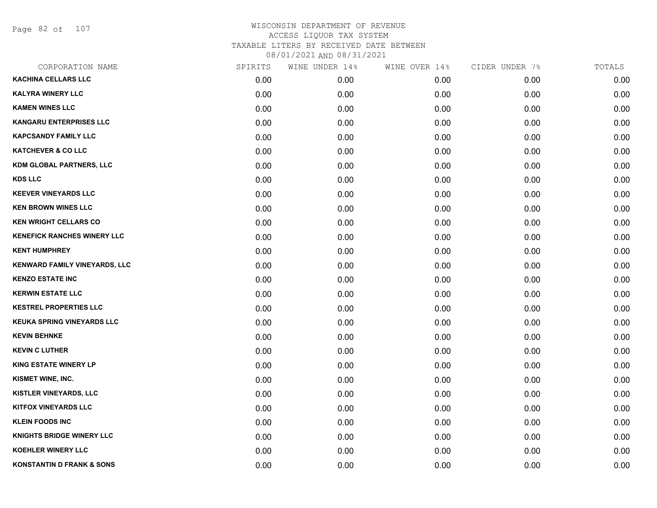Page 82 of 107

| CORPORATION NAME                     | SPIRITS | WINE UNDER 14% | WINE OVER 14% | CIDER UNDER 7% | TOTALS |
|--------------------------------------|---------|----------------|---------------|----------------|--------|
| <b>KACHINA CELLARS LLC</b>           | 0.00    | 0.00           | 0.00          | 0.00           | 0.00   |
| <b>KALYRA WINERY LLC</b>             | 0.00    | 0.00           | 0.00          | 0.00           | 0.00   |
| <b>KAMEN WINES LLC</b>               | 0.00    | 0.00           | 0.00          | 0.00           | 0.00   |
| <b>KANGARU ENTERPRISES LLC</b>       | 0.00    | 0.00           | 0.00          | 0.00           | 0.00   |
| <b>KAPCSANDY FAMILY LLC</b>          | 0.00    | 0.00           | 0.00          | 0.00           | 0.00   |
| <b>KATCHEVER &amp; CO LLC</b>        | 0.00    | 0.00           | 0.00          | 0.00           | 0.00   |
| KDM GLOBAL PARTNERS, LLC             | 0.00    | 0.00           | 0.00          | 0.00           | 0.00   |
| <b>KDS LLC</b>                       | 0.00    | 0.00           | 0.00          | 0.00           | 0.00   |
| <b>KEEVER VINEYARDS LLC</b>          | 0.00    | 0.00           | 0.00          | 0.00           | 0.00   |
| <b>KEN BROWN WINES LLC</b>           | 0.00    | 0.00           | 0.00          | 0.00           | 0.00   |
| <b>KEN WRIGHT CELLARS CO</b>         | 0.00    | 0.00           | 0.00          | 0.00           | 0.00   |
| <b>KENEFICK RANCHES WINERY LLC</b>   | 0.00    | 0.00           | 0.00          | 0.00           | 0.00   |
| <b>KENT HUMPHREY</b>                 | 0.00    | 0.00           | 0.00          | 0.00           | 0.00   |
| KENWARD FAMILY VINEYARDS, LLC        | 0.00    | 0.00           | 0.00          | 0.00           | 0.00   |
| <b>KENZO ESTATE INC</b>              | 0.00    | 0.00           | 0.00          | 0.00           | 0.00   |
| <b>KERWIN ESTATE LLC</b>             | 0.00    | 0.00           | 0.00          | 0.00           | 0.00   |
| <b>KESTREL PROPERTIES LLC</b>        | 0.00    | 0.00           | 0.00          | 0.00           | 0.00   |
| <b>KEUKA SPRING VINEYARDS LLC</b>    | 0.00    | 0.00           | 0.00          | 0.00           | 0.00   |
| <b>KEVIN BEHNKE</b>                  | 0.00    | 0.00           | 0.00          | 0.00           | 0.00   |
| <b>KEVIN C LUTHER</b>                | 0.00    | 0.00           | 0.00          | 0.00           | 0.00   |
| <b>KING ESTATE WINERY LP</b>         | 0.00    | 0.00           | 0.00          | 0.00           | 0.00   |
| KISMET WINE, INC.                    | 0.00    | 0.00           | 0.00          | 0.00           | 0.00   |
| KISTLER VINEYARDS, LLC               | 0.00    | 0.00           | 0.00          | 0.00           | 0.00   |
| <b>KITFOX VINEYARDS LLC</b>          | 0.00    | 0.00           | 0.00          | 0.00           | 0.00   |
| <b>KLEIN FOODS INC</b>               | 0.00    | 0.00           | 0.00          | 0.00           | 0.00   |
| <b>KNIGHTS BRIDGE WINERY LLC</b>     | 0.00    | 0.00           | 0.00          | 0.00           | 0.00   |
| <b>KOEHLER WINERY LLC</b>            | 0.00    | 0.00           | 0.00          | 0.00           | 0.00   |
| <b>KONSTANTIN D FRANK &amp; SONS</b> | 0.00    | 0.00           | 0.00          | 0.00           | 0.00   |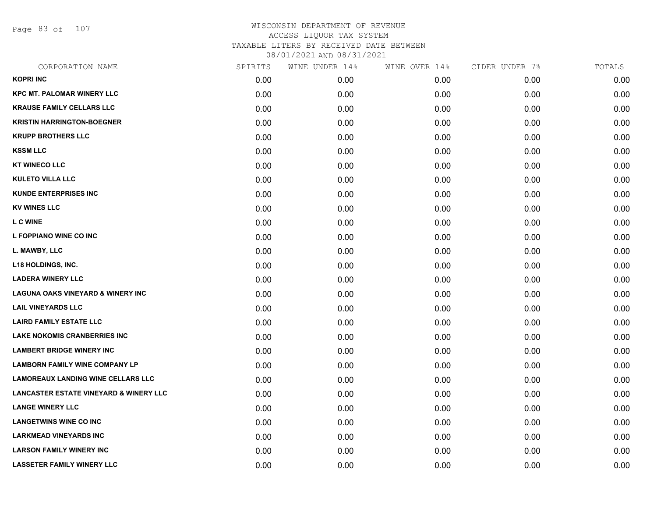Page 83 of 107

| CORPORATION NAME                                  | SPIRITS | WINE UNDER 14% | WINE OVER 14% | CIDER UNDER 7% | TOTALS |
|---------------------------------------------------|---------|----------------|---------------|----------------|--------|
| <b>KOPRI INC</b>                                  | 0.00    | 0.00           | 0.00          | 0.00           | 0.00   |
| <b>KPC MT. PALOMAR WINERY LLC</b>                 | 0.00    | 0.00           | 0.00          | 0.00           | 0.00   |
| <b>KRAUSE FAMILY CELLARS LLC</b>                  | 0.00    | 0.00           | 0.00          | 0.00           | 0.00   |
| <b>KRISTIN HARRINGTON-BOEGNER</b>                 | 0.00    | 0.00           | 0.00          | 0.00           | 0.00   |
| <b>KRUPP BROTHERS LLC</b>                         | 0.00    | 0.00           | 0.00          | 0.00           | 0.00   |
| <b>KSSM LLC</b>                                   | 0.00    | 0.00           | 0.00          | 0.00           | 0.00   |
| <b>KT WINECO LLC</b>                              | 0.00    | 0.00           | 0.00          | 0.00           | 0.00   |
| <b>KULETO VILLA LLC</b>                           | 0.00    | 0.00           | 0.00          | 0.00           | 0.00   |
| <b>KUNDE ENTERPRISES INC</b>                      | 0.00    | 0.00           | 0.00          | 0.00           | 0.00   |
| <b>KV WINES LLC</b>                               | 0.00    | 0.00           | 0.00          | 0.00           | 0.00   |
| <b>L C WINE</b>                                   | 0.00    | 0.00           | 0.00          | 0.00           | 0.00   |
| L FOPPIANO WINE CO INC                            | 0.00    | 0.00           | 0.00          | 0.00           | 0.00   |
| L. MAWBY, LLC                                     | 0.00    | 0.00           | 0.00          | 0.00           | 0.00   |
| <b>L18 HOLDINGS, INC.</b>                         | 0.00    | 0.00           | 0.00          | 0.00           | 0.00   |
| <b>LADERA WINERY LLC</b>                          | 0.00    | 0.00           | 0.00          | 0.00           | 0.00   |
| <b>LAGUNA OAKS VINEYARD &amp; WINERY INC</b>      | 0.00    | 0.00           | 0.00          | 0.00           | 0.00   |
| <b>LAIL VINEYARDS LLC</b>                         | 0.00    | 0.00           | 0.00          | 0.00           | 0.00   |
| <b>LAIRD FAMILY ESTATE LLC</b>                    | 0.00    | 0.00           | 0.00          | 0.00           | 0.00   |
| <b>LAKE NOKOMIS CRANBERRIES INC</b>               | 0.00    | 0.00           | 0.00          | 0.00           | 0.00   |
| <b>LAMBERT BRIDGE WINERY INC</b>                  | 0.00    | 0.00           | 0.00          | 0.00           | 0.00   |
| <b>LAMBORN FAMILY WINE COMPANY LP</b>             | 0.00    | 0.00           | 0.00          | 0.00           | 0.00   |
| <b>LAMOREAUX LANDING WINE CELLARS LLC</b>         | 0.00    | 0.00           | 0.00          | 0.00           | 0.00   |
| <b>LANCASTER ESTATE VINEYARD &amp; WINERY LLC</b> | 0.00    | 0.00           | 0.00          | 0.00           | 0.00   |
| <b>LANGE WINERY LLC</b>                           | 0.00    | 0.00           | 0.00          | 0.00           | 0.00   |
| <b>LANGETWINS WINE CO INC</b>                     | 0.00    | 0.00           | 0.00          | 0.00           | 0.00   |
| <b>LARKMEAD VINEYARDS INC</b>                     | 0.00    | 0.00           | 0.00          | 0.00           | 0.00   |
| <b>LARSON FAMILY WINERY INC</b>                   | 0.00    | 0.00           | 0.00          | 0.00           | 0.00   |
| <b>LASSETER FAMILY WINERY LLC</b>                 | 0.00    | 0.00           | 0.00          | 0.00           | 0.00   |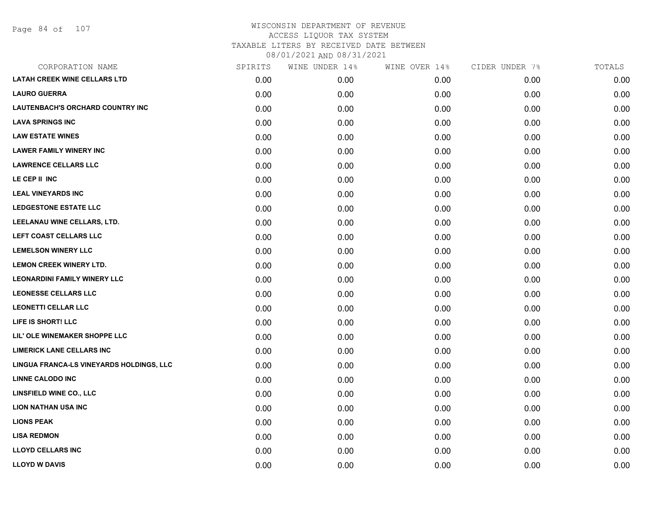| CORPORATION NAME                         | SPIRITS | WINE UNDER 14% | WINE OVER 14% | CIDER UNDER 7% | TOTALS |
|------------------------------------------|---------|----------------|---------------|----------------|--------|
| <b>LATAH CREEK WINE CELLARS LTD</b>      | 0.00    | 0.00           | 0.00          | 0.00           | 0.00   |
| <b>LAURO GUERRA</b>                      | 0.00    | 0.00           | 0.00          | 0.00           | 0.00   |
| <b>LAUTENBACH'S ORCHARD COUNTRY INC</b>  | 0.00    | 0.00           | 0.00          | 0.00           | 0.00   |
| <b>LAVA SPRINGS INC</b>                  | 0.00    | 0.00           | 0.00          | 0.00           | 0.00   |
| <b>LAW ESTATE WINES</b>                  | 0.00    | 0.00           | 0.00          | 0.00           | 0.00   |
| <b>LAWER FAMILY WINERY INC</b>           | 0.00    | 0.00           | 0.00          | 0.00           | 0.00   |
| <b>LAWRENCE CELLARS LLC</b>              | 0.00    | 0.00           | 0.00          | 0.00           | 0.00   |
| LE CEP II INC                            | 0.00    | 0.00           | 0.00          | 0.00           | 0.00   |
| <b>LEAL VINEYARDS INC</b>                | 0.00    | 0.00           | 0.00          | 0.00           | 0.00   |
| LEDGESTONE ESTATE LLC                    | 0.00    | 0.00           | 0.00          | 0.00           | 0.00   |
| LEELANAU WINE CELLARS, LTD.              | 0.00    | 0.00           | 0.00          | 0.00           | 0.00   |
| LEFT COAST CELLARS LLC                   | 0.00    | 0.00           | 0.00          | 0.00           | 0.00   |
| <b>LEMELSON WINERY LLC</b>               | 0.00    | 0.00           | 0.00          | 0.00           | 0.00   |
| LEMON CREEK WINERY LTD.                  | 0.00    | 0.00           | 0.00          | 0.00           | 0.00   |
| <b>LEONARDINI FAMILY WINERY LLC</b>      | 0.00    | 0.00           | 0.00          | 0.00           | 0.00   |
| <b>LEONESSE CELLARS LLC</b>              | 0.00    | 0.00           | 0.00          | 0.00           | 0.00   |
| <b>LEONETTI CELLAR LLC</b>               | 0.00    | 0.00           | 0.00          | 0.00           | 0.00   |
| LIFE IS SHORT! LLC                       | 0.00    | 0.00           | 0.00          | 0.00           | 0.00   |
| LIL' OLE WINEMAKER SHOPPE LLC            | 0.00    | 0.00           | 0.00          | 0.00           | 0.00   |
| <b>LIMERICK LANE CELLARS INC</b>         | 0.00    | 0.00           | 0.00          | 0.00           | 0.00   |
| LINGUA FRANCA-LS VINEYARDS HOLDINGS, LLC | 0.00    | 0.00           | 0.00          | 0.00           | 0.00   |
| <b>LINNE CALODO INC</b>                  | 0.00    | 0.00           | 0.00          | 0.00           | 0.00   |
| <b>LINSFIELD WINE CO., LLC</b>           | 0.00    | 0.00           | 0.00          | 0.00           | 0.00   |
| <b>LION NATHAN USA INC</b>               | 0.00    | 0.00           | 0.00          | 0.00           | 0.00   |
| <b>LIONS PEAK</b>                        | 0.00    | 0.00           | 0.00          | 0.00           | 0.00   |
| <b>LISA REDMON</b>                       | 0.00    | 0.00           | 0.00          | 0.00           | 0.00   |
| <b>LLOYD CELLARS INC</b>                 | 0.00    | 0.00           | 0.00          | 0.00           | 0.00   |
| <b>LLOYD W DAVIS</b>                     | 0.00    | 0.00           | 0.00          | 0.00           | 0.00   |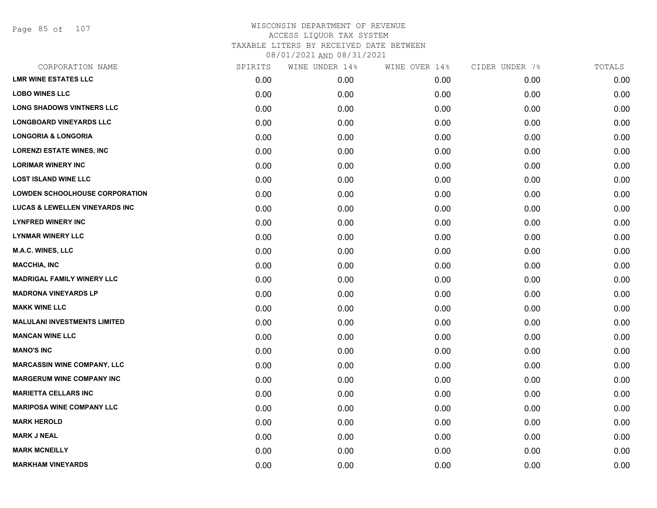Page 85 of 107

| CORPORATION NAME                          | SPIRITS | WINE UNDER 14% | WINE OVER 14% | CIDER UNDER 7% | TOTALS |
|-------------------------------------------|---------|----------------|---------------|----------------|--------|
| <b>LMR WINE ESTATES LLC</b>               | 0.00    | 0.00           | 0.00          | 0.00           | 0.00   |
| <b>LOBO WINES LLC</b>                     | 0.00    | 0.00           | 0.00          | 0.00           | 0.00   |
| <b>LONG SHADOWS VINTNERS LLC</b>          | 0.00    | 0.00           | 0.00          | 0.00           | 0.00   |
| <b>LONGBOARD VINEYARDS LLC</b>            | 0.00    | 0.00           | 0.00          | 0.00           | 0.00   |
| <b>LONGORIA &amp; LONGORIA</b>            | 0.00    | 0.00           | 0.00          | 0.00           | 0.00   |
| <b>LORENZI ESTATE WINES, INC</b>          | 0.00    | 0.00           | 0.00          | 0.00           | 0.00   |
| <b>LORIMAR WINERY INC</b>                 | 0.00    | 0.00           | 0.00          | 0.00           | 0.00   |
| <b>LOST ISLAND WINE LLC</b>               | 0.00    | 0.00           | 0.00          | 0.00           | 0.00   |
| <b>LOWDEN SCHOOLHOUSE CORPORATION</b>     | 0.00    | 0.00           | 0.00          | 0.00           | 0.00   |
| <b>LUCAS &amp; LEWELLEN VINEYARDS INC</b> | 0.00    | 0.00           | 0.00          | 0.00           | 0.00   |
| <b>LYNFRED WINERY INC</b>                 | 0.00    | 0.00           | 0.00          | 0.00           | 0.00   |
| <b>LYNMAR WINERY LLC</b>                  | 0.00    | 0.00           | 0.00          | 0.00           | 0.00   |
| M.A.C. WINES, LLC                         | 0.00    | 0.00           | 0.00          | 0.00           | 0.00   |
| <b>MACCHIA, INC</b>                       | 0.00    | 0.00           | 0.00          | 0.00           | 0.00   |
| <b>MADRIGAL FAMILY WINERY LLC</b>         | 0.00    | 0.00           | 0.00          | 0.00           | 0.00   |
| <b>MADRONA VINEYARDS LP</b>               | 0.00    | 0.00           | 0.00          | 0.00           | 0.00   |
| <b>MAKK WINE LLC</b>                      | 0.00    | 0.00           | 0.00          | 0.00           | 0.00   |
| <b>MALULANI INVESTMENTS LIMITED</b>       | 0.00    | 0.00           | 0.00          | 0.00           | 0.00   |
| <b>MANCAN WINE LLC</b>                    | 0.00    | 0.00           | 0.00          | 0.00           | 0.00   |
| <b>MANO'S INC</b>                         | 0.00    | 0.00           | 0.00          | 0.00           | 0.00   |
| <b>MARCASSIN WINE COMPANY, LLC</b>        | 0.00    | 0.00           | 0.00          | 0.00           | 0.00   |
| <b>MARGERUM WINE COMPANY INC</b>          | 0.00    | 0.00           | 0.00          | 0.00           | 0.00   |
| <b>MARIETTA CELLARS INC</b>               | 0.00    | 0.00           | 0.00          | 0.00           | 0.00   |
| <b>MARIPOSA WINE COMPANY LLC</b>          | 0.00    | 0.00           | 0.00          | 0.00           | 0.00   |
| <b>MARK HEROLD</b>                        | 0.00    | 0.00           | 0.00          | 0.00           | 0.00   |
| <b>MARK J NEAL</b>                        | 0.00    | 0.00           | 0.00          | 0.00           | 0.00   |
| <b>MARK MCNEILLY</b>                      | 0.00    | 0.00           | 0.00          | 0.00           | 0.00   |
| <b>MARKHAM VINEYARDS</b>                  | 0.00    | 0.00           | 0.00          | 0.00           | 0.00   |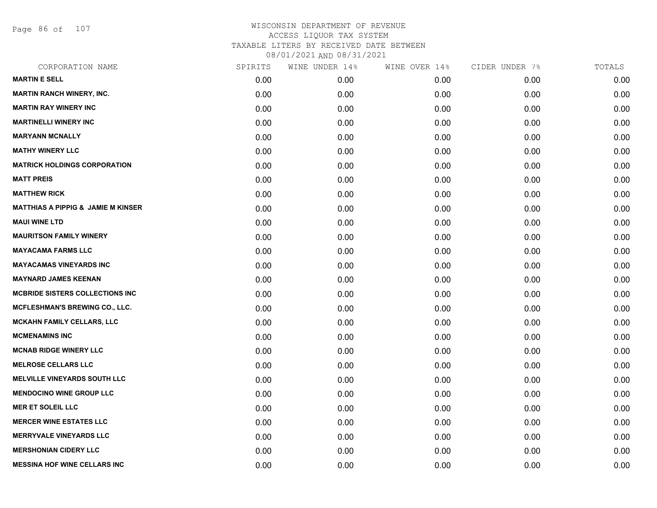Page 86 of 107

| CORPORATION NAME                              | SPIRITS | WINE UNDER 14% | WINE OVER 14% | CIDER UNDER 7% | TOTALS |
|-----------------------------------------------|---------|----------------|---------------|----------------|--------|
| <b>MARTIN E SELL</b>                          | 0.00    | 0.00           | 0.00          | 0.00           | 0.00   |
| <b>MARTIN RANCH WINERY, INC.</b>              | 0.00    | 0.00           | 0.00          | 0.00           | 0.00   |
| <b>MARTIN RAY WINERY INC</b>                  | 0.00    | 0.00           | 0.00          | 0.00           | 0.00   |
| <b>MARTINELLI WINERY INC</b>                  | 0.00    | 0.00           | 0.00          | 0.00           | 0.00   |
| <b>MARYANN MCNALLY</b>                        | 0.00    | 0.00           | 0.00          | 0.00           | 0.00   |
| <b>MATHY WINERY LLC</b>                       | 0.00    | 0.00           | 0.00          | 0.00           | 0.00   |
| <b>MATRICK HOLDINGS CORPORATION</b>           | 0.00    | 0.00           | 0.00          | 0.00           | 0.00   |
| <b>MATT PREIS</b>                             | 0.00    | 0.00           | 0.00          | 0.00           | 0.00   |
| <b>MATTHEW RICK</b>                           | 0.00    | 0.00           | 0.00          | 0.00           | 0.00   |
| <b>MATTHIAS A PIPPIG &amp; JAMIE M KINSER</b> | 0.00    | 0.00           | 0.00          | 0.00           | 0.00   |
| <b>MAUI WINE LTD</b>                          | 0.00    | 0.00           | 0.00          | 0.00           | 0.00   |
| <b>MAURITSON FAMILY WINERY</b>                | 0.00    | 0.00           | 0.00          | 0.00           | 0.00   |
| <b>MAYACAMA FARMS LLC</b>                     | 0.00    | 0.00           | 0.00          | 0.00           | 0.00   |
| <b>MAYACAMAS VINEYARDS INC</b>                | 0.00    | 0.00           | 0.00          | 0.00           | 0.00   |
| <b>MAYNARD JAMES KEENAN</b>                   | 0.00    | 0.00           | 0.00          | 0.00           | 0.00   |
| <b>MCBRIDE SISTERS COLLECTIONS INC</b>        | 0.00    | 0.00           | 0.00          | 0.00           | 0.00   |
| <b>MCFLESHMAN'S BREWING CO., LLC.</b>         | 0.00    | 0.00           | 0.00          | 0.00           | 0.00   |
| <b>MCKAHN FAMILY CELLARS, LLC</b>             | 0.00    | 0.00           | 0.00          | 0.00           | 0.00   |
| <b>MCMENAMINS INC</b>                         | 0.00    | 0.00           | 0.00          | 0.00           | 0.00   |
| <b>MCNAB RIDGE WINERY LLC</b>                 | 0.00    | 0.00           | 0.00          | 0.00           | 0.00   |
| <b>MELROSE CELLARS LLC</b>                    | 0.00    | 0.00           | 0.00          | 0.00           | 0.00   |
| <b>MELVILLE VINEYARDS SOUTH LLC</b>           | 0.00    | 0.00           | 0.00          | 0.00           | 0.00   |
| <b>MENDOCINO WINE GROUP LLC</b>               | 0.00    | 0.00           | 0.00          | 0.00           | 0.00   |
| <b>MER ET SOLEIL LLC</b>                      | 0.00    | 0.00           | 0.00          | 0.00           | 0.00   |
| <b>MERCER WINE ESTATES LLC</b>                | 0.00    | 0.00           | 0.00          | 0.00           | 0.00   |
| <b>MERRYVALE VINEYARDS LLC</b>                | 0.00    | 0.00           | 0.00          | 0.00           | 0.00   |
| <b>MERSHONIAN CIDERY LLC</b>                  | 0.00    | 0.00           | 0.00          | 0.00           | 0.00   |
| <b>MESSINA HOF WINE CELLARS INC</b>           | 0.00    | 0.00           | 0.00          | 0.00           | 0.00   |
|                                               |         |                |               |                |        |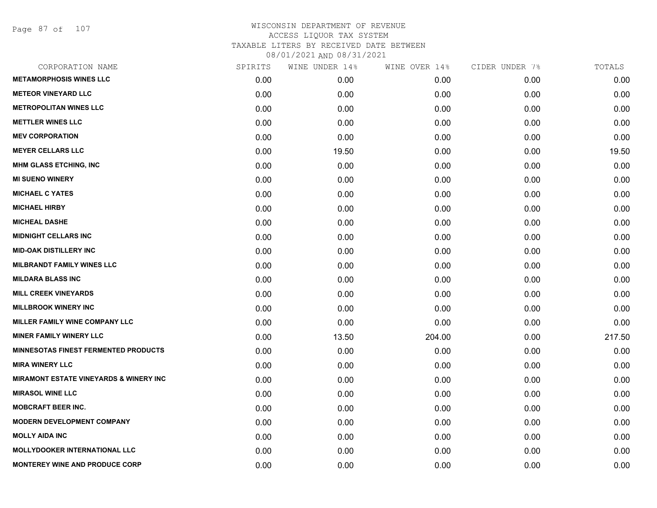Page 87 of 107

| CORPORATION NAME                                  | SPIRITS | WINE UNDER 14% | WINE OVER 14% | CIDER UNDER 7% | TOTALS |
|---------------------------------------------------|---------|----------------|---------------|----------------|--------|
| <b>METAMORPHOSIS WINES LLC</b>                    | 0.00    | 0.00           | 0.00          | 0.00           | 0.00   |
| <b>METEOR VINEYARD LLC</b>                        | 0.00    | 0.00           | 0.00          | 0.00           | 0.00   |
| <b>METROPOLITAN WINES LLC</b>                     | 0.00    | 0.00           | 0.00          | 0.00           | 0.00   |
| <b>METTLER WINES LLC</b>                          | 0.00    | 0.00           | 0.00          | 0.00           | 0.00   |
| <b>MEV CORPORATION</b>                            | 0.00    | 0.00           | 0.00          | 0.00           | 0.00   |
| <b>MEYER CELLARS LLC</b>                          | 0.00    | 19.50          | 0.00          | 0.00           | 19.50  |
| <b>MHM GLASS ETCHING, INC.</b>                    | 0.00    | 0.00           | 0.00          | 0.00           | 0.00   |
| <b>MI SUENO WINERY</b>                            | 0.00    | 0.00           | 0.00          | 0.00           | 0.00   |
| <b>MICHAEL C YATES</b>                            | 0.00    | 0.00           | 0.00          | 0.00           | 0.00   |
| <b>MICHAEL HIRBY</b>                              | 0.00    | 0.00           | 0.00          | 0.00           | 0.00   |
| <b>MICHEAL DASHE</b>                              | 0.00    | 0.00           | 0.00          | 0.00           | 0.00   |
| <b>MIDNIGHT CELLARS INC</b>                       | 0.00    | 0.00           | 0.00          | 0.00           | 0.00   |
| <b>MID-OAK DISTILLERY INC</b>                     | 0.00    | 0.00           | 0.00          | 0.00           | 0.00   |
| <b>MILBRANDT FAMILY WINES LLC</b>                 | 0.00    | 0.00           | 0.00          | 0.00           | 0.00   |
| <b>MILDARA BLASS INC</b>                          | 0.00    | 0.00           | 0.00          | 0.00           | 0.00   |
| <b>MILL CREEK VINEYARDS</b>                       | 0.00    | 0.00           | 0.00          | 0.00           | 0.00   |
| <b>MILLBROOK WINERY INC</b>                       | 0.00    | 0.00           | 0.00          | 0.00           | 0.00   |
| <b>MILLER FAMILY WINE COMPANY LLC</b>             | 0.00    | 0.00           | 0.00          | 0.00           | 0.00   |
| <b>MINER FAMILY WINERY LLC</b>                    | 0.00    | 13.50          | 204.00        | 0.00           | 217.50 |
| <b>MINNESOTAS FINEST FERMENTED PRODUCTS</b>       | 0.00    | 0.00           | 0.00          | 0.00           | 0.00   |
| <b>MIRA WINERY LLC</b>                            | 0.00    | 0.00           | 0.00          | 0.00           | 0.00   |
| <b>MIRAMONT ESTATE VINEYARDS &amp; WINERY INC</b> | 0.00    | 0.00           | 0.00          | 0.00           | 0.00   |
| <b>MIRASOL WINE LLC</b>                           | 0.00    | 0.00           | 0.00          | 0.00           | 0.00   |
| <b>MOBCRAFT BEER INC.</b>                         | 0.00    | 0.00           | 0.00          | 0.00           | 0.00   |
| <b>MODERN DEVELOPMENT COMPANY</b>                 | 0.00    | 0.00           | 0.00          | 0.00           | 0.00   |
| <b>MOLLY AIDA INC</b>                             | 0.00    | 0.00           | 0.00          | 0.00           | 0.00   |
| <b>MOLLYDOOKER INTERNATIONAL LLC</b>              | 0.00    | 0.00           | 0.00          | 0.00           | 0.00   |
| <b>MONTEREY WINE AND PRODUCE CORP</b>             | 0.00    | 0.00           | 0.00          | 0.00           | 0.00   |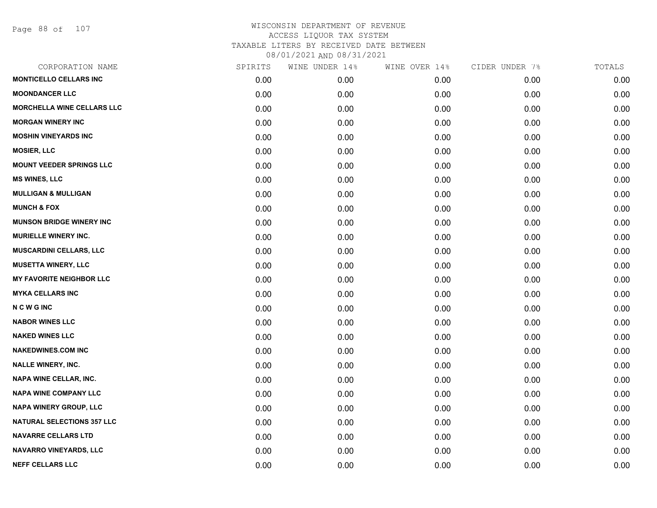Page 88 of 107

| CORPORATION NAME                  | SPIRITS | WINE UNDER 14% | WINE OVER 14% | CIDER UNDER 7% | TOTALS |
|-----------------------------------|---------|----------------|---------------|----------------|--------|
| <b>MONTICELLO CELLARS INC</b>     | 0.00    | 0.00           | 0.00          | 0.00           | 0.00   |
| <b>MOONDANCER LLC</b>             | 0.00    | 0.00           | 0.00          | 0.00           | 0.00   |
| MORCHELLA WINE CELLARS LLC        | 0.00    | 0.00           | 0.00          | 0.00           | 0.00   |
| <b>MORGAN WINERY INC</b>          | 0.00    | 0.00           | 0.00          | 0.00           | 0.00   |
| <b>MOSHIN VINEYARDS INC</b>       | 0.00    | 0.00           | 0.00          | 0.00           | 0.00   |
| <b>MOSIER, LLC</b>                | 0.00    | 0.00           | 0.00          | 0.00           | 0.00   |
| <b>MOUNT VEEDER SPRINGS LLC</b>   | 0.00    | 0.00           | 0.00          | 0.00           | 0.00   |
| <b>MS WINES, LLC</b>              | 0.00    | 0.00           | 0.00          | 0.00           | 0.00   |
| <b>MULLIGAN &amp; MULLIGAN</b>    | 0.00    | 0.00           | 0.00          | 0.00           | 0.00   |
| <b>MUNCH &amp; FOX</b>            | 0.00    | 0.00           | 0.00          | 0.00           | 0.00   |
| <b>MUNSON BRIDGE WINERY INC</b>   | 0.00    | 0.00           | 0.00          | 0.00           | 0.00   |
| <b>MURIELLE WINERY INC.</b>       | 0.00    | 0.00           | 0.00          | 0.00           | 0.00   |
| <b>MUSCARDINI CELLARS, LLC</b>    | 0.00    | 0.00           | 0.00          | 0.00           | 0.00   |
| <b>MUSETTA WINERY, LLC</b>        | 0.00    | 0.00           | 0.00          | 0.00           | 0.00   |
| <b>MY FAVORITE NEIGHBOR LLC</b>   | 0.00    | 0.00           | 0.00          | 0.00           | 0.00   |
| <b>MYKA CELLARS INC</b>           | 0.00    | 0.00           | 0.00          | 0.00           | 0.00   |
| <b>NCWGING</b>                    | 0.00    | 0.00           | 0.00          | 0.00           | 0.00   |
| <b>NABOR WINES LLC</b>            | 0.00    | 0.00           | 0.00          | 0.00           | 0.00   |
| <b>NAKED WINES LLC</b>            | 0.00    | 0.00           | 0.00          | 0.00           | 0.00   |
| <b>NAKEDWINES.COM INC</b>         | 0.00    | 0.00           | 0.00          | 0.00           | 0.00   |
| <b>NALLE WINERY, INC.</b>         | 0.00    | 0.00           | 0.00          | 0.00           | 0.00   |
| <b>NAPA WINE CELLAR, INC.</b>     | 0.00    | 0.00           | 0.00          | 0.00           | 0.00   |
| <b>NAPA WINE COMPANY LLC</b>      | 0.00    | 0.00           | 0.00          | 0.00           | 0.00   |
| <b>NAPA WINERY GROUP, LLC</b>     | 0.00    | 0.00           | 0.00          | 0.00           | 0.00   |
| <b>NATURAL SELECTIONS 357 LLC</b> | 0.00    | 0.00           | 0.00          | 0.00           | 0.00   |
| <b>NAVARRE CELLARS LTD</b>        | 0.00    | 0.00           | 0.00          | 0.00           | 0.00   |
| NAVARRO VINEYARDS, LLC            | 0.00    | 0.00           | 0.00          | 0.00           | 0.00   |
| <b>NEFF CELLARS LLC</b>           | 0.00    | 0.00           | 0.00          | 0.00           | 0.00   |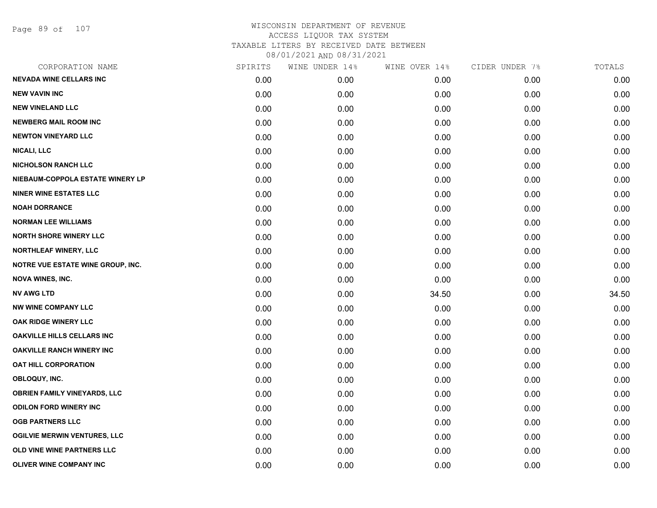Page 89 of 107

| CORPORATION NAME                         | SPIRITS | WINE UNDER 14% | WINE OVER 14% | CIDER UNDER 7% | TOTALS |
|------------------------------------------|---------|----------------|---------------|----------------|--------|
| <b>NEVADA WINE CELLARS INC</b>           | 0.00    | 0.00           | 0.00          | 0.00           | 0.00   |
| <b>NEW VAVIN INC</b>                     | 0.00    | 0.00           | 0.00          | 0.00           | 0.00   |
| <b>NEW VINELAND LLC</b>                  | 0.00    | 0.00           | 0.00          | 0.00           | 0.00   |
| <b>NEWBERG MAIL ROOM INC</b>             | 0.00    | 0.00           | 0.00          | 0.00           | 0.00   |
| <b>NEWTON VINEYARD LLC</b>               | 0.00    | 0.00           | 0.00          | 0.00           | 0.00   |
| <b>NICALI, LLC</b>                       | 0.00    | 0.00           | 0.00          | 0.00           | 0.00   |
| <b>NICHOLSON RANCH LLC</b>               | 0.00    | 0.00           | 0.00          | 0.00           | 0.00   |
| NIEBAUM-COPPOLA ESTATE WINERY LP         | 0.00    | 0.00           | 0.00          | 0.00           | 0.00   |
| <b>NINER WINE ESTATES LLC</b>            | 0.00    | 0.00           | 0.00          | 0.00           | 0.00   |
| <b>NOAH DORRANCE</b>                     | 0.00    | 0.00           | 0.00          | 0.00           | 0.00   |
| <b>NORMAN LEE WILLIAMS</b>               | 0.00    | 0.00           | 0.00          | 0.00           | 0.00   |
| <b>NORTH SHORE WINERY LLC</b>            | 0.00    | 0.00           | 0.00          | 0.00           | 0.00   |
| <b>NORTHLEAF WINERY, LLC</b>             | 0.00    | 0.00           | 0.00          | 0.00           | 0.00   |
| <b>NOTRE VUE ESTATE WINE GROUP, INC.</b> | 0.00    | 0.00           | 0.00          | 0.00           | 0.00   |
| <b>NOVA WINES, INC.</b>                  | 0.00    | 0.00           | 0.00          | 0.00           | 0.00   |
| <b>NV AWG LTD</b>                        | 0.00    | 0.00           | 34.50         | 0.00           | 34.50  |
| <b>NW WINE COMPANY LLC</b>               | 0.00    | 0.00           | 0.00          | 0.00           | 0.00   |
| OAK RIDGE WINERY LLC                     | 0.00    | 0.00           | 0.00          | 0.00           | 0.00   |
| <b>OAKVILLE HILLS CELLARS INC</b>        | 0.00    | 0.00           | 0.00          | 0.00           | 0.00   |
| <b>OAKVILLE RANCH WINERY INC</b>         | 0.00    | 0.00           | 0.00          | 0.00           | 0.00   |
| <b>OAT HILL CORPORATION</b>              | 0.00    | 0.00           | 0.00          | 0.00           | 0.00   |
| OBLOQUY, INC.                            | 0.00    | 0.00           | 0.00          | 0.00           | 0.00   |
| <b>OBRIEN FAMILY VINEYARDS, LLC</b>      | 0.00    | 0.00           | 0.00          | 0.00           | 0.00   |
| <b>ODILON FORD WINERY INC</b>            | 0.00    | 0.00           | 0.00          | 0.00           | 0.00   |
| <b>OGB PARTNERS LLC</b>                  | 0.00    | 0.00           | 0.00          | 0.00           | 0.00   |
| <b>OGILVIE MERWIN VENTURES, LLC</b>      | 0.00    | 0.00           | 0.00          | 0.00           | 0.00   |
| OLD VINE WINE PARTNERS LLC               | 0.00    | 0.00           | 0.00          | 0.00           | 0.00   |
| OLIVER WINE COMPANY INC                  | 0.00    | 0.00           | 0.00          | 0.00           | 0.00   |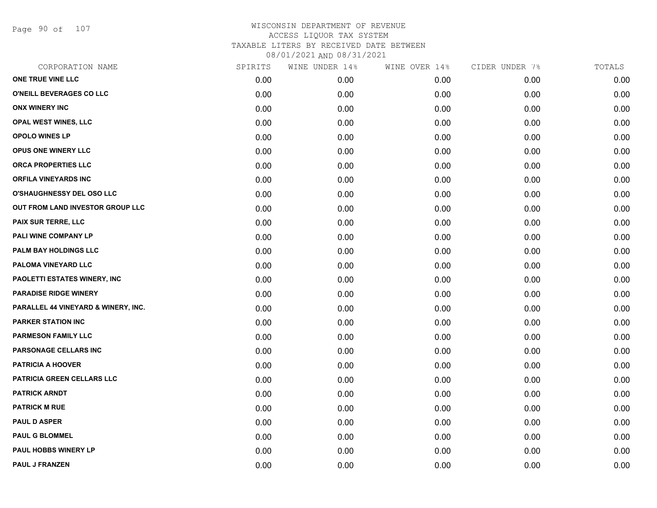Page 90 of 107

| CORPORATION NAME                    | SPIRITS | WINE UNDER 14% | WINE OVER 14% | CIDER UNDER 7% | TOTALS |
|-------------------------------------|---------|----------------|---------------|----------------|--------|
| ONE TRUE VINE LLC                   | 0.00    | 0.00           | 0.00          | 0.00           | 0.00   |
| O'NEILL BEVERAGES CO LLC            | 0.00    | 0.00           | 0.00          | 0.00           | 0.00   |
| <b>ONX WINERY INC</b>               | 0.00    | 0.00           | 0.00          | 0.00           | 0.00   |
| <b>OPAL WEST WINES, LLC</b>         | 0.00    | 0.00           | 0.00          | 0.00           | 0.00   |
| <b>OPOLO WINES LP</b>               | 0.00    | 0.00           | 0.00          | 0.00           | 0.00   |
| OPUS ONE WINERY LLC                 | 0.00    | 0.00           | 0.00          | 0.00           | 0.00   |
| <b>ORCA PROPERTIES LLC</b>          | 0.00    | 0.00           | 0.00          | 0.00           | 0.00   |
| <b>ORFILA VINEYARDS INC</b>         | 0.00    | 0.00           | 0.00          | 0.00           | 0.00   |
| <b>O'SHAUGHNESSY DEL OSO LLC</b>    | 0.00    | 0.00           | 0.00          | 0.00           | 0.00   |
| OUT FROM LAND INVESTOR GROUP LLC    | 0.00    | 0.00           | 0.00          | 0.00           | 0.00   |
| <b>PAIX SUR TERRE, LLC</b>          | 0.00    | 0.00           | 0.00          | 0.00           | 0.00   |
| PALI WINE COMPANY LP                | 0.00    | 0.00           | 0.00          | 0.00           | 0.00   |
| PALM BAY HOLDINGS LLC               | 0.00    | 0.00           | 0.00          | 0.00           | 0.00   |
| PALOMA VINEYARD LLC                 | 0.00    | 0.00           | 0.00          | 0.00           | 0.00   |
| PAOLETTI ESTATES WINERY, INC        | 0.00    | 0.00           | 0.00          | 0.00           | 0.00   |
| <b>PARADISE RIDGE WINERY</b>        | 0.00    | 0.00           | 0.00          | 0.00           | 0.00   |
| PARALLEL 44 VINEYARD & WINERY, INC. | 0.00    | 0.00           | 0.00          | 0.00           | 0.00   |
| <b>PARKER STATION INC</b>           | 0.00    | 0.00           | 0.00          | 0.00           | 0.00   |
| <b>PARMESON FAMILY LLC</b>          | 0.00    | 0.00           | 0.00          | 0.00           | 0.00   |
| PARSONAGE CELLARS INC               | 0.00    | 0.00           | 0.00          | 0.00           | 0.00   |
| <b>PATRICIA A HOOVER</b>            | 0.00    | 0.00           | 0.00          | 0.00           | 0.00   |
| <b>PATRICIA GREEN CELLARS LLC</b>   | 0.00    | 0.00           | 0.00          | 0.00           | 0.00   |
| <b>PATRICK ARNDT</b>                | 0.00    | 0.00           | 0.00          | 0.00           | 0.00   |
| <b>PATRICK M RUE</b>                | 0.00    | 0.00           | 0.00          | 0.00           | 0.00   |
| <b>PAUL D ASPER</b>                 | 0.00    | 0.00           | 0.00          | 0.00           | 0.00   |
| <b>PAUL G BLOMMEL</b>               | 0.00    | 0.00           | 0.00          | 0.00           | 0.00   |
| <b>PAUL HOBBS WINERY LP</b>         | 0.00    | 0.00           | 0.00          | 0.00           | 0.00   |
| <b>PAUL J FRANZEN</b>               | 0.00    | 0.00           | 0.00          | 0.00           | 0.00   |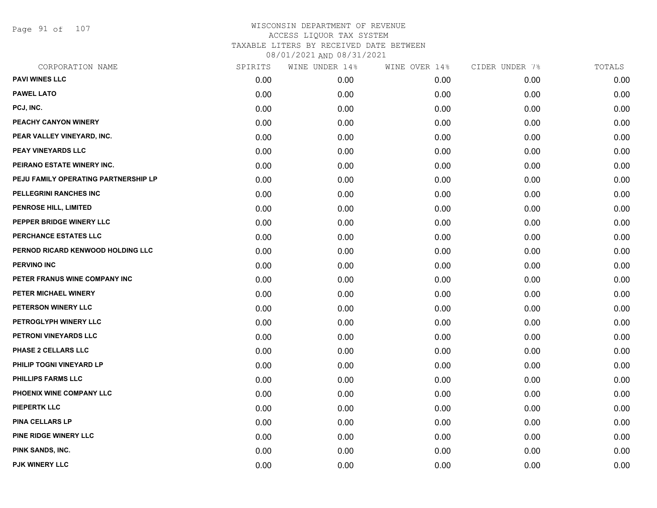Page 91 of 107

| CORPORATION NAME                     | SPIRITS | WINE UNDER 14% | WINE OVER 14% | CIDER UNDER 7% | TOTALS |
|--------------------------------------|---------|----------------|---------------|----------------|--------|
| <b>PAVI WINES LLC</b>                | 0.00    | 0.00           | 0.00          | 0.00           | 0.00   |
| <b>PAWEL LATO</b>                    | 0.00    | 0.00           | 0.00          | 0.00           | 0.00   |
| PCJ, INC.                            | 0.00    | 0.00           | 0.00          | 0.00           | 0.00   |
| PEACHY CANYON WINERY                 | 0.00    | 0.00           | 0.00          | 0.00           | 0.00   |
| PEAR VALLEY VINEYARD, INC.           | 0.00    | 0.00           | 0.00          | 0.00           | 0.00   |
| <b>PEAY VINEYARDS LLC</b>            | 0.00    | 0.00           | 0.00          | 0.00           | 0.00   |
| PEIRANO ESTATE WINERY INC.           | 0.00    | 0.00           | 0.00          | 0.00           | 0.00   |
| PEJU FAMILY OPERATING PARTNERSHIP LP | 0.00    | 0.00           | 0.00          | 0.00           | 0.00   |
| PELLEGRINI RANCHES INC               | 0.00    | 0.00           | 0.00          | 0.00           | 0.00   |
| PENROSE HILL, LIMITED                | 0.00    | 0.00           | 0.00          | 0.00           | 0.00   |
| PEPPER BRIDGE WINERY LLC             | 0.00    | 0.00           | 0.00          | 0.00           | 0.00   |
| PERCHANCE ESTATES LLC                | 0.00    | 0.00           | 0.00          | 0.00           | 0.00   |
| PERNOD RICARD KENWOOD HOLDING LLC    | 0.00    | 0.00           | 0.00          | 0.00           | 0.00   |
| <b>PERVINO INC</b>                   | 0.00    | 0.00           | 0.00          | 0.00           | 0.00   |
| PETER FRANUS WINE COMPANY INC        | 0.00    | 0.00           | 0.00          | 0.00           | 0.00   |
| PETER MICHAEL WINERY                 | 0.00    | 0.00           | 0.00          | 0.00           | 0.00   |
| PETERSON WINERY LLC                  | 0.00    | 0.00           | 0.00          | 0.00           | 0.00   |
| PETROGLYPH WINERY LLC                | 0.00    | 0.00           | 0.00          | 0.00           | 0.00   |
| PETRONI VINEYARDS LLC                | 0.00    | 0.00           | 0.00          | 0.00           | 0.00   |
| PHASE 2 CELLARS LLC                  | 0.00    | 0.00           | 0.00          | 0.00           | 0.00   |
| PHILIP TOGNI VINEYARD LP             | 0.00    | 0.00           | 0.00          | 0.00           | 0.00   |
| PHILLIPS FARMS LLC                   | 0.00    | 0.00           | 0.00          | 0.00           | 0.00   |
| PHOENIX WINE COMPANY LLC             | 0.00    | 0.00           | 0.00          | 0.00           | 0.00   |
| <b>PIEPERTK LLC</b>                  | 0.00    | 0.00           | 0.00          | 0.00           | 0.00   |
| <b>PINA CELLARS LP</b>               | 0.00    | 0.00           | 0.00          | 0.00           | 0.00   |
| PINE RIDGE WINERY LLC                | 0.00    | 0.00           | 0.00          | 0.00           | 0.00   |
| PINK SANDS, INC.                     | 0.00    | 0.00           | 0.00          | 0.00           | 0.00   |
| PJK WINERY LLC                       | 0.00    | 0.00           | 0.00          | 0.00           | 0.00   |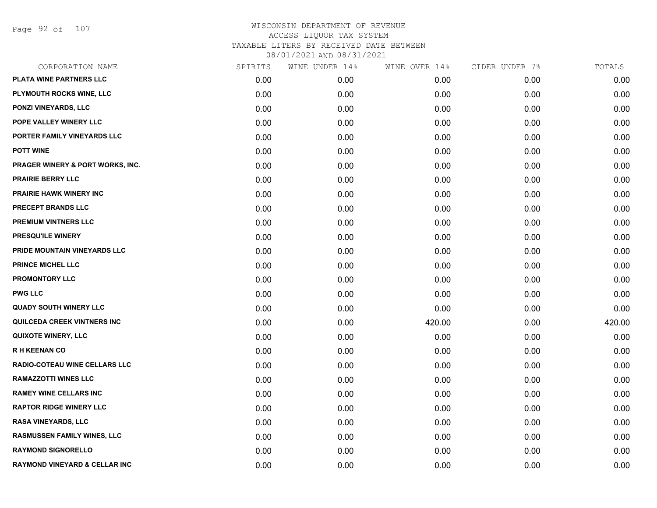Page 92 of 107

| CORPORATION NAME                   | SPIRITS | WINE UNDER 14% | WINE OVER 14% | CIDER UNDER 7% | TOTALS |
|------------------------------------|---------|----------------|---------------|----------------|--------|
| PLATA WINE PARTNERS LLC            | 0.00    | 0.00           | 0.00          | 0.00           | 0.00   |
| PLYMOUTH ROCKS WINE, LLC           | 0.00    | 0.00           | 0.00          | 0.00           | 0.00   |
| PONZI VINEYARDS, LLC               | 0.00    | 0.00           | 0.00          | 0.00           | 0.00   |
| POPE VALLEY WINERY LLC             | 0.00    | 0.00           | 0.00          | 0.00           | 0.00   |
| PORTER FAMILY VINEYARDS LLC        | 0.00    | 0.00           | 0.00          | 0.00           | 0.00   |
| <b>POTT WINE</b>                   | 0.00    | 0.00           | 0.00          | 0.00           | 0.00   |
| PRAGER WINERY & PORT WORKS, INC.   | 0.00    | 0.00           | 0.00          | 0.00           | 0.00   |
| PRAIRIE BERRY LLC                  | 0.00    | 0.00           | 0.00          | 0.00           | 0.00   |
| <b>PRAIRIE HAWK WINERY INC</b>     | 0.00    | 0.00           | 0.00          | 0.00           | 0.00   |
| PRECEPT BRANDS LLC                 | 0.00    | 0.00           | 0.00          | 0.00           | 0.00   |
| PREMIUM VINTNERS LLC               | 0.00    | 0.00           | 0.00          | 0.00           | 0.00   |
| PRESQU'ILE WINERY                  | 0.00    | 0.00           | 0.00          | 0.00           | 0.00   |
| PRIDE MOUNTAIN VINEYARDS LLC       | 0.00    | 0.00           | 0.00          | 0.00           | 0.00   |
| <b>PRINCE MICHEL LLC</b>           | 0.00    | 0.00           | 0.00          | 0.00           | 0.00   |
| <b>PROMONTORY LLC</b>              | 0.00    | 0.00           | 0.00          | 0.00           | 0.00   |
| <b>PWG LLC</b>                     | 0.00    | 0.00           | 0.00          | 0.00           | 0.00   |
| <b>QUADY SOUTH WINERY LLC</b>      | 0.00    | 0.00           | 0.00          | 0.00           | 0.00   |
| <b>QUILCEDA CREEK VINTNERS INC</b> | 0.00    | 0.00           | 420.00        | 0.00           | 420.00 |
| <b>QUIXOTE WINERY, LLC</b>         | 0.00    | 0.00           | 0.00          | 0.00           | 0.00   |
| <b>RH KEENAN CO</b>                | 0.00    | 0.00           | 0.00          | 0.00           | 0.00   |
| RADIO-COTEAU WINE CELLARS LLC      | 0.00    | 0.00           | 0.00          | 0.00           | 0.00   |
| <b>RAMAZZOTTI WINES LLC</b>        | 0.00    | 0.00           | 0.00          | 0.00           | 0.00   |
| <b>RAMEY WINE CELLARS INC</b>      | 0.00    | 0.00           | 0.00          | 0.00           | 0.00   |
| <b>RAPTOR RIDGE WINERY LLC</b>     | 0.00    | 0.00           | 0.00          | 0.00           | 0.00   |
| <b>RASA VINEYARDS, LLC</b>         | 0.00    | 0.00           | 0.00          | 0.00           | 0.00   |
| RASMUSSEN FAMILY WINES, LLC        | 0.00    | 0.00           | 0.00          | 0.00           | 0.00   |
| <b>RAYMOND SIGNORELLO</b>          | 0.00    | 0.00           | 0.00          | 0.00           | 0.00   |
| RAYMOND VINEYARD & CELLAR INC      | 0.00    | 0.00           | 0.00          | 0.00           | 0.00   |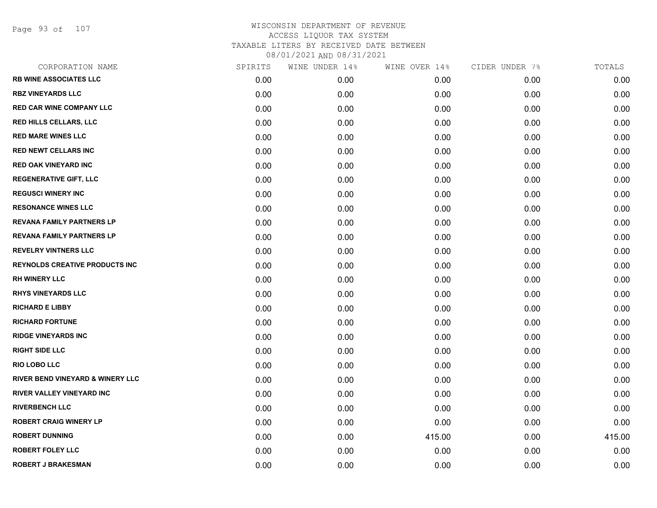Page 93 of 107

| CORPORATION NAME                      | SPIRITS | WINE UNDER 14% | WINE OVER 14% | CIDER UNDER 7% | TOTALS |
|---------------------------------------|---------|----------------|---------------|----------------|--------|
| <b>RB WINE ASSOCIATES LLC</b>         | 0.00    | 0.00           | 0.00          | 0.00           | 0.00   |
| <b>RBZ VINEYARDS LLC</b>              | 0.00    | 0.00           | 0.00          | 0.00           | 0.00   |
| <b>RED CAR WINE COMPANY LLC</b>       | 0.00    | 0.00           | 0.00          | 0.00           | 0.00   |
| <b>RED HILLS CELLARS, LLC</b>         | 0.00    | 0.00           | 0.00          | 0.00           | 0.00   |
| <b>RED MARE WINES LLC</b>             | 0.00    | 0.00           | 0.00          | 0.00           | 0.00   |
| <b>RED NEWT CELLARS INC</b>           | 0.00    | 0.00           | 0.00          | 0.00           | 0.00   |
| <b>RED OAK VINEYARD INC</b>           | 0.00    | 0.00           | 0.00          | 0.00           | 0.00   |
| <b>REGENERATIVE GIFT, LLC</b>         | 0.00    | 0.00           | 0.00          | 0.00           | 0.00   |
| <b>REGUSCI WINERY INC</b>             | 0.00    | 0.00           | 0.00          | 0.00           | 0.00   |
| <b>RESONANCE WINES LLC</b>            | 0.00    | 0.00           | 0.00          | 0.00           | 0.00   |
| <b>REVANA FAMILY PARTNERS LP</b>      | 0.00    | 0.00           | 0.00          | 0.00           | 0.00   |
| <b>REVANA FAMILY PARTNERS LP</b>      | 0.00    | 0.00           | 0.00          | 0.00           | 0.00   |
| <b>REVELRY VINTNERS LLC</b>           | 0.00    | 0.00           | 0.00          | 0.00           | 0.00   |
| <b>REYNOLDS CREATIVE PRODUCTS INC</b> | 0.00    | 0.00           | 0.00          | 0.00           | 0.00   |
| <b>RH WINERY LLC</b>                  | 0.00    | 0.00           | 0.00          | 0.00           | 0.00   |
| <b>RHYS VINEYARDS LLC</b>             | 0.00    | 0.00           | 0.00          | 0.00           | 0.00   |
| <b>RICHARD E LIBBY</b>                | 0.00    | 0.00           | 0.00          | 0.00           | 0.00   |
| <b>RICHARD FORTUNE</b>                | 0.00    | 0.00           | 0.00          | 0.00           | 0.00   |
| <b>RIDGE VINEYARDS INC</b>            | 0.00    | 0.00           | 0.00          | 0.00           | 0.00   |
| <b>RIGHT SIDE LLC</b>                 | 0.00    | 0.00           | 0.00          | 0.00           | 0.00   |
| <b>RIO LOBO LLC</b>                   | 0.00    | 0.00           | 0.00          | 0.00           | 0.00   |
| RIVER BEND VINEYARD & WINERY LLC      | 0.00    | 0.00           | 0.00          | 0.00           | 0.00   |
| <b>RIVER VALLEY VINEYARD INC</b>      | 0.00    | 0.00           | 0.00          | 0.00           | 0.00   |
| <b>RIVERBENCH LLC</b>                 | 0.00    | 0.00           | 0.00          | 0.00           | 0.00   |
| <b>ROBERT CRAIG WINERY LP</b>         | 0.00    | 0.00           | 0.00          | 0.00           | 0.00   |
| <b>ROBERT DUNNING</b>                 | 0.00    | 0.00           | 415.00        | 0.00           | 415.00 |
| <b>ROBERT FOLEY LLC</b>               | 0.00    | 0.00           | 0.00          | 0.00           | 0.00   |
| <b>ROBERT J BRAKESMAN</b>             | 0.00    | 0.00           | 0.00          | 0.00           | 0.00   |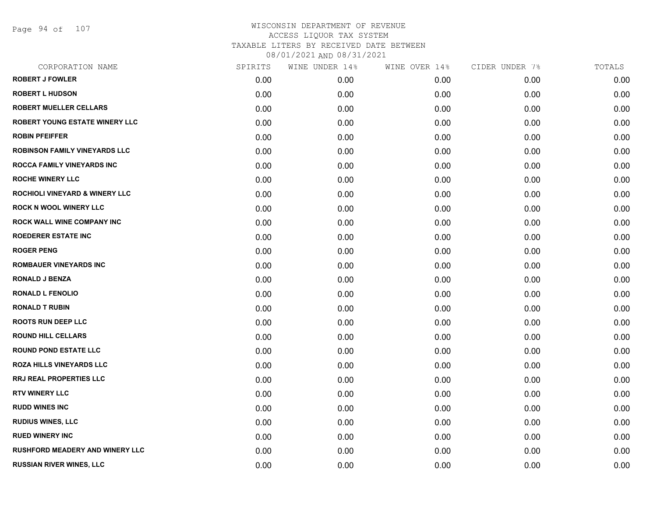Page 94 of 107

| CORPORATION NAME                          | SPIRITS | WINE UNDER 14% | WINE OVER 14% | CIDER UNDER 7% | TOTALS |
|-------------------------------------------|---------|----------------|---------------|----------------|--------|
| <b>ROBERT J FOWLER</b>                    | 0.00    | 0.00           | 0.00          | 0.00           | 0.00   |
| <b>ROBERT L HUDSON</b>                    | 0.00    | 0.00           | 0.00          | 0.00           | 0.00   |
| <b>ROBERT MUELLER CELLARS</b>             | 0.00    | 0.00           | 0.00          | 0.00           | 0.00   |
| <b>ROBERT YOUNG ESTATE WINERY LLC</b>     | 0.00    | 0.00           | 0.00          | 0.00           | 0.00   |
| <b>ROBIN PFEIFFER</b>                     | 0.00    | 0.00           | 0.00          | 0.00           | 0.00   |
| <b>ROBINSON FAMILY VINEYARDS LLC</b>      | 0.00    | 0.00           | 0.00          | 0.00           | 0.00   |
| <b>ROCCA FAMILY VINEYARDS INC</b>         | 0.00    | 0.00           | 0.00          | 0.00           | 0.00   |
| <b>ROCHE WINERY LLC</b>                   | 0.00    | 0.00           | 0.00          | 0.00           | 0.00   |
| <b>ROCHIOLI VINEYARD &amp; WINERY LLC</b> | 0.00    | 0.00           | 0.00          | 0.00           | 0.00   |
| <b>ROCK N WOOL WINERY LLC</b>             | 0.00    | 0.00           | 0.00          | 0.00           | 0.00   |
| <b>ROCK WALL WINE COMPANY INC</b>         | 0.00    | 0.00           | 0.00          | 0.00           | 0.00   |
| <b>ROEDERER ESTATE INC</b>                | 0.00    | 0.00           | 0.00          | 0.00           | 0.00   |
| <b>ROGER PENG</b>                         | 0.00    | 0.00           | 0.00          | 0.00           | 0.00   |
| <b>ROMBAUER VINEYARDS INC</b>             | 0.00    | 0.00           | 0.00          | 0.00           | 0.00   |
| <b>RONALD J BENZA</b>                     | 0.00    | 0.00           | 0.00          | 0.00           | 0.00   |
| <b>RONALD L FENOLIO</b>                   | 0.00    | 0.00           | 0.00          | 0.00           | 0.00   |
| <b>RONALD T RUBIN</b>                     | 0.00    | 0.00           | 0.00          | 0.00           | 0.00   |
| <b>ROOTS RUN DEEP LLC</b>                 | 0.00    | 0.00           | 0.00          | 0.00           | 0.00   |
| <b>ROUND HILL CELLARS</b>                 | 0.00    | 0.00           | 0.00          | 0.00           | 0.00   |
| <b>ROUND POND ESTATE LLC</b>              | 0.00    | 0.00           | 0.00          | 0.00           | 0.00   |
| <b>ROZA HILLS VINEYARDS LLC</b>           | 0.00    | 0.00           | 0.00          | 0.00           | 0.00   |
| RRJ REAL PROPERTIES LLC                   | 0.00    | 0.00           | 0.00          | 0.00           | 0.00   |
| <b>RTV WINERY LLC</b>                     | 0.00    | 0.00           | 0.00          | 0.00           | 0.00   |
| <b>RUDD WINES INC</b>                     | 0.00    | 0.00           | 0.00          | 0.00           | 0.00   |
| <b>RUDIUS WINES, LLC</b>                  | 0.00    | 0.00           | 0.00          | 0.00           | 0.00   |
| <b>RUED WINERY INC</b>                    | 0.00    | 0.00           | 0.00          | 0.00           | 0.00   |
| <b>RUSHFORD MEADERY AND WINERY LLC</b>    | 0.00    | 0.00           | 0.00          | 0.00           | 0.00   |
| <b>RUSSIAN RIVER WINES, LLC</b>           | 0.00    | 0.00           | 0.00          | 0.00           | 0.00   |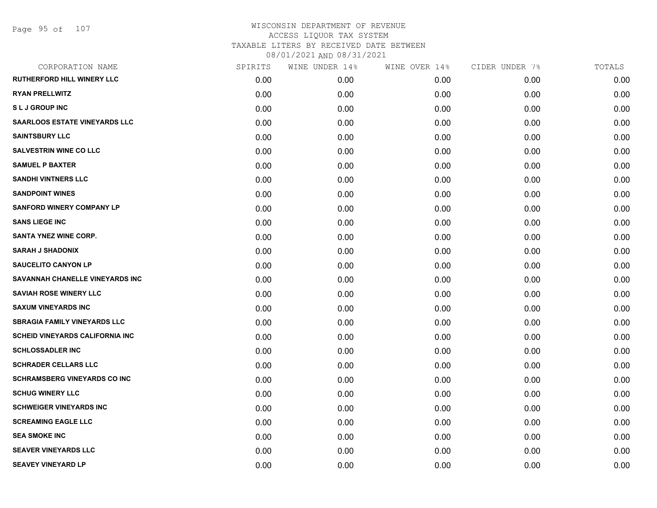# WISCONSIN DEPARTMENT OF REVENUE ACCESS LIQUOR TAX SYSTEM TAXABLE LITERS BY RECEIVED DATE BETWEEN

08/01/2021 AND 08/31/2021

| CORPORATION NAME                       | SPIRITS | WINE UNDER 14% | WINE OVER 14% | CIDER UNDER 7% | TOTALS |
|----------------------------------------|---------|----------------|---------------|----------------|--------|
| RUTHERFORD HILL WINERY LLC             | 0.00    | 0.00           | 0.00          | 0.00           | 0.00   |
| <b>RYAN PRELLWITZ</b>                  | 0.00    | 0.00           | 0.00          | 0.00           | 0.00   |
| <b>SLJ GROUP INC</b>                   | 0.00    | 0.00           | 0.00          | 0.00           | 0.00   |
| <b>SAARLOOS ESTATE VINEYARDS LLC</b>   | 0.00    | 0.00           | 0.00          | 0.00           | 0.00   |
| <b>SAINTSBURY LLC</b>                  | 0.00    | 0.00           | 0.00          | 0.00           | 0.00   |
| <b>SALVESTRIN WINE CO LLC</b>          | 0.00    | 0.00           | 0.00          | 0.00           | 0.00   |
| <b>SAMUEL P BAXTER</b>                 | 0.00    | 0.00           | 0.00          | 0.00           | 0.00   |
| <b>SANDHI VINTNERS LLC</b>             | 0.00    | 0.00           | 0.00          | 0.00           | 0.00   |
| <b>SANDPOINT WINES</b>                 | 0.00    | 0.00           | 0.00          | 0.00           | 0.00   |
| <b>SANFORD WINERY COMPANY LP</b>       | 0.00    | 0.00           | 0.00          | 0.00           | 0.00   |
| <b>SANS LIEGE INC</b>                  | 0.00    | 0.00           | 0.00          | 0.00           | 0.00   |
| SANTA YNEZ WINE CORP.                  | 0.00    | 0.00           | 0.00          | 0.00           | 0.00   |
| <b>SARAH J SHADONIX</b>                | 0.00    | 0.00           | 0.00          | 0.00           | 0.00   |
| <b>SAUCELITO CANYON LP</b>             | 0.00    | 0.00           | 0.00          | 0.00           | 0.00   |
| SAVANNAH CHANELLE VINEYARDS INC        | 0.00    | 0.00           | 0.00          | 0.00           | 0.00   |
| <b>SAVIAH ROSE WINERY LLC</b>          | 0.00    | 0.00           | 0.00          | 0.00           | 0.00   |
| <b>SAXUM VINEYARDS INC</b>             | 0.00    | 0.00           | 0.00          | 0.00           | 0.00   |
| <b>SBRAGIA FAMILY VINEYARDS LLC</b>    | 0.00    | 0.00           | 0.00          | 0.00           | 0.00   |
| <b>SCHEID VINEYARDS CALIFORNIA INC</b> | 0.00    | 0.00           | 0.00          | 0.00           | 0.00   |
| <b>SCHLOSSADLER INC</b>                | 0.00    | 0.00           | 0.00          | 0.00           | 0.00   |
| <b>SCHRADER CELLARS LLC</b>            | 0.00    | 0.00           | 0.00          | 0.00           | 0.00   |
| <b>SCHRAMSBERG VINEYARDS CO INC</b>    | 0.00    | 0.00           | 0.00          | 0.00           | 0.00   |
| <b>SCHUG WINERY LLC</b>                | 0.00    | 0.00           | 0.00          | 0.00           | 0.00   |
| <b>SCHWEIGER VINEYARDS INC</b>         | 0.00    | 0.00           | 0.00          | 0.00           | 0.00   |
| <b>SCREAMING EAGLE LLC</b>             | 0.00    | 0.00           | 0.00          | 0.00           | 0.00   |
| <b>SEA SMOKE INC</b>                   | 0.00    | 0.00           | 0.00          | 0.00           | 0.00   |
| <b>SEAVER VINEYARDS LLC</b>            | 0.00    | 0.00           | 0.00          | 0.00           | 0.00   |
| <b>SEAVEY VINEYARD LP</b>              | 0.00    | 0.00           | 0.00          | 0.00           | 0.00   |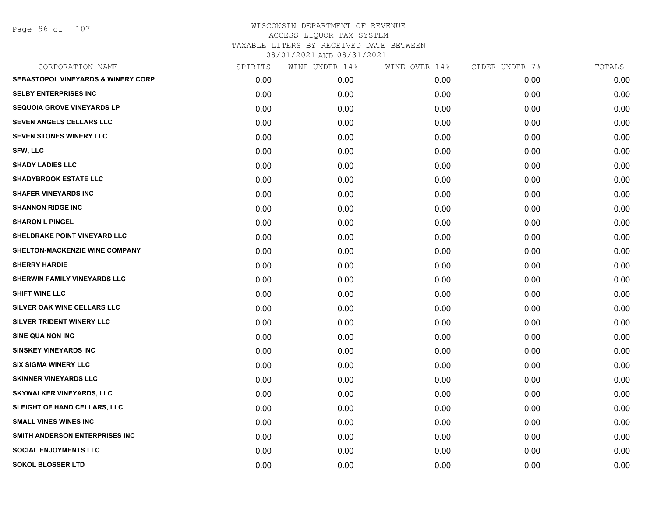Page 96 of 107

| CORPORATION NAME                              | SPIRITS | WINE UNDER 14% | WINE OVER 14% | CIDER UNDER 7% | TOTALS |
|-----------------------------------------------|---------|----------------|---------------|----------------|--------|
| <b>SEBASTOPOL VINEYARDS &amp; WINERY CORP</b> | 0.00    | 0.00           | 0.00          | 0.00           | 0.00   |
| <b>SELBY ENTERPRISES INC</b>                  | 0.00    | 0.00           | 0.00          | 0.00           | 0.00   |
| <b>SEQUOIA GROVE VINEYARDS LP</b>             | 0.00    | 0.00           | 0.00          | 0.00           | 0.00   |
| SEVEN ANGELS CELLARS LLC                      | 0.00    | 0.00           | 0.00          | 0.00           | 0.00   |
| <b>SEVEN STONES WINERY LLC</b>                | 0.00    | 0.00           | 0.00          | 0.00           | 0.00   |
| <b>SFW, LLC</b>                               | 0.00    | 0.00           | 0.00          | 0.00           | 0.00   |
| <b>SHADY LADIES LLC</b>                       | 0.00    | 0.00           | 0.00          | 0.00           | 0.00   |
| <b>SHADYBROOK ESTATE LLC</b>                  | 0.00    | 0.00           | 0.00          | 0.00           | 0.00   |
| <b>SHAFER VINEYARDS INC</b>                   | 0.00    | 0.00           | 0.00          | 0.00           | 0.00   |
| <b>SHANNON RIDGE INC</b>                      | 0.00    | 0.00           | 0.00          | 0.00           | 0.00   |
| <b>SHARON L PINGEL</b>                        | 0.00    | 0.00           | 0.00          | 0.00           | 0.00   |
| SHELDRAKE POINT VINEYARD LLC                  | 0.00    | 0.00           | 0.00          | 0.00           | 0.00   |
| SHELTON-MACKENZIE WINE COMPANY                | 0.00    | 0.00           | 0.00          | 0.00           | 0.00   |
| <b>SHERRY HARDIE</b>                          | 0.00    | 0.00           | 0.00          | 0.00           | 0.00   |
| SHERWIN FAMILY VINEYARDS LLC                  | 0.00    | 0.00           | 0.00          | 0.00           | 0.00   |
| SHIFT WINE LLC                                | 0.00    | 0.00           | 0.00          | 0.00           | 0.00   |
| SILVER OAK WINE CELLARS LLC                   | 0.00    | 0.00           | 0.00          | 0.00           | 0.00   |
| SILVER TRIDENT WINERY LLC                     | 0.00    | 0.00           | 0.00          | 0.00           | 0.00   |
| SINE QUA NON INC                              | 0.00    | 0.00           | 0.00          | 0.00           | 0.00   |
| <b>SINSKEY VINEYARDS INC</b>                  | 0.00    | 0.00           | 0.00          | 0.00           | 0.00   |
| <b>SIX SIGMA WINERY LLC</b>                   | 0.00    | 0.00           | 0.00          | 0.00           | 0.00   |
| <b>SKINNER VINEYARDS LLC</b>                  | 0.00    | 0.00           | 0.00          | 0.00           | 0.00   |
| <b>SKYWALKER VINEYARDS, LLC</b>               | 0.00    | 0.00           | 0.00          | 0.00           | 0.00   |
| SLEIGHT OF HAND CELLARS, LLC                  | 0.00    | 0.00           | 0.00          | 0.00           | 0.00   |
| <b>SMALL VINES WINES INC</b>                  | 0.00    | 0.00           | 0.00          | 0.00           | 0.00   |
| SMITH ANDERSON ENTERPRISES INC                | 0.00    | 0.00           | 0.00          | 0.00           | 0.00   |
| <b>SOCIAL ENJOYMENTS LLC</b>                  | 0.00    | 0.00           | 0.00          | 0.00           | 0.00   |
| <b>SOKOL BLOSSER LTD</b>                      | 0.00    | 0.00           | 0.00          | 0.00           | 0.00   |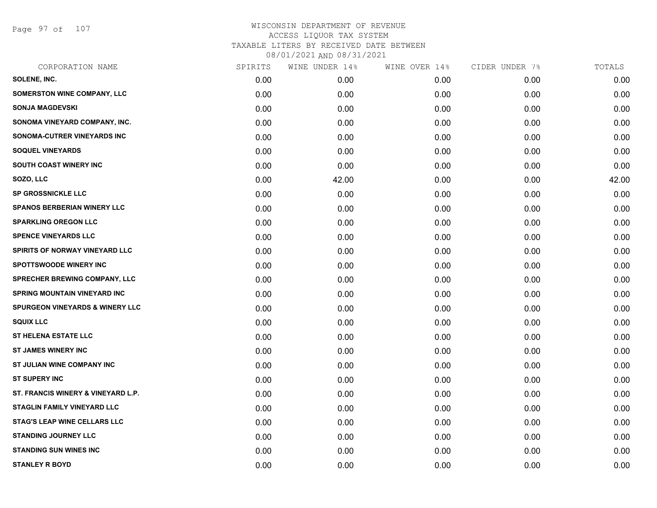Page 97 of 107

| CORPORATION NAME                           | SPIRITS | WINE UNDER 14% | WINE OVER 14% | CIDER UNDER 7% | TOTALS |
|--------------------------------------------|---------|----------------|---------------|----------------|--------|
| SOLENE, INC.                               | 0.00    | 0.00           | 0.00          | 0.00           | 0.00   |
| <b>SOMERSTON WINE COMPANY, LLC</b>         | 0.00    | 0.00           | 0.00          | 0.00           | 0.00   |
| <b>SONJA MAGDEVSKI</b>                     | 0.00    | 0.00           | 0.00          | 0.00           | 0.00   |
| SONOMA VINEYARD COMPANY, INC.              | 0.00    | 0.00           | 0.00          | 0.00           | 0.00   |
| SONOMA-CUTRER VINEYARDS INC                | 0.00    | 0.00           | 0.00          | 0.00           | 0.00   |
| <b>SOQUEL VINEYARDS</b>                    | 0.00    | 0.00           | 0.00          | 0.00           | 0.00   |
| <b>SOUTH COAST WINERY INC</b>              | 0.00    | 0.00           | 0.00          | 0.00           | 0.00   |
| SOZO, LLC                                  | 0.00    | 42.00          | 0.00          | 0.00           | 42.00  |
| <b>SP GROSSNICKLE LLC</b>                  | 0.00    | 0.00           | 0.00          | 0.00           | 0.00   |
| <b>SPANOS BERBERIAN WINERY LLC</b>         | 0.00    | 0.00           | 0.00          | 0.00           | 0.00   |
| <b>SPARKLING OREGON LLC</b>                | 0.00    | 0.00           | 0.00          | 0.00           | 0.00   |
| <b>SPENCE VINEYARDS LLC</b>                | 0.00    | 0.00           | 0.00          | 0.00           | 0.00   |
| SPIRITS OF NORWAY VINEYARD LLC             | 0.00    | 0.00           | 0.00          | 0.00           | 0.00   |
| <b>SPOTTSWOODE WINERY INC</b>              | 0.00    | 0.00           | 0.00          | 0.00           | 0.00   |
| SPRECHER BREWING COMPANY, LLC              | 0.00    | 0.00           | 0.00          | 0.00           | 0.00   |
| <b>SPRING MOUNTAIN VINEYARD INC</b>        | 0.00    | 0.00           | 0.00          | 0.00           | 0.00   |
| <b>SPURGEON VINEYARDS &amp; WINERY LLC</b> | 0.00    | 0.00           | 0.00          | 0.00           | 0.00   |
| <b>SQUIX LLC</b>                           | 0.00    | 0.00           | 0.00          | 0.00           | 0.00   |
| <b>ST HELENA ESTATE LLC</b>                | 0.00    | 0.00           | 0.00          | 0.00           | 0.00   |
| <b>ST JAMES WINERY INC</b>                 | 0.00    | 0.00           | 0.00          | 0.00           | 0.00   |
| ST JULIAN WINE COMPANY INC                 | 0.00    | 0.00           | 0.00          | 0.00           | 0.00   |
| <b>ST SUPERY INC</b>                       | 0.00    | 0.00           | 0.00          | 0.00           | 0.00   |
| ST. FRANCIS WINERY & VINEYARD L.P.         | 0.00    | 0.00           | 0.00          | 0.00           | 0.00   |
| <b>STAGLIN FAMILY VINEYARD LLC</b>         | 0.00    | 0.00           | 0.00          | 0.00           | 0.00   |
| <b>STAG'S LEAP WINE CELLARS LLC</b>        | 0.00    | 0.00           | 0.00          | 0.00           | 0.00   |
| <b>STANDING JOURNEY LLC</b>                | 0.00    | 0.00           | 0.00          | 0.00           | 0.00   |
| <b>STANDING SUN WINES INC</b>              | 0.00    | 0.00           | 0.00          | 0.00           | 0.00   |
| <b>STANLEY R BOYD</b>                      | 0.00    | 0.00           | 0.00          | 0.00           | 0.00   |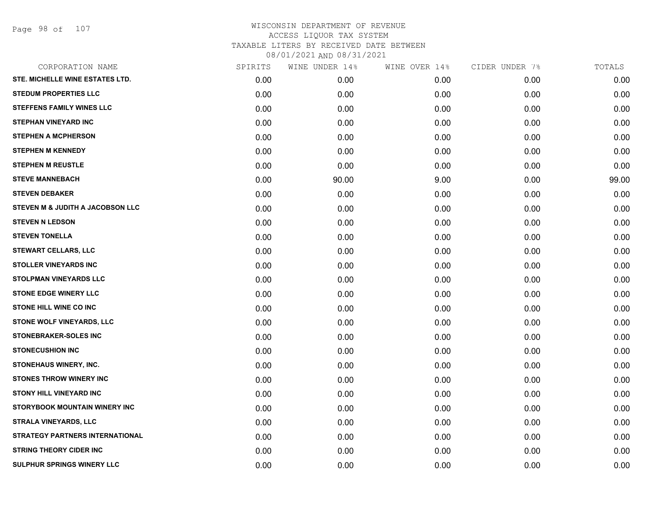Page 98 of 107

| CORPORATION NAME                       | SPIRITS | WINE UNDER 14% | WINE OVER 14% | CIDER UNDER 7% | TOTALS |
|----------------------------------------|---------|----------------|---------------|----------------|--------|
| STE. MICHELLE WINE ESTATES LTD.        | 0.00    | 0.00           | 0.00          | 0.00           | 0.00   |
| <b>STEDUM PROPERTIES LLC</b>           | 0.00    | 0.00           | 0.00          | 0.00           | 0.00   |
| <b>STEFFENS FAMILY WINES LLC</b>       | 0.00    | 0.00           | 0.00          | 0.00           | 0.00   |
| <b>STEPHAN VINEYARD INC</b>            | 0.00    | 0.00           | 0.00          | 0.00           | 0.00   |
| <b>STEPHEN A MCPHERSON</b>             | 0.00    | 0.00           | 0.00          | 0.00           | 0.00   |
| <b>STEPHEN M KENNEDY</b>               | 0.00    | 0.00           | 0.00          | 0.00           | 0.00   |
| <b>STEPHEN M REUSTLE</b>               | 0.00    | 0.00           | 0.00          | 0.00           | 0.00   |
| <b>STEVE MANNEBACH</b>                 | 0.00    | 90.00          | 9.00          | 0.00           | 99.00  |
| <b>STEVEN DEBAKER</b>                  | 0.00    | 0.00           | 0.00          | 0.00           | 0.00   |
| STEVEN M & JUDITH A JACOBSON LLC       | 0.00    | 0.00           | 0.00          | 0.00           | 0.00   |
| <b>STEVEN N LEDSON</b>                 | 0.00    | 0.00           | 0.00          | 0.00           | 0.00   |
| <b>STEVEN TONELLA</b>                  | 0.00    | 0.00           | 0.00          | 0.00           | 0.00   |
| <b>STEWART CELLARS, LLC</b>            | 0.00    | 0.00           | 0.00          | 0.00           | 0.00   |
| <b>STOLLER VINEYARDS INC</b>           | 0.00    | 0.00           | 0.00          | 0.00           | 0.00   |
| <b>STOLPMAN VINEYARDS LLC</b>          | 0.00    | 0.00           | 0.00          | 0.00           | 0.00   |
| <b>STONE EDGE WINERY LLC</b>           | 0.00    | 0.00           | 0.00          | 0.00           | 0.00   |
| STONE HILL WINE CO INC                 | 0.00    | 0.00           | 0.00          | 0.00           | 0.00   |
| STONE WOLF VINEYARDS, LLC              | 0.00    | 0.00           | 0.00          | 0.00           | 0.00   |
| <b>STONEBRAKER-SOLES INC</b>           | 0.00    | 0.00           | 0.00          | 0.00           | 0.00   |
| <b>STONECUSHION INC</b>                | 0.00    | 0.00           | 0.00          | 0.00           | 0.00   |
| STONEHAUS WINERY, INC.                 | 0.00    | 0.00           | 0.00          | 0.00           | 0.00   |
| <b>STONES THROW WINERY INC</b>         | 0.00    | 0.00           | 0.00          | 0.00           | 0.00   |
| <b>STONY HILL VINEYARD INC</b>         | 0.00    | 0.00           | 0.00          | 0.00           | 0.00   |
| STORYBOOK MOUNTAIN WINERY INC          | 0.00    | 0.00           | 0.00          | 0.00           | 0.00   |
| <b>STRALA VINEYARDS, LLC</b>           | 0.00    | 0.00           | 0.00          | 0.00           | 0.00   |
| <b>STRATEGY PARTNERS INTERNATIONAL</b> | 0.00    | 0.00           | 0.00          | 0.00           | 0.00   |
| <b>STRING THEORY CIDER INC</b>         | 0.00    | 0.00           | 0.00          | 0.00           | 0.00   |
| <b>SULPHUR SPRINGS WINERY LLC</b>      | 0.00    | 0.00           | 0.00          | 0.00           | 0.00   |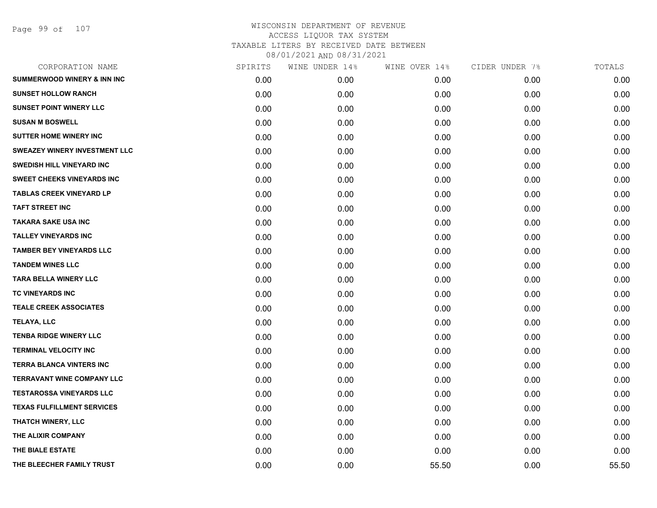Page 99 of 107

| CORPORATION NAME                       | SPIRITS | WINE UNDER 14% | WINE OVER 14% | CIDER UNDER 7% | TOTALS |
|----------------------------------------|---------|----------------|---------------|----------------|--------|
| <b>SUMMERWOOD WINERY &amp; INN INC</b> | 0.00    | 0.00           | 0.00          | 0.00           | 0.00   |
| <b>SUNSET HOLLOW RANCH</b>             | 0.00    | 0.00           | 0.00          | 0.00           | 0.00   |
| <b>SUNSET POINT WINERY LLC</b>         | 0.00    | 0.00           | 0.00          | 0.00           | 0.00   |
| <b>SUSAN M BOSWELL</b>                 | 0.00    | 0.00           | 0.00          | 0.00           | 0.00   |
| <b>SUTTER HOME WINERY INC</b>          | 0.00    | 0.00           | 0.00          | 0.00           | 0.00   |
| SWEAZEY WINERY INVESTMENT LLC          | 0.00    | 0.00           | 0.00          | 0.00           | 0.00   |
| <b>SWEDISH HILL VINEYARD INC</b>       | 0.00    | 0.00           | 0.00          | 0.00           | 0.00   |
| SWEET CHEEKS VINEYARDS INC             | 0.00    | 0.00           | 0.00          | 0.00           | 0.00   |
| <b>TABLAS CREEK VINEYARD LP</b>        | 0.00    | 0.00           | 0.00          | 0.00           | 0.00   |
| <b>TAFT STREET INC</b>                 | 0.00    | 0.00           | 0.00          | 0.00           | 0.00   |
| <b>TAKARA SAKE USA INC</b>             | 0.00    | 0.00           | 0.00          | 0.00           | 0.00   |
| <b>TALLEY VINEYARDS INC</b>            | 0.00    | 0.00           | 0.00          | 0.00           | 0.00   |
| <b>TAMBER BEY VINEYARDS LLC</b>        | 0.00    | 0.00           | 0.00          | 0.00           | 0.00   |
| <b>TANDEM WINES LLC</b>                | 0.00    | 0.00           | 0.00          | 0.00           | 0.00   |
| <b>TARA BELLA WINERY LLC</b>           | 0.00    | 0.00           | 0.00          | 0.00           | 0.00   |
| TC VINEYARDS INC                       | 0.00    | 0.00           | 0.00          | 0.00           | 0.00   |
| <b>TEALE CREEK ASSOCIATES</b>          | 0.00    | 0.00           | 0.00          | 0.00           | 0.00   |
| <b>TELAYA, LLC</b>                     | 0.00    | 0.00           | 0.00          | 0.00           | 0.00   |
| <b>TENBA RIDGE WINERY LLC</b>          | 0.00    | 0.00           | 0.00          | 0.00           | 0.00   |
| <b>TERMINAL VELOCITY INC</b>           | 0.00    | 0.00           | 0.00          | 0.00           | 0.00   |
| <b>TERRA BLANCA VINTERS INC</b>        | 0.00    | 0.00           | 0.00          | 0.00           | 0.00   |
| <b>TERRAVANT WINE COMPANY LLC</b>      | 0.00    | 0.00           | 0.00          | 0.00           | 0.00   |
| <b>TESTAROSSA VINEYARDS LLC</b>        | 0.00    | 0.00           | 0.00          | 0.00           | 0.00   |
| <b>TEXAS FULFILLMENT SERVICES</b>      | 0.00    | 0.00           | 0.00          | 0.00           | 0.00   |
| THATCH WINERY, LLC                     | 0.00    | 0.00           | 0.00          | 0.00           | 0.00   |
| THE ALIXIR COMPANY                     | 0.00    | 0.00           | 0.00          | 0.00           | 0.00   |
| THE BIALE ESTATE                       | 0.00    | 0.00           | 0.00          | 0.00           | 0.00   |
| THE BLEECHER FAMILY TRUST              | 0.00    | 0.00           | 55.50         | 0.00           | 55.50  |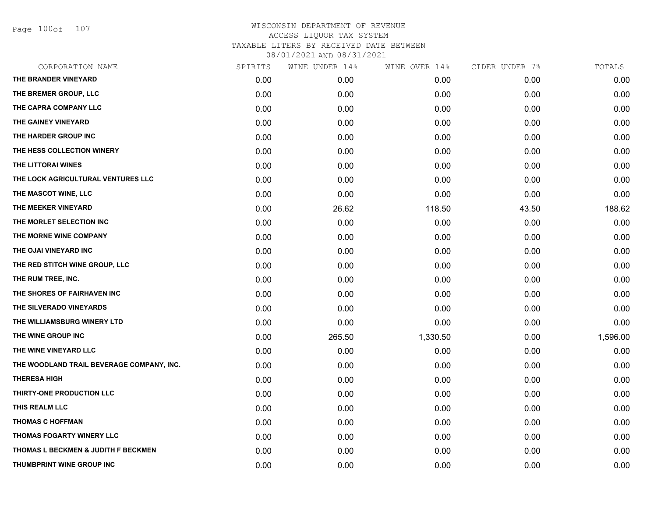Page 100of 107

| CORPORATION NAME                               | SPIRITS | WINE UNDER 14% | WINE OVER 14% | CIDER UNDER 7% | TOTALS   |
|------------------------------------------------|---------|----------------|---------------|----------------|----------|
| THE BRANDER VINEYARD                           | 0.00    | 0.00           | 0.00          | 0.00           | 0.00     |
| THE BREMER GROUP, LLC                          | 0.00    | 0.00           | 0.00          | 0.00           | 0.00     |
| THE CAPRA COMPANY LLC                          | 0.00    | 0.00           | 0.00          | 0.00           | 0.00     |
| THE GAINEY VINEYARD                            | 0.00    | 0.00           | 0.00          | 0.00           | 0.00     |
| THE HARDER GROUP INC                           | 0.00    | 0.00           | 0.00          | 0.00           | 0.00     |
| THE HESS COLLECTION WINERY                     | 0.00    | 0.00           | 0.00          | 0.00           | 0.00     |
| THE LITTORAI WINES                             | 0.00    | 0.00           | 0.00          | 0.00           | 0.00     |
| THE LOCK AGRICULTURAL VENTURES LLC             | 0.00    | 0.00           | 0.00          | 0.00           | 0.00     |
| THE MASCOT WINE, LLC                           | 0.00    | 0.00           | 0.00          | 0.00           | 0.00     |
| THE MEEKER VINEYARD                            | 0.00    | 26.62          | 118.50        | 43.50          | 188.62   |
| THE MORLET SELECTION INC                       | 0.00    | 0.00           | 0.00          | 0.00           | 0.00     |
| THE MORNE WINE COMPANY                         | 0.00    | 0.00           | 0.00          | 0.00           | 0.00     |
| THE OJAI VINEYARD INC                          | 0.00    | 0.00           | 0.00          | 0.00           | 0.00     |
| THE RED STITCH WINE GROUP, LLC                 | 0.00    | 0.00           | 0.00          | 0.00           | 0.00     |
| THE RUM TREE, INC.                             | 0.00    | 0.00           | 0.00          | 0.00           | 0.00     |
| THE SHORES OF FAIRHAVEN INC                    | 0.00    | 0.00           | 0.00          | 0.00           | 0.00     |
| THE SILVERADO VINEYARDS                        | 0.00    | 0.00           | 0.00          | 0.00           | 0.00     |
| THE WILLIAMSBURG WINERY LTD                    | 0.00    | 0.00           | 0.00          | 0.00           | 0.00     |
| THE WINE GROUP INC                             | 0.00    | 265.50         | 1,330.50      | 0.00           | 1,596.00 |
| THE WINE VINEYARD LLC                          | 0.00    | 0.00           | 0.00          | 0.00           | 0.00     |
| THE WOODLAND TRAIL BEVERAGE COMPANY, INC.      | 0.00    | 0.00           | 0.00          | 0.00           | 0.00     |
| <b>THERESA HIGH</b>                            | 0.00    | 0.00           | 0.00          | 0.00           | 0.00     |
| THIRTY-ONE PRODUCTION LLC                      | 0.00    | 0.00           | 0.00          | 0.00           | 0.00     |
| THIS REALM LLC                                 | 0.00    | 0.00           | 0.00          | 0.00           | 0.00     |
| <b>THOMAS C HOFFMAN</b>                        | 0.00    | 0.00           | 0.00          | 0.00           | 0.00     |
| THOMAS FOGARTY WINERY LLC                      | 0.00    | 0.00           | 0.00          | 0.00           | 0.00     |
| <b>THOMAS L BECKMEN &amp; JUDITH F BECKMEN</b> | 0.00    | 0.00           | 0.00          | 0.00           | 0.00     |
| THUMBPRINT WINE GROUP INC                      | 0.00    | 0.00           | 0.00          | 0.00           | 0.00     |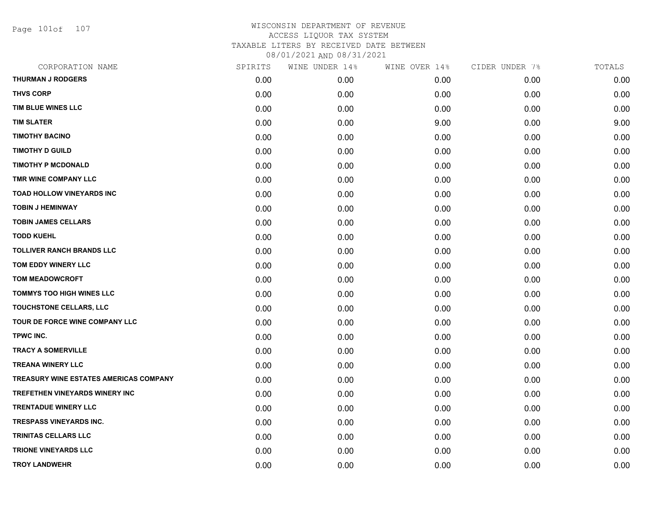Page 101of 107

| CORPORATION NAME                              | SPIRITS | WINE UNDER 14% | WINE OVER 14% | CIDER UNDER 7% | TOTALS |
|-----------------------------------------------|---------|----------------|---------------|----------------|--------|
| <b>THURMAN J RODGERS</b>                      | 0.00    | 0.00           | 0.00          | 0.00           | 0.00   |
| <b>THVS CORP</b>                              | 0.00    | 0.00           | 0.00          | 0.00           | 0.00   |
| TIM BLUE WINES LLC                            | 0.00    | 0.00           | 0.00          | 0.00           | 0.00   |
| <b>TIM SLATER</b>                             | 0.00    | 0.00           | 9.00          | 0.00           | 9.00   |
| <b>TIMOTHY BACINO</b>                         | 0.00    | 0.00           | 0.00          | 0.00           | 0.00   |
| <b>TIMOTHY D GUILD</b>                        | 0.00    | 0.00           | 0.00          | 0.00           | 0.00   |
| <b>TIMOTHY P MCDONALD</b>                     | 0.00    | 0.00           | 0.00          | 0.00           | 0.00   |
| TMR WINE COMPANY LLC                          | 0.00    | 0.00           | 0.00          | 0.00           | 0.00   |
| TOAD HOLLOW VINEYARDS INC                     | 0.00    | 0.00           | 0.00          | 0.00           | 0.00   |
| <b>TOBIN J HEMINWAY</b>                       | 0.00    | 0.00           | 0.00          | 0.00           | 0.00   |
| <b>TOBIN JAMES CELLARS</b>                    | 0.00    | 0.00           | 0.00          | 0.00           | 0.00   |
| <b>TODD KUEHL</b>                             | 0.00    | 0.00           | 0.00          | 0.00           | 0.00   |
| <b>TOLLIVER RANCH BRANDS LLC</b>              | 0.00    | 0.00           | 0.00          | 0.00           | 0.00   |
| TOM EDDY WINERY LLC                           | 0.00    | 0.00           | 0.00          | 0.00           | 0.00   |
| <b>TOM MEADOWCROFT</b>                        | 0.00    | 0.00           | 0.00          | 0.00           | 0.00   |
| <b>TOMMYS TOO HIGH WINES LLC</b>              | 0.00    | 0.00           | 0.00          | 0.00           | 0.00   |
| TOUCHSTONE CELLARS, LLC                       | 0.00    | 0.00           | 0.00          | 0.00           | 0.00   |
| TOUR DE FORCE WINE COMPANY LLC                | 0.00    | 0.00           | 0.00          | 0.00           | 0.00   |
| TPWC INC.                                     | 0.00    | 0.00           | 0.00          | 0.00           | 0.00   |
| <b>TRACY A SOMERVILLE</b>                     | 0.00    | 0.00           | 0.00          | 0.00           | 0.00   |
| <b>TREANA WINERY LLC</b>                      | 0.00    | 0.00           | 0.00          | 0.00           | 0.00   |
| <b>TREASURY WINE ESTATES AMERICAS COMPANY</b> | 0.00    | 0.00           | 0.00          | 0.00           | 0.00   |
| TREFETHEN VINEYARDS WINERY INC                | 0.00    | 0.00           | 0.00          | 0.00           | 0.00   |
| <b>TRENTADUE WINERY LLC</b>                   | 0.00    | 0.00           | 0.00          | 0.00           | 0.00   |
| <b>TRESPASS VINEYARDS INC.</b>                | 0.00    | 0.00           | 0.00          | 0.00           | 0.00   |
| <b>TRINITAS CELLARS LLC</b>                   | 0.00    | 0.00           | 0.00          | 0.00           | 0.00   |
| <b>TRIONE VINEYARDS LLC</b>                   | 0.00    | 0.00           | 0.00          | 0.00           | 0.00   |
| <b>TROY LANDWEHR</b>                          | 0.00    | 0.00           | 0.00          | 0.00           | 0.00   |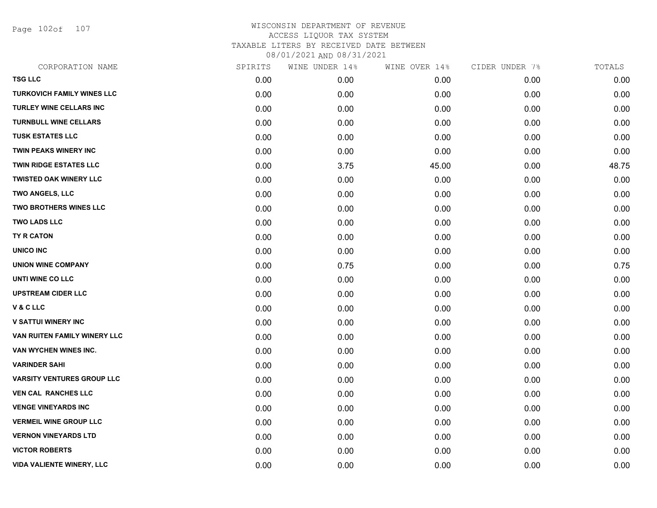Page 102of 107

| CORPORATION NAME                  | SPIRITS | WINE UNDER 14% | WINE OVER 14% | CIDER UNDER 7% | TOTALS |
|-----------------------------------|---------|----------------|---------------|----------------|--------|
| <b>TSG LLC</b>                    | 0.00    | 0.00           | 0.00          | 0.00           | 0.00   |
| <b>TURKOVICH FAMILY WINES LLC</b> | 0.00    | 0.00           | 0.00          | 0.00           | 0.00   |
| TURLEY WINE CELLARS INC           | 0.00    | 0.00           | 0.00          | 0.00           | 0.00   |
| <b>TURNBULL WINE CELLARS</b>      | 0.00    | 0.00           | 0.00          | 0.00           | 0.00   |
| <b>TUSK ESTATES LLC</b>           | 0.00    | 0.00           | 0.00          | 0.00           | 0.00   |
| <b>TWIN PEAKS WINERY INC</b>      | 0.00    | 0.00           | 0.00          | 0.00           | 0.00   |
| <b>TWIN RIDGE ESTATES LLC</b>     | 0.00    | 3.75           | 45.00         | 0.00           | 48.75  |
| <b>TWISTED OAK WINERY LLC</b>     | 0.00    | 0.00           | 0.00          | 0.00           | 0.00   |
| TWO ANGELS, LLC                   | 0.00    | 0.00           | 0.00          | 0.00           | 0.00   |
| <b>TWO BROTHERS WINES LLC</b>     | 0.00    | 0.00           | 0.00          | 0.00           | 0.00   |
| <b>TWO LADS LLC</b>               | 0.00    | 0.00           | 0.00          | 0.00           | 0.00   |
| TY R CATON                        | 0.00    | 0.00           | 0.00          | 0.00           | 0.00   |
| UNICO INC                         | 0.00    | 0.00           | 0.00          | 0.00           | 0.00   |
| <b>UNION WINE COMPANY</b>         | 0.00    | 0.75           | 0.00          | 0.00           | 0.75   |
| UNTI WINE CO LLC                  | 0.00    | 0.00           | 0.00          | 0.00           | 0.00   |
| <b>UPSTREAM CIDER LLC</b>         | 0.00    | 0.00           | 0.00          | 0.00           | 0.00   |
| V & C LLC                         | 0.00    | 0.00           | 0.00          | 0.00           | 0.00   |
| <b>V SATTUI WINERY INC</b>        | 0.00    | 0.00           | 0.00          | 0.00           | 0.00   |
| VAN RUITEN FAMILY WINERY LLC      | 0.00    | 0.00           | 0.00          | 0.00           | 0.00   |
| VAN WYCHEN WINES INC.             | 0.00    | 0.00           | 0.00          | 0.00           | 0.00   |
| <b>VARINDER SAHI</b>              | 0.00    | 0.00           | 0.00          | 0.00           | 0.00   |
| <b>VARSITY VENTURES GROUP LLC</b> | 0.00    | 0.00           | 0.00          | 0.00           | 0.00   |
| <b>VEN CAL RANCHES LLC</b>        | 0.00    | 0.00           | 0.00          | 0.00           | 0.00   |
| <b>VENGE VINEYARDS INC</b>        | 0.00    | 0.00           | 0.00          | 0.00           | 0.00   |
| <b>VERMEIL WINE GROUP LLC</b>     | 0.00    | 0.00           | 0.00          | 0.00           | 0.00   |
| <b>VERNON VINEYARDS LTD</b>       | 0.00    | 0.00           | 0.00          | 0.00           | 0.00   |
| <b>VICTOR ROBERTS</b>             | 0.00    | 0.00           | 0.00          | 0.00           | 0.00   |
| <b>VIDA VALIENTE WINERY, LLC</b>  | 0.00    | 0.00           | 0.00          | 0.00           | 0.00   |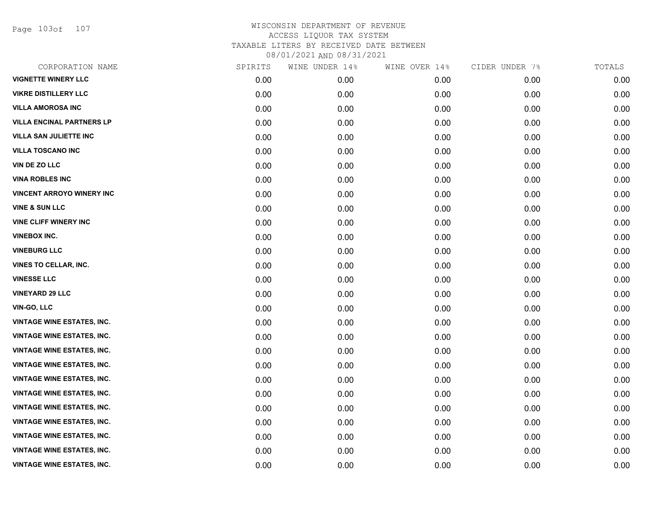Page 103of 107

| CORPORATION NAME                  | SPIRITS | WINE UNDER 14% | WINE OVER 14% | CIDER UNDER 7% | TOTALS |
|-----------------------------------|---------|----------------|---------------|----------------|--------|
| <b>VIGNETTE WINERY LLC</b>        | 0.00    | 0.00           | 0.00          | 0.00           | 0.00   |
| <b>VIKRE DISTILLERY LLC</b>       | 0.00    | 0.00           | 0.00          | 0.00           | 0.00   |
| <b>VILLA AMOROSA INC</b>          | 0.00    | 0.00           | 0.00          | 0.00           | 0.00   |
| <b>VILLA ENCINAL PARTNERS LP</b>  | 0.00    | 0.00           | 0.00          | 0.00           | 0.00   |
| <b>VILLA SAN JULIETTE INC</b>     | 0.00    | 0.00           | 0.00          | 0.00           | 0.00   |
| <b>VILLA TOSCANO INC</b>          | 0.00    | 0.00           | 0.00          | 0.00           | 0.00   |
| VIN DE ZO LLC                     | 0.00    | 0.00           | 0.00          | 0.00           | 0.00   |
| <b>VINA ROBLES INC</b>            | 0.00    | 0.00           | 0.00          | 0.00           | 0.00   |
| <b>VINCENT ARROYO WINERY INC</b>  | 0.00    | 0.00           | 0.00          | 0.00           | 0.00   |
| <b>VINE &amp; SUN LLC</b>         | 0.00    | 0.00           | 0.00          | 0.00           | 0.00   |
| <b>VINE CLIFF WINERY INC</b>      | 0.00    | 0.00           | 0.00          | 0.00           | 0.00   |
| <b>VINEBOX INC.</b>               | 0.00    | 0.00           | 0.00          | 0.00           | 0.00   |
| <b>VINEBURG LLC</b>               | 0.00    | 0.00           | 0.00          | 0.00           | 0.00   |
| VINES TO CELLAR, INC.             | 0.00    | 0.00           | 0.00          | 0.00           | 0.00   |
| <b>VINESSE LLC</b>                | 0.00    | 0.00           | 0.00          | 0.00           | 0.00   |
| <b>VINEYARD 29 LLC</b>            | 0.00    | 0.00           | 0.00          | 0.00           | 0.00   |
| <b>VIN-GO, LLC</b>                | 0.00    | 0.00           | 0.00          | 0.00           | 0.00   |
| <b>VINTAGE WINE ESTATES, INC.</b> | 0.00    | 0.00           | 0.00          | 0.00           | 0.00   |
| <b>VINTAGE WINE ESTATES, INC.</b> | 0.00    | 0.00           | 0.00          | 0.00           | 0.00   |
| <b>VINTAGE WINE ESTATES, INC.</b> | 0.00    | 0.00           | 0.00          | 0.00           | 0.00   |
| <b>VINTAGE WINE ESTATES, INC.</b> | 0.00    | 0.00           | 0.00          | 0.00           | 0.00   |
| <b>VINTAGE WINE ESTATES, INC.</b> | 0.00    | 0.00           | 0.00          | 0.00           | 0.00   |
| <b>VINTAGE WINE ESTATES, INC.</b> | 0.00    | 0.00           | 0.00          | 0.00           | 0.00   |
| <b>VINTAGE WINE ESTATES, INC.</b> | 0.00    | 0.00           | 0.00          | 0.00           | 0.00   |
| <b>VINTAGE WINE ESTATES, INC.</b> | 0.00    | 0.00           | 0.00          | 0.00           | 0.00   |
| <b>VINTAGE WINE ESTATES, INC.</b> | 0.00    | 0.00           | 0.00          | 0.00           | 0.00   |
| <b>VINTAGE WINE ESTATES, INC.</b> | 0.00    | 0.00           | 0.00          | 0.00           | 0.00   |
| <b>VINTAGE WINE ESTATES, INC.</b> | 0.00    | 0.00           | 0.00          | 0.00           | 0.00   |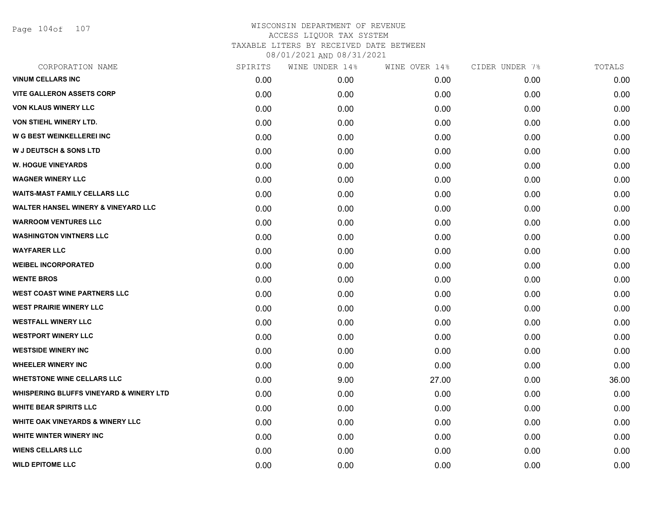Page 104of 107

| CORPORATION NAME                                   | SPIRITS | WINE UNDER 14% | WINE OVER 14% | CIDER UNDER 7% | TOTALS |
|----------------------------------------------------|---------|----------------|---------------|----------------|--------|
| <b>VINUM CELLARS INC</b>                           | 0.00    | 0.00           | 0.00          | 0.00           | 0.00   |
| <b>VITE GALLERON ASSETS CORP</b>                   | 0.00    | 0.00           | 0.00          | 0.00           | 0.00   |
| <b>VON KLAUS WINERY LLC</b>                        | 0.00    | 0.00           | 0.00          | 0.00           | 0.00   |
| VON STIEHL WINERY LTD.                             | 0.00    | 0.00           | 0.00          | 0.00           | 0.00   |
| W G BEST WEINKELLEREI INC                          | 0.00    | 0.00           | 0.00          | 0.00           | 0.00   |
| <b>W J DEUTSCH &amp; SONS LTD</b>                  | 0.00    | 0.00           | 0.00          | 0.00           | 0.00   |
| <b>W. HOGUE VINEYARDS</b>                          | 0.00    | 0.00           | 0.00          | 0.00           | 0.00   |
| <b>WAGNER WINERY LLC</b>                           | 0.00    | 0.00           | 0.00          | 0.00           | 0.00   |
| <b>WAITS-MAST FAMILY CELLARS LLC</b>               | 0.00    | 0.00           | 0.00          | 0.00           | 0.00   |
| <b>WALTER HANSEL WINERY &amp; VINEYARD LLC</b>     | 0.00    | 0.00           | 0.00          | 0.00           | 0.00   |
| <b>WARROOM VENTURES LLC</b>                        | 0.00    | 0.00           | 0.00          | 0.00           | 0.00   |
| <b>WASHINGTON VINTNERS LLC</b>                     | 0.00    | 0.00           | 0.00          | 0.00           | 0.00   |
| <b>WAYFARER LLC</b>                                | 0.00    | 0.00           | 0.00          | 0.00           | 0.00   |
| <b>WEIBEL INCORPORATED</b>                         | 0.00    | 0.00           | 0.00          | 0.00           | 0.00   |
| <b>WENTE BROS</b>                                  | 0.00    | 0.00           | 0.00          | 0.00           | 0.00   |
| <b>WEST COAST WINE PARTNERS LLC</b>                | 0.00    | 0.00           | 0.00          | 0.00           | 0.00   |
| <b>WEST PRAIRIE WINERY LLC</b>                     | 0.00    | 0.00           | 0.00          | 0.00           | 0.00   |
| <b>WESTFALL WINERY LLC</b>                         | 0.00    | 0.00           | 0.00          | 0.00           | 0.00   |
| <b>WESTPORT WINERY LLC</b>                         | 0.00    | 0.00           | 0.00          | 0.00           | 0.00   |
| <b>WESTSIDE WINERY INC</b>                         | 0.00    | 0.00           | 0.00          | 0.00           | 0.00   |
| <b>WHEELER WINERY INC</b>                          | 0.00    | 0.00           | 0.00          | 0.00           | 0.00   |
| <b>WHETSTONE WINE CELLARS LLC</b>                  | 0.00    | 9.00           | 27.00         | 0.00           | 36.00  |
| <b>WHISPERING BLUFFS VINEYARD &amp; WINERY LTD</b> | 0.00    | 0.00           | 0.00          | 0.00           | 0.00   |
| <b>WHITE BEAR SPIRITS LLC</b>                      | 0.00    | 0.00           | 0.00          | 0.00           | 0.00   |
| <b>WHITE OAK VINEYARDS &amp; WINERY LLC</b>        | 0.00    | 0.00           | 0.00          | 0.00           | 0.00   |
| WHITE WINTER WINERY INC                            | 0.00    | 0.00           | 0.00          | 0.00           | 0.00   |
| <b>WIENS CELLARS LLC</b>                           | 0.00    | 0.00           | 0.00          | 0.00           | 0.00   |
| <b>WILD EPITOME LLC</b>                            | 0.00    | 0.00           | 0.00          | 0.00           | 0.00   |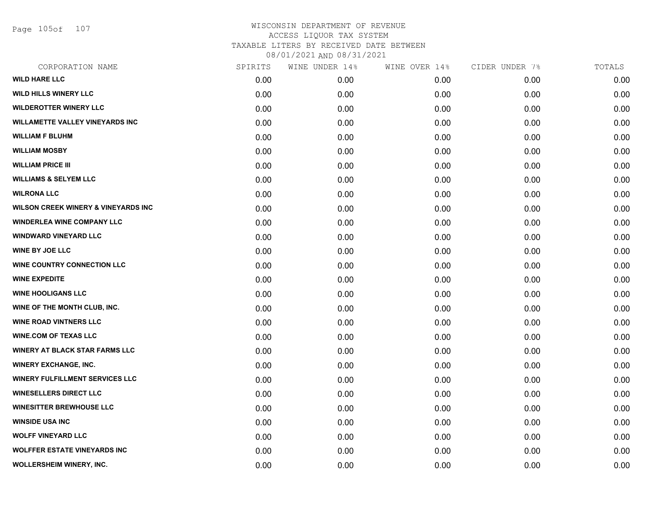Page 105of 107

| SPIRITS | WINE UNDER 14% | WINE OVER 14% | CIDER UNDER 7% | TOTALS |
|---------|----------------|---------------|----------------|--------|
| 0.00    | 0.00           | 0.00          | 0.00           | 0.00   |
| 0.00    | 0.00           | 0.00          | 0.00           | 0.00   |
| 0.00    | 0.00           | 0.00          | 0.00           | 0.00   |
| 0.00    | 0.00           | 0.00          | 0.00           | 0.00   |
| 0.00    | 0.00           | 0.00          | 0.00           | 0.00   |
| 0.00    | 0.00           | 0.00          | 0.00           | 0.00   |
| 0.00    | 0.00           | 0.00          | 0.00           | 0.00   |
| 0.00    | 0.00           | 0.00          | 0.00           | 0.00   |
| 0.00    | 0.00           | 0.00          | 0.00           | 0.00   |
| 0.00    | 0.00           | 0.00          | 0.00           | 0.00   |
| 0.00    | 0.00           | 0.00          | 0.00           | 0.00   |
| 0.00    | 0.00           | 0.00          | 0.00           | 0.00   |
| 0.00    | 0.00           | 0.00          | 0.00           | 0.00   |
| 0.00    | 0.00           | 0.00          | 0.00           | 0.00   |
| 0.00    | 0.00           | 0.00          | 0.00           | 0.00   |
| 0.00    | 0.00           | 0.00          | 0.00           | 0.00   |
| 0.00    | 0.00           | 0.00          | 0.00           | 0.00   |
| 0.00    | 0.00           | 0.00          | 0.00           | 0.00   |
| 0.00    | 0.00           | 0.00          | 0.00           | 0.00   |
| 0.00    | 0.00           | 0.00          | 0.00           | 0.00   |
| 0.00    | 0.00           | 0.00          | 0.00           | 0.00   |
| 0.00    | 0.00           | 0.00          | 0.00           | 0.00   |
| 0.00    | 0.00           | 0.00          | 0.00           | 0.00   |
| 0.00    | 0.00           | 0.00          | 0.00           | 0.00   |
| 0.00    | 0.00           | 0.00          | 0.00           | 0.00   |
| 0.00    | 0.00           | 0.00          | 0.00           | 0.00   |
| 0.00    | 0.00           | 0.00          | 0.00           | 0.00   |
| 0.00    | 0.00           | 0.00          | 0.00           | 0.00   |
|         |                |               |                |        |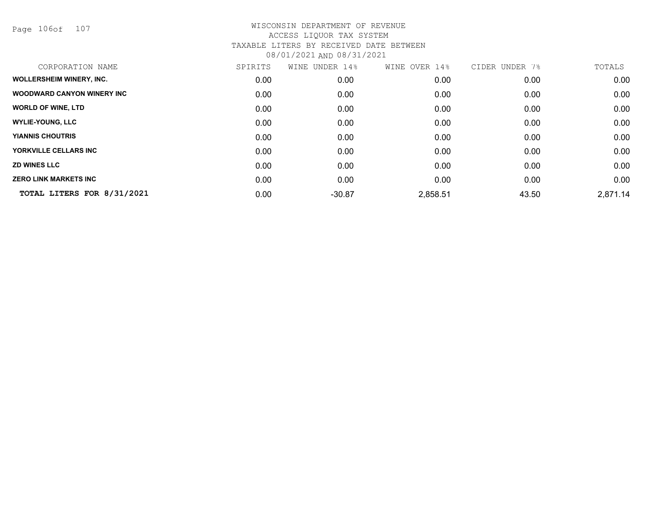Page 106of 107

| CORPORATION NAME                  | SPIRITS | WINE<br>UNDER 14% | WINE OVER 14% | CIDER UNDER 7% | TOTALS   |
|-----------------------------------|---------|-------------------|---------------|----------------|----------|
| <b>WOLLERSHEIM WINERY, INC.</b>   | 0.00    | 0.00              | 0.00          | 0.00           | 0.00     |
| <b>WOODWARD CANYON WINERY INC</b> | 0.00    | 0.00              | 0.00          | 0.00           | 0.00     |
| <b>WORLD OF WINE, LTD</b>         | 0.00    | 0.00              | 0.00          | 0.00           | 0.00     |
| <b>WYLIE-YOUNG, LLC</b>           | 0.00    | 0.00              | 0.00          | 0.00           | 0.00     |
| <b>YIANNIS CHOUTRIS</b>           | 0.00    | 0.00              | 0.00          | 0.00           | 0.00     |
| YORKVILLE CELLARS INC             | 0.00    | 0.00              | 0.00          | 0.00           | 0.00     |
| <b>ZD WINES LLC</b>               | 0.00    | 0.00              | 0.00          | 0.00           | 0.00     |
| <b>ZERO LINK MARKETS INC</b>      | 0.00    | 0.00              | 0.00          | 0.00           | 0.00     |
| TOTAL LITERS FOR 8/31/2021        | 0.00    | $-30.87$          | 2,858.51      | 43.50          | 2,871.14 |